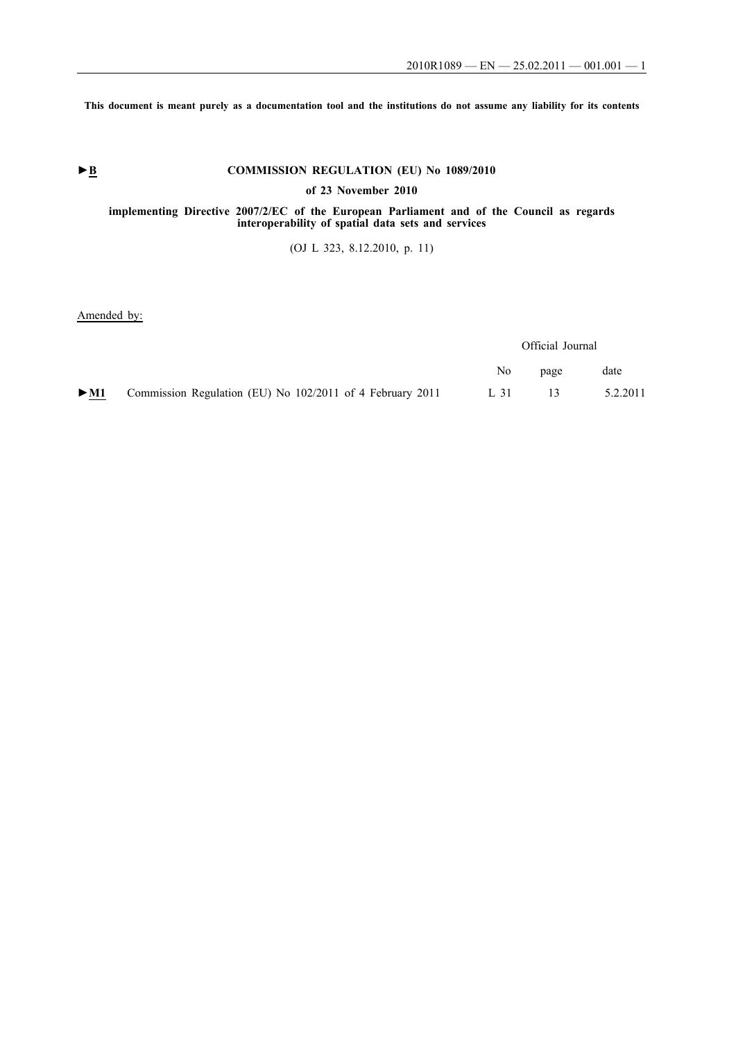**This document is meant purely as a documentation tool and the institutions do not assume any liability for its contents**

# ► **B** COMMISSION REGULATION (EU) No 1089/2010

**of 23 November 2010**

## **implementing Directive 2007/2/EC of the European Parliament and of the Council as regards interoperability of spatial data sets and services**

(OJ L 323, 8.12.2010, p. 11)

### Amended by:

|                                                                                         |                                                                                                                 | Official Journal |          |  |
|-----------------------------------------------------------------------------------------|-----------------------------------------------------------------------------------------------------------------|------------------|----------|--|
|                                                                                         | No the set of the set of the set of the set of the set of the set of the set of the set of the set of the set o | page             | date     |  |
| $\blacktriangleright$ M1 Commission Regulation (EU) No 102/2011 of 4 February 2011 L 31 |                                                                                                                 | -13-             | 5.2.2011 |  |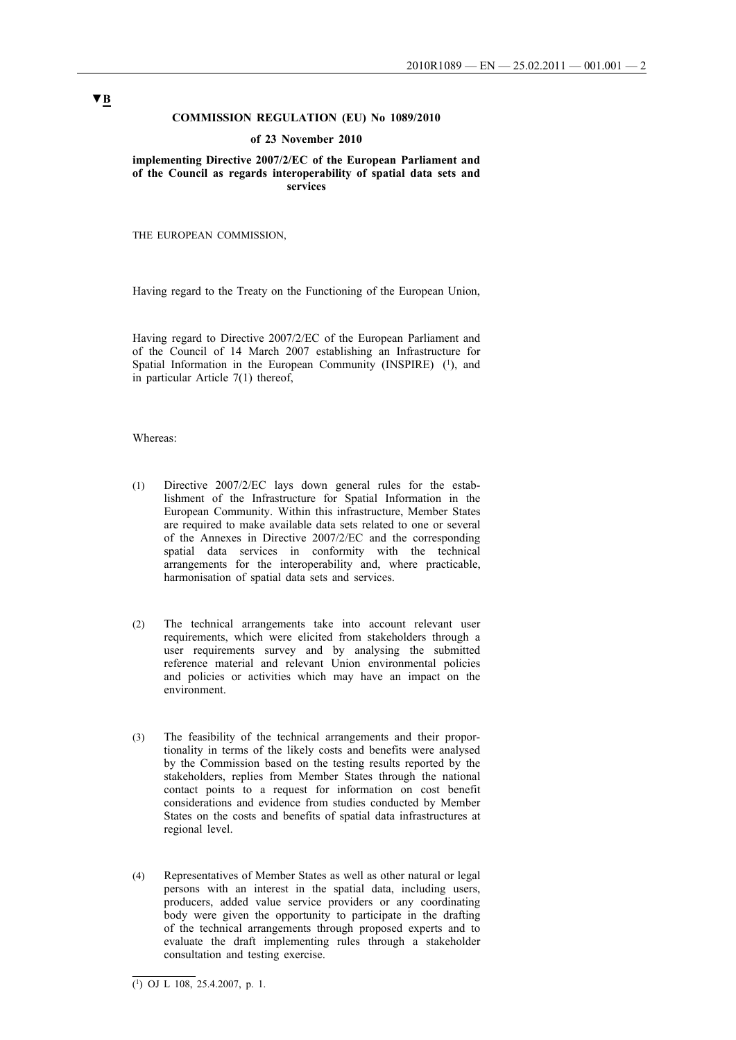### **COMMISSION REGULATION (EU) No 1089/2010**

#### **of 23 November 2010**

**implementing Directive 2007/2/EC of the European Parliament and of the Council as regards interoperability of spatial data sets and services**

THE EUROPEAN COMMISSION,

Having regard to the Treaty on the Functioning of the European Union,

Having regard to Directive 2007/2/EC of the European Parliament and of the Council of 14 March 2007 establishing an Infrastructure for Spatial Information in the European Community (INSPIRE) (1), and in particular Article 7(1) thereof,

### Whereas:

- (1) Directive 2007/2/EC lays down general rules for the establishment of the Infrastructure for Spatial Information in the European Community. Within this infrastructure, Member States are required to make available data sets related to one or several of the Annexes in Directive 2007/2/EC and the corresponding spatial data services in conformity with the technical arrangements for the interoperability and, where practicable, harmonisation of spatial data sets and services.
- (2) The technical arrangements take into account relevant user requirements, which were elicited from stakeholders through a user requirements survey and by analysing the submitted reference material and relevant Union environmental policies and policies or activities which may have an impact on the environment.
- (3) The feasibility of the technical arrangements and their proportionality in terms of the likely costs and benefits were analysed by the Commission based on the testing results reported by the stakeholders, replies from Member States through the national contact points to a request for information on cost benefit considerations and evidence from studies conducted by Member States on the costs and benefits of spatial data infrastructures at regional level.
- (4) Representatives of Member States as well as other natural or legal persons with an interest in the spatial data, including users, producers, added value service providers or any coordinating body were given the opportunity to participate in the drafting of the technical arrangements through proposed experts and to evaluate the draft implementing rules through a stakeholder consultation and testing exercise.

 $\overline{(^1)}$  OJ L 108, 25.4.2007, p. 1.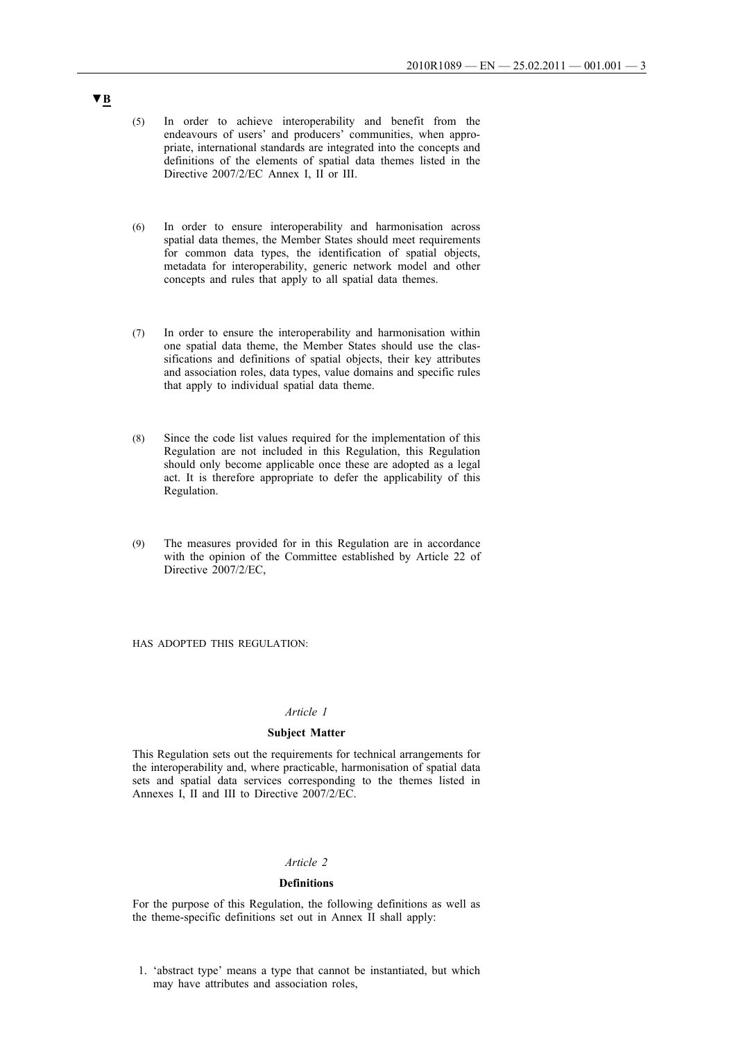- (5) In order to achieve interoperability and benefit from the endeavours of users' and producers' communities, when appropriate, international standards are integrated into the concepts and definitions of the elements of spatial data themes listed in the Directive 2007/2/EC Annex I, II or III.
- (6) In order to ensure interoperability and harmonisation across spatial data themes, the Member States should meet requirements for common data types, the identification of spatial objects, metadata for interoperability, generic network model and other concepts and rules that apply to all spatial data themes.
- (7) In order to ensure the interoperability and harmonisation within one spatial data theme, the Member States should use the classifications and definitions of spatial objects, their key attributes and association roles, data types, value domains and specific rules that apply to individual spatial data theme.
- (8) Since the code list values required for the implementation of this Regulation are not included in this Regulation, this Regulation should only become applicable once these are adopted as a legal act. It is therefore appropriate to defer the applicability of this Regulation.
- (9) The measures provided for in this Regulation are in accordance with the opinion of the Committee established by Article 22 of Directive 2007/2/EC,

HAS ADOPTED THIS REGULATION:

#### *Article 1*

#### **Subject Matter**

This Regulation sets out the requirements for technical arrangements for the interoperability and, where practicable, harmonisation of spatial data sets and spatial data services corresponding to the themes listed in Annexes I, II and III to Directive 2007/2/EC.

#### *Article 2*

### **Definitions**

For the purpose of this Regulation, the following definitions as well as the theme-specific definitions set out in Annex II shall apply:

1. 'abstract type' means a type that cannot be instantiated, but which may have attributes and association roles,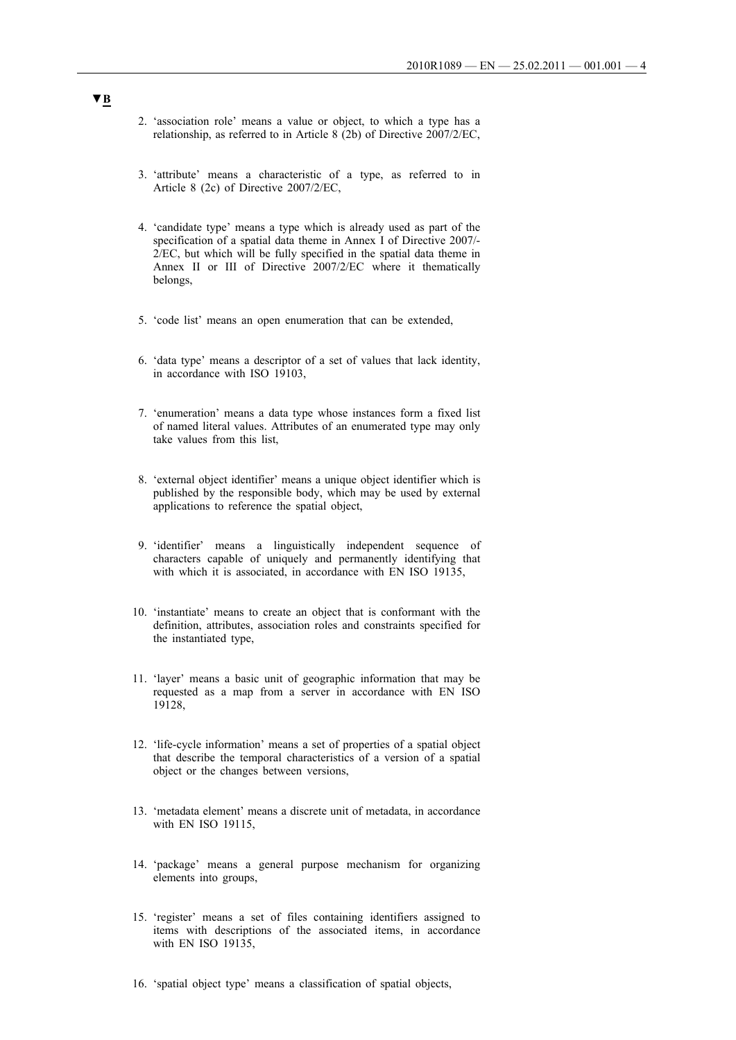- 2. 'association role' means a value or object, to which a type has a relationship, as referred to in Article 8 (2b) of Directive 2007/2/EC,
- 3. 'attribute' means a characteristic of a type, as referred to in Article 8 (2c) of Directive 2007/2/EC,
- 4. 'candidate type' means a type which is already used as part of the specification of a spatial data theme in Annex I of Directive 2007/-2/EC, but which will be fully specified in the spatial data theme in Annex II or III of Directive 2007/2/EC where it thematically belongs,
- 5. 'code list' means an open enumeration that can be extended,
- 6. 'data type' means a descriptor of a set of values that lack identity, in accordance with ISO 19103.
- 7. 'enumeration' means a data type whose instances form a fixed list of named literal values. Attributes of an enumerated type may only take values from this list,
- 8. 'external object identifier' means a unique object identifier which is published by the responsible body, which may be used by external applications to reference the spatial object,
- 9. 'identifier' means a linguistically independent sequence of characters capable of uniquely and permanently identifying that with which it is associated, in accordance with EN ISO 19135,
- 10. 'instantiate' means to create an object that is conformant with the definition, attributes, association roles and constraints specified for the instantiated type,
- 11. 'layer' means a basic unit of geographic information that may be requested as a map from a server in accordance with EN ISO 19128,
- 12. 'life-cycle information' means a set of properties of a spatial object that describe the temporal characteristics of a version of a spatial object or the changes between versions,
- 13. 'metadata element' means a discrete unit of metadata, in accordance with EN ISO 19115,
- 14. 'package' means a general purpose mechanism for organizing elements into groups,
- 15. 'register' means a set of files containing identifiers assigned to items with descriptions of the associated items, in accordance with EN ISO  $191\overline{3}5$ .
- 16. 'spatial object type' means a classification of spatial objects,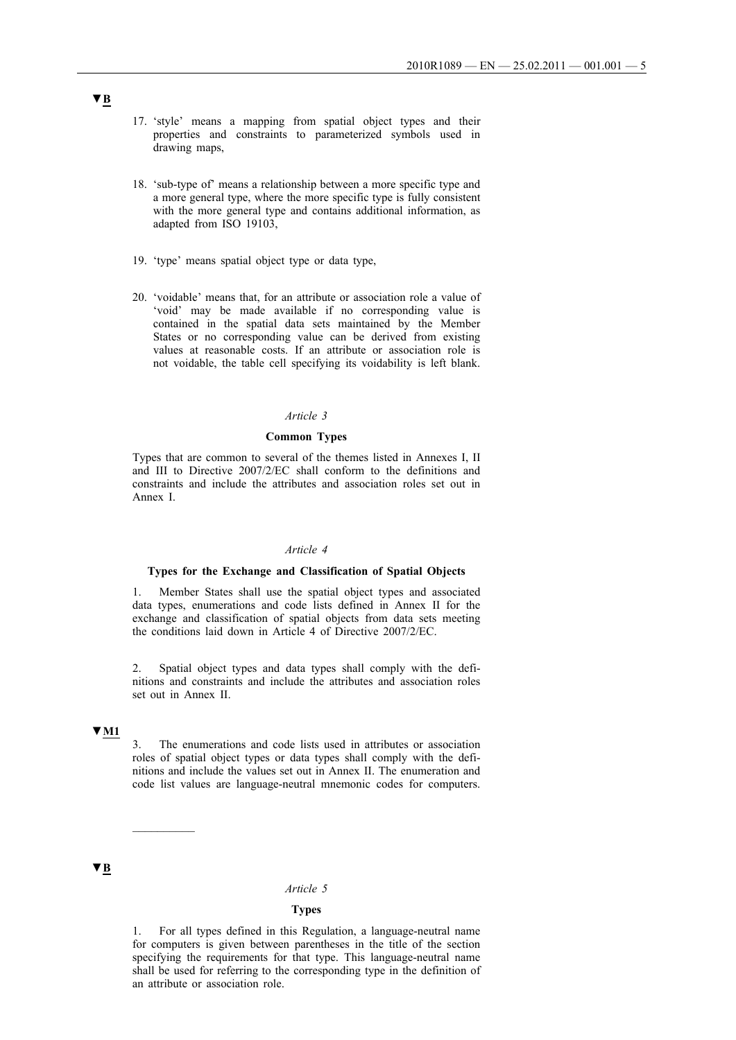- 17. 'style' means a mapping from spatial object types and their properties and constraints to parameterized symbols used in drawing maps,
- 18. 'sub-type of' means a relationship between a more specific type and a more general type, where the more specific type is fully consistent with the more general type and contains additional information, as adapted from ISO 19103,
- 19. 'type' means spatial object type or data type,
- 20. 'voidable' means that, for an attribute or association role a value of 'void' may be made available if no corresponding value is contained in the spatial data sets maintained by the Member States or no corresponding value can be derived from existing values at reasonable costs. If an attribute or association role is not voidable, the table cell specifying its voidability is left blank.

### *Article 3*

### **Common Types**

Types that are common to several of the themes listed in Annexes I, II and III to Directive 2007/2/EC shall conform to the definitions and constraints and include the attributes and association roles set out in Annex I.

### *Article 4*

#### **Types for the Exchange and Classification of Spatial Objects**

1. Member States shall use the spatial object types and associated data types, enumerations and code lists defined in Annex II for the exchange and classification of spatial objects from data sets meeting the conditions laid down in Article 4 of Directive 2007/2/EC.

2. Spatial object types and data types shall comply with the definitions and constraints and include the attributes and association roles set out in Annex II.

# **▼M1**

3. The enumerations and code lists used in attributes or association roles of spatial object types or data types shall comply with the definitions and include the values set out in Annex II. The enumeration and code list values are language-neutral mnemonic codes for computers.

# **▼B**

## *Article 5*

### **Types**

1. For all types defined in this Regulation, a language-neutral name for computers is given between parentheses in the title of the section specifying the requirements for that type. This language-neutral name shall be used for referring to the corresponding type in the definition of an attribute or association role.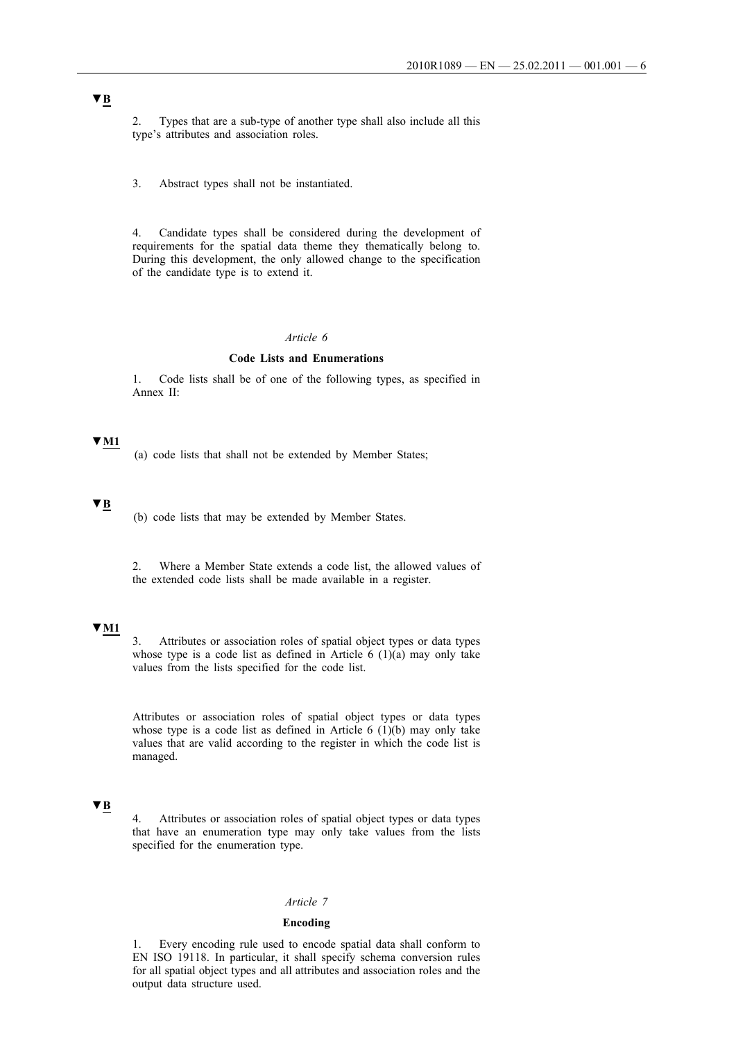2. Types that are a sub-type of another type shall also include all this type's attributes and association roles.

3. Abstract types shall not be instantiated.

4. Candidate types shall be considered during the development of requirements for the spatial data theme they thematically belong to. During this development, the only allowed change to the specification of the candidate type is to extend it.

### *Article 6*

### **Code Lists and Enumerations**

1. Code lists shall be of one of the following types, as specified in Annex II:

# **▼M1**

(a) code lists that shall not be extended by Member States;

### **▼B**

(b) code lists that may be extended by Member States.

2. Where a Member State extends a code list, the allowed values of the extended code lists shall be made available in a register.

# **▼M1**

3. Attributes or association roles of spatial object types or data types whose type is a code list as defined in Article  $6(1)(a)$  may only take values from the lists specified for the code list.

Attributes or association roles of spatial object types or data types whose type is a code list as defined in Article  $6(1)(b)$  may only take values that are valid according to the register in which the code list is managed.

# **▼B**

4. Attributes or association roles of spatial object types or data types that have an enumeration type may only take values from the lists specified for the enumeration type.

### *Article 7*

### **Encoding**

1. Every encoding rule used to encode spatial data shall conform to EN ISO 19118. In particular, it shall specify schema conversion rules for all spatial object types and all attributes and association roles and the output data structure used.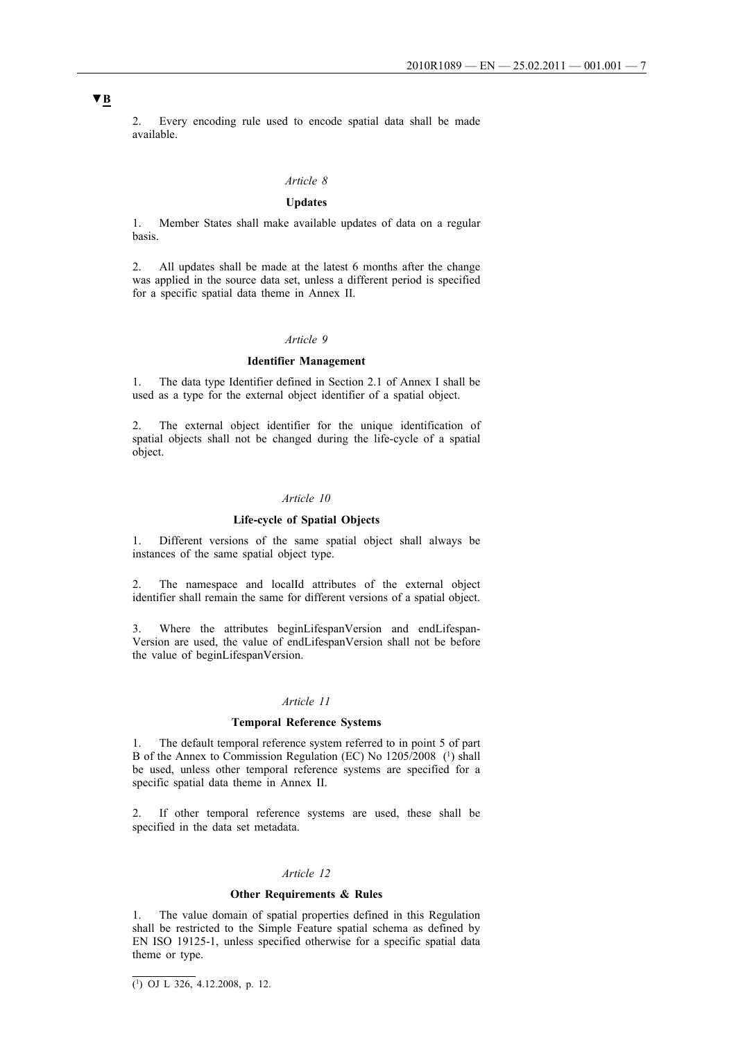2. Every encoding rule used to encode spatial data shall be made available.

# *Article 8*

### **Updates**

1. Member States shall make available updates of data on a regular basis.

2. All updates shall be made at the latest 6 months after the change was applied in the source data set, unless a different period is specified for a specific spatial data theme in Annex II.

#### *Article 9*

### **Identifier Management**

1. The data type Identifier defined in Section 2.1 of Annex I shall be used as a type for the external object identifier of a spatial object.

2. The external object identifier for the unique identification of spatial objects shall not be changed during the life-cycle of a spatial object.

#### *Article 10*

#### **Life-cycle of Spatial Objects**

1. Different versions of the same spatial object shall always be instances of the same spatial object type.

2. The namespace and localId attributes of the external object identifier shall remain the same for different versions of a spatial object.

3. Where the attributes beginLifespanVersion and endLifespan-Version are used, the value of endLifespanVersion shall not be before the value of beginLifespanVersion.

#### *Article 11*

### **Temporal Reference Systems**

1. The default temporal reference system referred to in point 5 of part B of the Annex to Commission Regulation (EC) No 1205/2008 (1) shall be used, unless other temporal reference systems are specified for a specific spatial data theme in Annex II.

2. If other temporal reference systems are used, these shall be specified in the data set metadata.

### *Article 12*

### **Other Requirements & Rules**

1. The value domain of spatial properties defined in this Regulation shall be restricted to the Simple Feature spatial schema as defined by EN ISO 19125-1, unless specified otherwise for a specific spatial data theme or type.

 $\overline{(^1)}$  OJ L 326, 4.12.2008, p. 12.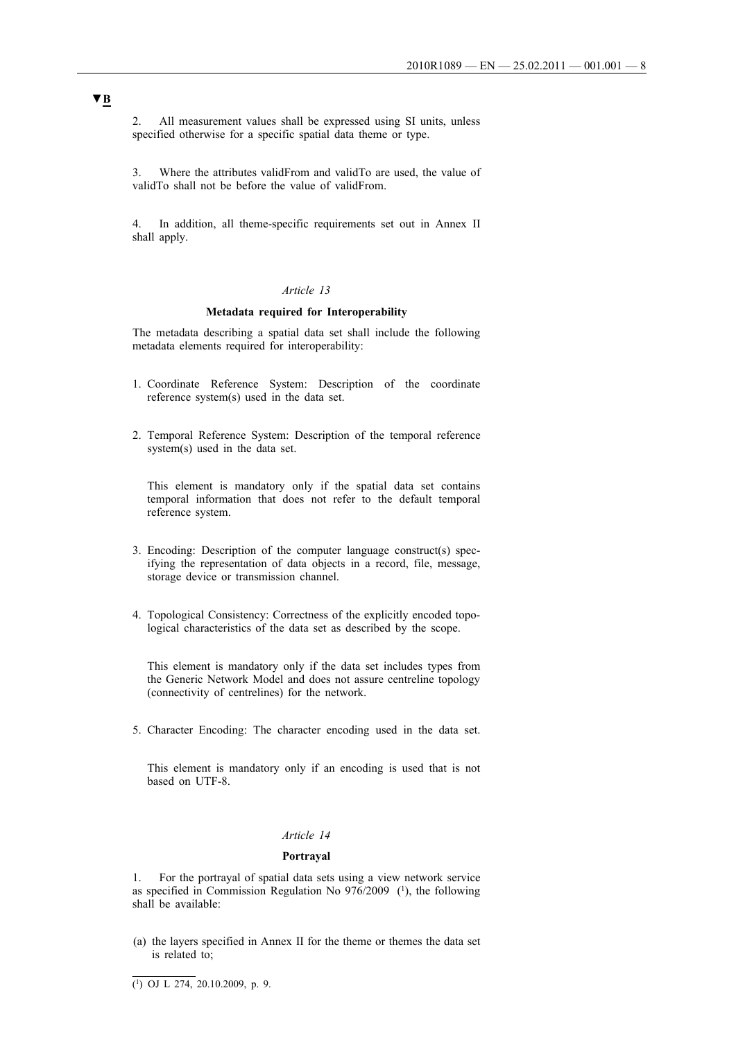2. All measurement values shall be expressed using SI units, unless specified otherwise for a specific spatial data theme or type.

3. Where the attributes validFrom and validTo are used, the value of validTo shall not be before the value of validFrom.

4. In addition, all theme-specific requirements set out in Annex II shall apply.

### *Article 13*

#### **Metadata required for Interoperability**

The metadata describing a spatial data set shall include the following metadata elements required for interoperability:

- 1. Coordinate Reference System: Description of the coordinate reference system(s) used in the data set.
- 2. Temporal Reference System: Description of the temporal reference system(s) used in the data set.

This element is mandatory only if the spatial data set contains temporal information that does not refer to the default temporal reference system.

- 3. Encoding: Description of the computer language construct(s) specifying the representation of data objects in a record, file, message, storage device or transmission channel.
- 4. Topological Consistency: Correctness of the explicitly encoded topological characteristics of the data set as described by the scope.

This element is mandatory only if the data set includes types from the Generic Network Model and does not assure centreline topology (connectivity of centrelines) for the network.

5. Character Encoding: The character encoding used in the data set.

This element is mandatory only if an encoding is used that is not based on UTF-8.

#### *Article 14*

### **Portrayal**

1. For the portrayal of spatial data sets using a view network service as specified in Commission Regulation No  $976/2009$  (<sup>1</sup>), the following shall be available:

(a) the layers specified in Annex II for the theme or themes the data set is related to;

 $\overline{(^1)}$  OJ L 274, 20.10.2009, p. 9.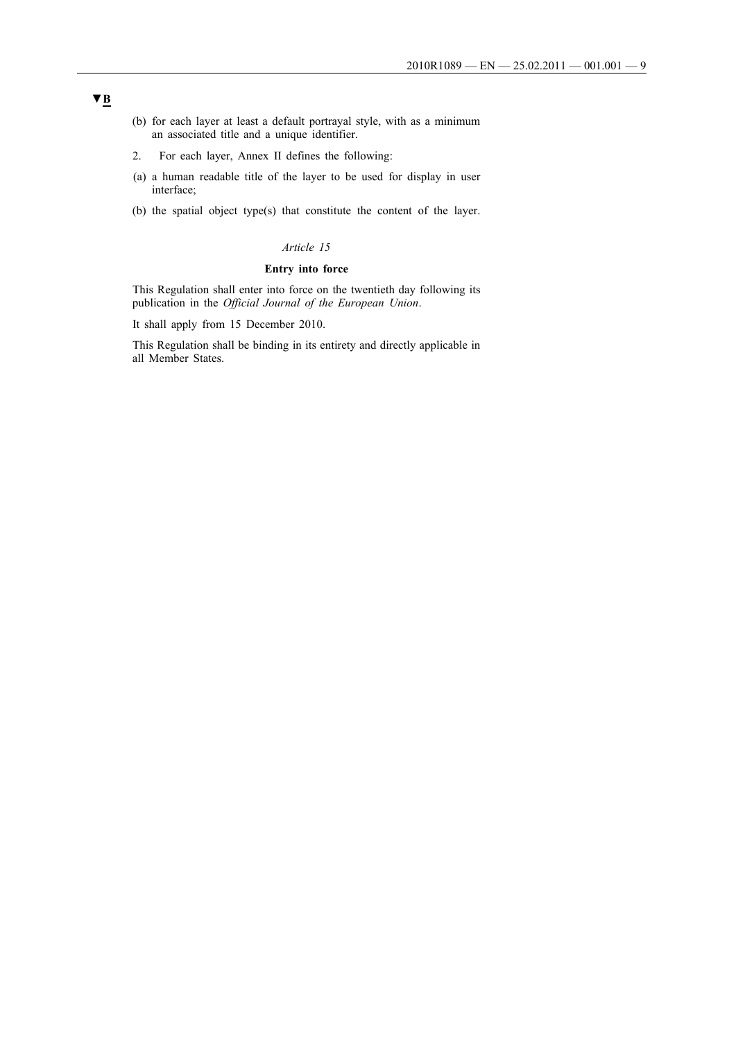- (b) for each layer at least a default portrayal style, with as a minimum an associated title and a unique identifier.
- 2. For each layer, Annex II defines the following:
- (a) a human readable title of the layer to be used for display in user interface;
- (b) the spatial object type(s) that constitute the content of the layer.

### *Article 15*

## **Entry into force**

This Regulation shall enter into force on the twentieth day following its publication in the *Official Journal of the European Union*.

It shall apply from 15 December 2010.

This Regulation shall be binding in its entirety and directly applicable in all Member States.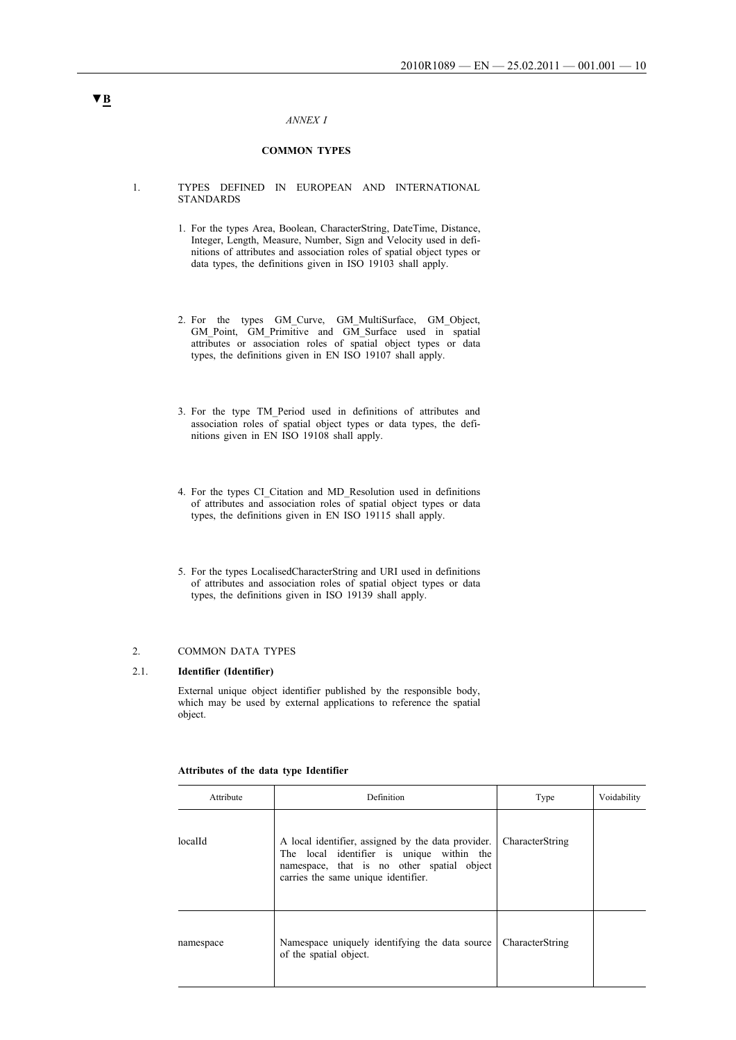#### *ANNEX I*

### **COMMON TYPES**

- 1. TYPES DEFINED IN EUROPEAN AND INTERNATIONAL **STANDARDS** 
	- 1. For the types Area, Boolean, CharacterString, DateTime, Distance, Integer, Length, Measure, Number, Sign and Velocity used in definitions of attributes and association roles of spatial object types or data types, the definitions given in ISO 19103 shall apply.
	- 2. For the types GM\_Curve, GM\_MultiSurface, GM\_Object, GM\_Point, GM\_Primitive and GM\_Surface used in spatial attributes or association roles of spatial object types or data types, the definitions given in EN ISO 19107 shall apply.
	- 3. For the type TM\_Period used in definitions of attributes and association roles of spatial object types or data types, the definitions given in EN ISO 19108 shall apply.
	- 4. For the types CI\_Citation and MD\_Resolution used in definitions of attributes and association roles of spatial object types or data types, the definitions given in EN ISO 19115 shall apply.
	- 5. For the types LocalisedCharacterString and URI used in definitions of attributes and association roles of spatial object types or data types, the definitions given in ISO 19139 shall apply.

#### 2. COMMON DATA TYPES

#### 2.1. **Identifier (Identifier)**

External unique object identifier published by the responsible body, which may be used by external applications to reference the spatial object.

| Attribute | Definition                                                                                                                                                                           | Type            | Voidability |
|-----------|--------------------------------------------------------------------------------------------------------------------------------------------------------------------------------------|-----------------|-------------|
| localId   | A local identifier, assigned by the data provider.<br>The local identifier is unique within the<br>namespace, that is no other spatial object<br>carries the same unique identifier. | CharacterString |             |
| namespace | Namespace uniquely identifying the data source<br>of the spatial object.                                                                                                             | CharacterString |             |

#### **Attributes of the data type Identifier**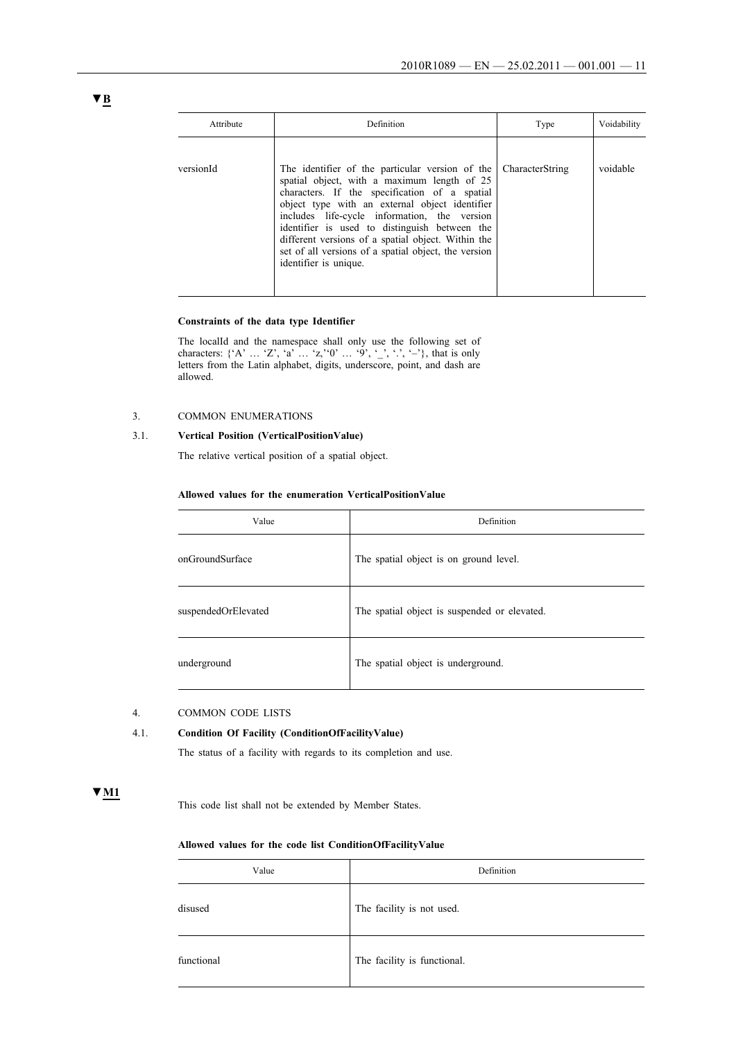| Attribute | Definition                                                                                                                                                                                                                                                                                                                                                                                                                                | Type            | Voidability |
|-----------|-------------------------------------------------------------------------------------------------------------------------------------------------------------------------------------------------------------------------------------------------------------------------------------------------------------------------------------------------------------------------------------------------------------------------------------------|-----------------|-------------|
| versionId | The identifier of the particular version of the<br>spatial object, with a maximum length of 25<br>characters. If the specification of a spatial<br>object type with an external object identifier<br>includes life-cycle information, the version<br>identifier is used to distinguish between the<br>different versions of a spatial object. Within the<br>set of all versions of a spatial object, the version<br>identifier is unique. | CharacterString | voidable    |

### **Constraints of the data type Identifier**

The localId and the namespace shall only use the following set of characters: { $A'$  ...  $Z'$ ,  $a'$  ...  $z'$ ,  $0'$  ...  $9', \ldots, 9', \ldots, -2$ }, that is only letters from the Latin alphabet, digits, underscore, point, and dash are allowed.

### 3. COMMON ENUMERATIONS

## 3.1. **Vertical Position (VerticalPositionValue)**

The relative vertical position of a spatial object.

#### **Allowed values for the enumeration VerticalPositionValue**

| Value               | Definition                                   |
|---------------------|----------------------------------------------|
| onGroundSurface     | The spatial object is on ground level.       |
| suspendedOrElevated | The spatial object is suspended or elevated. |
| underground         | The spatial object is underground.           |

### 4. COMMON CODE LISTS

### 4.1. **Condition Of Facility (ConditionOfFacilityValue)**

The status of a facility with regards to its completion and use.

# **▼M1**

This code list shall not be extended by Member States.

#### **Allowed values for the code list ConditionOfFacilityValue**

| Value      | Definition                  |
|------------|-----------------------------|
| disused    | The facility is not used.   |
| functional | The facility is functional. |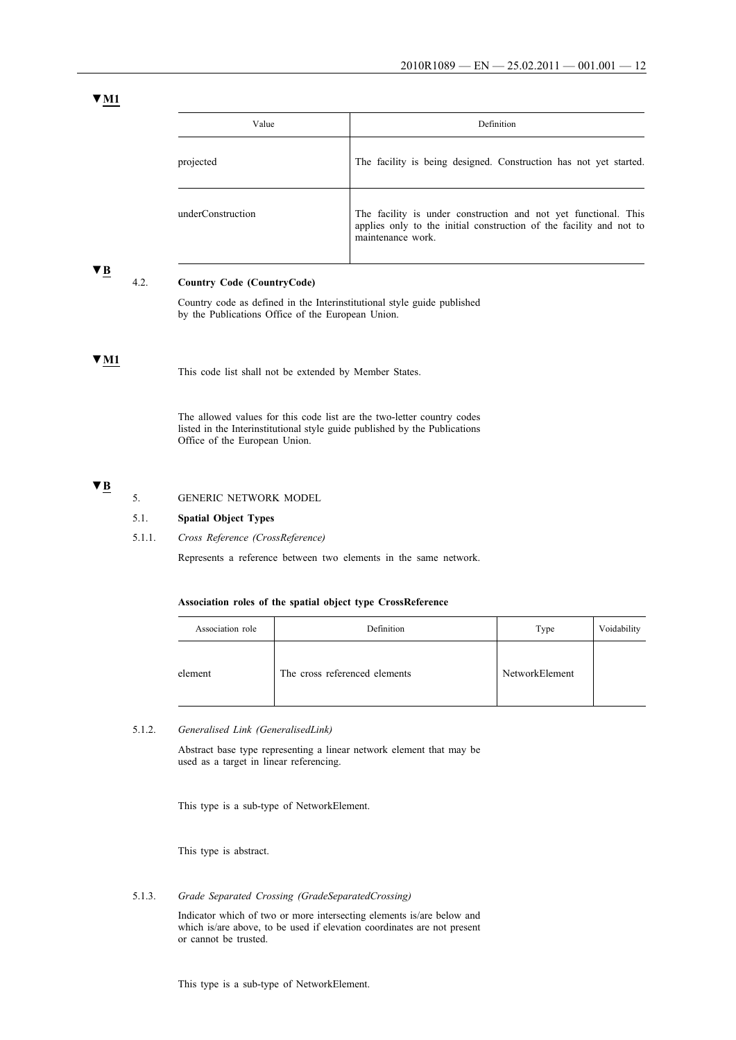| Value             | Definition                                                                                                                                                  |
|-------------------|-------------------------------------------------------------------------------------------------------------------------------------------------------------|
| projected         | The facility is being designed. Construction has not yet started.                                                                                           |
| underConstruction | The facility is under construction and not yet functional. This<br>applies only to the initial construction of the facility and not to<br>maintenance work. |

### **▼B**

### 4.2. **Country Code (CountryCode)**

Country code as defined in the Interinstitutional style guide published by the Publications Office of the European Union.

### **▼M1**

The allowed values for this code list are the two-letter country codes listed in the Interinstitutional style guide published by the Publications Office of the European Union.

# **▼B**

### 5. GENERIC NETWORK MODEL

5.1. **Spatial Object Types**

5.1.1. *Cross Reference (CrossReference)*

Represents a reference between two elements in the same network.

### **Association roles of the spatial object type CrossReference**

| Association role | Definition                    | Type           | Voidability |
|------------------|-------------------------------|----------------|-------------|
| element          | The cross referenced elements | NetworkElement |             |

### 5.1.2. *Generalised Link (GeneralisedLink)*

Abstract base type representing a linear network element that may be used as a target in linear referencing.

This type is a sub-type of NetworkElement.

This type is abstract.

5.1.3. *Grade Separated Crossing (GradeSeparatedCrossing)*

Indicator which of two or more intersecting elements is/are below and which is/are above, to be used if elevation coordinates are not present or cannot be trusted.

This type is a sub-type of NetworkElement.

This code list shall not be extended by Member States.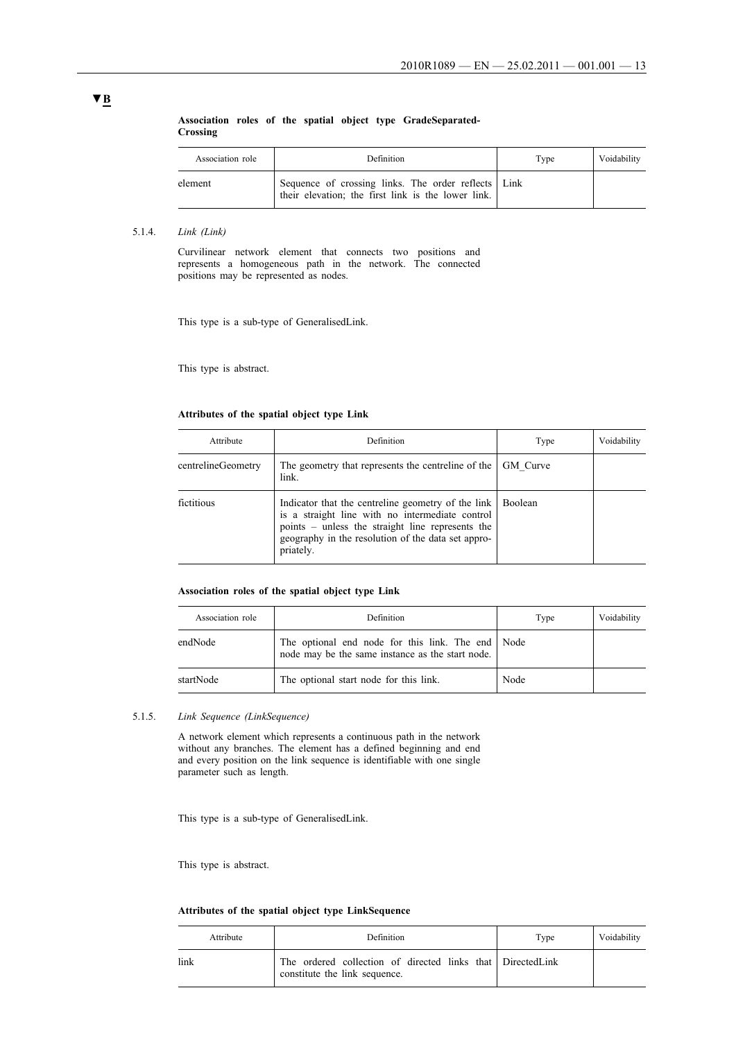### **Association roles of the spatial object type GradeSeparated-Crossing**

| Association role | Definition                                                                                                  | Type | Voidability |
|------------------|-------------------------------------------------------------------------------------------------------------|------|-------------|
| element          | Sequence of crossing links. The order reflects   Link<br>their elevation; the first link is the lower link. |      |             |

#### 5.1.4. *Link (Link)*

Curvilinear network element that connects two positions and represents a homogeneous path in the network. The connected positions may be represented as nodes.

This type is a sub-type of GeneralisedLink.

This type is abstract.

# **Attributes of the spatial object type Link**

| Attribute          | <b>Definition</b>                                                                                                                                                                                                            | Type     | Voidability |
|--------------------|------------------------------------------------------------------------------------------------------------------------------------------------------------------------------------------------------------------------------|----------|-------------|
| centrelineGeometry | The geometry that represents the centreline of the<br>link.                                                                                                                                                                  | GM Curve |             |
| fictitious         | Indicator that the centreline geometry of the link<br>is a straight line with no intermediate control<br>points – unless the straight line represents the<br>geography in the resolution of the data set appro-<br>priately. | Boolean  |             |

### **Association roles of the spatial object type Link**

| Association role | Definition                                                                                            | Type | Voidability |
|------------------|-------------------------------------------------------------------------------------------------------|------|-------------|
| endNode          | The optional end node for this link. The end Node<br>node may be the same instance as the start node. |      |             |
| startNode        | The optional start node for this link.                                                                | Node |             |

### 5.1.5. *Link Sequence (LinkSequence)*

A network element which represents a continuous path in the network without any branches. The element has a defined beginning and end and every position on the link sequence is identifiable with one single parameter such as length.

This type is a sub-type of GeneralisedLink.

This type is abstract.

### **Attributes of the spatial object type LinkSequence**

|      | Attribute | Definition                                                                                   | Type | Voidability |
|------|-----------|----------------------------------------------------------------------------------------------|------|-------------|
| link |           | The ordered collection of directed links that Directed Link<br>constitute the link sequence. |      |             |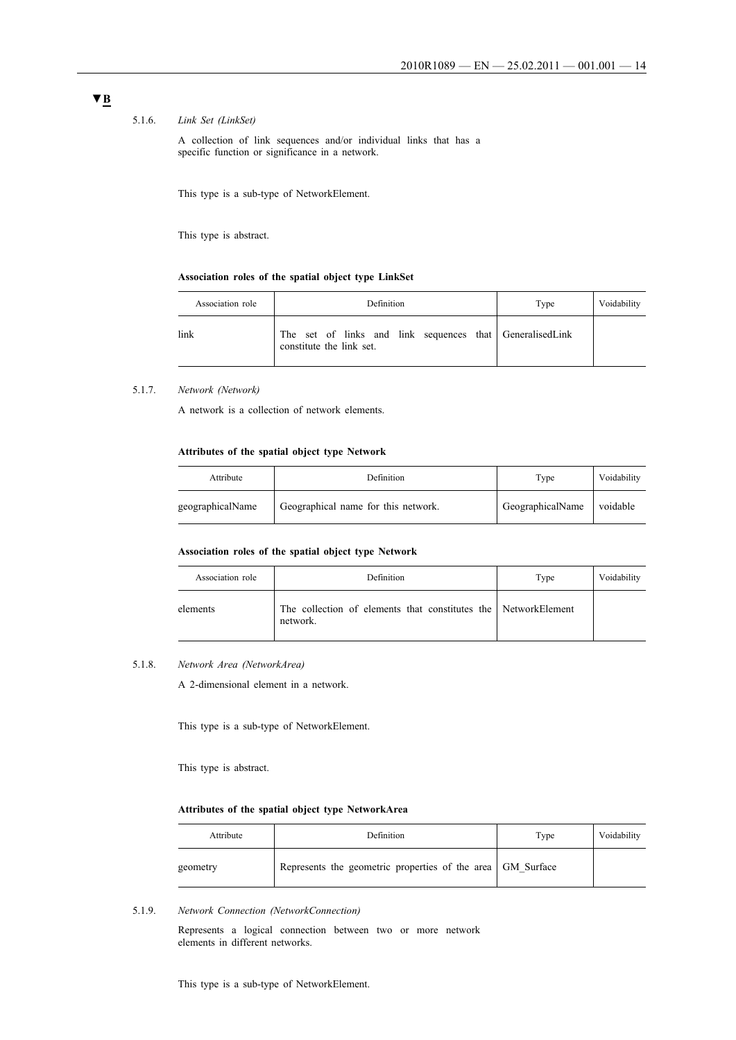### 5.1.6. *Link Set (LinkSet)*

A collection of link sequences and/or individual links that has a specific function or significance in a network.

This type is a sub-type of NetworkElement.

This type is abstract.

### **Association roles of the spatial object type LinkSet**

| Association role | Definition                                                                           | Type | Voidability |
|------------------|--------------------------------------------------------------------------------------|------|-------------|
| link             | The set of links and link sequences that GeneralisedLink<br>constitute the link set. |      |             |

### 5.1.7. *Network (Network)*

A network is a collection of network elements.

### **Attributes of the spatial object type Network**

| Attribute        | Definition                          | Type             | Voidability |
|------------------|-------------------------------------|------------------|-------------|
| geographicalName | Geographical name for this network. | GeographicalName | voidable    |

#### **Association roles of the spatial object type Network**

| Association role | Definition                                                                 | Type | Voidability |
|------------------|----------------------------------------------------------------------------|------|-------------|
| elements         | The collection of elements that constitutes the NetworkElement<br>network. |      |             |

### 5.1.8. *Network Area (NetworkArea)*

A 2-dimensional element in a network.

This type is a sub-type of NetworkElement.

This type is abstract.

### **Attributes of the spatial object type NetworkArea**

| Attribute | Definition                                                 | Type | Voidability |
|-----------|------------------------------------------------------------|------|-------------|
| geometry  | Represents the geometric properties of the area GM Surface |      |             |

5.1.9. *Network Connection (NetworkConnection)*

Represents a logical connection between two or more network elements in different networks.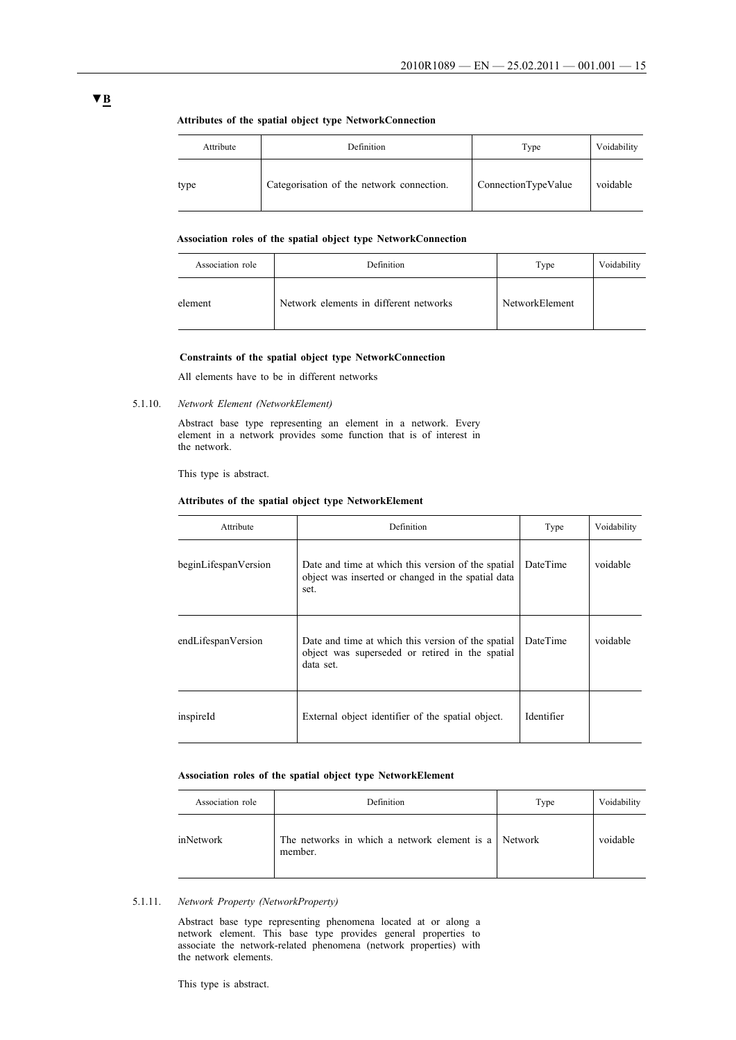| Attribute | Definition                                | Type                | Voidability |
|-----------|-------------------------------------------|---------------------|-------------|
| type      | Categorisation of the network connection. | ConnectionTypeValue | voidable    |

### **Attributes of the spatial object type NetworkConnection**

#### **Association roles of the spatial object type NetworkConnection**

| Association role | Definition                             | Type           | Voidability |
|------------------|----------------------------------------|----------------|-------------|
| element          | Network elements in different networks | NetworkElement |             |

### **Constraints of the spatial object type NetworkConnection**

All elements have to be in different networks

5.1.10. *Network Element (NetworkElement)*

Abstract base type representing an element in a network. Every element in a network provides some function that is of interest in the network.

This type is abstract.

### **Attributes of the spatial object type NetworkElement**

| Attribute            | Definition                                                                                                         | Type       | Voidability |
|----------------------|--------------------------------------------------------------------------------------------------------------------|------------|-------------|
| beginLifespanVersion | Date and time at which this version of the spatial<br>object was inserted or changed in the spatial data<br>set.   | DateTime   | voidable    |
| endLifespanVersion   | Date and time at which this version of the spatial<br>object was superseded or retired in the spatial<br>data set. | DateTime   | voidable    |
| inspireId            | External object identifier of the spatial object.                                                                  | Identifier |             |

### **Association roles of the spatial object type NetworkElement**

| Association role | Definition                                                      | Type | Voidability |
|------------------|-----------------------------------------------------------------|------|-------------|
| inNetwork        | The networks in which a network element is a Network<br>member. |      | voidable    |

### 5.1.11. *Network Property (NetworkProperty)*

Abstract base type representing phenomena located at or along a network element. This base type provides general properties to associate the network-related phenomena (network properties) with the network elements.

This type is abstract.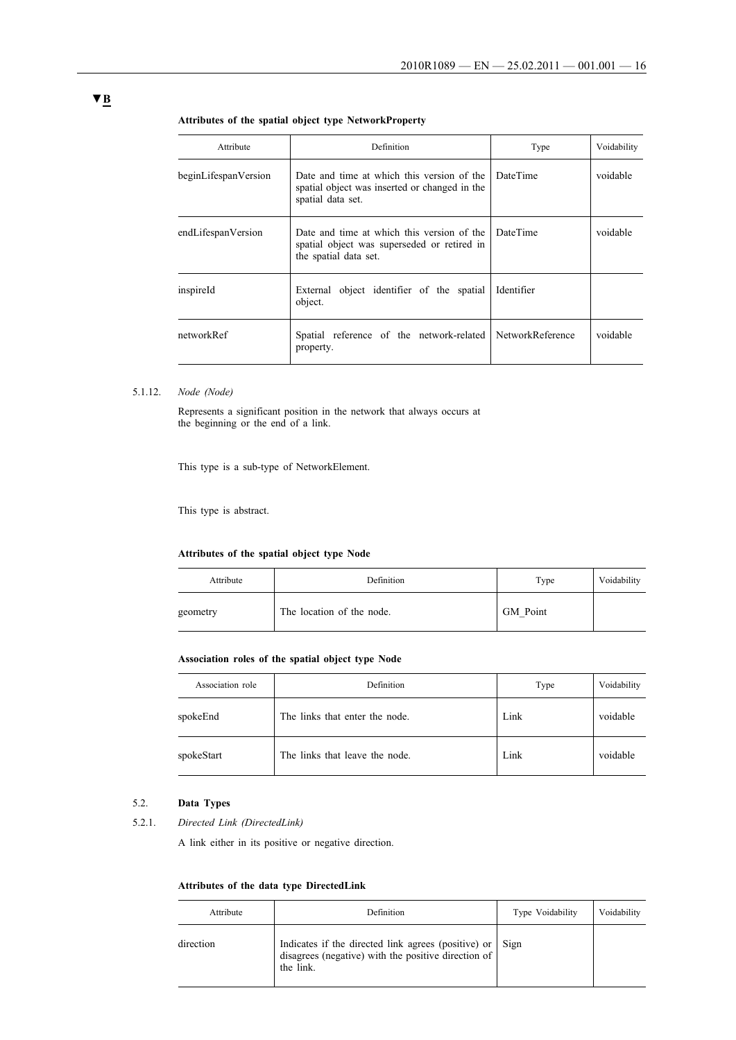| Attribute            | Definition                                                                                                         | Type            | Voidability |
|----------------------|--------------------------------------------------------------------------------------------------------------------|-----------------|-------------|
| beginLifespanVersion | Date and time at which this version of the<br>spatial object was inserted or changed in the<br>spatial data set.   | <b>DateTime</b> | voidable    |
| endLifespanVersion   | Date and time at which this version of the<br>spatial object was superseded or retired in<br>the spatial data set. | <b>DateTime</b> | voidable    |
| inspireId            | External object identifier of the spatial<br>object.                                                               | Identifier      |             |
| networkRef           | Spatial reference of the network-related NetworkReference<br>property.                                             |                 | voidable    |

### **Attributes of the spatial object type NetworkProperty**

### 5.1.12. *Node (Node)*

Represents a significant position in the network that always occurs at the beginning or the end of a link.

This type is a sub-type of NetworkElement.

This type is abstract.

### **Attributes of the spatial object type Node**

| Attribute | Definition                | Type     | Voidability |
|-----------|---------------------------|----------|-------------|
| geometry  | The location of the node. | GM Point |             |

#### **Association roles of the spatial object type Node**

| Association role | Definition                     | Type | Voidability |
|------------------|--------------------------------|------|-------------|
| spokeEnd         | The links that enter the node. | Link | voidable    |
| spokeStart       | The links that leave the node. | Link | voidable    |

## 5.2. **Data Types**

5.2.1. *Directed Link (DirectedLink)*

A link either in its positive or negative direction.

## **Attributes of the data type DirectedLink**

| Attribute | Definition                                                                                                                   | Type Voidability | Voidability |
|-----------|------------------------------------------------------------------------------------------------------------------------------|------------------|-------------|
| direction | Indicates if the directed link agrees (positive) or Sign<br>disagrees (negative) with the positive direction of<br>the link. |                  |             |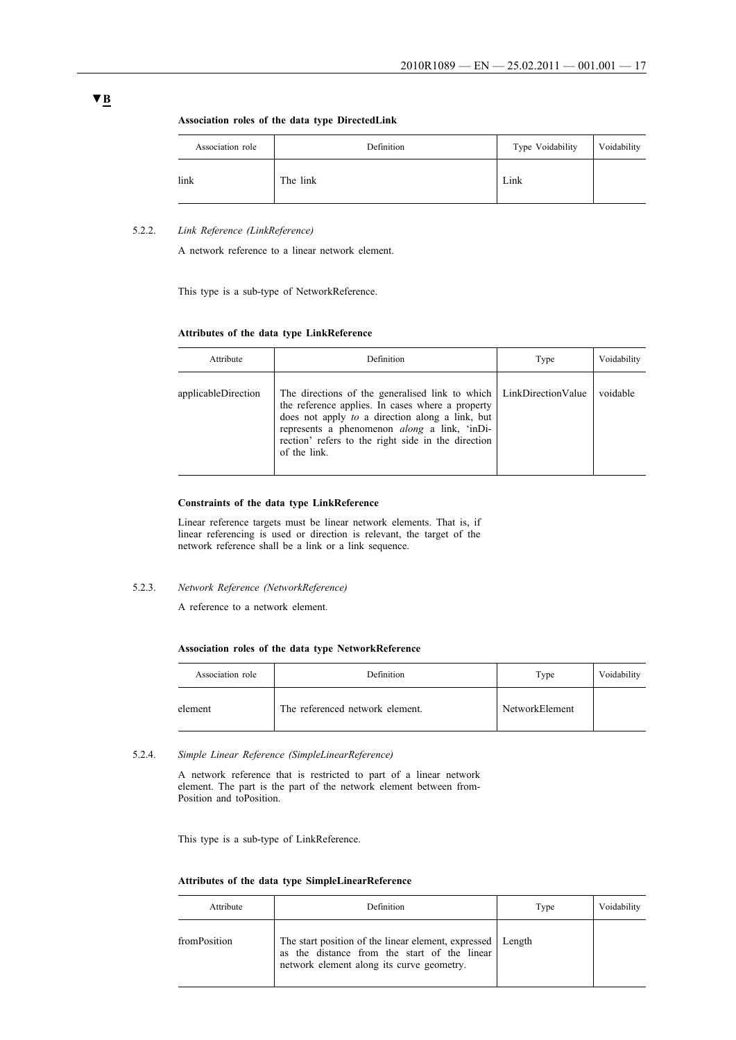**Association roles of the data type DirectedLink**

| Association role | Definition | Type Voidability | Voidability |
|------------------|------------|------------------|-------------|
| link             | The link   | Link             |             |

### 5.2.2. *Link Reference (LinkReference)*

A network reference to a linear network element.

This type is a sub-type of NetworkReference.

#### **Attributes of the data type LinkReference**

| Attribute           | Definition                                                                                                                                                                                                                                                                                               | Type | Voidability |
|---------------------|----------------------------------------------------------------------------------------------------------------------------------------------------------------------------------------------------------------------------------------------------------------------------------------------------------|------|-------------|
| applicableDirection | The directions of the generalised link to which   LinkDirectionValue<br>the reference applies. In cases where a property<br>does not apply to a direction along a link, but<br>represents a phenomenon <i>along</i> a link, 'inDi-<br>rection' refers to the right side in the direction<br>of the link. |      | voidable    |

#### **Constraints of the data type LinkReference**

Linear reference targets must be linear network elements. That is, if linear referencing is used or direction is relevant, the target of the network reference shall be a link or a link sequence.

5.2.3. *Network Reference (NetworkReference)*

A reference to a network element.

### **Association roles of the data type NetworkReference**

| Association role | Definition                      | Type           | Voidability |
|------------------|---------------------------------|----------------|-------------|
| element          | The referenced network element. | NetworkElement |             |

#### 5.2.4. *Simple Linear Reference (SimpleLinearReference)*

A network reference that is restricted to part of a linear network element. The part is the part of the network element between from-Position and toPosition.

This type is a sub-type of LinkReference.

### **Attributes of the data type SimpleLinearReference**

| Attribute    | Definition                                                                                                                                                | Type | Voidability |
|--------------|-----------------------------------------------------------------------------------------------------------------------------------------------------------|------|-------------|
| fromPosition | The start position of the linear element, expressed   Length<br>as the distance from the start of the linear<br>network element along its curve geometry. |      |             |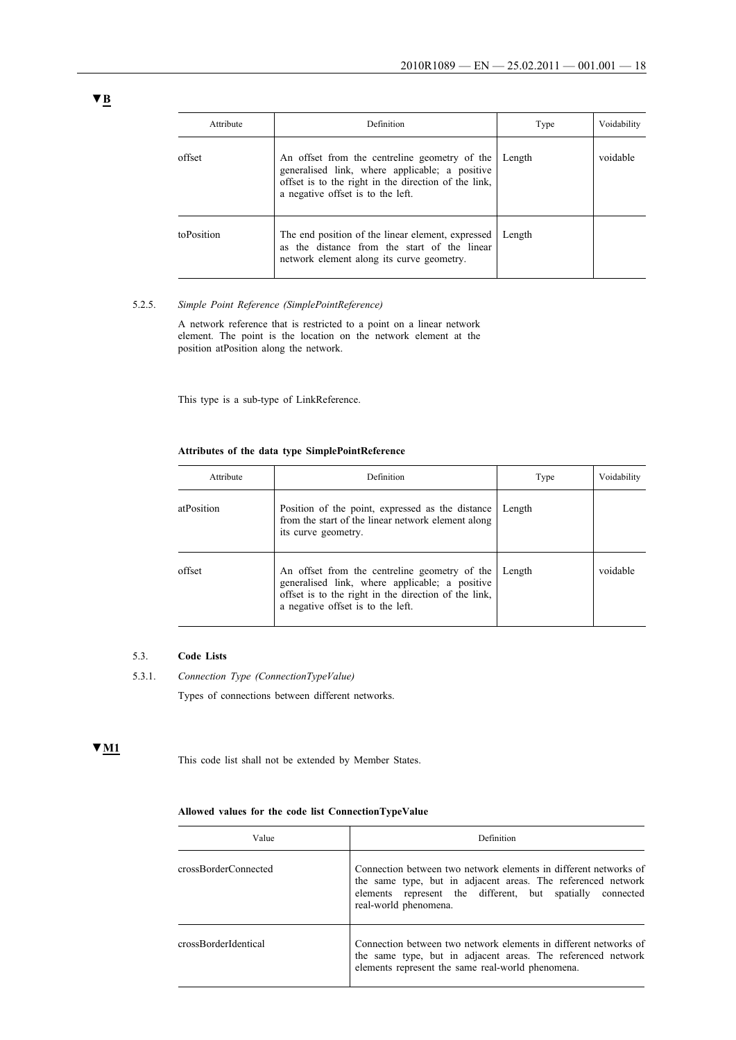| Attribute  | Definition                                                                                                                                                                                   | Type   | Voidability |
|------------|----------------------------------------------------------------------------------------------------------------------------------------------------------------------------------------------|--------|-------------|
| offset     | An offset from the centreline geometry of the<br>generalised link, where applicable; a positive<br>offset is to the right in the direction of the link,<br>a negative offset is to the left. | Length | voidable    |
| toPosition | The end position of the linear element, expressed<br>as the distance from the start of the linear<br>network element along its curve geometry.                                               | Length |             |

### 5.2.5. *Simple Point Reference (SimplePointReference)*

A network reference that is restricted to a point on a linear network element. The point is the location on the network element at the position atPosition along the network.

This type is a sub-type of LinkReference.

### **Attributes of the data type SimplePointReference**

| Attribute  | Definition                                                                                                                                                                                   | Type   | Voidability |
|------------|----------------------------------------------------------------------------------------------------------------------------------------------------------------------------------------------|--------|-------------|
| atPosition | Position of the point, expressed as the distance<br>from the start of the linear network element along<br>its curve geometry.                                                                | Length |             |
| offset     | An offset from the centreline geometry of the<br>generalised link, where applicable; a positive<br>offset is to the right in the direction of the link.<br>a negative offset is to the left. | Length | voidable    |

# 5.3. **Code Lists**

5.3.1. *Connection Type (ConnectionTypeValue)*

Types of connections between different networks.

### **▼M1**

This code list shall not be extended by Member States.

### **Allowed values for the code list ConnectionTypeValue**

| Value                | Definition                                                                                                                                                                                                             |
|----------------------|------------------------------------------------------------------------------------------------------------------------------------------------------------------------------------------------------------------------|
| crossBorderConnected | Connection between two network elements in different networks of<br>the same type, but in adjacent areas. The referenced network<br>elements represent the different, but spatially connected<br>real-world phenomena. |
| crossBorderIdentical | Connection between two network elements in different networks of<br>the same type, but in adjacent areas. The referenced network<br>elements represent the same real-world phenomena.                                  |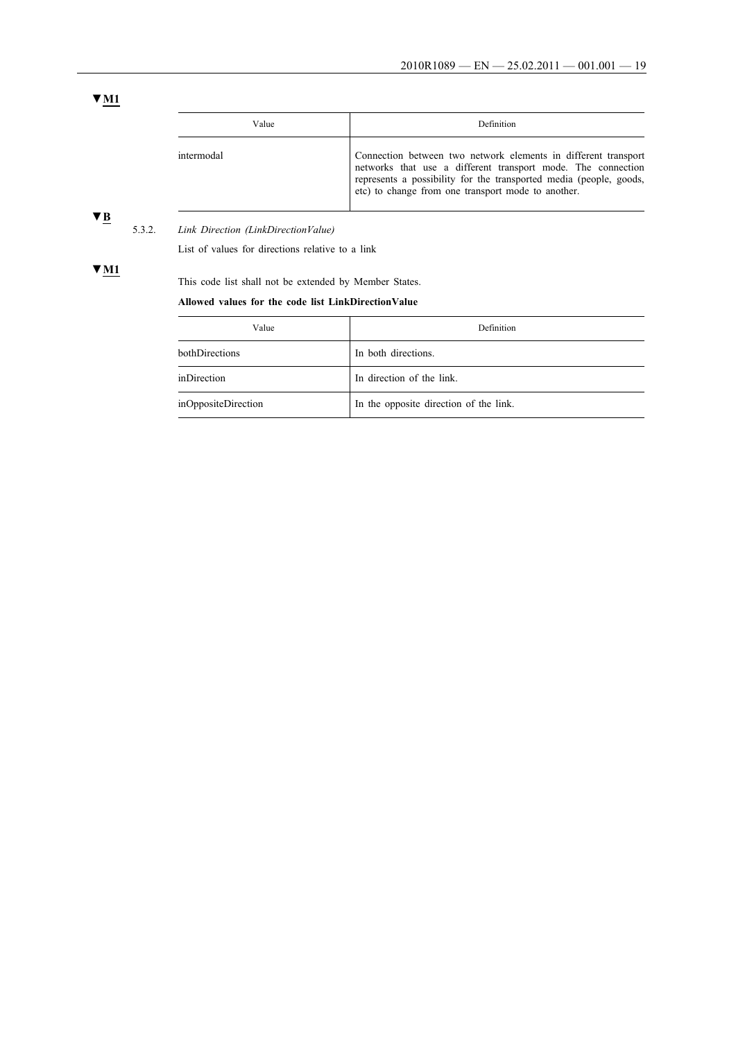# **▼M1**

| Value      | <b>Definition</b>                                                                                                                                                                                                                                          |
|------------|------------------------------------------------------------------------------------------------------------------------------------------------------------------------------------------------------------------------------------------------------------|
| intermodal | Connection between two network elements in different transport<br>networks that use a different transport mode. The connection<br>represents a possibility for the transported media (people, goods,<br>etc) to change from one transport mode to another. |

# **▼B**

**▼M1**

5.3.2. *Link Direction (LinkDirectionValue)*

List of values for directions relative to a link

This code list shall not be extended by Member States.

### **Allowed values for the code list LinkDirectionValue**

| Value               | Definition                             |
|---------------------|----------------------------------------|
| bothDirections      | In both directions.                    |
| inDirection         | In direction of the link.              |
| inOppositeDirection | In the opposite direction of the link. |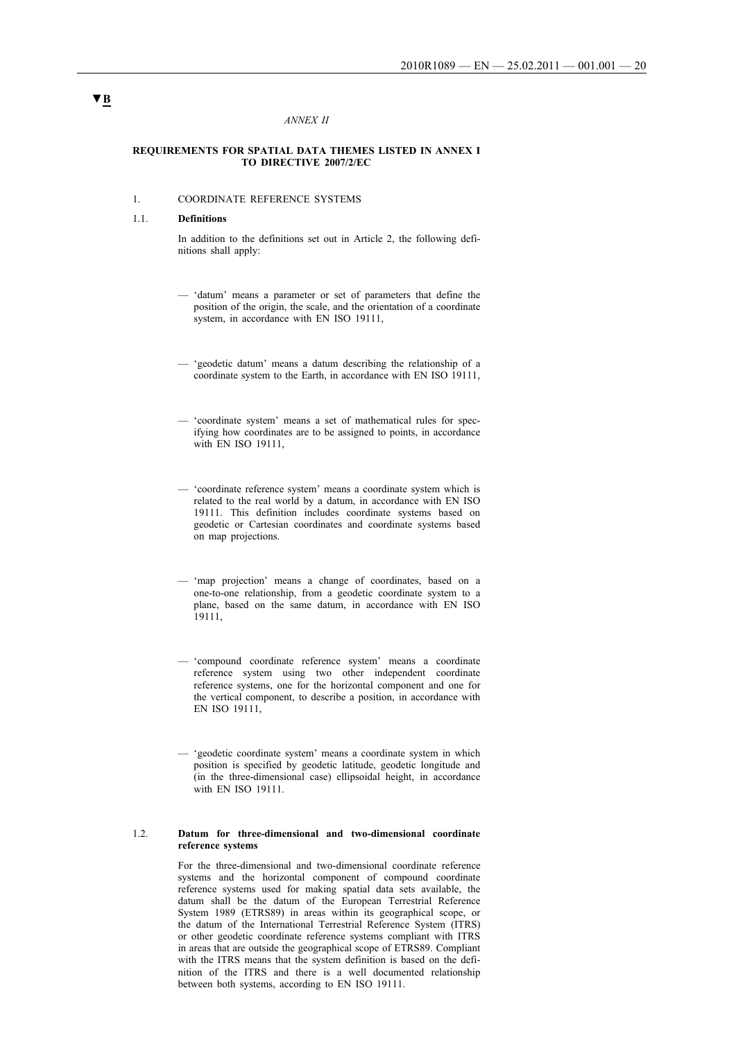#### *ANNEX II*

#### **REQUIREMENTS FOR SPATIAL DATA THEMES LISTED IN ANNEX I TO DIRECTIVE 2007/2/EC**

### 1. COORDINATE REFERENCE SYSTEMS

#### 1.1. **Definitions**

In addition to the definitions set out in Article 2, the following definitions shall apply:

- 'datum' means a parameter or set of parameters that define the position of the origin, the scale, and the orientation of a coordinate system, in accordance with EN ISO 19111,
- 'geodetic datum' means a datum describing the relationship of a coordinate system to the Earth, in accordance with EN ISO 19111,
- 'coordinate system' means a set of mathematical rules for specifying how coordinates are to be assigned to points, in accordance with EN ISO 19111,
- 'coordinate reference system' means a coordinate system which is related to the real world by a datum, in accordance with EN ISO 19111. This definition includes coordinate systems based on geodetic or Cartesian coordinates and coordinate systems based on map projections.
- 'map projection' means a change of coordinates, based on a one-to-one relationship, from a geodetic coordinate system to a plane, based on the same datum, in accordance with EN ISO 19111,
- 'compound coordinate reference system' means a coordinate reference system using two other independent coordinate reference systems, one for the horizontal component and one for the vertical component, to describe a position, in accordance with EN ISO 19111,
- 'geodetic coordinate system' means a coordinate system in which position is specified by geodetic latitude, geodetic longitude and (in the three-dimensional case) ellipsoidal height, in accordance with EN ISO 19111.

#### 1.2. **Datum for three-dimensional and two-dimensional coordinate reference systems**

For the three-dimensional and two-dimensional coordinate reference systems and the horizontal component of compound coordinate reference systems used for making spatial data sets available, the datum shall be the datum of the European Terrestrial Reference System 1989 (ETRS89) in areas within its geographical scope, or the datum of the International Terrestrial Reference System (ITRS) or other geodetic coordinate reference systems compliant with ITRS in areas that are outside the geographical scope of ETRS89. Compliant with the ITRS means that the system definition is based on the definition of the ITRS and there is a well documented relationship between both systems, according to EN ISO 19111.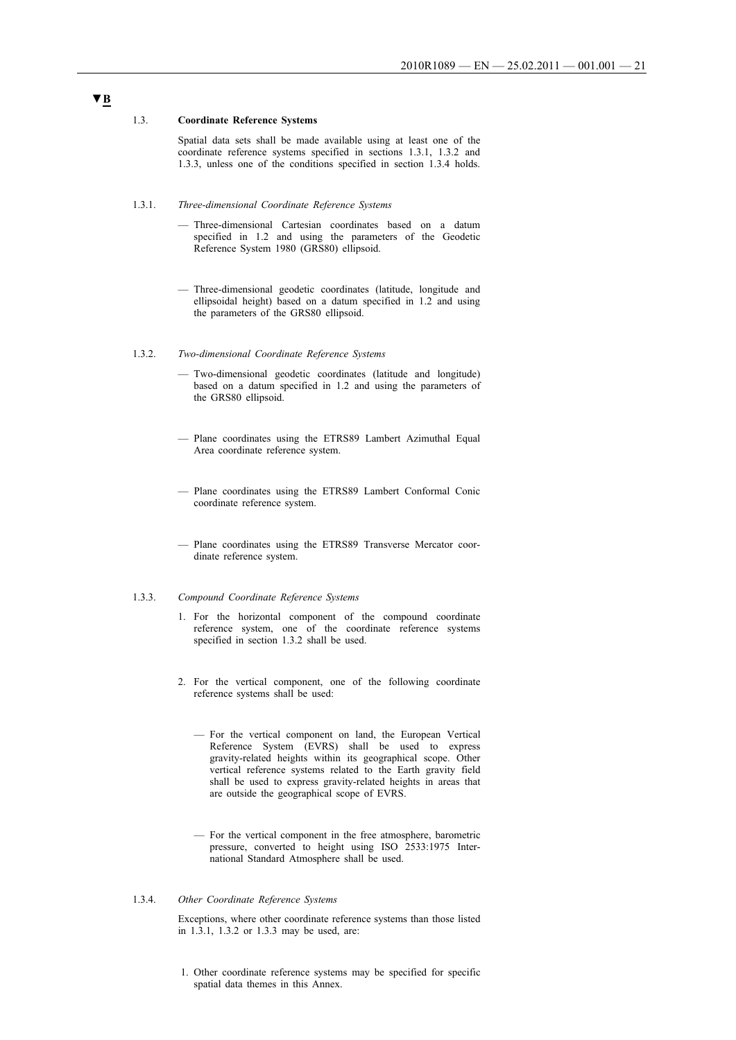#### 1.3. **Coordinate Reference Systems**

Spatial data sets shall be made available using at least one of the coordinate reference systems specified in sections 1.3.1, 1.3.2 and 1.3.3, unless one of the conditions specified in section 1.3.4 holds.

#### 1.3.1. *Three-dimensional Coordinate Reference Systems*

- Three-dimensional Cartesian coordinates based on a datum specified in 1.2 and using the parameters of the Geodetic Reference System 1980 (GRS80) ellipsoid.
- Three-dimensional geodetic coordinates (latitude, longitude and ellipsoidal height) based on a datum specified in 1.2 and using the parameters of the GRS80 ellipsoid.
- 1.3.2. *Two-dimensional Coordinate Reference Systems*
	- Two-dimensional geodetic coordinates (latitude and longitude) based on a datum specified in 1.2 and using the parameters of the GRS80 ellipsoid.
	- Plane coordinates using the ETRS89 Lambert Azimuthal Equal Area coordinate reference system.
	- Plane coordinates using the ETRS89 Lambert Conformal Conic coordinate reference system.
	- Plane coordinates using the ETRS89 Transverse Mercator coordinate reference system.

### 1.3.3. *Compound Coordinate Reference Systems*

- 1. For the horizontal component of the compound coordinate reference system, one of the coordinate reference systems specified in section 1.3.2 shall be used.
- 2. For the vertical component, one of the following coordinate reference systems shall be used:
	- For the vertical component on land, the European Vertical Reference System (EVRS) shall be used to express gravity-related heights within its geographical scope. Other vertical reference systems related to the Earth gravity field shall be used to express gravity-related heights in areas that are outside the geographical scope of EVRS.
	- For the vertical component in the free atmosphere, barometric pressure, converted to height using ISO 2533:1975 International Standard Atmosphere shall be used.

### 1.3.4. *Other Coordinate Reference Systems*

Exceptions, where other coordinate reference systems than those listed in 1.3.1, 1.3.2 or 1.3.3 may be used, are:

1. Other coordinate reference systems may be specified for specific spatial data themes in this Annex.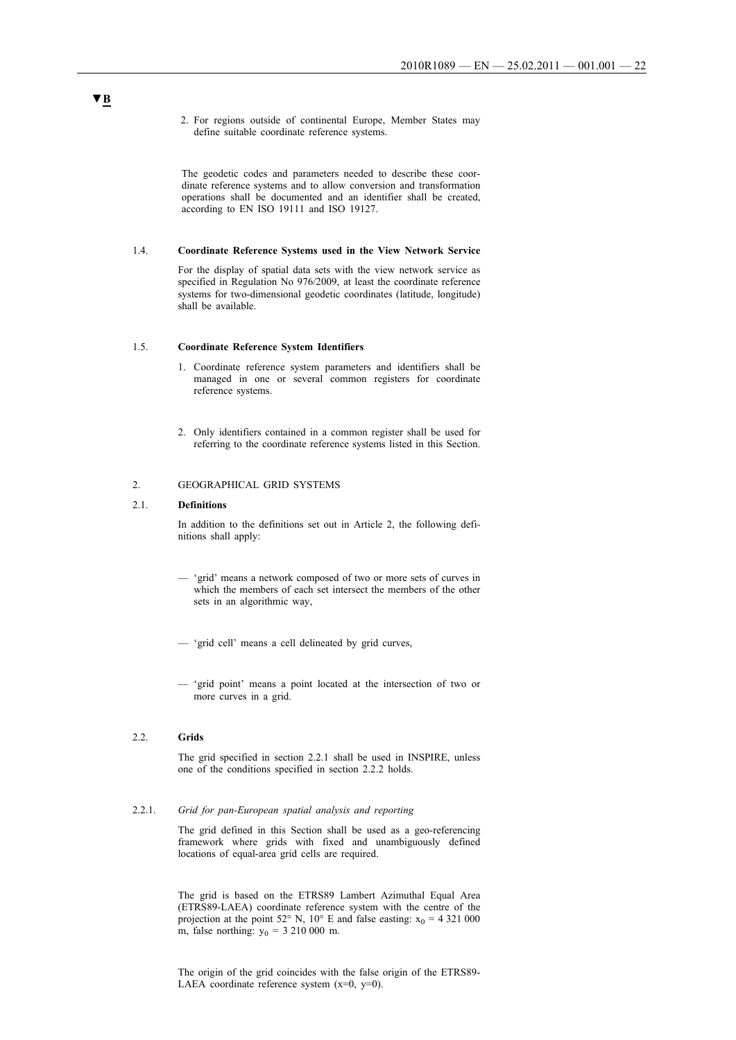2. For regions outside of continental Europe, Member States may define suitable coordinate reference systems.

The geodetic codes and parameters needed to describe these coordinate reference systems and to allow conversion and transformation operations shall be documented and an identifier shall be created, according to EN ISO 19111 and ISO 19127.

#### 1.4. **Coordinate Reference Systems used in the View Network Service**

For the display of spatial data sets with the view network service as specified in Regulation No 976/2009, at least the coordinate reference systems for two-dimensional geodetic coordinates (latitude, longitude) shall be available.

#### 1.5. **Coordinate Reference System Identifiers**

- 1. Coordinate reference system parameters and identifiers shall be managed in one or several common registers for coordinate reference systems.
- 2. Only identifiers contained in a common register shall be used for referring to the coordinate reference systems listed in this Section.

### 2. GEOGRAPHICAL GRID SYSTEMS

#### 2.1. **Definitions**

In addition to the definitions set out in Article 2, the following definitions shall apply:

- 'grid' means a network composed of two or more sets of curves in which the members of each set intersect the members of the other sets in an algorithmic way,
- 'grid cell' means a cell delineated by grid curves,
- 'grid point' means a point located at the intersection of two or more curves in a grid.

#### 2.2. **Grids**

The grid specified in section 2.2.1 shall be used in INSPIRE, unless one of the conditions specified in section 2.2.2 holds.

#### 2.2.1. *Grid for pan-European spatial analysis and reporting*

The grid defined in this Section shall be used as a geo-referencing framework where grids with fixed and unambiguously defined locations of equal-area grid cells are required.

The grid is based on the ETRS89 Lambert Azimuthal Equal Area (ETRS89-LAEA) coordinate reference system with the centre of the projection at the point 52° N, 10° E and false easting:  $x_0 = 4321000$ m, false northing:  $y_0 = 3210000$  m.

The origin of the grid coincides with the false origin of the ETRS89- LAEA coordinate reference system  $(x=0, y=0)$ .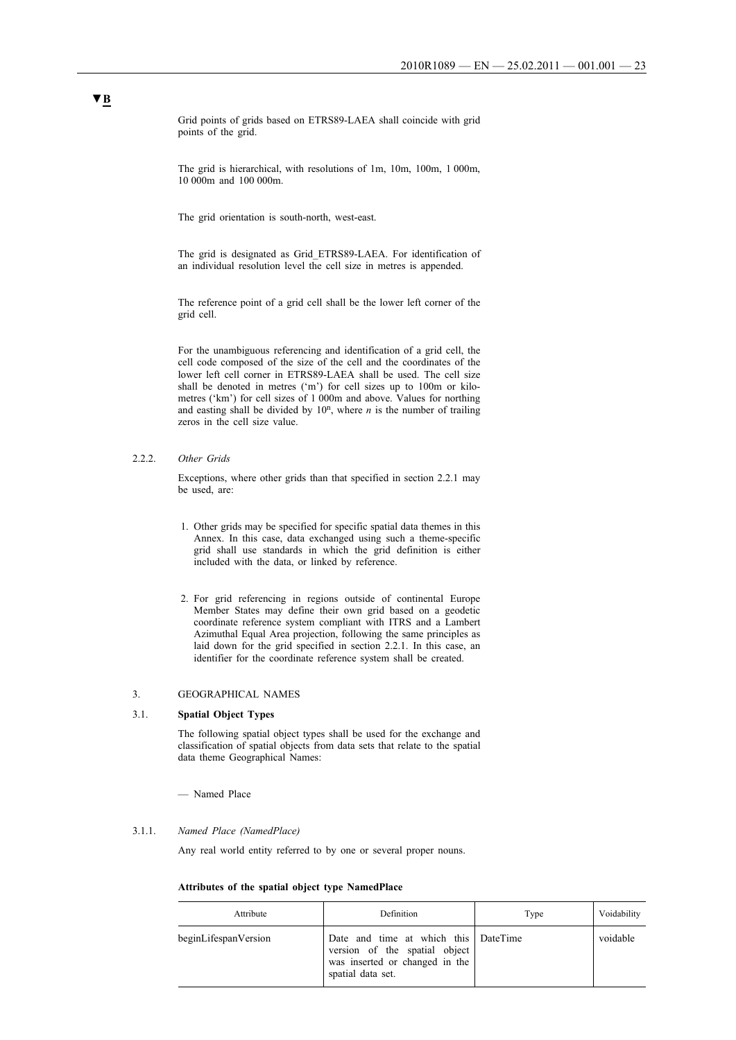Grid points of grids based on ETRS89-LAEA shall coincide with grid points of the grid.

The grid is hierarchical, with resolutions of 1m, 10m, 100m, 1 000m, 10 000m and 100 000m.

The grid orientation is south-north, west-east.

The grid is designated as Grid\_ETRS89-LAEA. For identification of an individual resolution level the cell size in metres is appended.

The reference point of a grid cell shall be the lower left corner of the grid cell.

For the unambiguous referencing and identification of a grid cell, the cell code composed of the size of the cell and the coordinates of the lower left cell corner in ETRS89-LAEA shall be used. The cell size shall be denoted in metres ('m') for cell sizes up to 100m or kilometres ('km') for cell sizes of 1 000m and above. Values for northing and easting shall be divided by  $10^n$ , where *n* is the number of trailing zeros in the cell size value.

2.2.2. *Other Grids*

Exceptions, where other grids than that specified in section 2.2.1 may be used, are:

- 1. Other grids may be specified for specific spatial data themes in this Annex. In this case, data exchanged using such a theme-specific grid shall use standards in which the grid definition is either included with the data, or linked by reference.
- 2. For grid referencing in regions outside of continental Europe Member States may define their own grid based on a geodetic coordinate reference system compliant with ITRS and a Lambert Azimuthal Equal Area projection, following the same principles as laid down for the grid specified in section 2.2.1. In this case, an identifier for the coordinate reference system shall be created.

### 3. GEOGRAPHICAL NAMES

#### 3.1. **Spatial Object Types**

The following spatial object types shall be used for the exchange and classification of spatial objects from data sets that relate to the spatial data theme Geographical Names:

— Named Place

#### 3.1.1. *Named Place (NamedPlace)*

Any real world entity referred to by one or several proper nouns.

### **Attributes of the spatial object type NamedPlace**

| Attribute            | Definition                                                                                                                   | Type | Voidability |
|----------------------|------------------------------------------------------------------------------------------------------------------------------|------|-------------|
| beginLifespanVersion | Date and time at which this DateTime<br>version of the spatial object<br>was inserted or changed in the<br>spatial data set. |      | voidable    |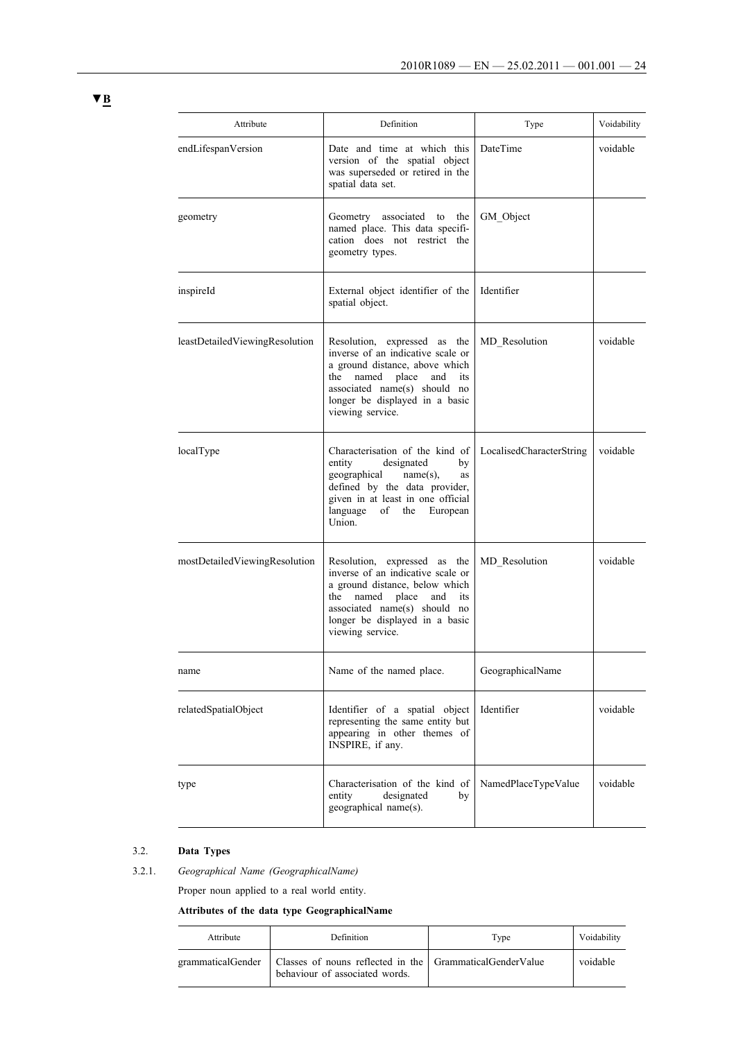| Attribute                      | Definition                                                                                                                                                                                                                       | Type                     | Voidability |
|--------------------------------|----------------------------------------------------------------------------------------------------------------------------------------------------------------------------------------------------------------------------------|--------------------------|-------------|
| endLifespanVersion             | Date and time at which this<br>version of the spatial object<br>was superseded or retired in the<br>spatial data set.                                                                                                            | DateTime                 | voidable    |
| geometry                       | Geometry<br>associated to<br>the<br>named place. This data specifi-<br>cation does not restrict the<br>geometry types.                                                                                                           | GM_Object                |             |
| inspireId                      | External object identifier of the<br>spatial object.                                                                                                                                                                             | Identifier               |             |
| leastDetailedViewingResolution | Resolution, expressed as the<br>inverse of an indicative scale or<br>a ground distance, above which<br>place<br>the<br>named<br>and<br>its<br>associated name(s) should no<br>longer be displayed in a basic<br>viewing service. | MD Resolution            | voidable    |
| localType                      | Characterisation of the kind of<br>entity<br>designated<br>by<br>name(s),<br>geographical<br>as<br>defined by the data provider,<br>given in at least in one official<br>language<br>of<br>the<br>European<br>Union.             | LocalisedCharacterString | voidable    |
| mostDetailedViewingResolution  | Resolution, expressed as the<br>inverse of an indicative scale or<br>a ground distance, below which<br>the<br>named place<br>and<br>its<br>associated name(s) should no<br>longer be displayed in a basic<br>viewing service.    | MD Resolution            | voidable    |
| name                           | Name of the named place.                                                                                                                                                                                                         | GeographicalName         |             |
| relatedSpatialObject           | Identifier of a spatial object<br>representing the same entity but<br>appearing in other themes of<br>INSPIRE, if any.                                                                                                           | Identifier               | voidable    |
| type                           | Characterisation of the kind of<br>entity<br>designated<br>by<br>geographical name(s).                                                                                                                                           | NamedPlaceTypeValue      | voidable    |

# 3.2. **Data Types**

# 3.2.1. *Geographical Name (GeographicalName)*

Proper noun applied to a real world entity.

# **Attributes of the data type GeographicalName**

| Attribute | Definition                                                                                                       | Type | Voidability |
|-----------|------------------------------------------------------------------------------------------------------------------|------|-------------|
|           | grammaticalGender   Classes of nouns reflected in the   GrammaticalGenderValue<br>behaviour of associated words. |      | voidable    |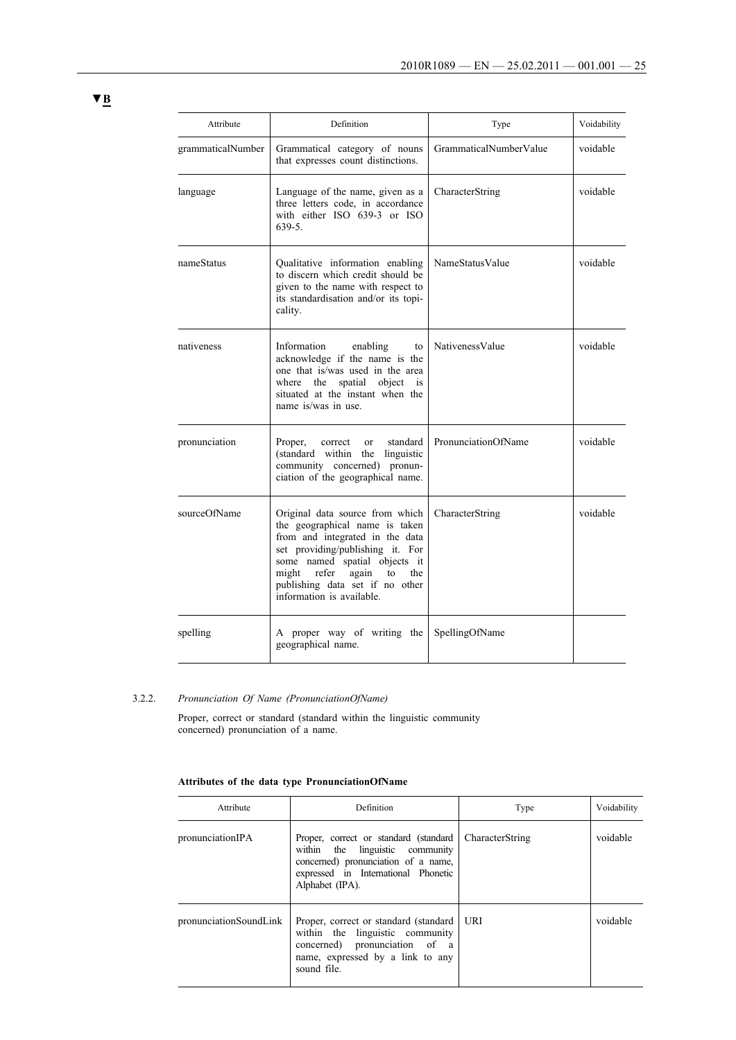| Attribute         | Definition                                                                                                                                                                                                                                                                        | Type                   | Voidability |
|-------------------|-----------------------------------------------------------------------------------------------------------------------------------------------------------------------------------------------------------------------------------------------------------------------------------|------------------------|-------------|
| grammaticalNumber | Grammatical category of nouns<br>that expresses count distinctions.                                                                                                                                                                                                               | GrammaticalNumberValue | voidable    |
| language          | Language of the name, given as a<br>three letters code, in accordance<br>with either ISO 639-3 or ISO<br>$639-5.$                                                                                                                                                                 | CharacterString        | voidable    |
| nameStatus        | Qualitative information enabling<br>to discern which credit should be<br>given to the name with respect to<br>its standardisation and/or its topi-<br>cality.                                                                                                                     | NameStatusValue        | voidable    |
| nativeness        | Information<br>enabling<br>to<br>acknowledge if the name is the<br>one that is/was used in the area<br>where the spatial object<br>is<br>situated at the instant when the<br>name is/was in use                                                                                   | NativenessValue        | voidable    |
| pronunciation     | standard<br>Proper,<br>correct<br>$\alpha$<br>(standard within the<br>linguistic<br>community concerned) pronun-<br>ciation of the geographical name.                                                                                                                             | PronunciationOfName    | voidable    |
| sourceOfName      | Original data source from which<br>the geographical name is taken<br>from and integrated in the data<br>set providing/publishing it. For<br>some named spatial objects it<br>refer<br>might<br>again<br>to<br>the<br>publishing data set if no other<br>information is available. | CharacterString        | voidable    |
| spelling          | A proper way of writing the<br>geographical name.                                                                                                                                                                                                                                 | SpellingOfName         |             |

# 3.2.2. *Pronunciation Of Name (PronunciationOfName)*

Proper, correct or standard (standard within the linguistic community concerned) pronunciation of a name.

### **Attributes of the data type PronunciationOfName**

| Attribute                    | Definition                                                                                                                                                                 | Type            | Voidability |
|------------------------------|----------------------------------------------------------------------------------------------------------------------------------------------------------------------------|-----------------|-------------|
| pronunciation <sub>IPA</sub> | Proper, correct or standard (standard)<br>within the linguistic community<br>concerned) pronunciation of a name,<br>expressed in International Phonetic<br>Alphabet (IPA). | CharacterString | voidable    |
| pronunciationSoundLink       | Proper, correct or standard (standard)<br>within the linguistic community<br>concerned) pronunciation of a<br>name, expressed by a link to any<br>sound file.              | URI             | voidable    |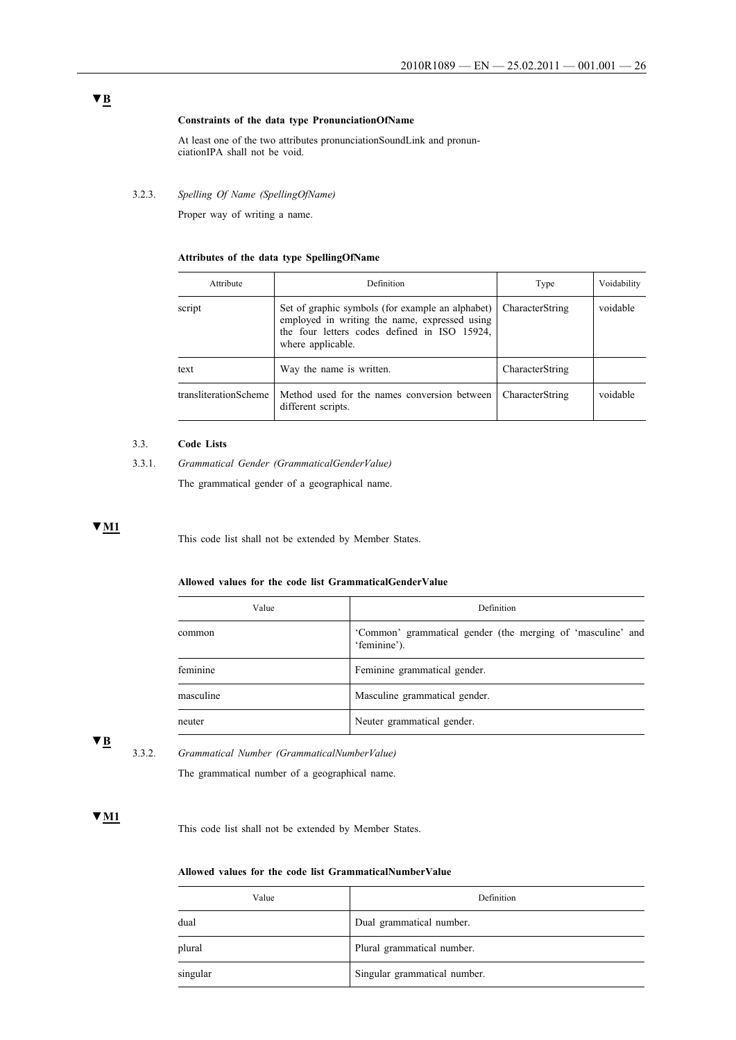### **Constraints of the data type PronunciationOfName**

At least one of the two attributes pronunciationSoundLink and pronunciationIPA shall not be void.

### 3.2.3. *Spelling Of Name (SpellingOfName)*

Proper way of writing a name.

### **Attributes of the data type SpellingOfName**

| Attribute             | Definition                                                                                                                                                             | Type            | Voidability |
|-----------------------|------------------------------------------------------------------------------------------------------------------------------------------------------------------------|-----------------|-------------|
| script                | Set of graphic symbols (for example an alphabet)<br>employed in writing the name, expressed using<br>the four letters codes defined in ISO 15924,<br>where applicable. | CharacterString | voidable    |
| text                  | Way the name is written.                                                                                                                                               | CharacterString |             |
| transliterationScheme | Method used for the names conversion between<br>different scripts.                                                                                                     | CharacterString | voidable    |

### 3.3. **Code Lists**

3.3.1. *Grammatical Gender (GrammaticalGenderValue)*

The grammatical gender of a geographical name.

## **▼M1**

This code list shall not be extended by Member States.

### **Allowed values for the code list GrammaticalGenderValue**

| Value     | Definition                                                                  |
|-----------|-----------------------------------------------------------------------------|
| common    | 'Common' grammatical gender (the merging of 'masculine' and<br>'feminine'). |
| feminine  | Feminine grammatical gender.                                                |
| masculine | Masculine grammatical gender.                                               |
| neuter    | Neuter grammatical gender.                                                  |

**▼B**

3.3.2. *Grammatical Number (GrammaticalNumberValue)*

The grammatical number of a geographical name.

### **▼M1**

This code list shall not be extended by Member States.

### **Allowed values for the code list GrammaticalNumberValue**

| Value    | Definition                   |
|----------|------------------------------|
| dual     | Dual grammatical number.     |
| plural   | Plural grammatical number.   |
| singular | Singular grammatical number. |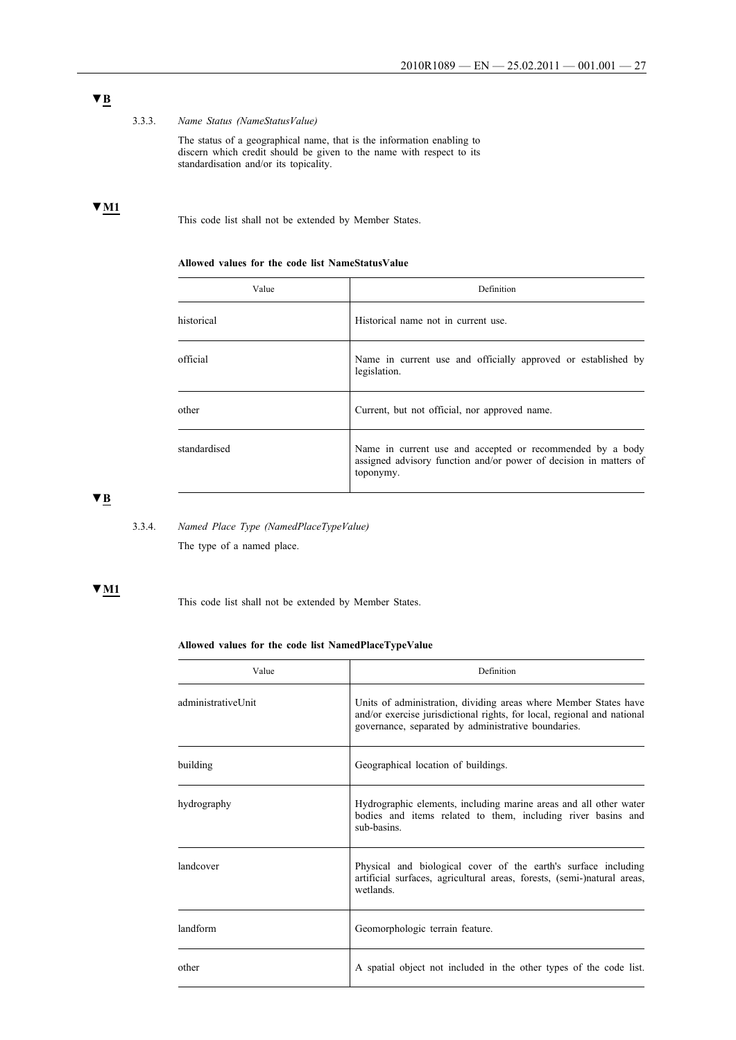# **▼B**

### 3.3.3. *Name Status (NameStatusValue)*

The status of a geographical name, that is the information enabling to discern which credit should be given to the name with respect to its standardisation and/or its topicality.

# **▼M1**

This code list shall not be extended by Member States.

### **Allowed values for the code list NameStatusValue**

| Value        | Definition                                                                                                                                  |
|--------------|---------------------------------------------------------------------------------------------------------------------------------------------|
| historical   | Historical name not in current use.                                                                                                         |
| official     | Name in current use and officially approved or established by<br>legislation.                                                               |
| other        | Current, but not official, nor approved name.                                                                                               |
| standardised | Name in current use and accepted or recommended by a body<br>assigned advisory function and/or power of decision in matters of<br>toponymy. |

**▼B**

# 3.3.4. *Named Place Type (NamedPlaceTypeValue)*

The type of a named place.

## **▼M1**

This code list shall not be extended by Member States.

### **Allowed values for the code list NamedPlaceTypeValue**

| Value              | Definition                                                                                                                                                                                         |  |
|--------------------|----------------------------------------------------------------------------------------------------------------------------------------------------------------------------------------------------|--|
| administrativeUnit | Units of administration, dividing areas where Member States have<br>and/or exercise jurisdictional rights, for local, regional and national<br>governance, separated by administrative boundaries. |  |
| building           | Geographical location of buildings.                                                                                                                                                                |  |
| hydrography        | Hydrographic elements, including marine areas and all other water<br>bodies and items related to them, including river basins and<br>sub-basins.                                                   |  |
| landcover          | Physical and biological cover of the earth's surface including<br>artificial surfaces, agricultural areas, forests, (semi-)natural areas,<br>wetlands.                                             |  |
| landform           | Geomorphologic terrain feature.                                                                                                                                                                    |  |
| other              | A spatial object not included in the other types of the code list.                                                                                                                                 |  |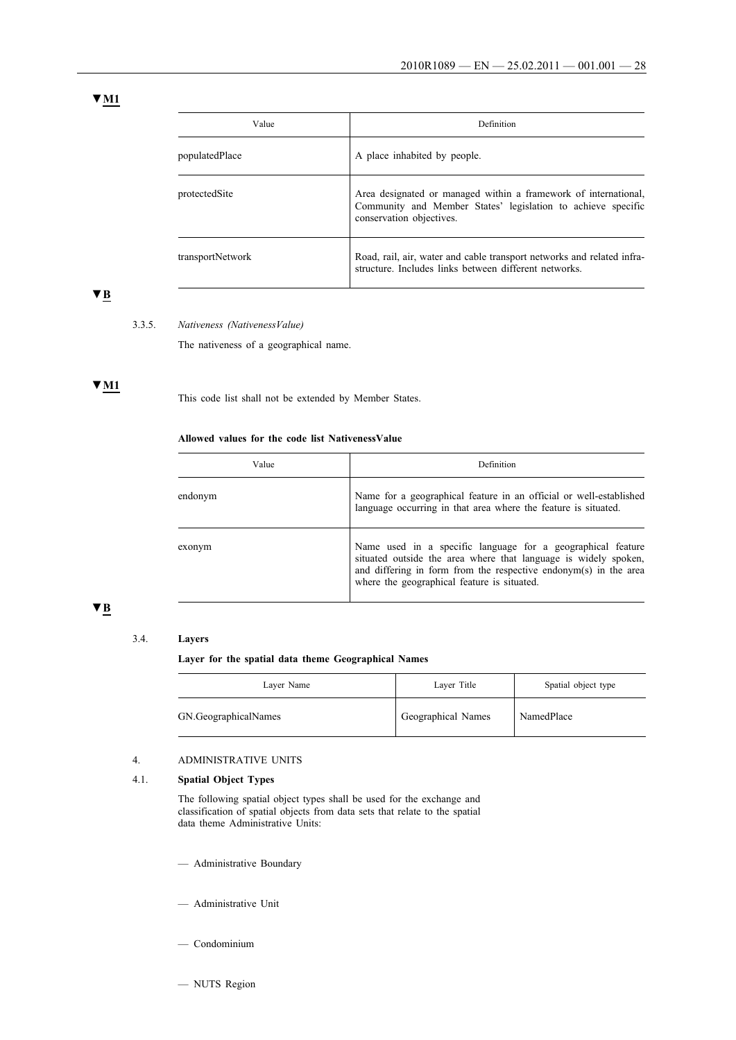## **▼M1**

| Value            | Definition                                                                                                                                                  |
|------------------|-------------------------------------------------------------------------------------------------------------------------------------------------------------|
| populatedPlace   | A place inhabited by people.                                                                                                                                |
| protectedSite    | Area designated or managed within a framework of international,<br>Community and Member States' legislation to achieve specific<br>conservation objectives. |
| transportNetwork | Road, rail, air, water and cable transport networks and related infra-<br>structure. Includes links between different networks.                             |

# **▼B**

#### 3.3.5. *Nativeness (NativenessValue)*

The nativeness of a geographical name.

# **▼M1**

This code list shall not be extended by Member States.

### **Allowed values for the code list NativenessValue**

| Value   | Definition                                                                                                                                                                                                                                        |
|---------|---------------------------------------------------------------------------------------------------------------------------------------------------------------------------------------------------------------------------------------------------|
| endonym | Name for a geographical feature in an official or well-established<br>language occurring in that area where the feature is situated.                                                                                                              |
| exonym  | Name used in a specific language for a geographical feature<br>situated outside the area where that language is widely spoken,<br>and differing in form from the respective endonym(s) in the area<br>where the geographical feature is situated. |

# **▼B**

### 3.4. **Layers**

**Layer for the spatial data theme Geographical Names**

| Layer Name           | Layer Title        | Spatial object type |
|----------------------|--------------------|---------------------|
| GN.GeographicalNames | Geographical Names | NamedPlace          |

### 4. ADMINISTRATIVE UNITS

### 4.1. **Spatial Object Types**

The following spatial object types shall be used for the exchange and classification of spatial objects from data sets that relate to the spatial data theme Administrative Units:

- Administrative Boundary
- Administrative Unit
- Condominium
- NUTS Region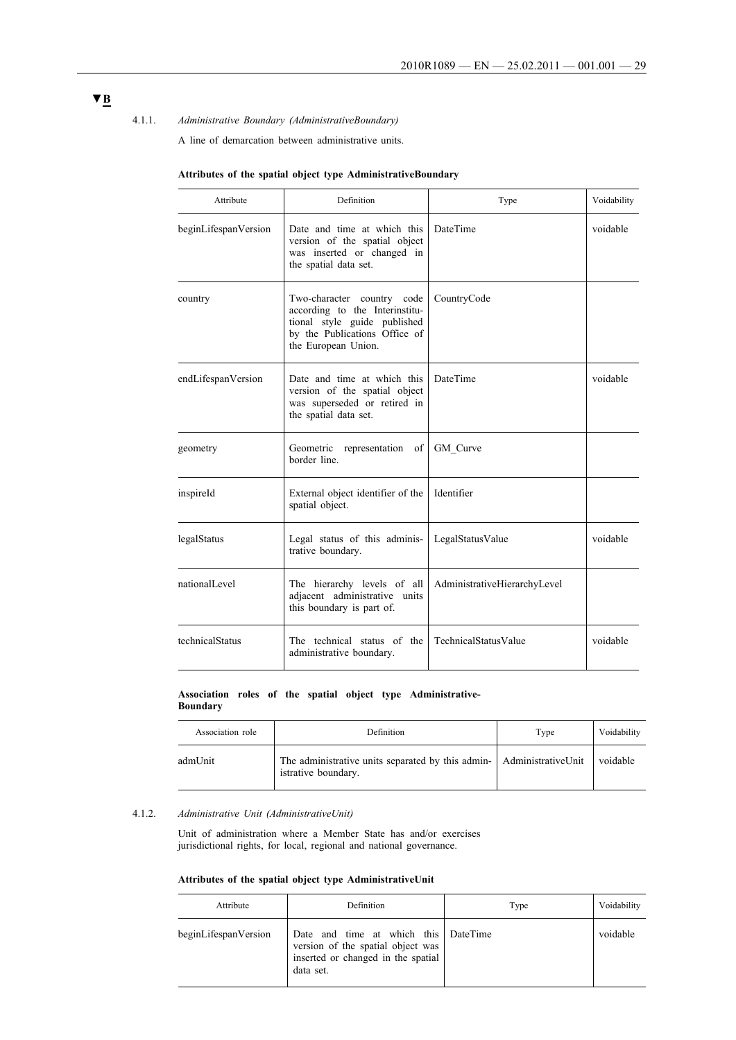### 4.1.1. *Administrative Boundary (AdministrativeBoundary)*

A line of demarcation between administrative units.

| Attribute            | <b>Definition</b>                                                                                                                                    | Type                         | Voidability |
|----------------------|------------------------------------------------------------------------------------------------------------------------------------------------------|------------------------------|-------------|
| beginLifespanVersion | Date and time at which this<br>version of the spatial object<br>was inserted or changed in<br>the spatial data set.                                  | <b>DateTime</b>              | voidable    |
| country              | Two-character country code<br>according to the Interinstitu-<br>tional style guide published<br>by the Publications Office of<br>the European Union. | CountryCode                  |             |
| endLifespanVersion   | Date and time at which this<br>version of the spatial object<br>was superseded or retired in<br>the spatial data set.                                | <b>DateTime</b>              | voidable    |
| geometry             | Geometric representation of<br>border line.                                                                                                          | GM Curve                     |             |
| inspireId            | External object identifier of the<br>spatial object.                                                                                                 | Identifier                   |             |
| legalStatus          | Legal status of this adminis-<br>trative boundary.                                                                                                   | LegalStatusValue             | voidable    |
| nationalLevel        | The hierarchy levels of all<br>adjacent administrative units<br>this boundary is part of.                                                            | AdministrativeHierarchyLevel |             |
| technicalStatus      | The technical status of the<br>administrative boundary.                                                                                              | TechnicalStatusValue         | voidable    |

# **Attributes of the spatial object type AdministrativeBoundary**

#### **Association roles of the spatial object type Administrative-Boundary**

| Association role | Definition                                                                                               | Type | Voidability |
|------------------|----------------------------------------------------------------------------------------------------------|------|-------------|
| admUnit          | The administrative units separated by this admin-<br>Administrative Unit voidable<br>istrative boundary. |      |             |

## 4.1.2. *Administrative Unit (AdministrativeUnit)*

Unit of administration where a Member State has and/or exercises jurisdictional rights, for local, regional and national governance.

### **Attributes of the spatial object type AdministrativeUnit**

| Attribute            | Definition                                                                                                                   | Type | Voidability |
|----------------------|------------------------------------------------------------------------------------------------------------------------------|------|-------------|
| beginLifespanVersion | Date and time at which this DateTime<br>version of the spatial object was<br>inserted or changed in the spatial<br>data set. |      | voidable    |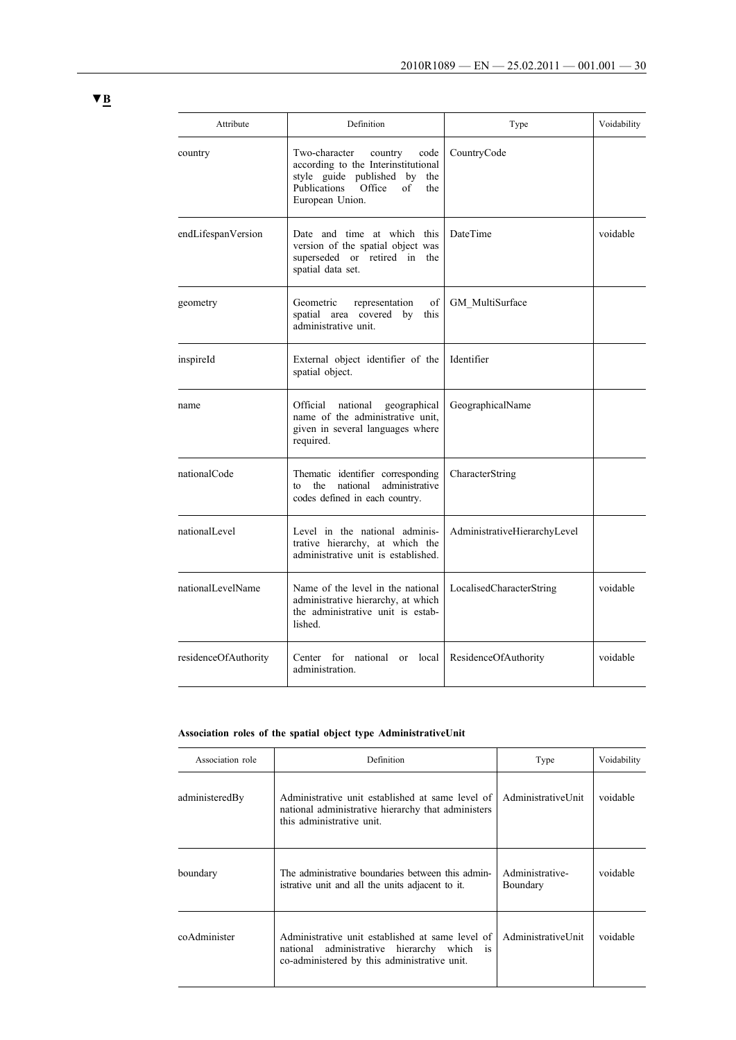| Attribute            | Definition                                                                                                                                                                   | Type                         | Voidability |
|----------------------|------------------------------------------------------------------------------------------------------------------------------------------------------------------------------|------------------------------|-------------|
| country              | Two-character<br>country<br>code<br>according to the Interinstitutional<br>style guide published by<br>the<br>Publications<br>Office<br>$\alpha$ f<br>the<br>European Union. | CountryCode                  |             |
| endLifespanVersion   | Date and time at which this<br>DateTime<br>version of the spatial object was<br>superseded or retired in the<br>spatial data set.                                            |                              | voidable    |
| geometry             | of<br>Geometric<br>representation<br>spatial area covered by<br>this<br>administrative unit.                                                                                 | GM MultiSurface              |             |
| inspireId            | Identifier<br>External object identifier of the<br>spatial object.                                                                                                           |                              |             |
| name                 | Official<br>national<br>geographical<br>name of the administrative unit.<br>given in several languages where<br>required.                                                    | GeographicalName             |             |
| nationalCode         | Thematic identifier corresponding<br>national<br>administrative<br>the<br>to<br>codes defined in each country.                                                               | CharacterString              |             |
| nationalLevel        | Level in the national adminis-<br>trative hierarchy, at which the<br>administrative unit is established.                                                                     | AdministrativeHierarchyLevel |             |
| nationalLevelName    | Name of the level in the national<br>administrative hierarchy, at which<br>the administrative unit is estab-<br>lished.                                                      | LocalisedCharacterString     | voidable    |
| residenceOfAuthority | Center for national<br>or local<br>administration.                                                                                                                           | ResidenceOfAuthority         | voidable    |

# **Association roles of the spatial object type AdministrativeUnit**

| Association role | Definition                                                                                                                                                  | Type                        | Voidability |
|------------------|-------------------------------------------------------------------------------------------------------------------------------------------------------------|-----------------------------|-------------|
| administeredBy   | Administrative unit established at same level of<br>national administrative hierarchy that administers<br>this administrative unit.                         | AdministrativeUnit          | voidable    |
| boundary         | The administrative boundaries between this admin-<br>istrative unit and all the units adjacent to it.                                                       | Administrative-<br>Boundary | voidable    |
| coAdminister     | Administrative unit established at same level of<br>administrative hierarchy which<br>national<br><i>is</i><br>co-administered by this administrative unit. | AdministrativeUnit          | voidable    |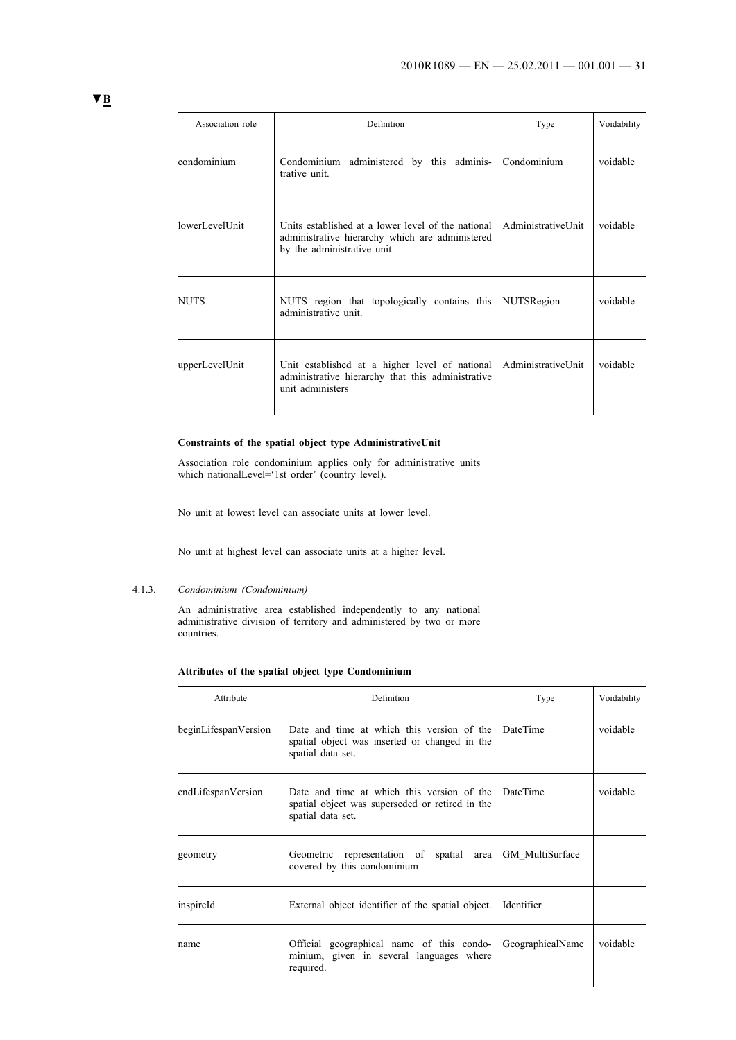| Association role | Definition                                                                                                                           | Type                 | Voidability |
|------------------|--------------------------------------------------------------------------------------------------------------------------------------|----------------------|-------------|
| condominium      | Condominium administered by this adminis-<br>trative unit.                                                                           | Condominium          | voidable    |
| lowerLevelUnit   | Units established at a lower level of the national<br>administrative hierarchy which are administered<br>by the administrative unit. | Administrativel Init | voidable    |
| <b>NUTS</b>      | NUTS region that topologically contains this<br>administrative unit.                                                                 | <b>NUTSRegion</b>    | voidable    |
| upperLevelUnit   | Unit established at a higher level of national<br>administrative hierarchy that this administrative<br>unit administers              | AdministrativeUnit   | voidable    |

### **Constraints of the spatial object type AdministrativeUnit**

Association role condominium applies only for administrative units which nationalLevel='1st order' (country level).

No unit at lowest level can associate units at lower level.

No unit at highest level can associate units at a higher level.

### 4.1.3. *Condominium (Condominium)*

An administrative area established independently to any national administrative division of territory and administered by two or more countries.

### **Attributes of the spatial object type Condominium**

| Attribute            | Definition                                                                                                         | Type             | Voidability |  |
|----------------------|--------------------------------------------------------------------------------------------------------------------|------------------|-------------|--|
| beginLifespanVersion | Date and time at which this version of the<br>spatial object was inserted or changed in the<br>spatial data set.   | <b>DateTime</b>  | voidable    |  |
| endLifespanVersion   | Date and time at which this version of the<br>spatial object was superseded or retired in the<br>spatial data set. | <b>DateTime</b>  | voidable    |  |
| geometry             | Geometric representation of spatial area<br>covered by this condominium                                            | GM MultiSurface  |             |  |
| inspireld            | External object identifier of the spatial object.                                                                  | Identifier       |             |  |
| name                 | Official geographical name of this condo-<br>minium, given in several languages where<br>required.                 | GeographicalName | voidable    |  |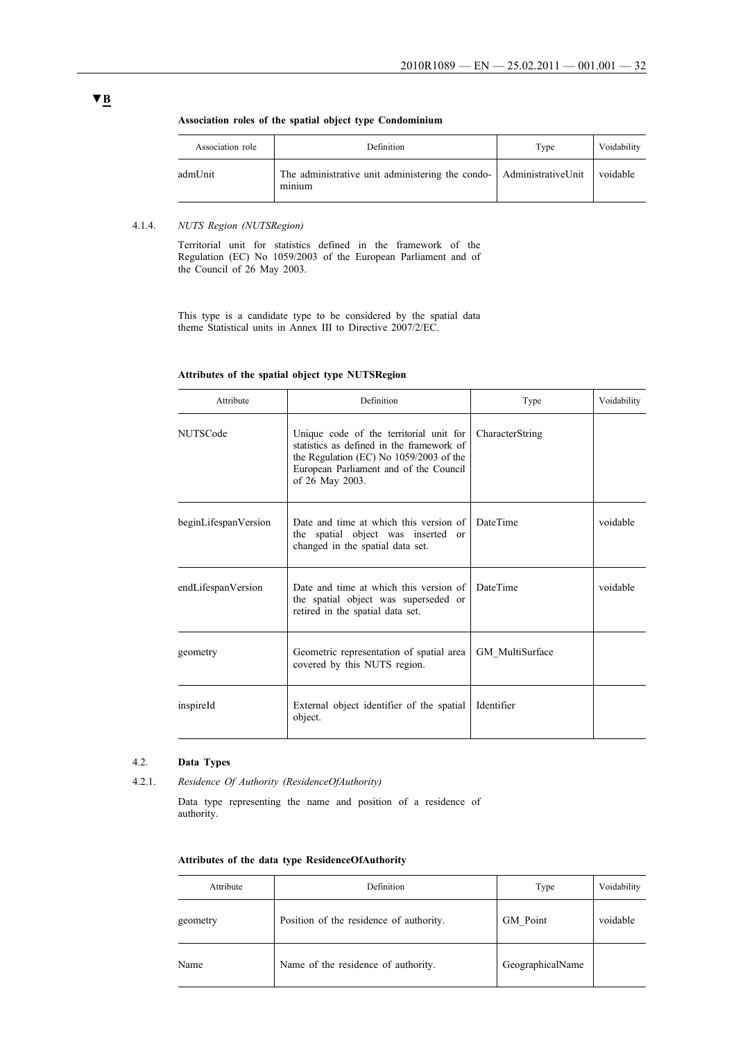| Association role | Definition                                                                             | Type | Voidability |
|------------------|----------------------------------------------------------------------------------------|------|-------------|
| admUnit          | The administrative unit administering the condo- AdministrativeUnit voidable<br>minium |      |             |

### **Association roles of the spatial object type Condominium**

### 4.1.4. *NUTS Region (NUTSRegion)*

Territorial unit for statistics defined in the framework of the Regulation (EC) No 1059/2003 of the European Parliament and of the Council of 26 May 2003.

This type is a candidate type to be considered by the spatial data theme Statistical units in Annex III to Directive 2007/2/EC.

### **Attributes of the spatial object type NUTSRegion**

| Attribute            | Definition                                                                                                                                                                                   | Type            | Voidability |
|----------------------|----------------------------------------------------------------------------------------------------------------------------------------------------------------------------------------------|-----------------|-------------|
| <b>NUTSCode</b>      | Unique code of the territorial unit for<br>statistics as defined in the framework of<br>the Regulation (EC) No 1059/2003 of the<br>European Parliament and of the Council<br>of 26 May 2003. | CharacterString |             |
| beginLifespanVersion | Date and time at which this version of<br>the spatial object was inserted or<br>changed in the spatial data set.                                                                             | <b>DateTime</b> | voidable    |
| endLifespanVersion   | Date and time at which this version of<br>the spatial object was superseded or<br>retired in the spatial data set.                                                                           | <b>DateTime</b> | voidable    |
| geometry             | Geometric representation of spatial area<br>covered by this NUTS region.                                                                                                                     | GM MultiSurface |             |
| inspireId            | External object identifier of the spatial<br>object.                                                                                                                                         | Identifier      |             |

### 4.2. **Data Types**

4.2.1. *Residence Of Authority (ResidenceOfAuthority)*

Data type representing the name and position of a residence of authority.

|  |  |  |  |  | Attributes of the data type ResidenceOfAuthority |
|--|--|--|--|--|--------------------------------------------------|
|--|--|--|--|--|--------------------------------------------------|

| Attribute | Definition                              | Type             | Voidability |
|-----------|-----------------------------------------|------------------|-------------|
| geometry  | Position of the residence of authority. | GM Point         | voidable    |
| Name      | Name of the residence of authority.     | GeographicalName |             |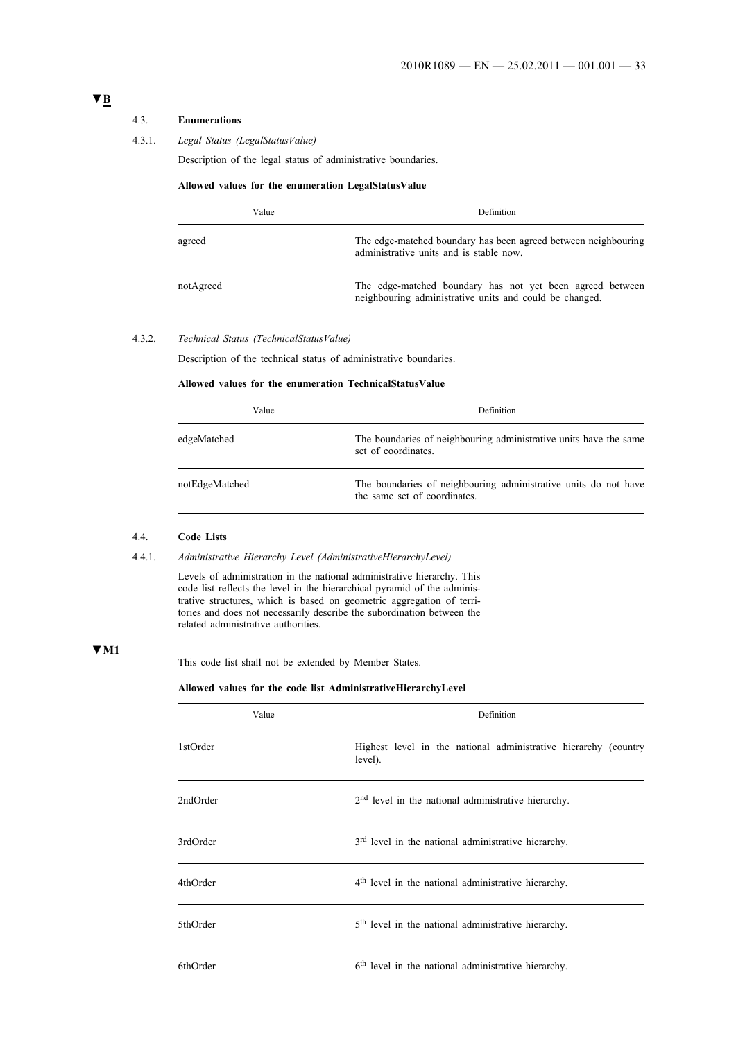# 4.3. **Enumerations**

### 4.3.1. *Legal Status (LegalStatusValue)*

Description of the legal status of administrative boundaries.

### **Allowed values for the enumeration LegalStatusValue**

| Value     | <b>Definition</b>                                                                                                    |
|-----------|----------------------------------------------------------------------------------------------------------------------|
| agreed    | The edge-matched boundary has been agreed between neighbouring<br>administrative units and is stable now.            |
| notAgreed | The edge-matched boundary has not yet been agreed between<br>neighbouring administrative units and could be changed. |

### 4.3.2. *Technical Status (TechnicalStatusValue)*

Description of the technical status of administrative boundaries.

### **Allowed values for the enumeration TechnicalStatusValue**

| Value          | Definition                                                                                      |
|----------------|-------------------------------------------------------------------------------------------------|
| edgeMatched    | The boundaries of neighbouring administrative units have the same<br>set of coordinates.        |
| notEdgeMatched | The boundaries of neighbouring administrative units do not have<br>the same set of coordinates. |

### 4.4. **Code Lists**

### 4.4.1. *Administrative Hierarchy Level (AdministrativeHierarchyLevel)*

Levels of administration in the national administrative hierarchy. This code list reflects the level in the hierarchical pyramid of the administrative structures, which is based on geometric aggregation of territories and does not necessarily describe the subordination between the related administrative authorities.

### **▼M1**

This code list shall not be extended by Member States.

### **Allowed values for the code list AdministrativeHierarchyLevel**

| Value    | Definition                                                                 |
|----------|----------------------------------------------------------------------------|
| 1stOrder | Highest level in the national administrative hierarchy (country<br>level). |
| 2ndOrder | 2 <sup>nd</sup> level in the national administrative hierarchy.            |
| 3rdOrder | 3 <sup>rd</sup> level in the national administrative hierarchy.            |
| 4thOrder | 4 <sup>th</sup> level in the national administrative hierarchy.            |
| 5thOrder | 5 <sup>th</sup> level in the national administrative hierarchy.            |
| 6thOrder | 6 <sup>th</sup> level in the national administrative hierarchy.            |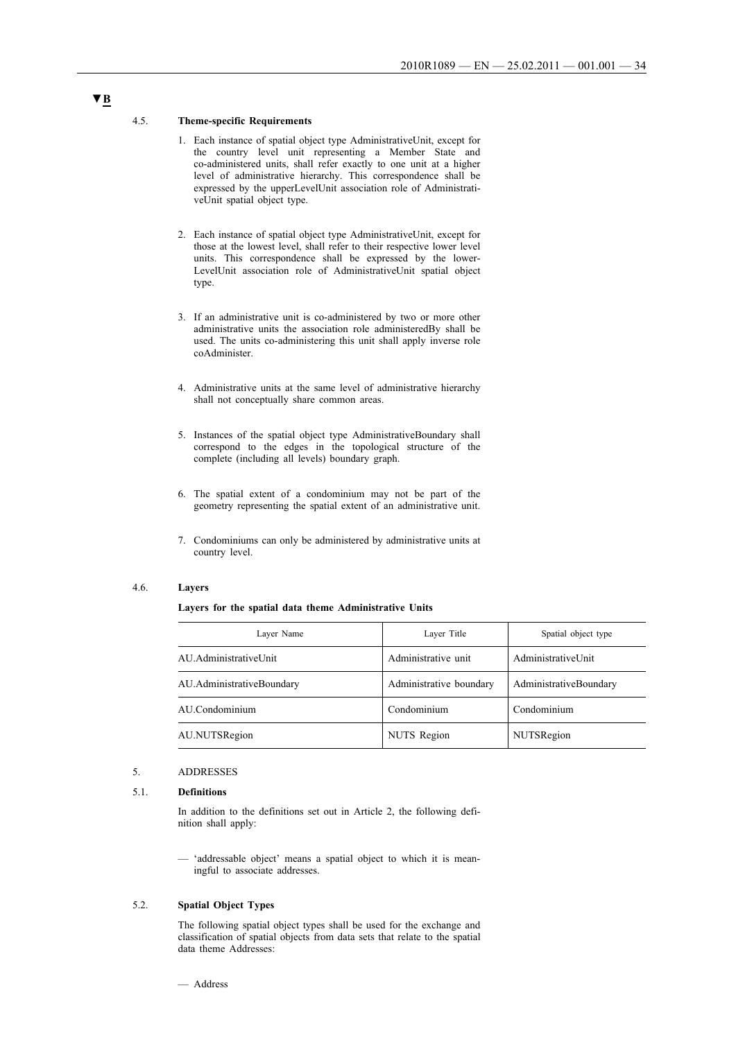#### 4.5. **Theme-specific Requirements**

- 1. Each instance of spatial object type AdministrativeUnit, except for the country level unit representing a Member State and co-administered units, shall refer exactly to one unit at a higher level of administrative hierarchy. This correspondence shall be expressed by the upperLevelUnit association role of AdministrativeUnit spatial object type.
- 2. Each instance of spatial object type AdministrativeUnit, except for those at the lowest level, shall refer to their respective lower level units. This correspondence shall be expressed by the lower-LevelUnit association role of AdministrativeUnit spatial object type.
- 3. If an administrative unit is co-administered by two or more other administrative units the association role administeredBy shall be used. The units co-administering this unit shall apply inverse role coAdminister.
- 4. Administrative units at the same level of administrative hierarchy shall not conceptually share common areas.
- 5. Instances of the spatial object type AdministrativeBoundary shall correspond to the edges in the topological structure of the complete (including all levels) boundary graph.
- 6. The spatial extent of a condominium may not be part of the geometry representing the spatial extent of an administrative unit.
- 7. Condominiums can only be administered by administrative units at country level.

### 4.6. **Layers**

#### **Layers for the spatial data theme Administrative Units**

| Laver Name                | Layer Title             | Spatial object type    |
|---------------------------|-------------------------|------------------------|
| AU.AdministrativeUnit     | Administrative unit     | AdministrativeUnit     |
| AU.AdministrativeBoundary | Administrative boundary | AdministrativeBoundary |
| AU.Condominium            | Condominium             | Condominium            |
| AU.NUTSRegion             | NUTS Region             | NUTSRegion             |

### 5. ADDRESSES

### 5.1. **Definitions**

In addition to the definitions set out in Article 2, the following definition shall apply:

'addressable object' means a spatial object to which it is meaningful to associate addresses.

### 5.2. **Spatial Object Types**

The following spatial object types shall be used for the exchange and classification of spatial objects from data sets that relate to the spatial data theme Addresses:

# — Address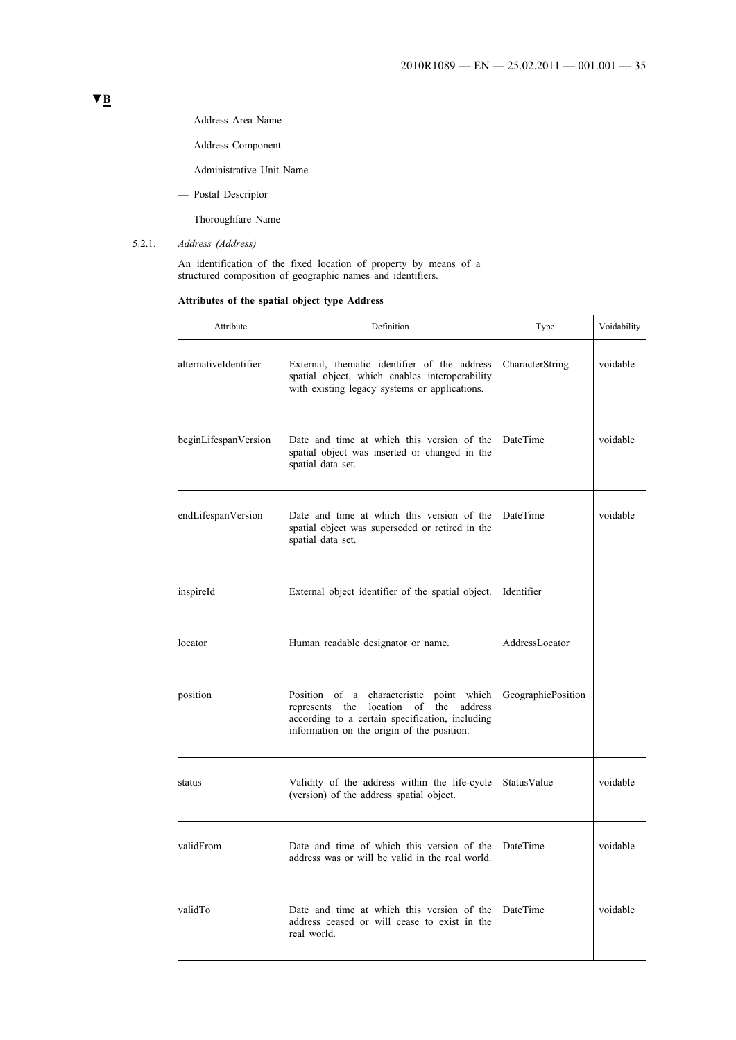- Address Area Name
- Address Component
- Administrative Unit Name
- Postal Descriptor
- Thoroughfare Name
- 5.2.1. *Address (Address)*

An identification of the fixed location of property by means of a structured composition of geographic names and identifiers.

### **Attributes of the spatial object type Address**

| Attribute             | Definition                                                                                                                                                                          | Type                | Voidability |
|-----------------------|-------------------------------------------------------------------------------------------------------------------------------------------------------------------------------------|---------------------|-------------|
| alternativeIdentifier | External, thematic identifier of the address<br>spatial object, which enables interoperability<br>with existing legacy systems or applications.                                     | CharacterString     | voidable    |
| beginLifespanVersion  | Date and time at which this version of the<br>spatial object was inserted or changed in the<br>spatial data set.                                                                    | DateTime            | voidable    |
| endLifespanVersion    | Date and time at which this version of the<br>spatial object was superseded or retired in the<br>spatial data set.                                                                  | DateTime            | voidable    |
| inspireId             | External object identifier of the spatial object.                                                                                                                                   | Identifier          |             |
| locator               | Human readable designator or name.                                                                                                                                                  | AddressLocator      |             |
| position              | Position of a characteristic point which<br>represents the location of the address<br>according to a certain specification, including<br>information on the origin of the position. | Geographic Position |             |
| status                | Validity of the address within the life-cycle<br>(version) of the address spatial object.                                                                                           | StatusValue         | voidable    |
| validFrom             | Date and time of which this version of the<br>address was or will be valid in the real world.                                                                                       | DateTime            | voidable    |
| validTo               | Date and time at which this version of the<br>address ceased or will cease to exist in the<br>real world.                                                                           | DateTime            | voidable    |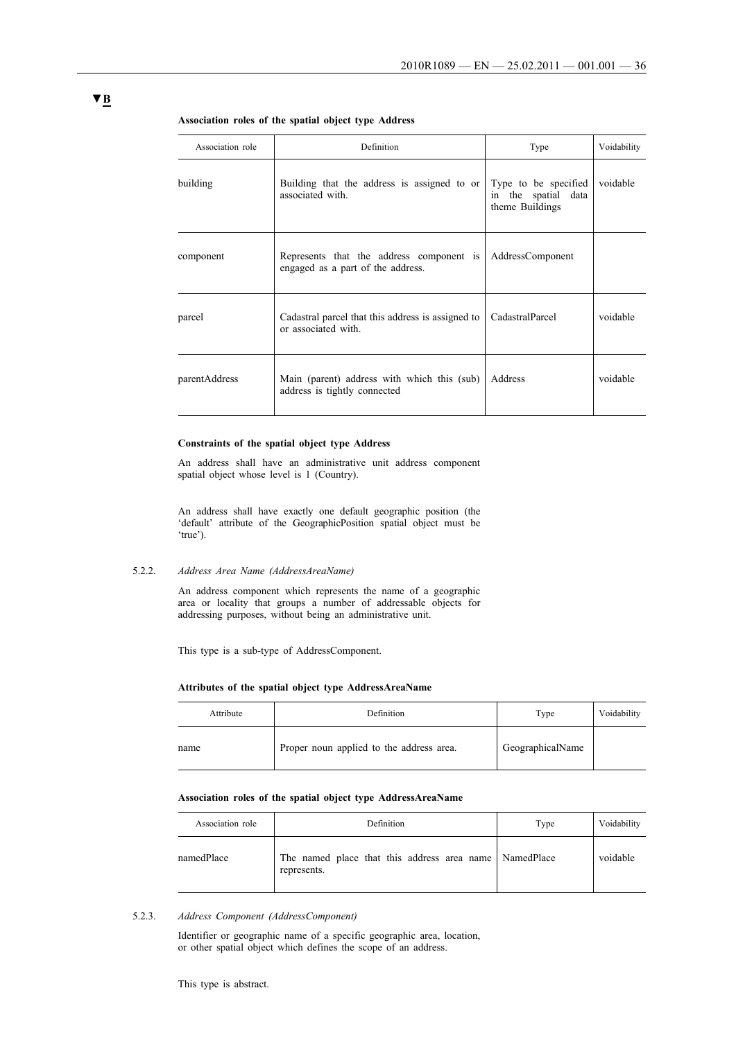| Association role | Definition                                                                    | Type                                                           | Voidability |
|------------------|-------------------------------------------------------------------------------|----------------------------------------------------------------|-------------|
| building         | Building that the address is assigned to or<br>associated with.               | Type to be specified<br>in the spatial data<br>theme Buildings | voidable    |
| component        | Represents that the address component is<br>engaged as a part of the address. | AddressComponent                                               |             |
| parcel           | Cadastral parcel that this address is assigned to<br>or associated with.      | CadastralParcel                                                | voidable    |
| parentAddress    | Main (parent) address with which this (sub)<br>address is tightly connected   | <b>Address</b>                                                 | voidable    |

#### **Association roles of the spatial object type Address**

#### **Constraints of the spatial object type Address**

An address shall have an administrative unit address component spatial object whose level is 1 (Country).

An address shall have exactly one default geographic position (the 'default' attribute of the GeographicPosition spatial object must be 'true').

### 5.2.2. *Address Area Name (AddressAreaName)*

An address component which represents the name of a geographic area or locality that groups a number of addressable objects for addressing purposes, without being an administrative unit.

This type is a sub-type of AddressComponent.

### **Attributes of the spatial object type AddressAreaName**

| Attribute | Definition                               | Type             | Voidability |
|-----------|------------------------------------------|------------------|-------------|
| name      | Proper noun applied to the address area. | GeographicalName |             |

### **Association roles of the spatial object type AddressAreaName**

| Association role | Definition                                                            | Type | Voidability |
|------------------|-----------------------------------------------------------------------|------|-------------|
| namedPlace       | The named place that this address area name NamedPlace<br>represents. |      | voidable    |

5.2.3. *Address Component (AddressComponent)*

Identifier or geographic name of a specific geographic area, location, or other spatial object which defines the scope of an address.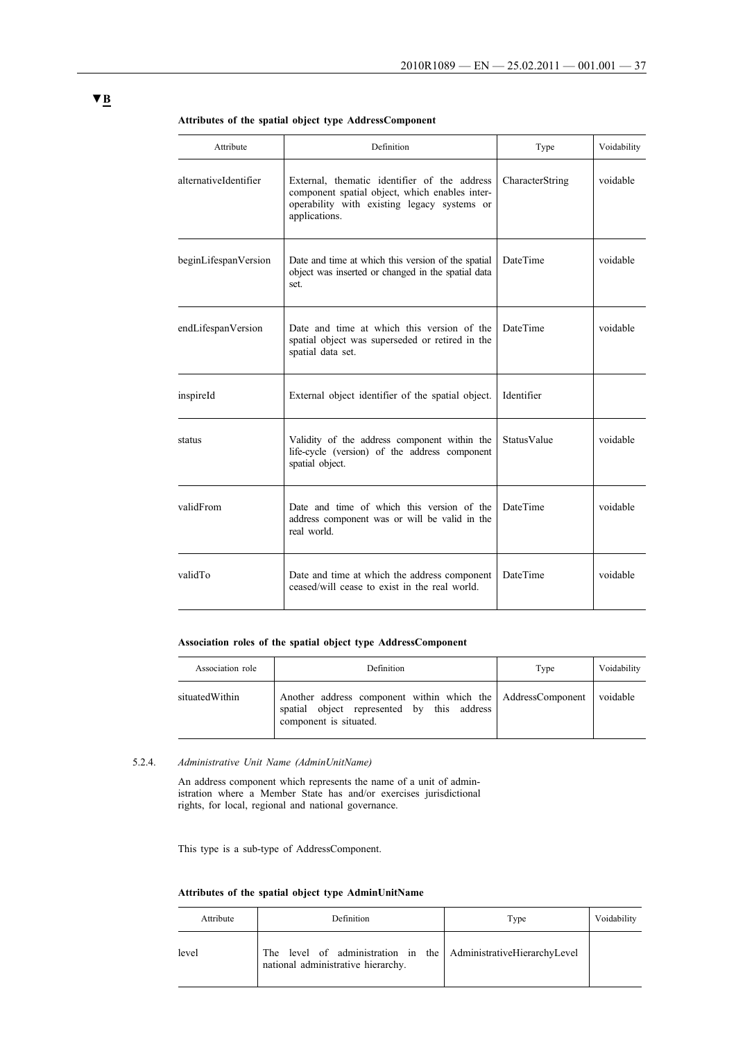| Attribute             | Definition                                                                                                                                                     | Type               | Voidability |
|-----------------------|----------------------------------------------------------------------------------------------------------------------------------------------------------------|--------------------|-------------|
| alternativeIdentifier | External, thematic identifier of the address<br>component spatial object, which enables inter-<br>operability with existing legacy systems or<br>applications. | CharacterString    | voidable    |
| beginLifespanVersion  | Date and time at which this version of the spatial<br>object was inserted or changed in the spatial data<br>set.                                               | <b>DateTime</b>    | voidable    |
| endLifespanVersion    | Date and time at which this version of the<br>spatial object was superseded or retired in the<br>spatial data set.                                             | DateTime           | voidable    |
| inspireId             | External object identifier of the spatial object.                                                                                                              | Identifier         |             |
| status                | Validity of the address component within the<br>life-cycle (version) of the address component<br>spatial object.                                               | <b>StatusValue</b> | voidable    |
| validFrom             | Date and time of which this version of the<br>address component was or will be valid in the<br>real world.                                                     | <b>DateTime</b>    | voidable    |
| validTo               | Date and time at which the address component<br>ceased/will cease to exist in the real world.                                                                  | <b>DateTime</b>    | voidable    |

#### **Attributes of the spatial object type AddressComponent**

### **Association roles of the spatial object type AddressComponent**

| Association role | <b>Definition</b>                                                                                                                            | Type | Voidability |
|------------------|----------------------------------------------------------------------------------------------------------------------------------------------|------|-------------|
| situatedWithin   | Another address component within which the AddressComponent voidable<br>spatial object represented by this address<br>component is situated. |      |             |

### 5.2.4. *Administrative Unit Name (AdminUnitName)*

An address component which represents the name of a unit of administration where a Member State has and/or exercises jurisdictional rights, for local, regional and national governance.

This type is a sub-type of AddressComponent.

### **Attributes of the spatial object type AdminUnitName**

| Attribute | Definition                                                                                            | Type | Voidability |
|-----------|-------------------------------------------------------------------------------------------------------|------|-------------|
| level     | The level of administration in the AdministrativeHierarchyLevel<br>national administrative hierarchy. |      |             |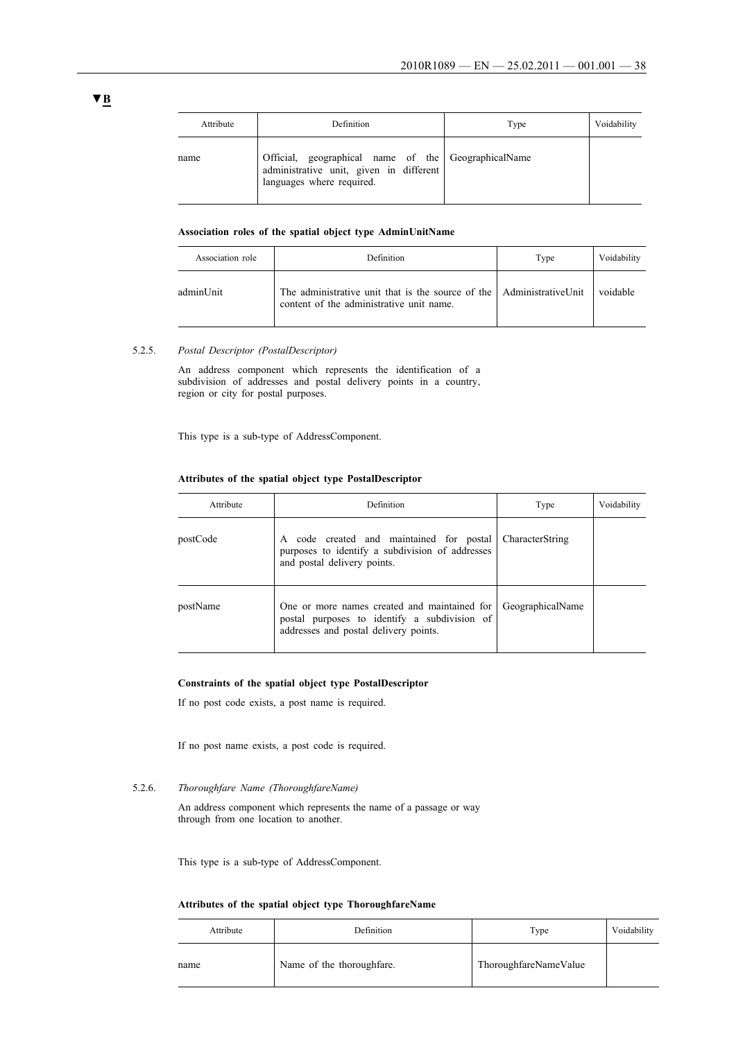| Attribute | Definition                                                                                                                  | Type | Voidability |
|-----------|-----------------------------------------------------------------------------------------------------------------------------|------|-------------|
| name      | Official, geographical name of the GeographicalName<br>administrative unit, given in different<br>languages where required. |      |             |

### **Association roles of the spatial object type AdminUnitName**

| Association role | <b>Definition</b>                                                                                                | Type | Voidability |
|------------------|------------------------------------------------------------------------------------------------------------------|------|-------------|
| adminUnit        | The administrative unit that is the source of the AdministrativeUnit<br>content of the administrative unit name. |      | voidable    |

#### 5.2.5. *Postal Descriptor (PostalDescriptor)*

An address component which represents the identification of a subdivision of addresses and postal delivery points in a country, region or city for postal purposes.

This type is a sub-type of AddressComponent.

### **Attributes of the spatial object type PostalDescriptor**

| Attribute | Definition                                                                                                                            | Type             | Voidability |
|-----------|---------------------------------------------------------------------------------------------------------------------------------------|------------------|-------------|
| postCode  | code created and maintained for postal<br>A<br>purposes to identify a subdivision of addresses<br>and postal delivery points.         | CharacterString  |             |
| postName  | One or more names created and maintained for<br>postal purposes to identify a subdivision of<br>addresses and postal delivery points. | GeographicalName |             |

### **Constraints of the spatial object type PostalDescriptor**

If no post code exists, a post name is required.

If no post name exists, a post code is required.

#### 5.2.6. *Thoroughfare Name (ThoroughfareName)*

An address component which represents the name of a passage or way through from one location to another.

This type is a sub-type of AddressComponent.

#### **Attributes of the spatial object type ThoroughfareName**

| Attribute | Definition                | Type                  | Voidability |
|-----------|---------------------------|-----------------------|-------------|
| name      | Name of the thoroughfare. | ThoroughfareNameValue |             |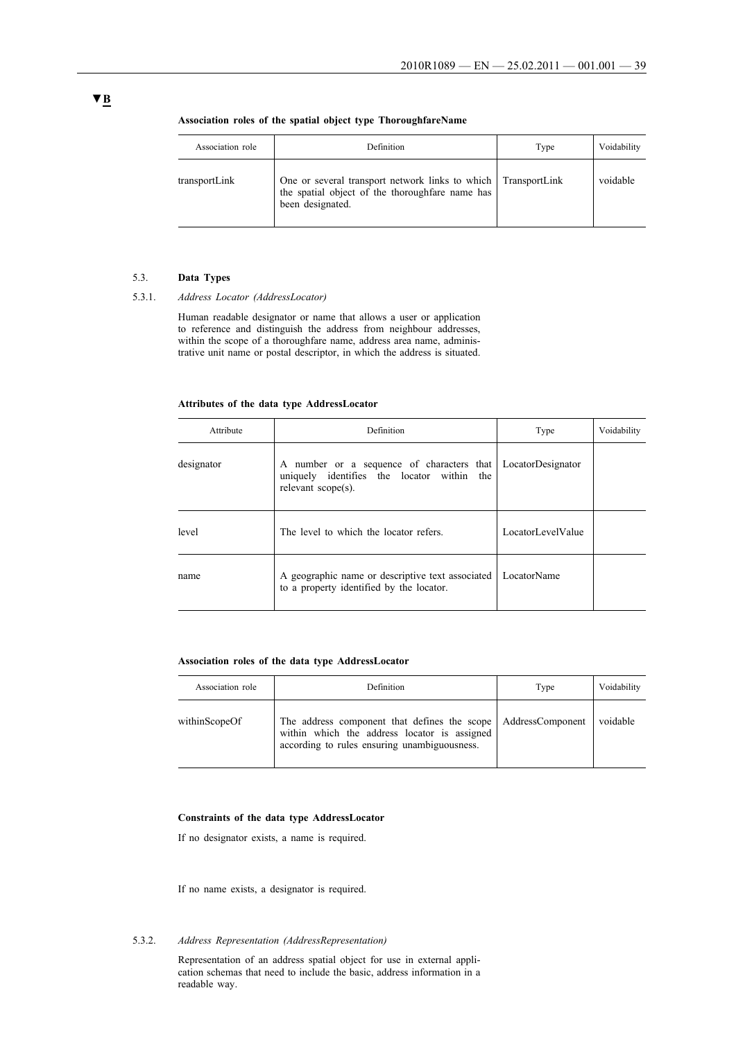| Association role | <b>Definition</b>                                                                                                                    | Type | Voidability |
|------------------|--------------------------------------------------------------------------------------------------------------------------------------|------|-------------|
| transportLink    | One or several transport network links to which TransportLink<br>the spatial object of the thoroughfare name has<br>been designated. |      | voidable    |

#### **Association roles of the spatial object type ThoroughfareName**

#### 5.3. **Data Types**

#### 5.3.1. *Address Locator (AddressLocator)*

Human readable designator or name that allows a user or application to reference and distinguish the address from neighbour addresses, within the scope of a thoroughfare name, address area name, administrative unit name or postal descriptor, in which the address is situated.

#### **Attributes of the data type AddressLocator**

| Attribute  | Definition                                                                                                       | Type              | Voidability |
|------------|------------------------------------------------------------------------------------------------------------------|-------------------|-------------|
| designator | A number or a sequence of characters that<br>uniquely identifies the locator within<br>the<br>relevant scope(s). | LocatorDesignator |             |
| level      | The level to which the locator refers.                                                                           | LocatorLevelValue |             |
| name       | A geographic name or descriptive text associated<br>to a property identified by the locator.                     | LocatorName       |             |

#### **Association roles of the data type AddressLocator**

| Association role | Definition                                                                                                                                                    | Type | Voidability |
|------------------|---------------------------------------------------------------------------------------------------------------------------------------------------------------|------|-------------|
| withinScopeOf    | The address component that defines the scope AddressComponent<br>within which the address locator is assigned<br>according to rules ensuring unambiguousness. |      | voidable    |

#### **Constraints of the data type AddressLocator**

If no designator exists, a name is required.

If no name exists, a designator is required.

### 5.3.2. *Address Representation (AddressRepresentation)*

Representation of an address spatial object for use in external application schemas that need to include the basic, address information in a readable way.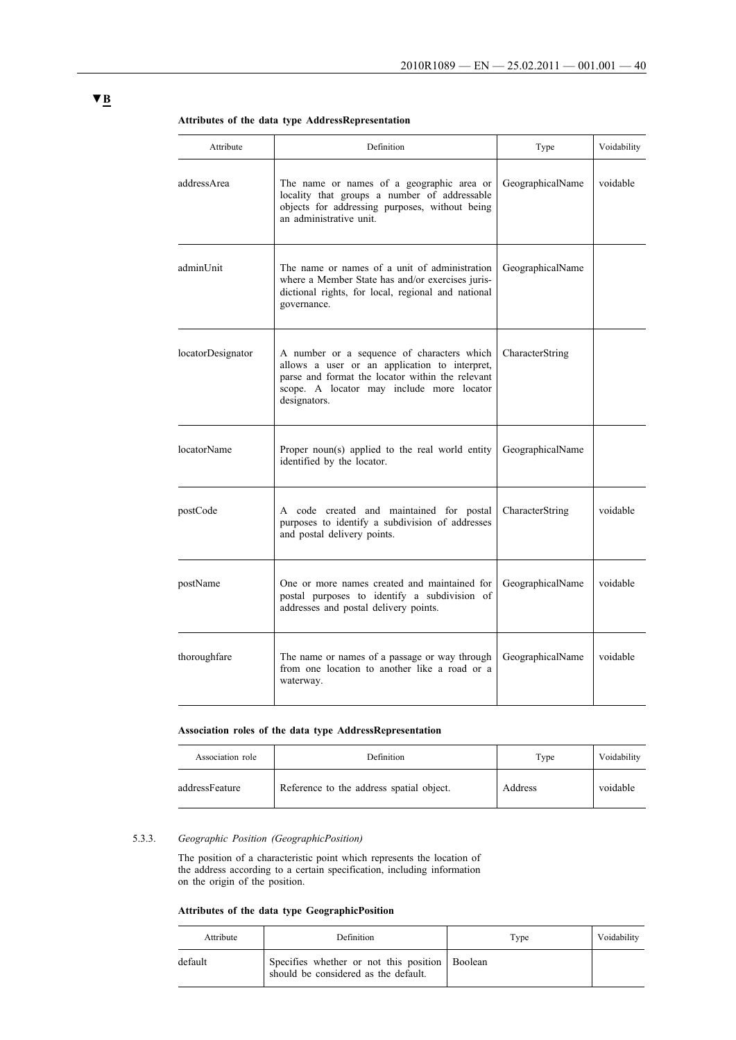| Attribute         | Definition                                                                                                                                                                                                   | Type             | Voidability |
|-------------------|--------------------------------------------------------------------------------------------------------------------------------------------------------------------------------------------------------------|------------------|-------------|
| addressArea       | The name or names of a geographic area or<br>locality that groups a number of addressable<br>objects for addressing purposes, without being<br>an administrative unit.                                       | GeographicalName | voidable    |
| adminUnit         | The name or names of a unit of administration<br>where a Member State has and/or exercises juris-<br>dictional rights, for local, regional and national<br>governance.                                       | GeographicalName |             |
| locatorDesignator | A number or a sequence of characters which<br>allows a user or an application to interpret,<br>parse and format the locator within the relevant<br>scope. A locator may include more locator<br>designators. | CharacterString  |             |
| locatorName       | Proper noun(s) applied to the real world entity<br>identified by the locator.                                                                                                                                | GeographicalName |             |
| postCode          | A code created and maintained for postal<br>purposes to identify a subdivision of addresses<br>and postal delivery points.                                                                                   | CharacterString  | voidable    |
| postName          | One or more names created and maintained for<br>postal purposes to identify a subdivision of<br>addresses and postal delivery points.                                                                        | GeographicalName | voidable    |
| thoroughfare      | The name or names of a passage or way through<br>from one location to another like a road or a<br>waterway.                                                                                                  | GeographicalName | voidable    |

**Attributes of the data type AddressRepresentation**

#### **Association roles of the data type AddressRepresentation**

| Association role | Definition                               | Type    | Voidability |
|------------------|------------------------------------------|---------|-------------|
| addressFeature   | Reference to the address spatial object. | Address | voidable    |

#### 5.3.3. *Geographic Position (GeographicPosition)*

The position of a characteristic point which represents the location of the address according to a certain specification, including information on the origin of the position.

### **Attributes of the data type GeographicPosition**

| Attribute | Definition                                                                             | Type | Voidability |
|-----------|----------------------------------------------------------------------------------------|------|-------------|
| default   | Specifies whether or not this position Boolean<br>should be considered as the default. |      |             |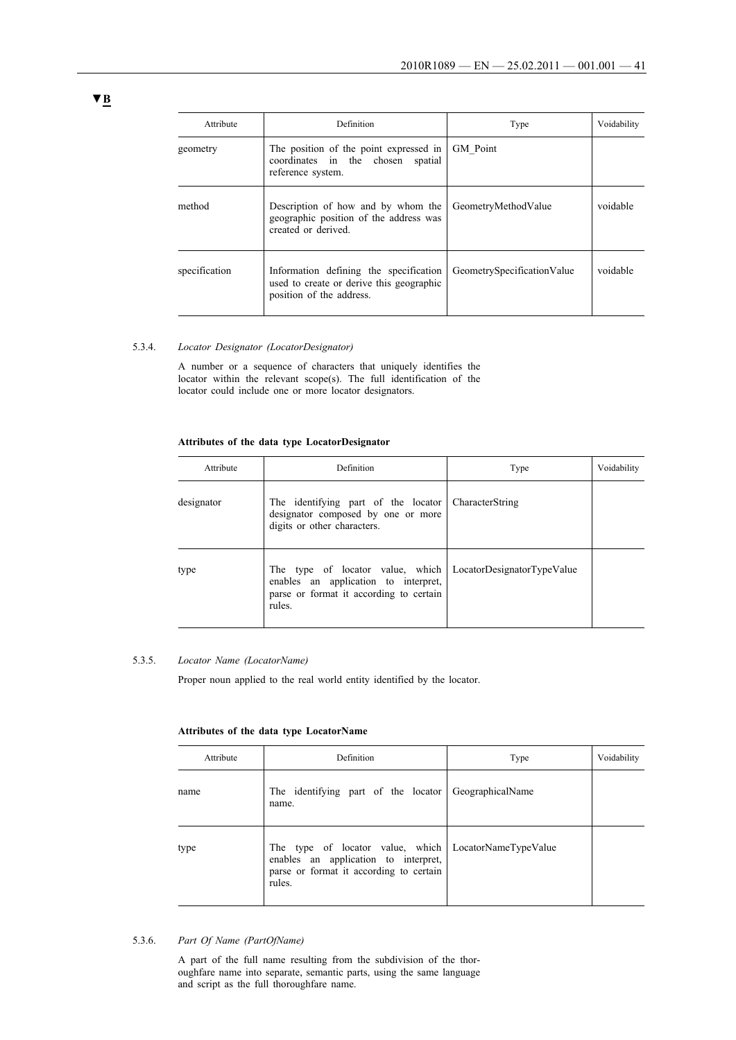| Attribute     | Definition                                                                                                     | Type                       | Voidability |
|---------------|----------------------------------------------------------------------------------------------------------------|----------------------------|-------------|
| geometry      | The position of the point expressed in<br>coordinates in the chosen spatial<br>reference system.               | <b>GM</b> Point            |             |
| method        | Description of how and by whom the<br>geographic position of the address was<br>created or derived.            | GeometryMethodValue        | voidable    |
| specification | Information defining the specification<br>used to create or derive this geographic<br>position of the address. | GeometrySpecificationValue | voidable    |

#### 5.3.4. *Locator Designator (LocatorDesignator)*

A number or a sequence of characters that uniquely identifies the locator within the relevant scope(s). The full identification of the locator could include one or more locator designators.

### **Attributes of the data type LocatorDesignator**

| Attribute  | Definition                                                                                                                    | Type                       | Voidability |
|------------|-------------------------------------------------------------------------------------------------------------------------------|----------------------------|-------------|
| designator | The identifying part of the locator<br>designator composed by one or more<br>digits or other characters.                      | CharacterString            |             |
| type       | The type of locator value, which<br>enables an application to interpret,<br>parse or format it according to certain<br>rules. | LocatorDesignatorTypeValue |             |

### 5.3.5. *Locator Name (LocatorName)*

Proper noun applied to the real world entity identified by the locator.

#### **Attributes of the data type LocatorName**

| Attribute | Definition                                                                                                                    | Type                 | Voidability |
|-----------|-------------------------------------------------------------------------------------------------------------------------------|----------------------|-------------|
| name      | The identifying part of the locator GeographicalName<br>name.                                                                 |                      |             |
| type      | The type of locator value, which<br>enables an application to interpret,<br>parse or format it according to certain<br>rules. | LocatorNameTypeValue |             |

### 5.3.6. *Part Of Name (PartOfName)*

A part of the full name resulting from the subdivision of the thoroughfare name into separate, semantic parts, using the same language and script as the full thoroughfare name.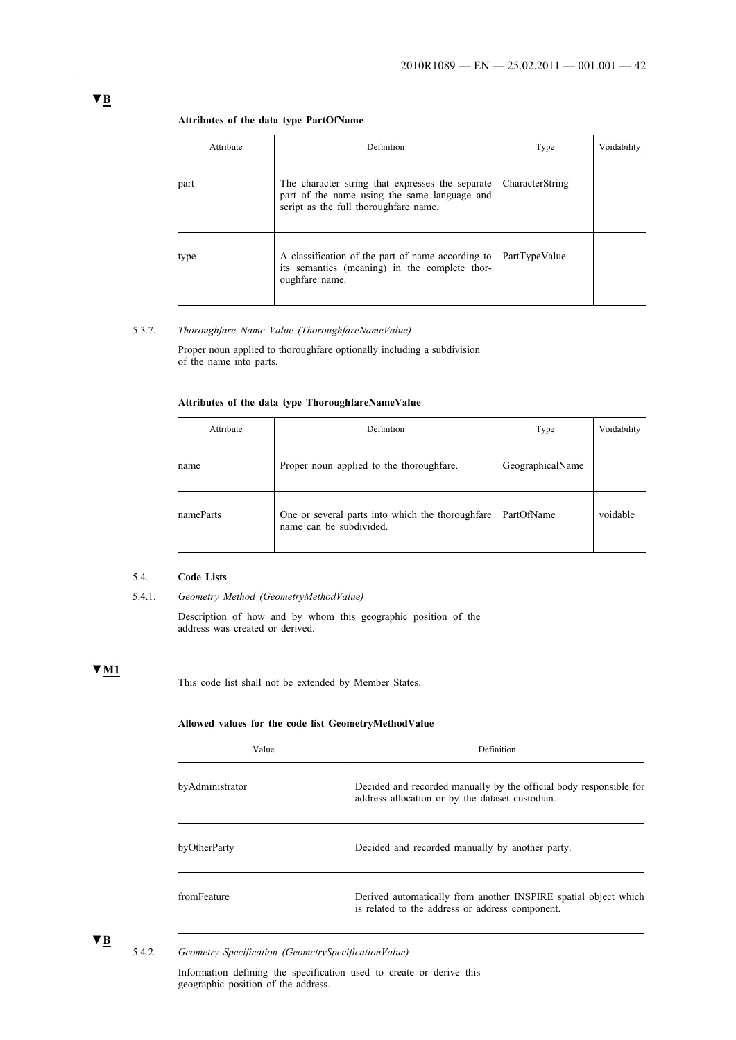#### **Attributes of the data type PartOfName**

| Attribute | Definition                                                                                                                                | Type            | Voidability |
|-----------|-------------------------------------------------------------------------------------------------------------------------------------------|-----------------|-------------|
| part      | The character string that expresses the separate<br>part of the name using the same language and<br>script as the full thoroughfare name. | CharacterString |             |
| type      | A classification of the part of name according to<br>its semantics (meaning) in the complete thor-<br>oughfare name.                      | PartTypeValue   |             |

#### 5.3.7. *Thoroughfare Name Value (ThoroughfareNameValue)*

Proper noun applied to thoroughfare optionally including a subdivision of the name into parts.

### **Attributes of the data type ThoroughfareNameValue**

| Attribute | Definition                                                                  | Type             | Voidability |
|-----------|-----------------------------------------------------------------------------|------------------|-------------|
| name      | Proper noun applied to the thoroughfare.                                    | GeographicalName |             |
| nameParts | One or several parts into which the thoroughfare<br>name can be subdivided. | PartOfName       | voidable    |

### 5.4. **Code Lists**

Description of how and by whom this geographic position of the address was created or derived.

# **▼M1**

This code list shall not be extended by Member States.

### **Allowed values for the code list GeometryMethodValue**

| Value           | Definition                                                                                                            |
|-----------------|-----------------------------------------------------------------------------------------------------------------------|
| byAdministrator | Decided and recorded manually by the official body responsible for<br>address allocation or by the dataset custodian. |
| byOtherParty    | Decided and recorded manually by another party.                                                                       |
| fromFeature     | Derived automatically from another INSPIRE spatial object which<br>is related to the address or address component.    |

**▼B**

5.4.2. *Geometry Specification (GeometrySpecificationValue)*

Information defining the specification used to create or derive this geographic position of the address.

<sup>5.4.1.</sup> *Geometry Method (GeometryMethodValue)*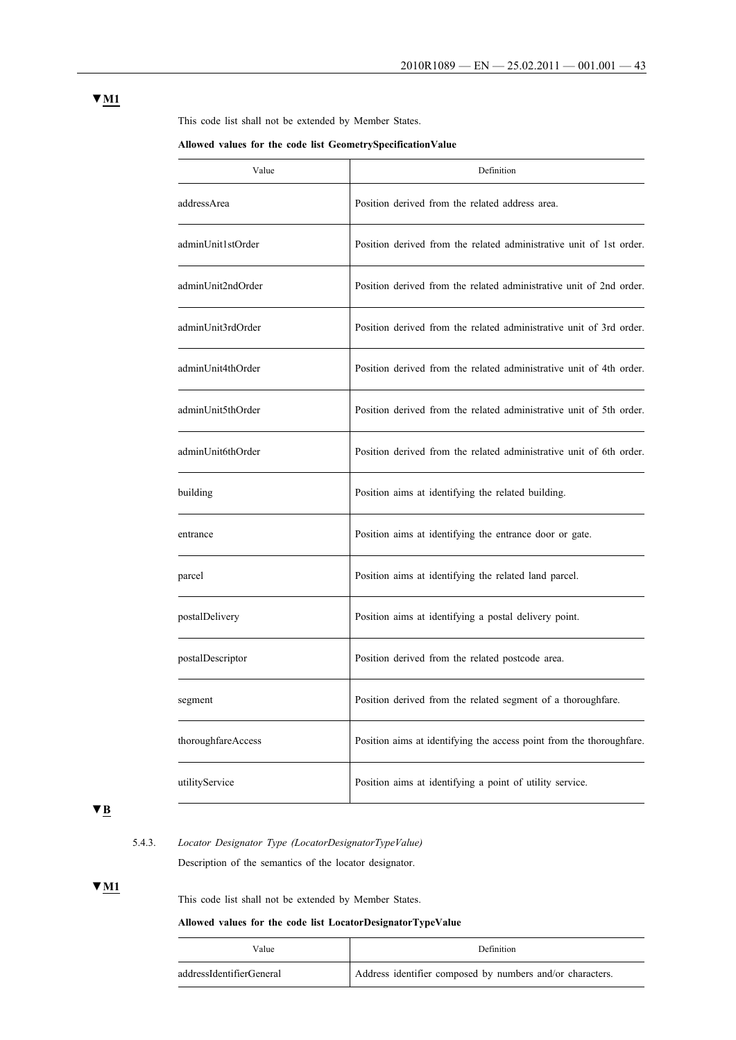This code list shall not be extended by Member States.

#### **Allowed values for the code list GeometrySpecificationValue**

| Value              | Definition                                                           |
|--------------------|----------------------------------------------------------------------|
| addressArea        | Position derived from the related address area.                      |
| adminUnit1stOrder  | Position derived from the related administrative unit of 1st order.  |
| adminUnit2ndOrder  | Position derived from the related administrative unit of 2nd order.  |
| adminUnit3rdOrder  | Position derived from the related administrative unit of 3rd order.  |
| adminUnit4thOrder  | Position derived from the related administrative unit of 4th order.  |
| adminUnit5thOrder  | Position derived from the related administrative unit of 5th order.  |
| adminUnit6thOrder  | Position derived from the related administrative unit of 6th order.  |
| building           | Position aims at identifying the related building.                   |
| entrance           | Position aims at identifying the entrance door or gate.              |
| parcel             | Position aims at identifying the related land parcel.                |
| postalDelivery     | Position aims at identifying a postal delivery point.                |
| postalDescriptor   | Position derived from the related postcode area.                     |
| segment            | Position derived from the related segment of a thoroughfare.         |
| thoroughfareAccess | Position aims at identifying the access point from the thoroughfare. |
| utilityService     | Position aims at identifying a point of utility service.             |

# **▼B**

# 5.4.3. *Locator Designator Type (LocatorDesignatorTypeValue)* Description of the semantics of the locator designator.

### **▼M1**

This code list shall not be extended by Member States.

### **Allowed values for the code list LocatorDesignatorTypeValue**

| Value                    | <b>Definition</b>                                         |
|--------------------------|-----------------------------------------------------------|
| addressIdentifierGeneral | Address identifier composed by numbers and/or characters. |

### **▼M1**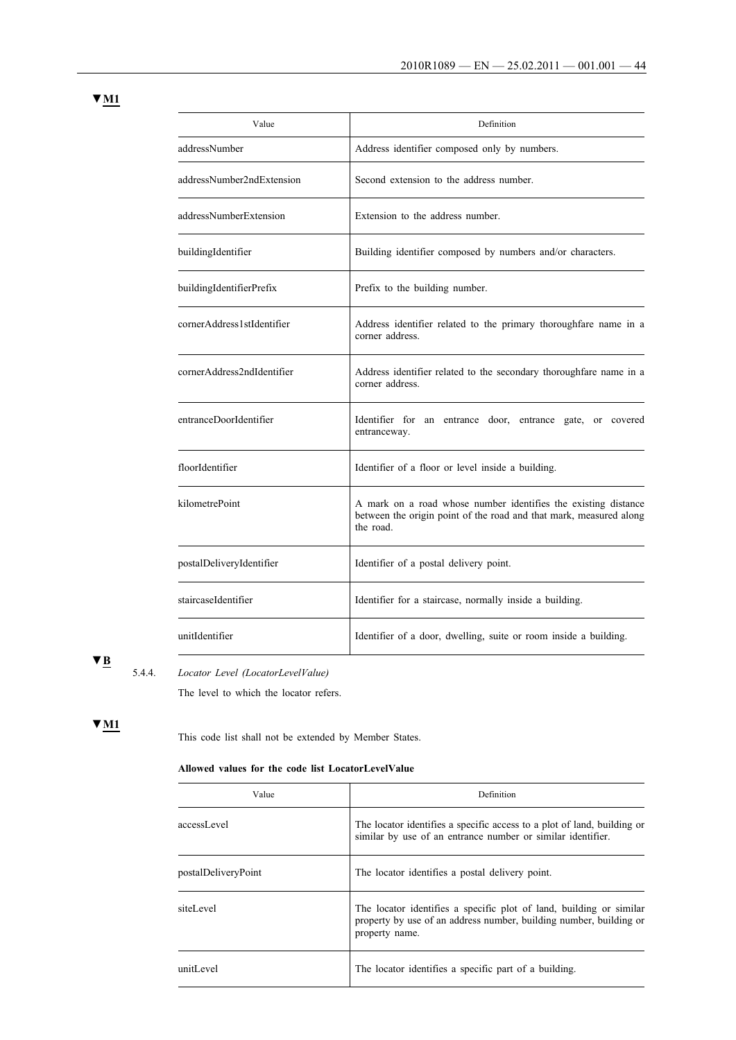| × |  |
|---|--|
|   |  |

| Value                      | Definition                                                                                                                                        |
|----------------------------|---------------------------------------------------------------------------------------------------------------------------------------------------|
| addressNumber              | Address identifier composed only by numbers.                                                                                                      |
| addressNumber2ndExtension  | Second extension to the address number.                                                                                                           |
| addressNumberExtension     | Extension to the address number.                                                                                                                  |
| buildingIdentifier         | Building identifier composed by numbers and/or characters.                                                                                        |
| buildingIdentifierPrefix   | Prefix to the building number.                                                                                                                    |
| cornerAddress1stIdentifier | Address identifier related to the primary thoroughfare name in a<br>corner address.                                                               |
| cornerAddress2ndIdentifier | Address identifier related to the secondary thoroughfare name in a<br>corner address.                                                             |
| entranceDoorIdentifier     | Identifier for an entrance door, entrance gate, or covered<br>entranceway.                                                                        |
| floorIdentifier            | Identifier of a floor or level inside a building.                                                                                                 |
| kilometrePoint             | A mark on a road whose number identifies the existing distance<br>between the origin point of the road and that mark, measured along<br>the road. |
| postalDeliveryIdentifier   | Identifier of a postal delivery point.                                                                                                            |
| staircaseIdentifier        | Identifier for a staircase, normally inside a building.                                                                                           |
| unitIdentifier             | Identifier of a door, dwelling, suite or room inside a building.                                                                                  |

5.4.4. *Locator Level (LocatorLevelValue)*

The level to which the locator refers.

# **▼M1**

This code list shall not be extended by Member States.

### **Allowed values for the code list LocatorLevelValue**

| Value               | Definition                                                                                                                                                  |
|---------------------|-------------------------------------------------------------------------------------------------------------------------------------------------------------|
| accessLevel         | The locator identifies a specific access to a plot of land, building or<br>similar by use of an entrance number or similar identifier.                      |
| postalDeliveryPoint | The locator identifies a postal delivery point.                                                                                                             |
| siteLevel           | The locator identifies a specific plot of land, building or similar<br>property by use of an address number, building number, building or<br>property name. |
| unitLevel           | The locator identifies a specific part of a building.                                                                                                       |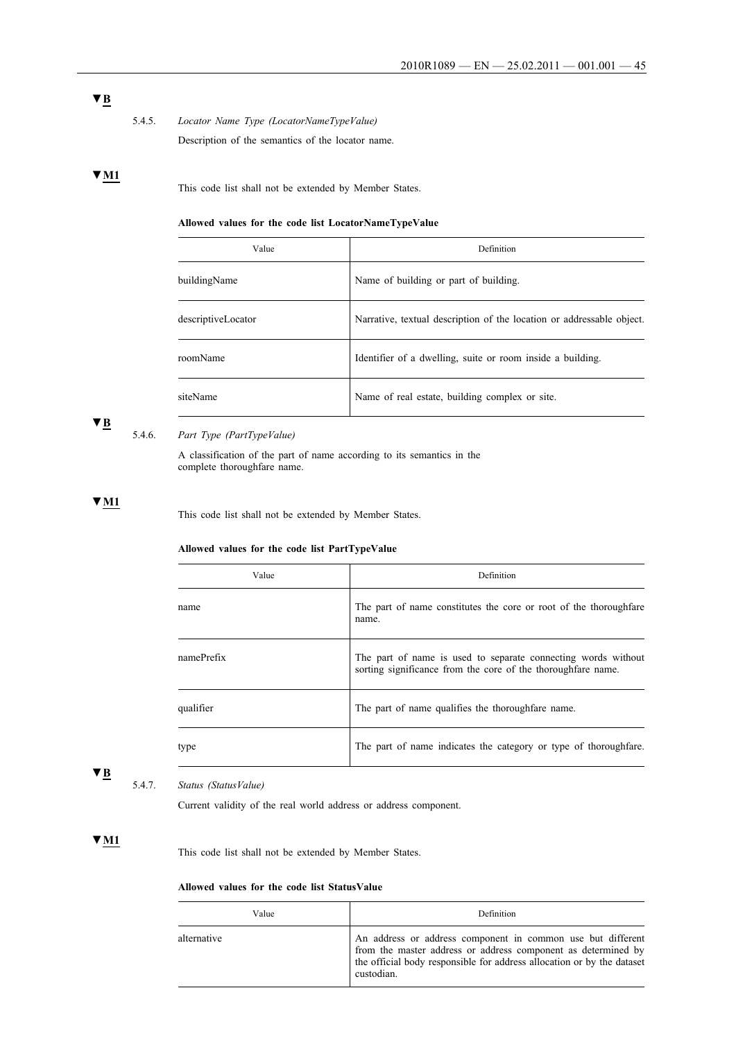5.4.5. *Locator Name Type (LocatorNameTypeValue)* Description of the semantics of the locator name.

### **▼M1**

This code list shall not be extended by Member States.

### **Allowed values for the code list LocatorNameTypeValue**

| Value              | Definition                                                            |
|--------------------|-----------------------------------------------------------------------|
| buildingName       | Name of building or part of building.                                 |
| descriptiveLocator | Narrative, textual description of the location or addressable object. |
| roomName           | Identifier of a dwelling, suite or room inside a building.            |
| siteName           | Name of real estate, building complex or site.                        |

## **▼B**

### 5.4.6. *Part Type (PartTypeValue)*

j.

A classification of the part of name according to its semantics in the complete thoroughfare name.

#### **▼M1**

This code list shall not be extended by Member States.

### **Allowed values for the code list PartTypeValue**

| Value      | Definition                                                                                                                    |
|------------|-------------------------------------------------------------------------------------------------------------------------------|
| name       | The part of name constitutes the core or root of the thoroughfare<br>name.                                                    |
| namePrefix | The part of name is used to separate connecting words without<br>sorting significance from the core of the thoroughfare name. |
| qualifier  | The part of name qualifies the thoroughfare name.                                                                             |
| type       | The part of name indicates the category or type of thoroughfare.                                                              |

### **▼B**

### 5.4.7. *Status (StatusValue)*

 $\overline{a}$ 

Current validity of the real world address or address component.

### **▼M1**

This code list shall not be extended by Member States.

### **Allowed values for the code list StatusValue**

| Value       | Definition                                                                                                                                                                                                           |
|-------------|----------------------------------------------------------------------------------------------------------------------------------------------------------------------------------------------------------------------|
| alternative | An address or address component in common use but different<br>from the master address or address component as determined by<br>the official body responsible for address allocation or by the dataset<br>custodian. |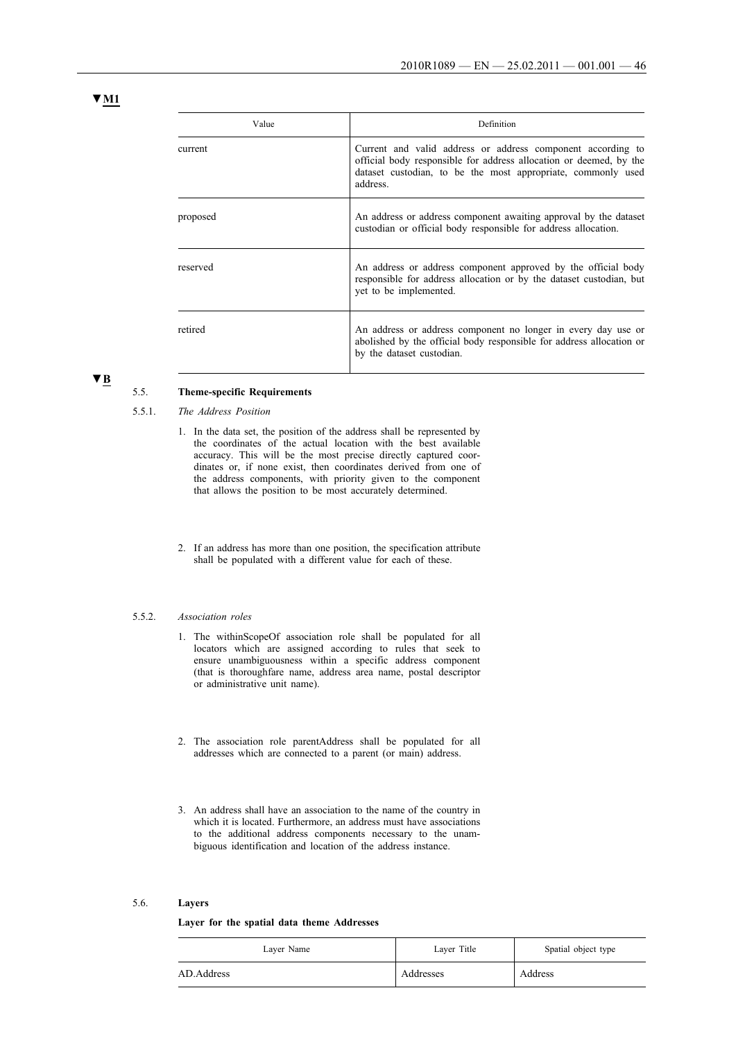| Value    | Definition                                                                                                                                                                                                    |
|----------|---------------------------------------------------------------------------------------------------------------------------------------------------------------------------------------------------------------|
| current  | Current and valid address or address component according to<br>official body responsible for address allocation or deemed, by the<br>dataset custodian, to be the most appropriate, commonly used<br>address. |
| proposed | An address or address component awaiting approval by the dataset<br>custodian or official body responsible for address allocation.                                                                            |
| reserved | An address or address component approved by the official body<br>responsible for address allocation or by the dataset custodian, but<br>yet to be implemented.                                                |
| retired  | An address or address component no longer in every day use or<br>abolished by the official body responsible for address allocation or<br>by the dataset custodian.                                            |

#### 5.5. **Theme-specific Requirements**

- 5.5.1. *The Address Position*
	- 1. In the data set, the position of the address shall be represented by the coordinates of the actual location with the best available accuracy. This will be the most precise directly captured coordinates or, if none exist, then coordinates derived from one of the address components, with priority given to the component that allows the position to be most accurately determined.
	- 2. If an address has more than one position, the specification attribute shall be populated with a different value for each of these.

#### 5.5.2. *Association roles*

- 1. The withinScopeOf association role shall be populated for all locators which are assigned according to rules that seek to ensure unambiguousness within a specific address component (that is thoroughfare name, address area name, postal descriptor or administrative unit name).
- 2. The association role parentAddress shall be populated for all addresses which are connected to a parent (or main) address.
- 3. An address shall have an association to the name of the country in which it is located. Furthermore, an address must have associations to the additional address components necessary to the unambiguous identification and location of the address instance.

#### 5.6. **Layers**

#### **Layer for the spatial data theme Addresses**

| Laver Name | Laver Title | Spatial object type |
|------------|-------------|---------------------|
| AD.Address | Addresses   | Address             |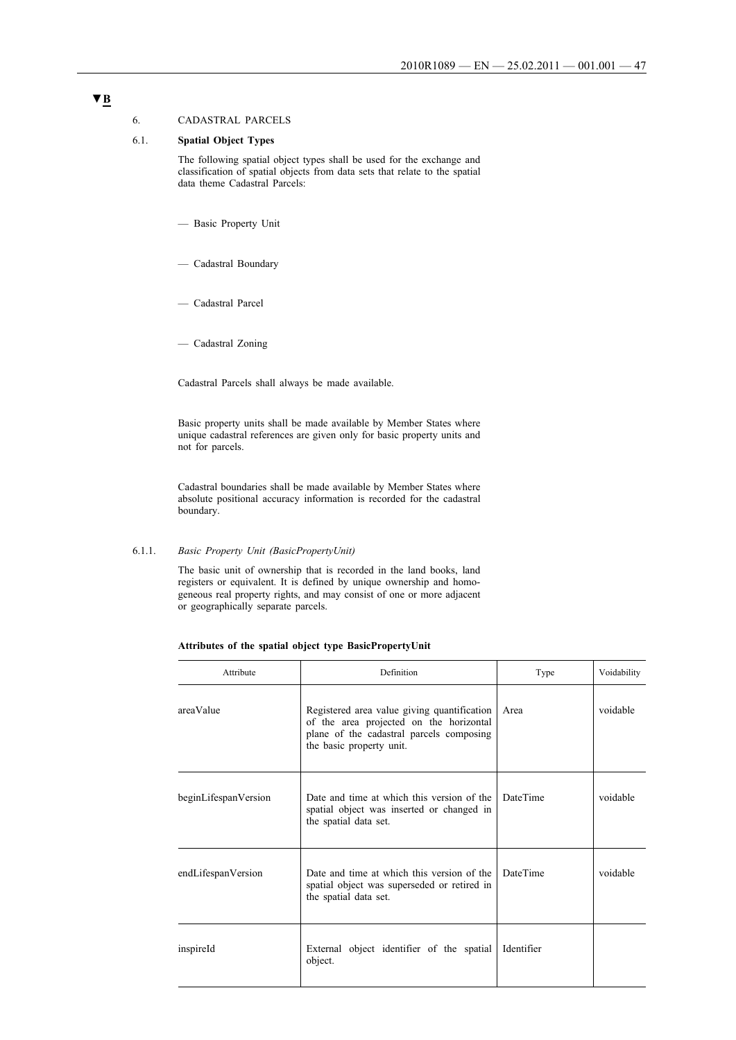### 6. CADASTRAL PARCELS

### 6.1. **Spatial Object Types**

The following spatial object types shall be used for the exchange and classification of spatial objects from data sets that relate to the spatial data theme Cadastral Parcels:

- Basic Property Unit
- Cadastral Boundary
- Cadastral Parcel
- Cadastral Zoning

Cadastral Parcels shall always be made available.

Basic property units shall be made available by Member States where unique cadastral references are given only for basic property units and not for parcels.

Cadastral boundaries shall be made available by Member States where absolute positional accuracy information is recorded for the cadastral boundary.

#### 6.1.1. *Basic Property Unit (BasicPropertyUnit)*

The basic unit of ownership that is recorded in the land books, land registers or equivalent. It is defined by unique ownership and homogeneous real property rights, and may consist of one or more adjacent or geographically separate parcels.

| Attributes of the spatial object type BasicPropertyUnit |  |  |  |  |  |  |  |  |  |
|---------------------------------------------------------|--|--|--|--|--|--|--|--|--|
|---------------------------------------------------------|--|--|--|--|--|--|--|--|--|

| Attribute            | Definition                                                                                                                                                     | Type            | Voidability |
|----------------------|----------------------------------------------------------------------------------------------------------------------------------------------------------------|-----------------|-------------|
| areaValue            | Registered area value giving quantification<br>of the area projected on the horizontal<br>plane of the cadastral parcels composing<br>the basic property unit. | Area            | voidable    |
| beginLifespanVersion | Date and time at which this version of the<br>spatial object was inserted or changed in<br>the spatial data set.                                               | <b>DateTime</b> | voidable    |
| endLifespanVersion   | Date and time at which this version of the<br>spatial object was superseded or retired in<br>the spatial data set.                                             | <b>DateTime</b> | voidable    |
| inspireId            | External object identifier of the spatial<br>object.                                                                                                           | Identifier      |             |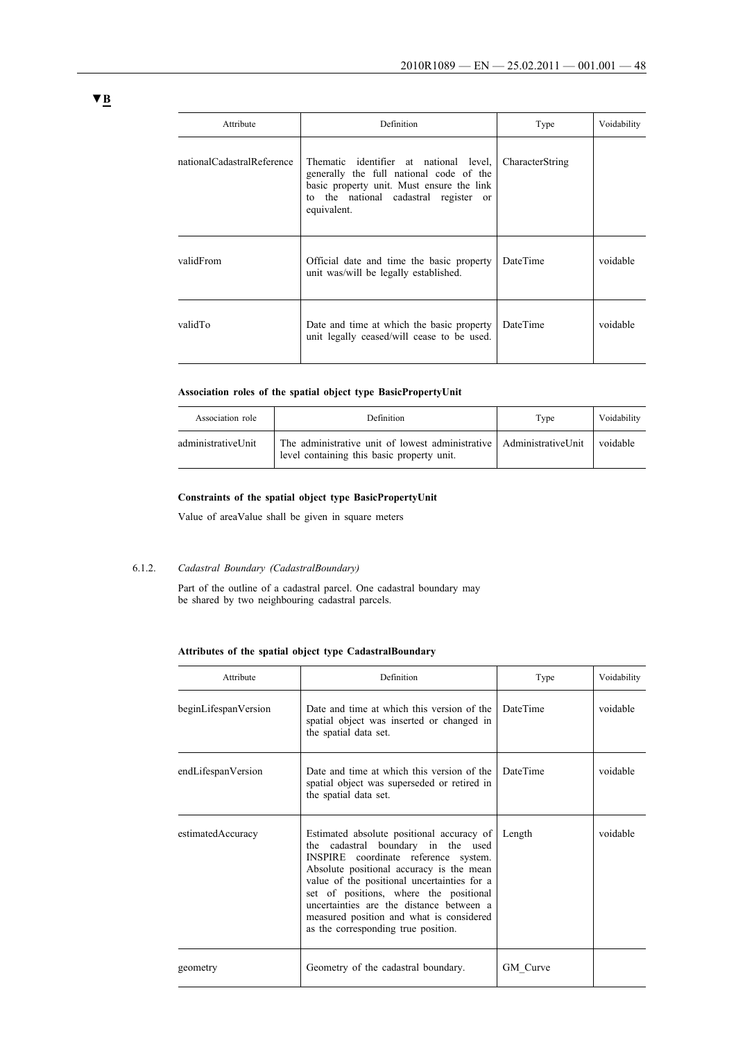| Attribute                  | Definition                                                                                                                                                                             | Type            | Voidability |
|----------------------------|----------------------------------------------------------------------------------------------------------------------------------------------------------------------------------------|-----------------|-------------|
| nationalCadastralReference | Thematic identifier at national level,<br>generally the full national code of the<br>basic property unit. Must ensure the link<br>to the national cadastral register or<br>equivalent. | CharacterString |             |
| validFrom                  | Official date and time the basic property<br>unit was/will be legally established.                                                                                                     | DateTime        | voidable    |
| validTo                    | Date and time at which the basic property<br>unit legally ceased/will cease to be used.                                                                                                | DateTime        | voidable    |

### **Association roles of the spatial object type BasicPropertyUnit**

| Association role   | <b>Definition</b>                                                                                                 | Type | Voidability |
|--------------------|-------------------------------------------------------------------------------------------------------------------|------|-------------|
| administrativeUnit | The administrative unit of lowest administrative AdministrativeUnit<br>level containing this basic property unit. |      | voidable    |

### **Constraints of the spatial object type BasicPropertyUnit**

Value of areaValue shall be given in square meters

#### 6.1.2. *Cadastral Boundary (CadastralBoundary)*

Part of the outline of a cadastral parcel. One cadastral boundary may be shared by two neighbouring cadastral parcels.

#### **Attributes of the spatial object type CadastralBoundary**

| Attribute            | Definition                                                                                                                                                                                                                                                                                                                                                                                  | Type            | Voidability |
|----------------------|---------------------------------------------------------------------------------------------------------------------------------------------------------------------------------------------------------------------------------------------------------------------------------------------------------------------------------------------------------------------------------------------|-----------------|-------------|
| beginLifespanVersion | Date and time at which this version of the<br>spatial object was inserted or changed in<br>the spatial data set.                                                                                                                                                                                                                                                                            | <b>DateTime</b> | voidable    |
| endLifespanVersion   | Date and time at which this version of the<br>spatial object was superseded or retired in<br>the spatial data set.                                                                                                                                                                                                                                                                          | <b>DateTime</b> | voidable    |
| estimatedAccuracy    | Estimated absolute positional accuracy of<br>the cadastral boundary in the used<br>INSPIRE coordinate reference system.<br>Absolute positional accuracy is the mean<br>value of the positional uncertainties for a<br>set of positions, where the positional<br>uncertainties are the distance between a<br>measured position and what is considered<br>as the corresponding true position. | Length          | voidable    |
| geometry             | Geometry of the cadastral boundary.                                                                                                                                                                                                                                                                                                                                                         | GM Curve        |             |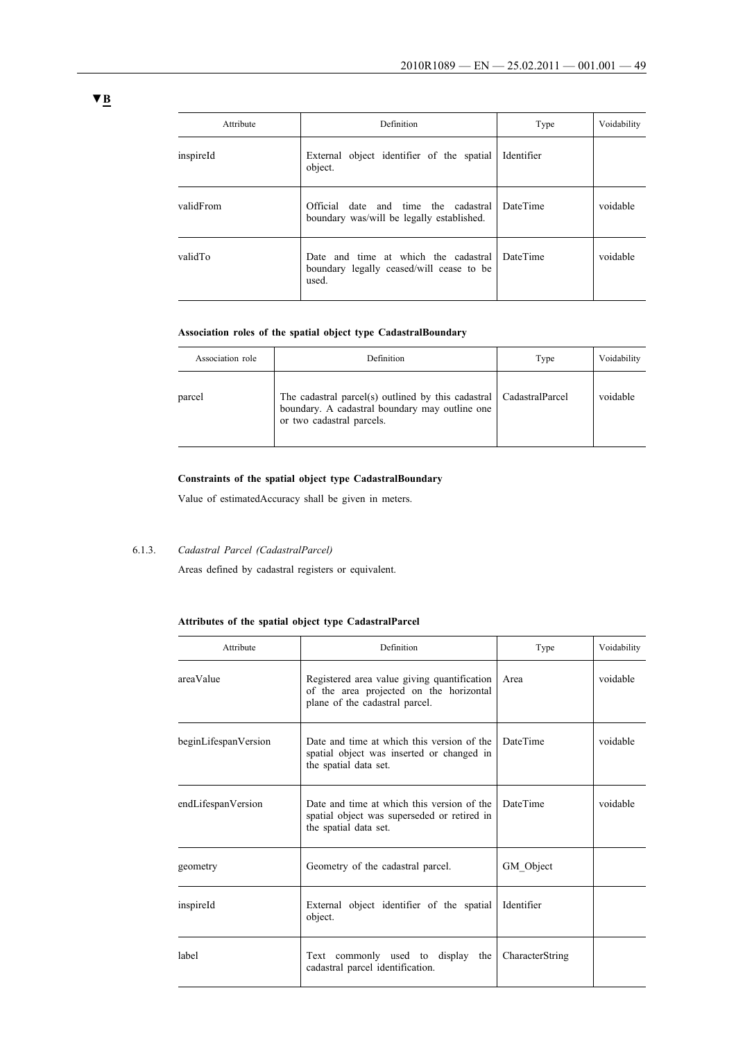| Attribute | Definition                                                                                | Type            | Voidability |
|-----------|-------------------------------------------------------------------------------------------|-----------------|-------------|
| inspireId | External object identifier of the spatial<br>object.                                      | Identifier      |             |
| validFrom | Official date and time the cadastral<br>boundary was/will be legally established.         | <b>DateTime</b> | voidable    |
| validTo   | Date and time at which the cadastral<br>boundary legally ceased/will cease to be<br>used. | <b>DateTime</b> | voidable    |

### **Association roles of the spatial object type CadastralBoundary**

| Association role | Definition                                                                                                                                          | Type | Voidability |
|------------------|-----------------------------------------------------------------------------------------------------------------------------------------------------|------|-------------|
| parcel           | The cadastral parcel(s) outlined by this cadastral   CadastralParcel<br>boundary. A cadastral boundary may outline one<br>or two cadastral parcels. |      | voidable    |

### **Constraints of the spatial object type CadastralBoundary**

Value of estimatedAccuracy shall be given in meters.

# 6.1.3. *Cadastral Parcel (CadastralParcel)*

Areas defined by cadastral registers or equivalent.

### **Attributes of the spatial object type CadastralParcel**

| Attribute            | Definition                                                                                                               | Type            | Voidability |
|----------------------|--------------------------------------------------------------------------------------------------------------------------|-----------------|-------------|
| areaValue            | Registered area value giving quantification<br>of the area projected on the horizontal<br>plane of the cadastral parcel. | Area            | voidable    |
| beginLifespanVersion | Date and time at which this version of the<br>spatial object was inserted or changed in<br>the spatial data set.         | <b>DateTime</b> | voidable    |
| endLifespanVersion   | Date and time at which this version of the<br>spatial object was superseded or retired in<br>the spatial data set.       | <b>DateTime</b> | voidable    |
| geometry             | Geometry of the cadastral parcel.                                                                                        | GM Object       |             |
| inspireId            | External object identifier of the spatial<br>object.                                                                     | Identifier      |             |
| label                | Text commonly used to display the<br>cadastral parcel identification.                                                    | CharacterString |             |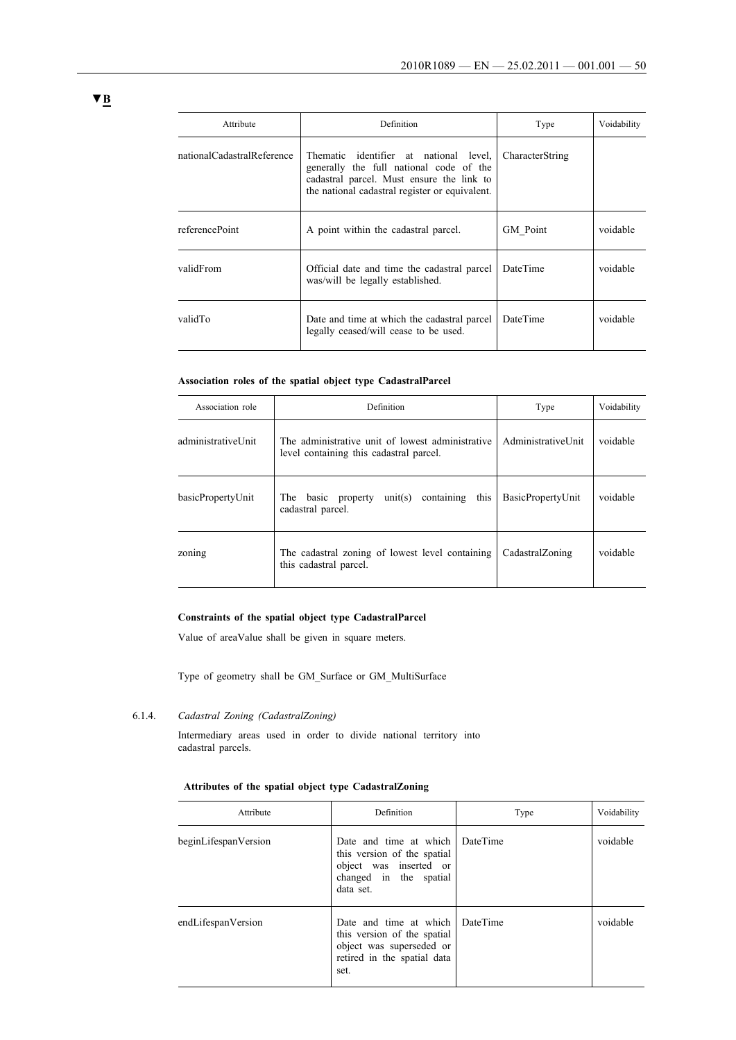| Attribute                  | <b>Definition</b>                                                                                                                                                                | Type            | Voidability |
|----------------------------|----------------------------------------------------------------------------------------------------------------------------------------------------------------------------------|-----------------|-------------|
| nationalCadastralReference | Thematic identifier at national level,<br>generally the full national code of the<br>cadastral parcel. Must ensure the link to<br>the national cadastral register or equivalent. | CharacterString |             |
| referencePoint             | A point within the cadastral parcel.                                                                                                                                             | GM Point        | voidable    |
| validFrom                  | Official date and time the cadastral parcel<br>was/will be legally established.                                                                                                  | DateTime        | voidable    |
| validTo                    | Date and time at which the cadastral parcel<br>legally ceased/will cease to be used.                                                                                             | DateTime        | voidable    |

#### **Association roles of the spatial object type CadastralParcel**

| Association role     | Definition                                                                                  | Type                 | Voidability |
|----------------------|---------------------------------------------------------------------------------------------|----------------------|-------------|
| administrativel Init | The administrative unit of lowest administrative<br>level containing this cadastral parcel. | Administrativel Init | voidable    |
| basicPropertyUnit    | containing<br>this<br>unit(s)<br>The<br>basic<br>property<br>cadastral parcel.              | BasicPropertyUnit    | voidable    |
| zoning               | The cadastral zoning of lowest level containing<br>this cadastral parcel.                   | CadastralZoning      | voidable    |

### **Constraints of the spatial object type CadastralParcel**

Value of areaValue shall be given in square meters.

Type of geometry shall be GM\_Surface or GM\_MultiSurface

6.1.4. *Cadastral Zoning (CadastralZoning)*

Intermediary areas used in order to divide national territory into cadastral parcels.

#### **Attributes of the spatial object type CadastralZoning**

| Attribute            | Definition                                                                                                                        | Type | Voidability |
|----------------------|-----------------------------------------------------------------------------------------------------------------------------------|------|-------------|
| beginLifespanVersion | Date and time at which DateTime<br>this version of the spatial<br>object was inserted or<br>changed in the spatial<br>data set.   |      | voidable    |
| endLifespanVersion   | Date and time at which DateTime<br>this version of the spatial<br>object was superseded or<br>retired in the spatial data<br>set. |      | voidable    |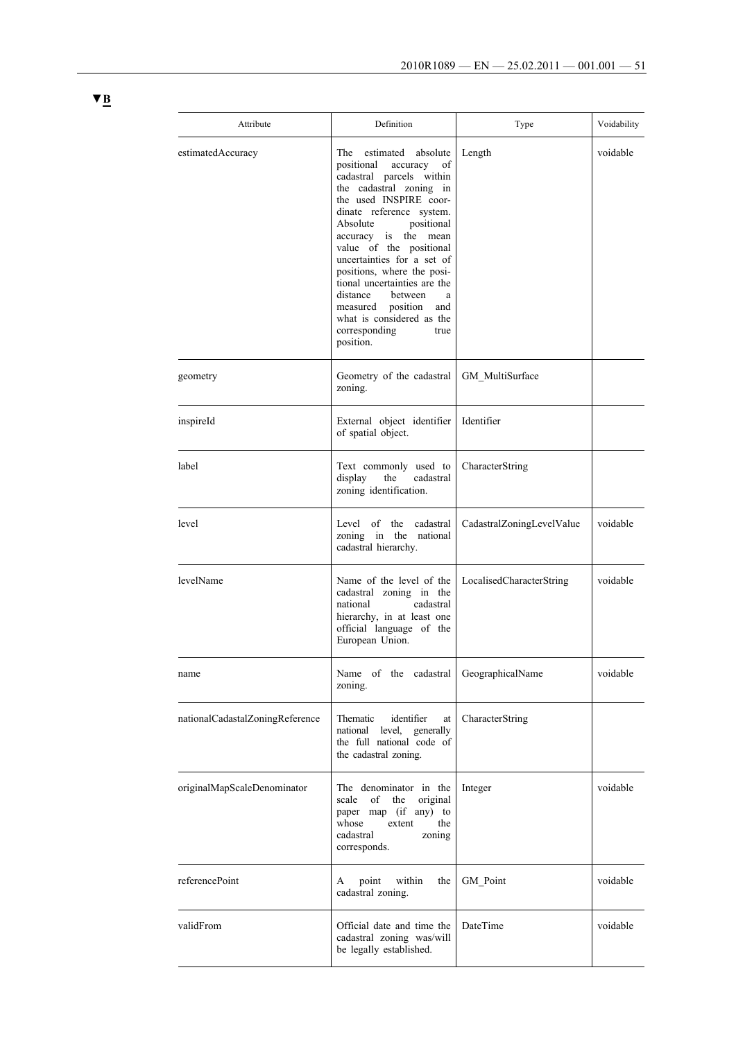| Attribute                       | Definition                                                                                                                                                                                                                                                                                                                                                                                                                                                                          | Type                      | Voidability |
|---------------------------------|-------------------------------------------------------------------------------------------------------------------------------------------------------------------------------------------------------------------------------------------------------------------------------------------------------------------------------------------------------------------------------------------------------------------------------------------------------------------------------------|---------------------------|-------------|
| estimatedAccuracy               | The<br>estimated<br>absolute<br>positional<br>accuracy<br>of<br>cadastral parcels within<br>the cadastral zoning in<br>the used INSPIRE coor-<br>dinate reference system.<br>Absolute<br>positional<br>the mean<br>accuracy is<br>value of the positional<br>uncertainties for a set of<br>positions, where the posi-<br>tional uncertainties are the<br>distance<br>between<br>a<br>measured<br>position<br>and<br>what is considered as the<br>corresponding<br>true<br>position. | Length                    | voidable    |
| geometry                        | Geometry of the cadastral<br>zoning.                                                                                                                                                                                                                                                                                                                                                                                                                                                | GM_MultiSurface           |             |
| inspireId                       | External object identifier<br>of spatial object.                                                                                                                                                                                                                                                                                                                                                                                                                                    | Identifier                |             |
| label                           | Text commonly used to<br>display<br>the<br>cadastral<br>zoning identification.                                                                                                                                                                                                                                                                                                                                                                                                      | <b>CharacterString</b>    |             |
| level                           | Level of<br>the<br>cadastral<br>zoning in the<br>national<br>cadastral hierarchy.                                                                                                                                                                                                                                                                                                                                                                                                   | CadastralZoningLevelValue | voidable    |
| levelName                       | Name of the level of the<br>cadastral zoning in the<br>national<br>cadastral<br>hierarchy, in at least one<br>official language of the<br>European Union.                                                                                                                                                                                                                                                                                                                           | LocalisedCharacterString  | voidable    |
| name                            | Name of the cadastral<br>zoning.                                                                                                                                                                                                                                                                                                                                                                                                                                                    | GeographicalName          | voidable    |
| nationalCadastalZoningReference | identifier<br>Thematic<br>at<br>national level,<br>generally<br>the full national code of<br>the cadastral zoning.                                                                                                                                                                                                                                                                                                                                                                  | CharacterString           |             |
| originalMapScaleDenominator     | The denominator in the<br>original<br>scale<br>of<br>the<br>paper map (if any) to<br>whose<br>extent<br>the<br>cadastral<br>zoning<br>corresponds.                                                                                                                                                                                                                                                                                                                                  | Integer                   | voidable    |
| referencePoint                  | within<br>point<br>the<br>A<br>cadastral zoning.                                                                                                                                                                                                                                                                                                                                                                                                                                    | GM Point                  | voidable    |
| validFrom                       | Official date and time the<br>cadastral zoning was/will<br>be legally established.                                                                                                                                                                                                                                                                                                                                                                                                  | DateTime                  | voidable    |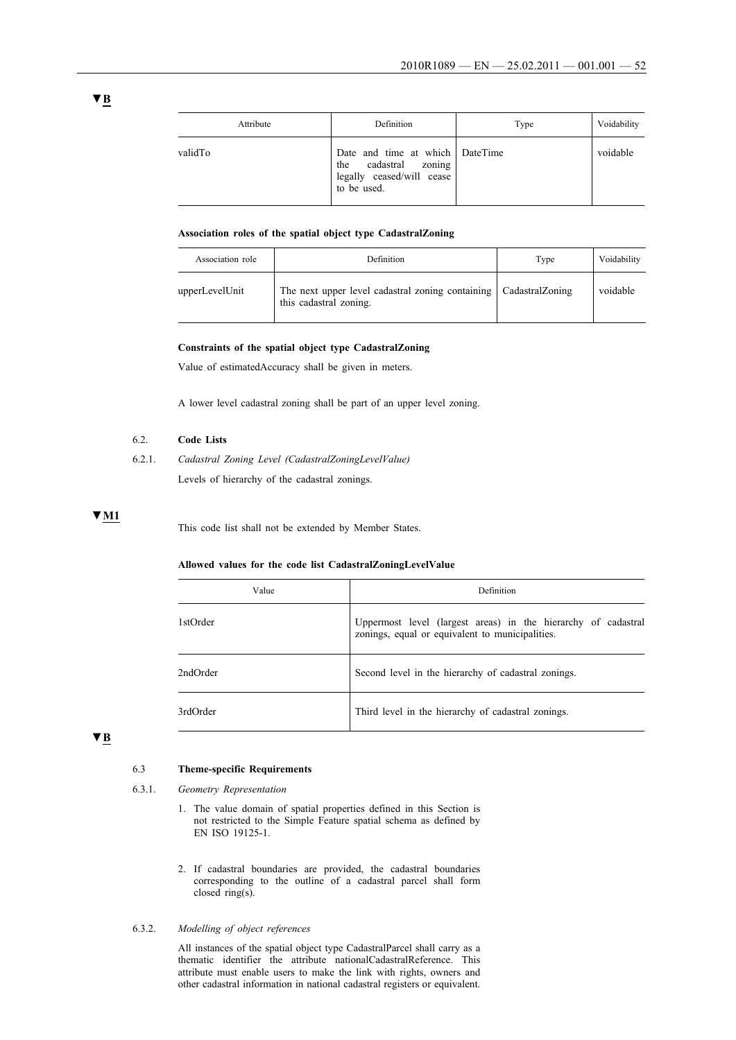| Attribute | Definition                                                                                               | Type | Voidability |
|-----------|----------------------------------------------------------------------------------------------------------|------|-------------|
| validTo   | Date and time at which   DateTime<br>cadastral zoning<br>the<br>legally ceased/will cease<br>to be used. |      | voidable    |

#### **Association roles of the spatial object type CadastralZoning**

| Association role | Definition                                                                                    | Type | Voidability |
|------------------|-----------------------------------------------------------------------------------------------|------|-------------|
| upperLevelUnit   | The next upper level cadastral zoning containing   Cadastral Zoning<br>this cadastral zoning. |      | voidable    |

#### **Constraints of the spatial object type CadastralZoning**

Value of estimatedAccuracy shall be given in meters.

A lower level cadastral zoning shall be part of an upper level zoning.

### 6.2. **Code Lists**

6.2.1. *Cadastral Zoning Level (CadastralZoningLevelValue)* Levels of hierarchy of the cadastral zonings.

# **▼M1**

This code list shall not be extended by Member States.

#### **Allowed values for the code list CadastralZoningLevelValue**

| Value    | Definition                                                                                                       |
|----------|------------------------------------------------------------------------------------------------------------------|
| 1stOrder | Uppermost level (largest areas) in the hierarchy of cadastral<br>zonings, equal or equivalent to municipalities. |
| 2ndOrder | Second level in the hierarchy of cadastral zonings.                                                              |
| 3rdOrder | Third level in the hierarchy of cadastral zonings.                                                               |

# **▼B**

#### 6.3 **Theme-specific Requirements**

- 6.3.1. *Geometry Representation*
	- 1. The value domain of spatial properties defined in this Section is not restricted to the Simple Feature spatial schema as defined by EN ISO 19125-1.
	- 2. If cadastral boundaries are provided, the cadastral boundaries corresponding to the outline of a cadastral parcel shall form closed ring(s).

#### 6.3.2. *Modelling of object references*

All instances of the spatial object type CadastralParcel shall carry as a thematic identifier the attribute nationalCadastralReference. This attribute must enable users to make the link with rights, owners and other cadastral information in national cadastral registers or equivalent.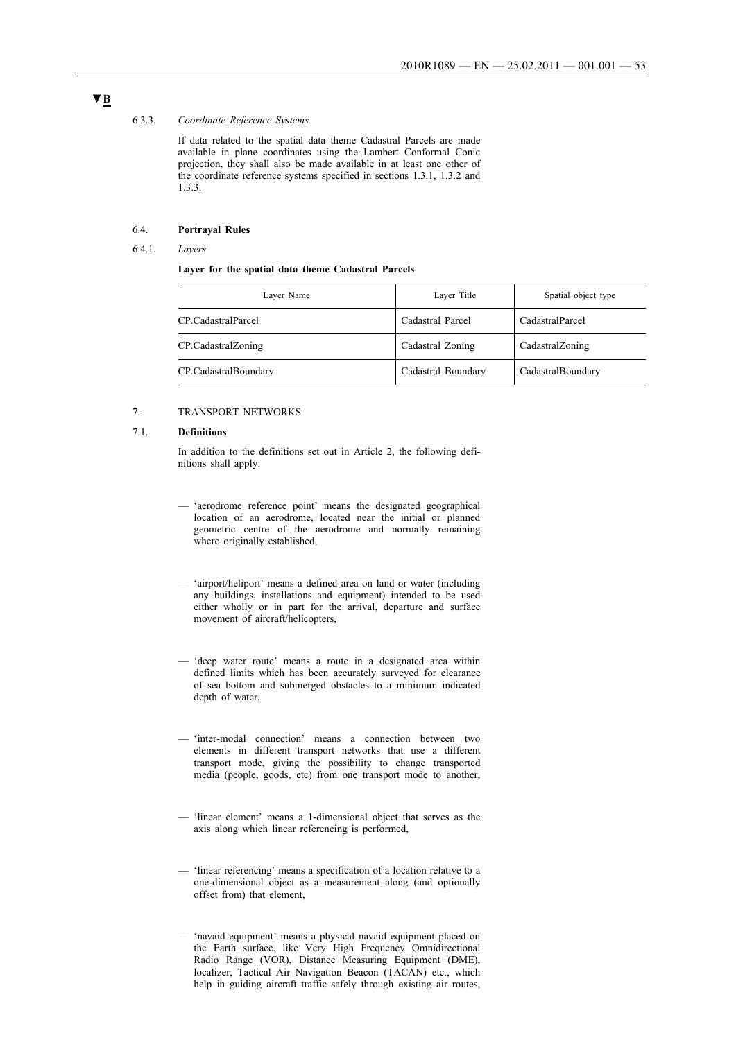#### 6.3.3. *Coordinate Reference Systems*

If data related to the spatial data theme Cadastral Parcels are made available in plane coordinates using the Lambert Conformal Conic projection, they shall also be made available in at least one other of the coordinate reference systems specified in sections 1.3.1, 1.3.2 and 1.3.3.

#### 6.4. **Portrayal Rules**

#### 6.4.1. *Layers*

#### **Layer for the spatial data theme Cadastral Parcels**

| Layer Name           | Layer Title        | Spatial object type |
|----------------------|--------------------|---------------------|
| CP CadastralParcel   | Cadastral Parcel   | CadastralParcel     |
| CP.CadastralZoning   | Cadastral Zoning   | CadastralZoning     |
| CP.CadastralBoundary | Cadastral Boundary | CadastralBoundary   |

#### 7. TRANSPORT NETWORKS

#### 7.1. **Definitions**

In addition to the definitions set out in Article 2, the following definitions shall apply:

- 'aerodrome reference point' means the designated geographical location of an aerodrome, located near the initial or planned geometric centre of the aerodrome and normally remaining where originally established,
- 'airport/heliport' means a defined area on land or water (including any buildings, installations and equipment) intended to be used either wholly or in part for the arrival, departure and surface movement of aircraft/helicopters,
- 'deep water route' means a route in a designated area within defined limits which has been accurately surveyed for clearance of sea bottom and submerged obstacles to a minimum indicated depth of water,
- 'inter-modal connection' means a connection between two elements in different transport networks that use a different transport mode, giving the possibility to change transported media (people, goods, etc) from one transport mode to another,
- 'linear element' means a 1-dimensional object that serves as the axis along which linear referencing is performed,
- 'linear referencing' means a specification of a location relative to a one-dimensional object as a measurement along (and optionally offset from) that element,
- 'navaid equipment' means a physical navaid equipment placed on the Earth surface, like Very High Frequency Omnidirectional Radio Range (VOR), Distance Measuring Equipment (DME), localizer, Tactical Air Navigation Beacon (TACAN) etc., which help in guiding aircraft traffic safely through existing air routes,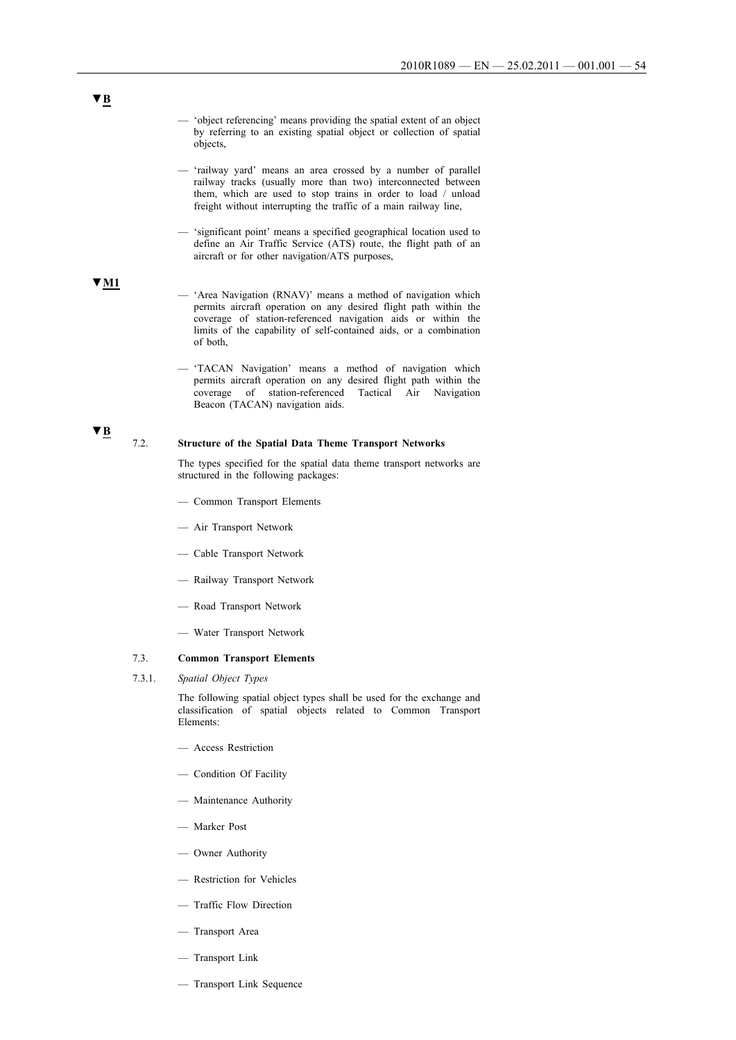- 'object referencing' means providing the spatial extent of an object by referring to an existing spatial object or collection of spatial objects,
- 'railway yard' means an area crossed by a number of parallel railway tracks (usually more than two) interconnected between them, which are used to stop trains in order to load / unload freight without interrupting the traffic of a main railway line,
- 'significant point' means a specified geographical location used to define an Air Traffic Service (ATS) route, the flight path of an aircraft or for other navigation/ATS purposes,

### **▼M1**

- 'Area Navigation (RNAV)' means a method of navigation which permits aircraft operation on any desired flight path within the coverage of station-referenced navigation aids or within the limits of the capability of self-contained aids, or a combination of both,
- 'TACAN Navigation' means a method of navigation which permits aircraft operation on any desired flight path within the coverage of station-referenced Tactical Air Navigation  $\frac{1}{\text{coversed}}$  of station-referenced Beacon (TACAN) navigation aids.

# **▼B**

#### 7.2. **Structure of the Spatial Data Theme Transport Networks**

The types specified for the spatial data theme transport networks are structured in the following packages:

- Common Transport Elements
- Air Transport Network
- Cable Transport Network
- Railway Transport Network
- Road Transport Network
- Water Transport Network

#### 7.3. **Common Transport Elements**

7.3.1. *Spatial Object Types*

The following spatial object types shall be used for the exchange and classification of spatial objects related to Common Transport Elements:

- Access Restriction
- Condition Of Facility
- Maintenance Authority
- Marker Post
- Owner Authority
- Restriction for Vehicles
- Traffic Flow Direction
- Transport Area
- Transport Link
- Transport Link Sequence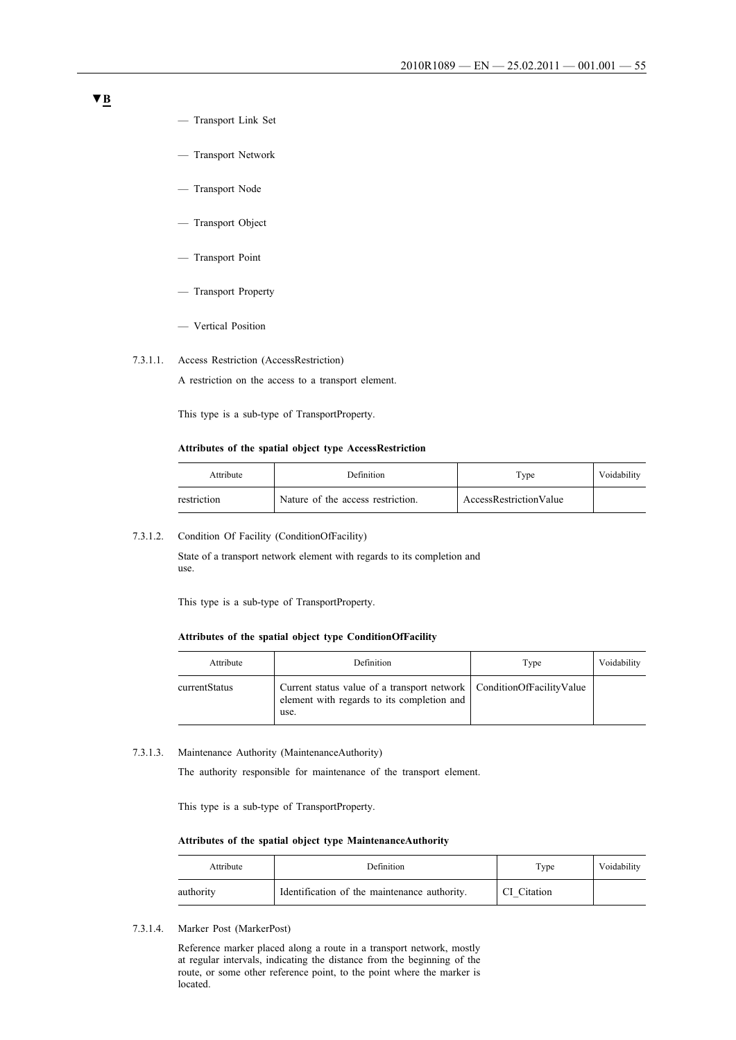- Transport Link Set
- Transport Network
- Transport Node
- Transport Object
- Transport Point
- Transport Property
- Vertical Position

#### 7.3.1.1. Access Restriction (AccessRestriction)

A restriction on the access to a transport element.

This type is a sub-type of TransportProperty.

#### **Attributes of the spatial object type AccessRestriction**

| Attribute   | Definition                        | Type                   | Voidability |
|-------------|-----------------------------------|------------------------|-------------|
| restriction | Nature of the access restriction. | AccessRestrictionValue |             |

#### 7.3.1.2. Condition Of Facility (ConditionOfFacility)

State of a transport network element with regards to its completion and use.

This type is a sub-type of TransportProperty.

#### **Attributes of the spatial object type ConditionOfFacility**

| Attribute     | Definition                                                                                                                   | Type | Voidability |
|---------------|------------------------------------------------------------------------------------------------------------------------------|------|-------------|
| currentStatus | Current status value of a transport network   ConditionOfFacilityValue<br>element with regards to its completion and<br>use. |      |             |

#### 7.3.1.3. Maintenance Authority (MaintenanceAuthority)

The authority responsible for maintenance of the transport element.

This type is a sub-type of TransportProperty.

#### **Attributes of the spatial object type MaintenanceAuthority**

| Attribute | Definition                                   | Type        | Voidability |
|-----------|----------------------------------------------|-------------|-------------|
| authority | Identification of the maintenance authority. | CI Citation |             |

7.3.1.4. Marker Post (MarkerPost)

Reference marker placed along a route in a transport network, mostly at regular intervals, indicating the distance from the beginning of the route, or some other reference point, to the point where the marker is located.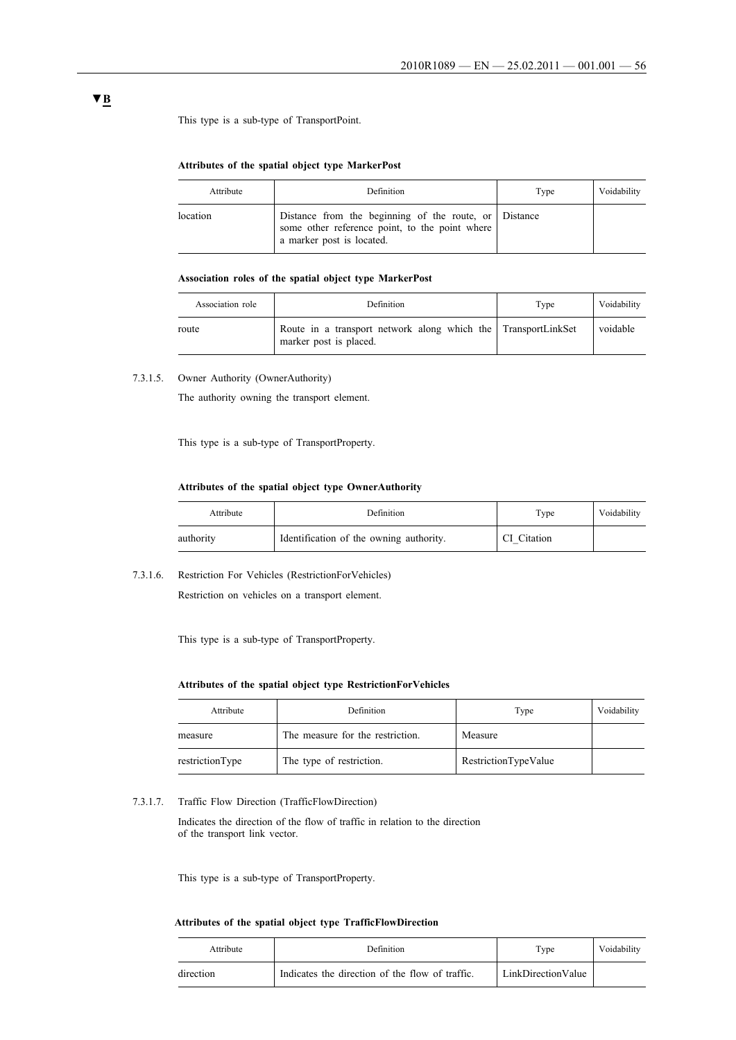This type is a sub-type of TransportPoint.

#### **Attributes of the spatial object type MarkerPost**

| Attribute | <b>Definition</b>                                                                                                                    | Type | Voidability |
|-----------|--------------------------------------------------------------------------------------------------------------------------------------|------|-------------|
| location  | Distance from the beginning of the route, or Distance<br>some other reference point, to the point where<br>a marker post is located. |      |             |

# **Association roles of the spatial object type MarkerPost**

| Association role | Definition                                                                              | Type | Voidability |
|------------------|-----------------------------------------------------------------------------------------|------|-------------|
| route            | Route in a transport network along which the TransportLinkSet<br>marker post is placed. |      | voidable    |

7.3.1.5. Owner Authority (OwnerAuthority)

The authority owning the transport element.

This type is a sub-type of TransportProperty.

#### **Attributes of the spatial object type OwnerAuthority**

| Attribute | Definition                              | Type        | Voidability |
|-----------|-----------------------------------------|-------------|-------------|
| authority | Identification of the owning authority. | CI Citation |             |

7.3.1.6. Restriction For Vehicles (RestrictionForVehicles)

Restriction on vehicles on a transport element.

This type is a sub-type of TransportProperty.

### **Attributes of the spatial object type RestrictionForVehicles**

| Attribute       | Definition                       | Type                 | Voidability |
|-----------------|----------------------------------|----------------------|-------------|
| measure         | The measure for the restriction. | Measure              |             |
| restrictionType | The type of restriction.         | RestrictionTypeValue |             |

#### 7.3.1.7. Traffic Flow Direction (TrafficFlowDirection)

Indicates the direction of the flow of traffic in relation to the direction of the transport link vector.

This type is a sub-type of TransportProperty.

#### **Attributes of the spatial object type TrafficFlowDirection**

| Attribute | Definition                                      | Type               | Voidability |
|-----------|-------------------------------------------------|--------------------|-------------|
| direction | Indicates the direction of the flow of traffic. | LinkDirectionValue |             |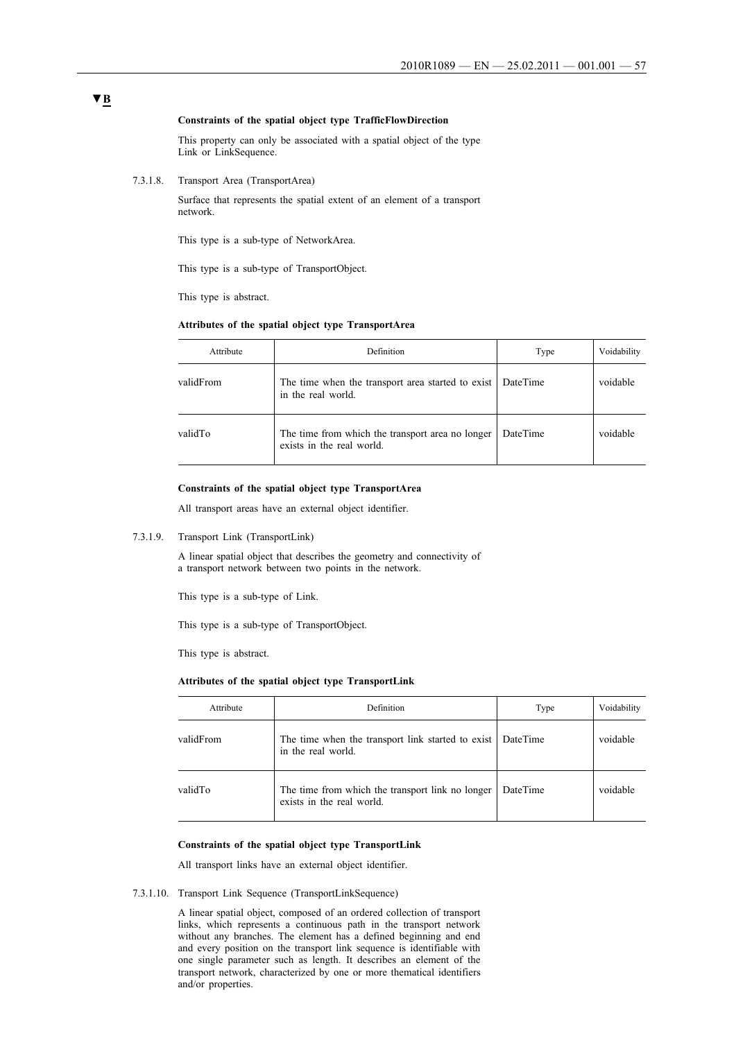#### **Constraints of the spatial object type TrafficFlowDirection**

This property can only be associated with a spatial object of the type Link or LinkSequence.

7.3.1.8. Transport Area (TransportArea)

Surface that represents the spatial extent of an element of a transport network.

This type is a sub-type of NetworkArea.

This type is a sub-type of TransportObject.

This type is abstract.

#### **Attributes of the spatial object type TransportArea**

| Attribute | Definition                                                                    | Type     | Voidability |
|-----------|-------------------------------------------------------------------------------|----------|-------------|
| validFrom | The time when the transport area started to exist<br>in the real world.       | DateTime | voidable    |
| validTo   | The time from which the transport area no longer<br>exists in the real world. | DateTime | voidable    |

#### **Constraints of the spatial object type TransportArea**

All transport areas have an external object identifier.

#### 7.3.1.9. Transport Link (TransportLink)

A linear spatial object that describes the geometry and connectivity of a transport network between two points in the network.

This type is a sub-type of Link.

This type is a sub-type of TransportObject.

This type is abstract.

#### **Attributes of the spatial object type TransportLink**

| Attribute | Definition                                                                    | Type     | Voidability |
|-----------|-------------------------------------------------------------------------------|----------|-------------|
| validFrom | The time when the transport link started to exist<br>in the real world.       | DateTime | voidable    |
| validTo   | The time from which the transport link no longer<br>exists in the real world. | DateTime | voidable    |

#### **Constraints of the spatial object type TransportLink**

All transport links have an external object identifier.

7.3.1.10. Transport Link Sequence (TransportLinkSequence)

A linear spatial object, composed of an ordered collection of transport links, which represents a continuous path in the transport network without any branches. The element has a defined beginning and end and every position on the transport link sequence is identifiable with one single parameter such as length. It describes an element of the transport network, characterized by one or more thematical identifiers and/or properties.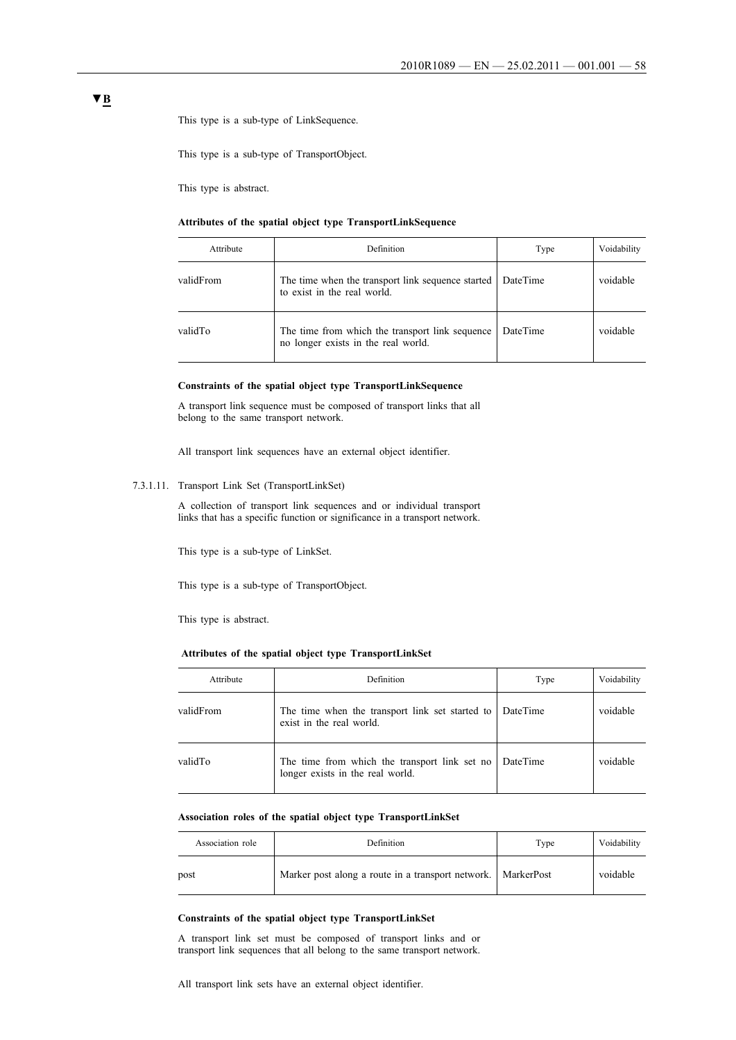This type is a sub-type of LinkSequence.

This type is a sub-type of TransportObject.

This type is abstract.

#### **Attributes of the spatial object type TransportLinkSequence**

| Attribute | <b>Definition</b>                                                                      | Type     | Voidability |
|-----------|----------------------------------------------------------------------------------------|----------|-------------|
| validFrom | The time when the transport link sequence started<br>to exist in the real world.       | DateTime | voidable    |
| validTo   | The time from which the transport link sequence<br>no longer exists in the real world. | DateTime | voidable    |

#### **Constraints of the spatial object type TransportLinkSequence**

A transport link sequence must be composed of transport links that all belong to the same transport network.

All transport link sequences have an external object identifier.

7.3.1.11. Transport Link Set (TransportLinkSet)

A collection of transport link sequences and or individual transport links that has a specific function or significance in a transport network.

This type is a sub-type of LinkSet.

This type is a sub-type of TransportObject.

This type is abstract.

**Attributes of the spatial object type TransportLinkSet**

| Attribute | Definition                                                                        | Type     | Voidability |
|-----------|-----------------------------------------------------------------------------------|----------|-------------|
| validFrom | The time when the transport link set started to<br>exist in the real world.       | DateTime | voidable    |
| validTo   | The time from which the transport link set no<br>longer exists in the real world. | DateTime | voidable    |

### **Association roles of the spatial object type TransportLinkSet**

| Association role | Definition                                                   | Type | Voidability |
|------------------|--------------------------------------------------------------|------|-------------|
| post             | Marker post along a route in a transport network. MarkerPost |      | voidable    |

#### **Constraints of the spatial object type TransportLinkSet**

A transport link set must be composed of transport links and or transport link sequences that all belong to the same transport network.

All transport link sets have an external object identifier.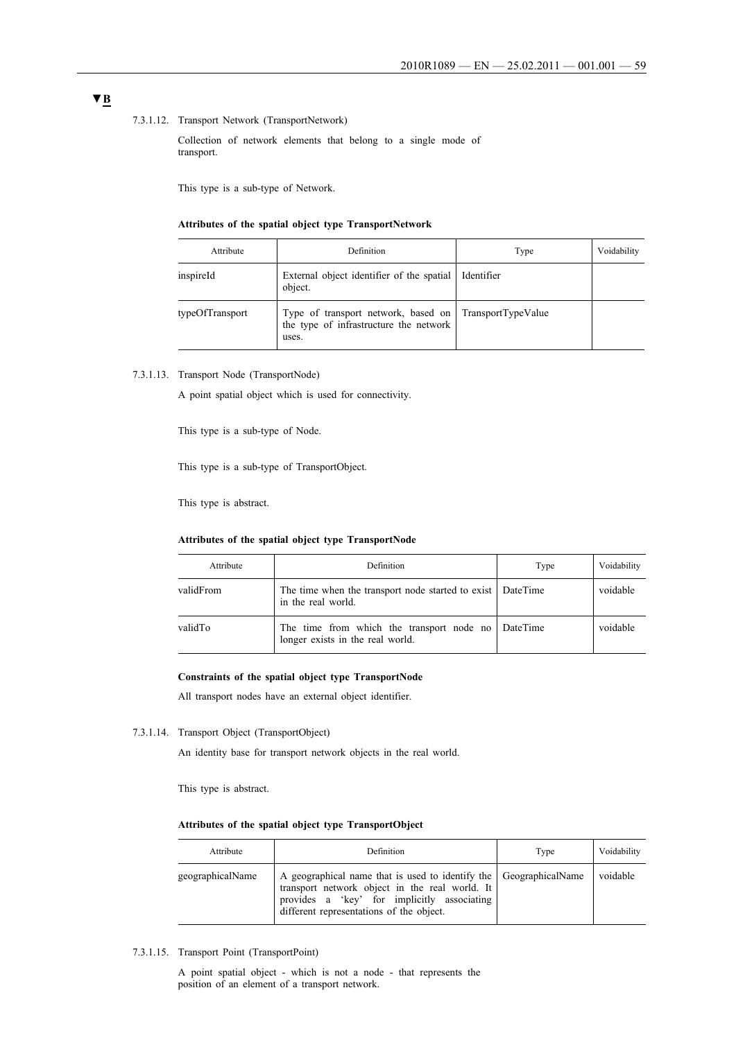#### 7.3.1.12. Transport Network (TransportNetwork)

Collection of network elements that belong to a single mode of transport.

This type is a sub-type of Network.

#### **Attributes of the spatial object type TransportNetwork**

| Attribute       | Definition                                                                                                | Type       | Voidability |
|-----------------|-----------------------------------------------------------------------------------------------------------|------------|-------------|
| inspireId       | External object identifier of the spatial<br>object.                                                      | Identifier |             |
| typeOfTransport | Type of transport network, based on TransportTypeValue<br>the type of infrastructure the network<br>uses. |            |             |

7.3.1.13. Transport Node (TransportNode)

A point spatial object which is used for connectivity.

This type is a sub-type of Node.

This type is a sub-type of TransportObject.

This type is abstract.

### **Attributes of the spatial object type TransportNode**

| Attribute | Definition                                                                         | Type     | Voidability |
|-----------|------------------------------------------------------------------------------------|----------|-------------|
| validFrom | The time when the transport node started to exist   DateTime<br>in the real world. |          | voidable    |
| validTo   | The time from which the transport node no<br>longer exists in the real world.      | DateTime | voidable    |

#### **Constraints of the spatial object type TransportNode**

All transport nodes have an external object identifier.

#### 7.3.1.14. Transport Object (TransportObject)

An identity base for transport network objects in the real world.

This type is abstract.

#### **Attributes of the spatial object type TransportObject**

| Attribute        | Definition                                                                                                                                                                                                     | Type | Voidability |
|------------------|----------------------------------------------------------------------------------------------------------------------------------------------------------------------------------------------------------------|------|-------------|
| geographicalName | A geographical name that is used to identify the GeographicalName<br>transport network object in the real world. It<br>provides a 'key' for implicitly associating<br>different representations of the object. |      | voidable    |

### 7.3.1.15. Transport Point (TransportPoint)

A point spatial object - which is not a node - that represents the position of an element of a transport network.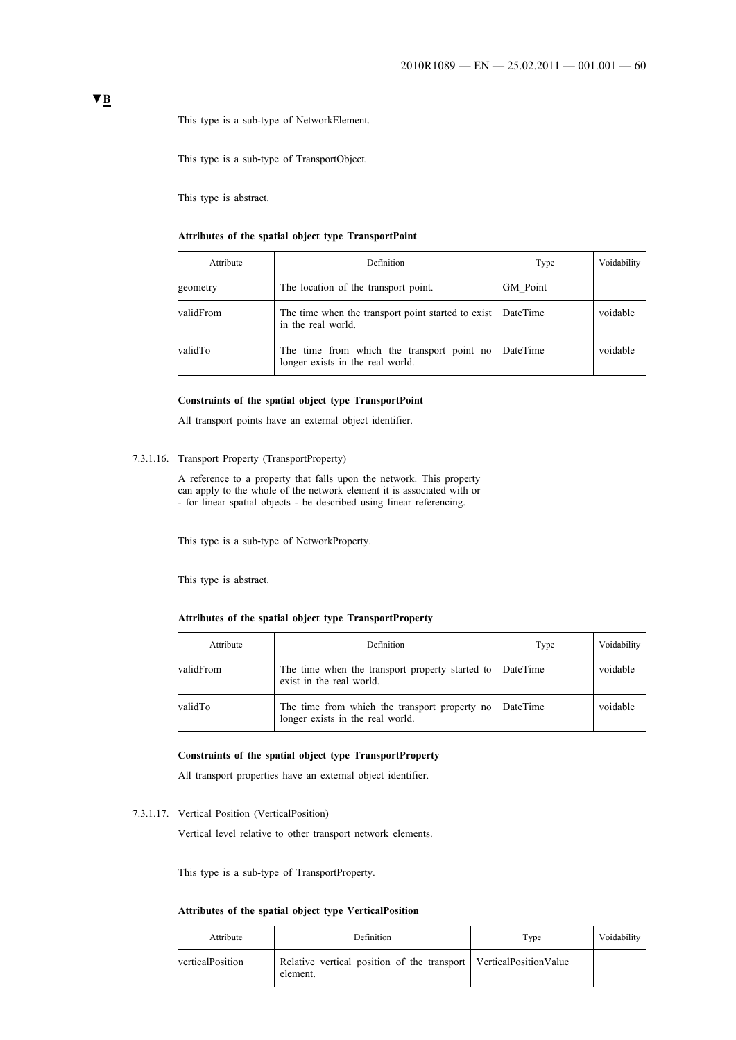This type is a sub-type of NetworkElement.

This type is a sub-type of TransportObject.

This type is abstract.

### **Attributes of the spatial object type TransportPoint**

| Attribute | Definition                                                                     | Type     | Voidability |
|-----------|--------------------------------------------------------------------------------|----------|-------------|
| geometry  | The location of the transport point.                                           | GM Point |             |
| validFrom | The time when the transport point started to exist<br>in the real world.       | DateTime | voidable    |
| validTo   | The time from which the transport point no<br>longer exists in the real world. | DateTime | voidable    |

#### **Constraints of the spatial object type TransportPoint**

All transport points have an external object identifier.

#### 7.3.1.16. Transport Property (TransportProperty)

A reference to a property that falls upon the network. This property can apply to the whole of the network element it is associated with or - for linear spatial objects - be described using linear referencing.

This type is a sub-type of NetworkProperty.

This type is abstract.

### **Attributes of the spatial object type TransportProperty**

| Attribute | Definition                                                                           | Type     | Voidability |
|-----------|--------------------------------------------------------------------------------------|----------|-------------|
| validFrom | The time when the transport property started to DateTime<br>exist in the real world. |          | voidable    |
| validTo   | The time from which the transport property no<br>longer exists in the real world.    | DateTime | voidable    |

#### **Constraints of the spatial object type TransportProperty**

All transport properties have an external object identifier.

7.3.1.17. Vertical Position (VerticalPosition)

Vertical level relative to other transport network elements.

This type is a sub-type of TransportProperty.

#### **Attributes of the spatial object type VerticalPosition**

| Attribute        | Definition                                                                        | Type | Voidability |
|------------------|-----------------------------------------------------------------------------------|------|-------------|
| verticalPosition | Relative vertical position of the transport   Vertical Position Value<br>element. |      |             |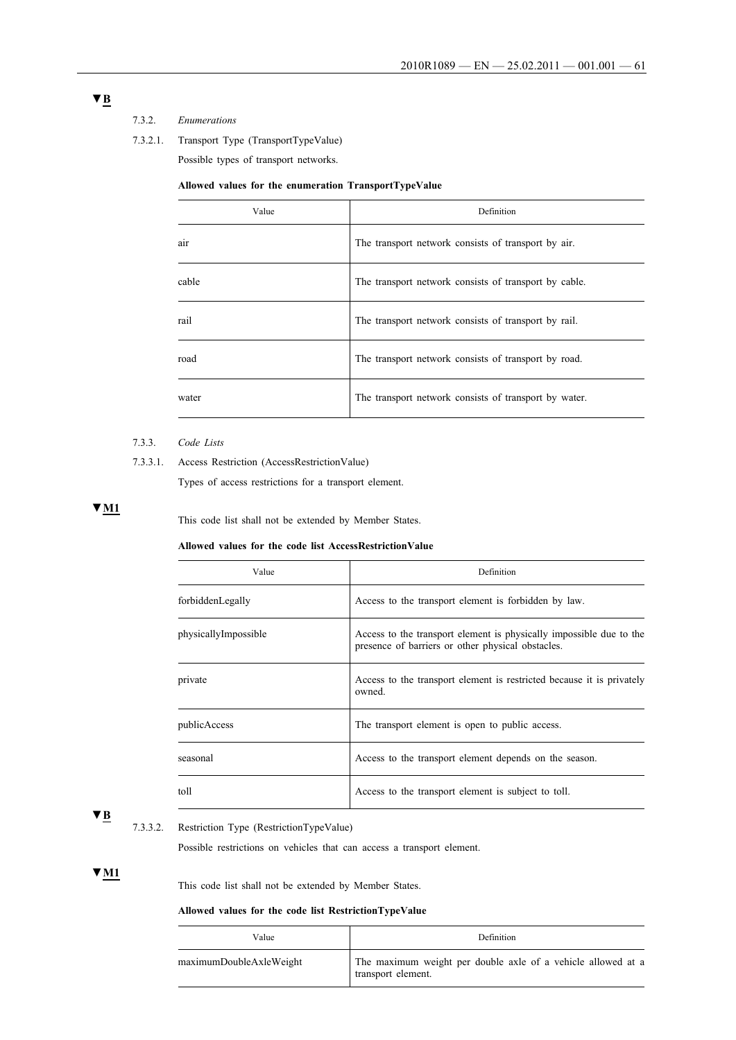# 7.3.2. *Enumerations*

7.3.2.1. Transport Type (TransportTypeValue)

Possible types of transport networks.

### **Allowed values for the enumeration TransportTypeValue**

| Value | Definition                                            |
|-------|-------------------------------------------------------|
| air   | The transport network consists of transport by air.   |
| cable | The transport network consists of transport by cable. |
| rail  | The transport network consists of transport by rail.  |
| road  | The transport network consists of transport by road.  |
| water | The transport network consists of transport by water. |

#### 7.3.3. *Code Lists*

7.3.3.1. Access Restriction (AccessRestrictionValue)

Types of access restrictions for a transport element.

## **▼M1**

This code list shall not be extended by Member States.

#### **Allowed values for the code list AccessRestrictionValue**

| Definition                                                                                                               |
|--------------------------------------------------------------------------------------------------------------------------|
| Access to the transport element is forbidden by law.                                                                     |
| Access to the transport element is physically impossible due to the<br>presence of barriers or other physical obstacles. |
| Access to the transport element is restricted because it is privately<br>owned.                                          |
| The transport element is open to public access.                                                                          |
| Access to the transport element depends on the season.                                                                   |
| Access to the transport element is subject to toll.                                                                      |
|                                                                                                                          |

### **▼B**

### 7.3.3.2. Restriction Type (RestrictionTypeValue)

Possible restrictions on vehicles that can access a transport element.

### **▼M1**

This code list shall not be extended by Member States.

#### **Allowed values for the code list RestrictionTypeValue**

| Value                   | Definition                                                                         |
|-------------------------|------------------------------------------------------------------------------------|
| maximumDoubleAxleWeight | The maximum weight per double axle of a vehicle allowed at a<br>transport element. |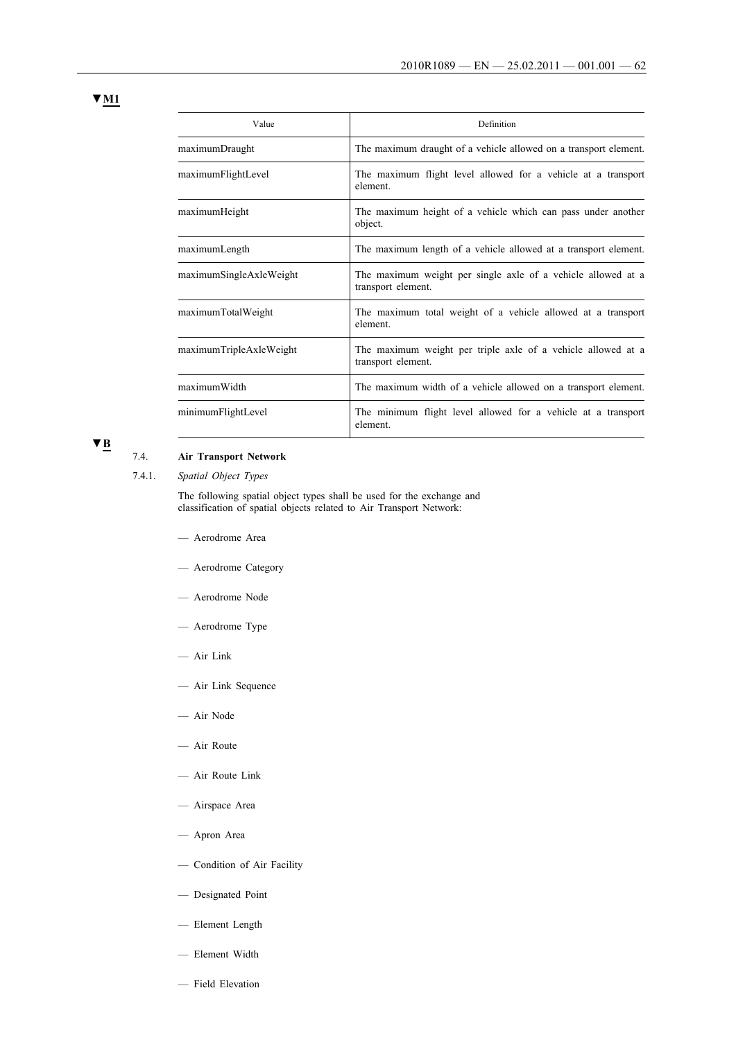**▼M1**

| Value                   | Definition                                                                         |
|-------------------------|------------------------------------------------------------------------------------|
| maximumDraught          | The maximum draught of a vehicle allowed on a transport element.                   |
| maximumFlightLevel      | The maximum flight level allowed for a vehicle at a transport<br>element.          |
| maximumHeight           | The maximum height of a vehicle which can pass under another<br>object.            |
| maximumLength           | The maximum length of a vehicle allowed at a transport element.                    |
| maximumSingleAxleWeight | The maximum weight per single axle of a vehicle allowed at a<br>transport element. |
| maximumTotalWeight      | The maximum total weight of a vehicle allowed at a transport<br>element.           |
| maximumTripleAxleWeight | The maximum weight per triple axle of a vehicle allowed at a<br>transport element. |
| maximumWidth            | The maximum width of a vehicle allowed on a transport element.                     |
| minimumFlightLevel      | The minimum flight level allowed for a vehicle at a transport<br>element.          |

### **▼B**

## 7.4. **Air Transport Network**

7.4.1. *Spatial Object Types*

The following spatial object types shall be used for the exchange and classification of spatial objects related to Air Transport Network:

- Aerodrome Area
- Aerodrome Category
- Aerodrome Node
- Aerodrome Type
- Air Link
- Air Link Sequence
- Air Node
- Air Route
- Air Route Link
- Airspace Area
- Apron Area
- Condition of Air Facility
- Designated Point
- Element Length
- Element Width
- Field Elevation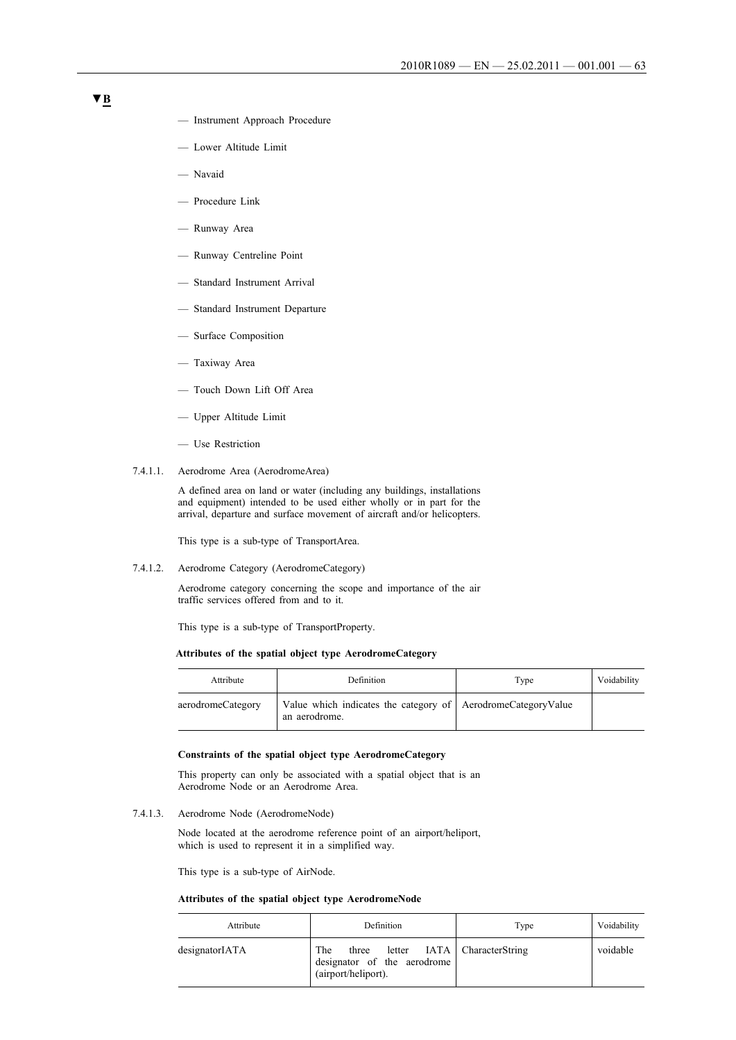- Instrument Approach Procedure
- Lower Altitude Limit
- Navaid
- Procedure Link
- Runway Area
- Runway Centreline Point
- Standard Instrument Arrival
- Standard Instrument Departure
- Surface Composition
- Taxiway Area
- Touch Down Lift Off Area
- Upper Altitude Limit
- Use Restriction
- 7.4.1.1. Aerodrome Area (AerodromeArea)

A defined area on land or water (including any buildings, installations and equipment) intended to be used either wholly or in part for the arrival, departure and surface movement of aircraft and/or helicopters.

This type is a sub-type of TransportArea.

7.4.1.2. Aerodrome Category (AerodromeCategory)

Aerodrome category concerning the scope and importance of the air traffic services offered from and to it.

This type is a sub-type of TransportProperty.

#### **Attributes of the spatial object type AerodromeCategory**

| Attribute         | Definition                                                                      | Type | Voidability |
|-------------------|---------------------------------------------------------------------------------|------|-------------|
| aerodromeCategory | Value which indicates the category of   AerodromeCategoryValue<br>an aerodrome. |      |             |

#### **Constraints of the spatial object type AerodromeCategory**

This property can only be associated with a spatial object that is an Aerodrome Node or an Aerodrome Area.

7.4.1.3. Aerodrome Node (AerodromeNode)

Node located at the aerodrome reference point of an airport/heliport, which is used to represent it in a simplified way.

This type is a sub-type of AirNode.

#### **Attributes of the spatial object type AerodromeNode**

| Attribute      | Definition                                                         | Type                        | Voidability |
|----------------|--------------------------------------------------------------------|-----------------------------|-------------|
| designatorIATA | The<br>three<br>designator of the aerodrome<br>(airport/heliport). | letter IATA CharacterString | voidable    |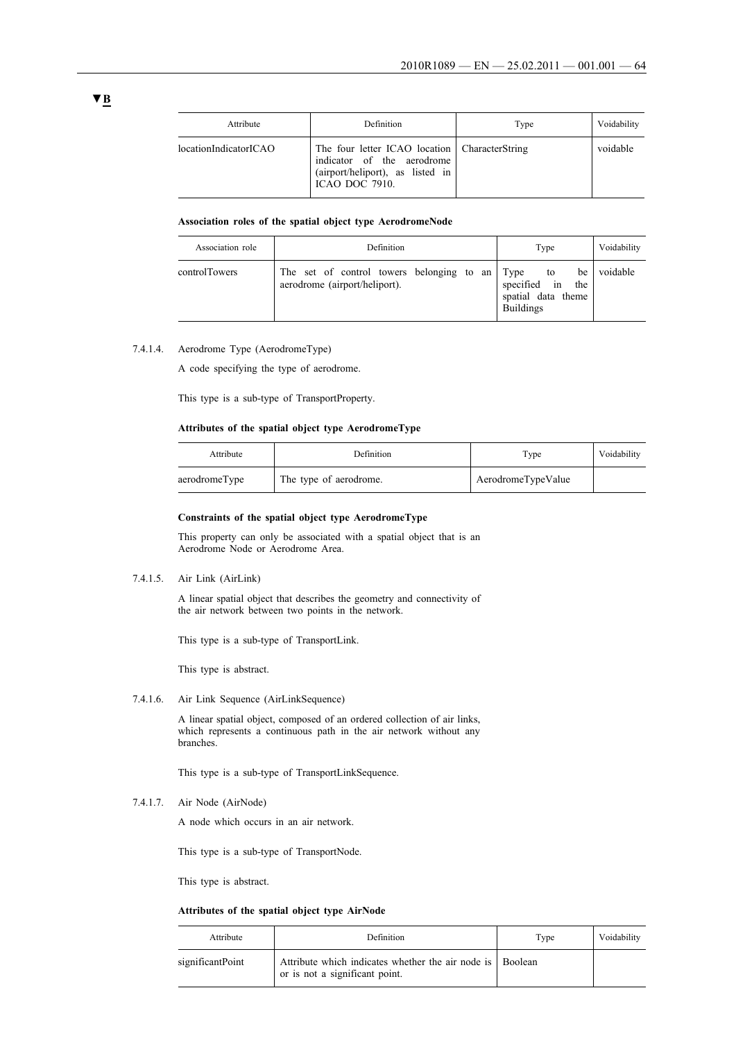| Attribute             | Definition                                                                                                                               | Type | Voidability |
|-----------------------|------------------------------------------------------------------------------------------------------------------------------------------|------|-------------|
| locationIndicatorICAO | The four letter ICAO location CharacterString<br>indicator of the aerodrome<br>(airport/heliport), as listed in<br><b>ICAO DOC 7910.</b> |      | voidable    |

#### **Association roles of the spatial object type AerodromeNode**

| Association role | <b>Definition</b>                                                               | Type                                                                                   | Voidability |
|------------------|---------------------------------------------------------------------------------|----------------------------------------------------------------------------------------|-------------|
| controlTowers    | The set of control towers belonging to an Type<br>aerodrome (airport/heliport). | be <sub>1</sub><br>to<br>specified in<br>the<br>spatial data theme<br><b>Buildings</b> | voidable    |

### 7.4.1.4. Aerodrome Type (AerodromeType)

A code specifying the type of aerodrome.

This type is a sub-type of TransportProperty.

#### **Attributes of the spatial object type AerodromeType**

| Attribute     | Definition             | Type               | Voidability |
|---------------|------------------------|--------------------|-------------|
| aerodromeType | The type of aerodrome. | AerodromeTypeValue |             |

#### **Constraints of the spatial object type AerodromeType**

This property can only be associated with a spatial object that is an Aerodrome Node or Aerodrome Area.

#### 7.4.1.5. Air Link (AirLink)

A linear spatial object that describes the geometry and connectivity of the air network between two points in the network.

This type is a sub-type of TransportLink.

This type is abstract.

7.4.1.6. Air Link Sequence (AirLinkSequence)

A linear spatial object, composed of an ordered collection of air links, which represents a continuous path in the air network without any branches.

This type is a sub-type of TransportLinkSequence.

7.4.1.7. Air Node (AirNode)

A node which occurs in an air network.

This type is a sub-type of TransportNode.

This type is abstract.

#### **Attributes of the spatial object type AirNode**

| Attribute        | Definition                                                                                  | Type | Voidability |
|------------------|---------------------------------------------------------------------------------------------|------|-------------|
| significantPoint | Attribute which indicates whether the air node is Boolean<br>or is not a significant point. |      |             |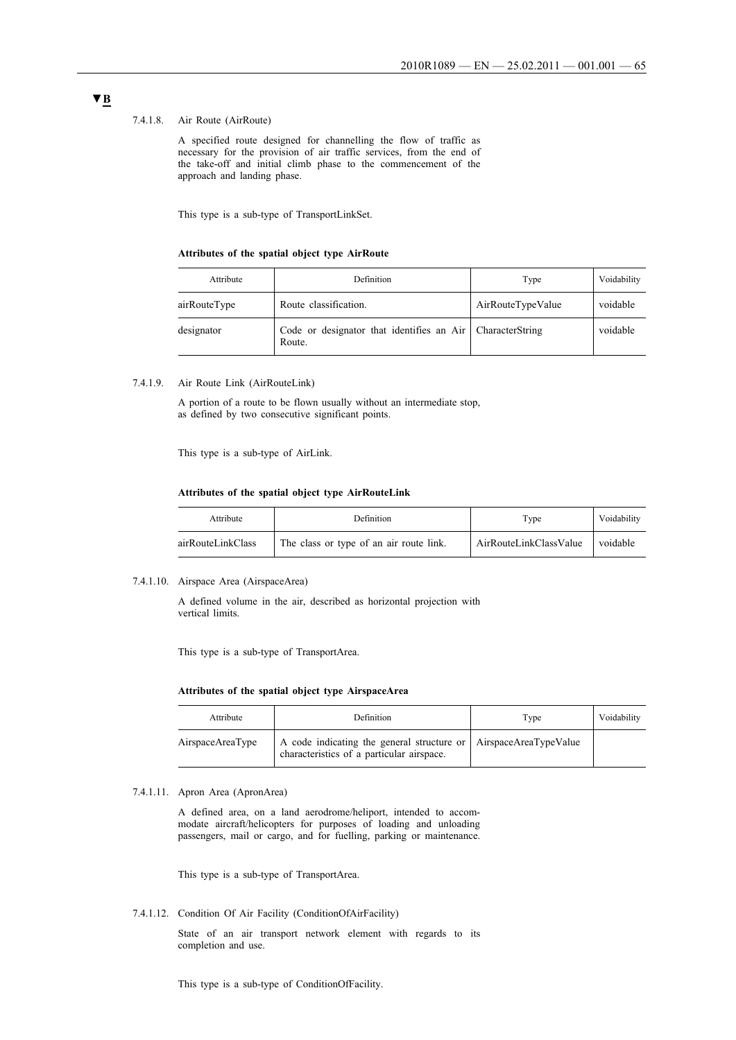#### 7.4.1.8. Air Route (AirRoute)

A specified route designed for channelling the flow of traffic as necessary for the provision of air traffic services, from the end of the take-off and initial climb phase to the commencement of the approach and landing phase.

This type is a sub-type of TransportLinkSet.

#### **Attributes of the spatial object type AirRoute**

| Attribute    | <b>Definition</b>                                                   | Type              | Voidability |
|--------------|---------------------------------------------------------------------|-------------------|-------------|
| airRouteType | Route classification.                                               | AirRouteTypeValue | voidable    |
| designator   | Code or designator that identifies an Air CharacterString<br>Route. |                   | voidable    |

#### 7.4.1.9. Air Route Link (AirRouteLink)

A portion of a route to be flown usually without an intermediate stop, as defined by two consecutive significant points.

This type is a sub-type of AirLink.

#### **Attributes of the spatial object type AirRouteLink**

| Attribute         | Definition                              | Type                   | Voidability |
|-------------------|-----------------------------------------|------------------------|-------------|
| airRouteLinkClass | The class or type of an air route link. | AirRouteLinkClassValue | voidable    |

#### 7.4.1.10. Airspace Area (AirspaceArea)

A defined volume in the air, described as horizontal projection with vertical limits.

This type is a sub-type of TransportArea.

#### **Attributes of the spatial object type AirspaceArea**

| Attribute        | Definition                                                                                                    | Type | Voidability |
|------------------|---------------------------------------------------------------------------------------------------------------|------|-------------|
| AirspaceAreaType | A code indicating the general structure or AirspaceAreaTypeValue<br>characteristics of a particular airspace. |      |             |

### 7.4.1.11. Apron Area (ApronArea)

A defined area, on a land aerodrome/heliport, intended to accommodate aircraft/helicopters for purposes of loading and unloading passengers, mail or cargo, and for fuelling, parking or maintenance.

This type is a sub-type of TransportArea.

7.4.1.12. Condition Of Air Facility (ConditionOfAirFacility)

State of an air transport network element with regards to its completion and use.

This type is a sub-type of ConditionOfFacility.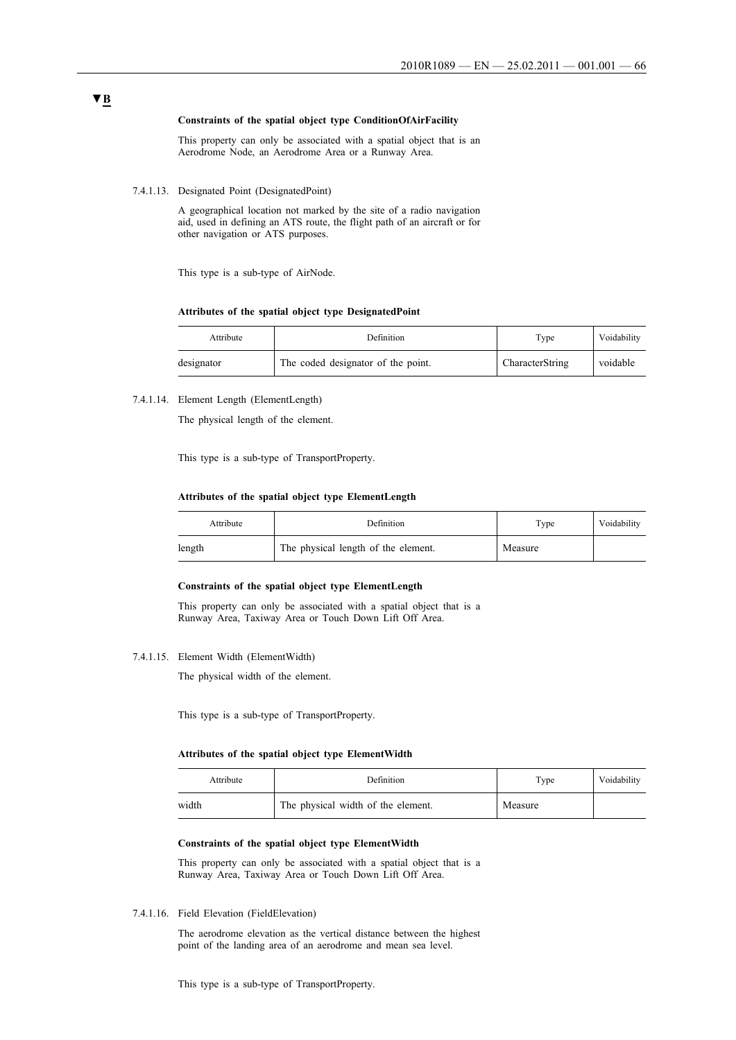#### **Constraints of the spatial object type ConditionOfAirFacility**

This property can only be associated with a spatial object that is an Aerodrome Node, an Aerodrome Area or a Runway Area.

7.4.1.13. Designated Point (DesignatedPoint)

A geographical location not marked by the site of a radio navigation aid, used in defining an ATS route, the flight path of an aircraft or for other navigation or ATS purposes.

This type is a sub-type of AirNode.

#### **Attributes of the spatial object type DesignatedPoint**

| Attribute  | Definition                         | Type            | Voidability |
|------------|------------------------------------|-----------------|-------------|
| designator | The coded designator of the point. | CharacterString | voidable    |

### 7.4.1.14. Element Length (ElementLength)

The physical length of the element.

This type is a sub-type of TransportProperty.

#### **Attributes of the spatial object type ElementLength**

| Attribute | Definition                          | Type    | Voidability |
|-----------|-------------------------------------|---------|-------------|
| length    | The physical length of the element. | Measure |             |

#### **Constraints of the spatial object type ElementLength**

This property can only be associated with a spatial object that is a Runway Area, Taxiway Area or Touch Down Lift Off Area.

7.4.1.15. Element Width (ElementWidth)

The physical width of the element.

This type is a sub-type of TransportProperty.

#### **Attributes of the spatial object type ElementWidth**

| Attribute | Definition                         | Type    | Voidability |
|-----------|------------------------------------|---------|-------------|
| width     | The physical width of the element. | Measure |             |

#### **Constraints of the spatial object type ElementWidth**

This property can only be associated with a spatial object that is a Runway Area, Taxiway Area or Touch Down Lift Off Area.

7.4.1.16. Field Elevation (FieldElevation)

The aerodrome elevation as the vertical distance between the highest point of the landing area of an aerodrome and mean sea level.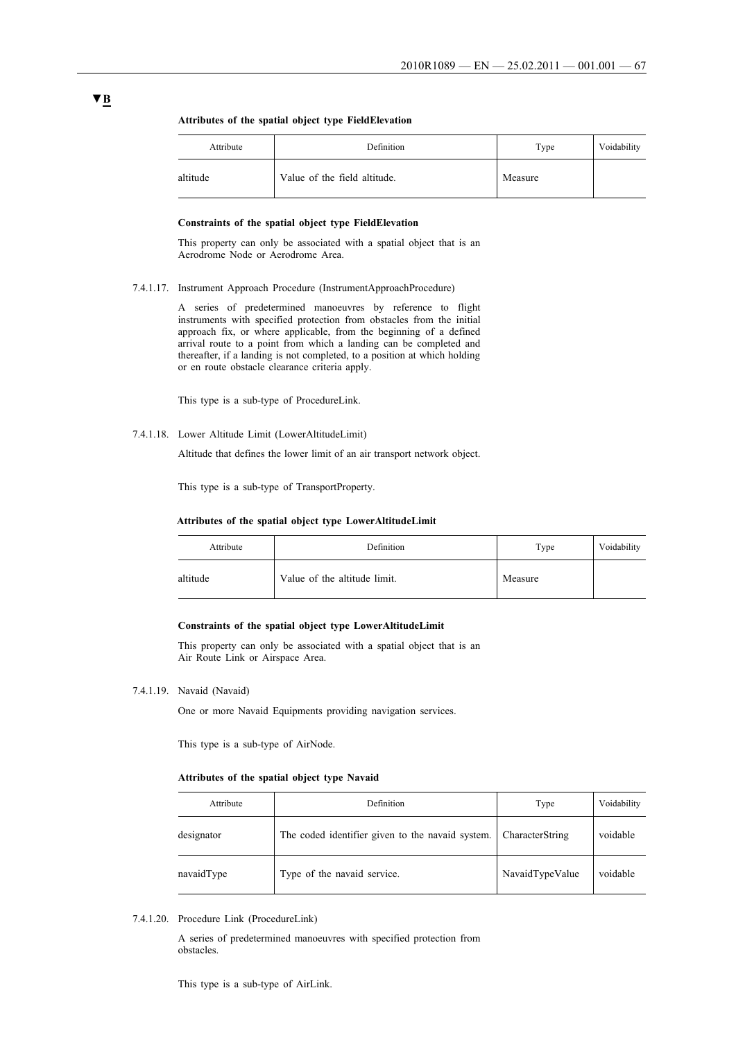|  |  |  | Attributes of the spatial object type Field Elevation |  |
|--|--|--|-------------------------------------------------------|--|
|  |  |  |                                                       |  |

| Attribute | Definition                   | Type    | Voidability |
|-----------|------------------------------|---------|-------------|
| altitude  | Value of the field altitude. | Measure |             |

### **Constraints of the spatial object type FieldElevation**

This property can only be associated with a spatial object that is an Aerodrome Node or Aerodrome Area.

7.4.1.17. Instrument Approach Procedure (InstrumentApproachProcedure)

A series of predetermined manoeuvres by reference to flight instruments with specified protection from obstacles from the initial approach fix, or where applicable, from the beginning of a defined arrival route to a point from which a landing can be completed and thereafter, if a landing is not completed, to a position at which holding or en route obstacle clearance criteria apply.

This type is a sub-type of ProcedureLink.

7.4.1.18. Lower Altitude Limit (LowerAltitudeLimit)

Altitude that defines the lower limit of an air transport network object.

This type is a sub-type of TransportProperty.

#### **Attributes of the spatial object type LowerAltitudeLimit**

| Attribute | Definition                   | Type    | Voidability |
|-----------|------------------------------|---------|-------------|
| altitude  | Value of the altitude limit. | Measure |             |

#### **Constraints of the spatial object type LowerAltitudeLimit**

This property can only be associated with a spatial object that is an Air Route Link or Airspace Area.

### 7.4.1.19. Navaid (Navaid)

One or more Navaid Equipments providing navigation services.

This type is a sub-type of AirNode.

### **Attributes of the spatial object type Navaid**

| Attribute  | Definition                                       | Type            | Voidability |
|------------|--------------------------------------------------|-----------------|-------------|
| designator | The coded identifier given to the navaid system. | CharacterString | voidable    |
| navaidType | Type of the navaid service.                      | NavaidTypeValue | voidable    |

7.4.1.20. Procedure Link (ProcedureLink)

A series of predetermined manoeuvres with specified protection from obstacles.

This type is a sub-type of AirLink.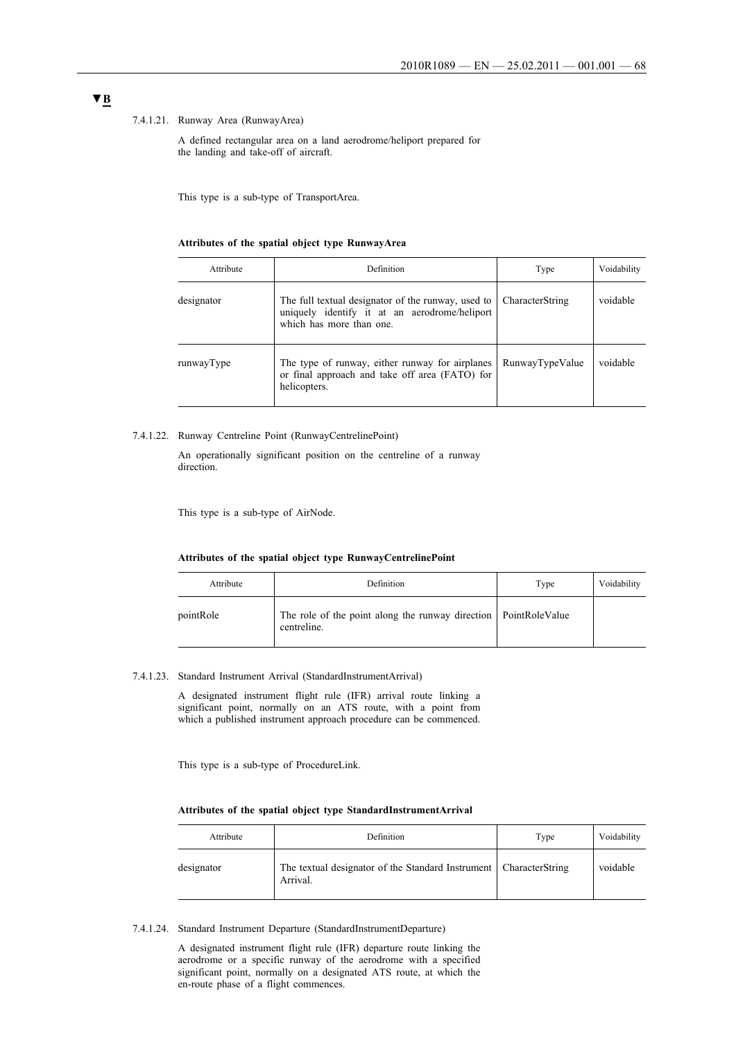#### 7.4.1.21. Runway Area (RunwayArea)

A defined rectangular area on a land aerodrome/heliport prepared for the landing and take-off of aircraft.

This type is a sub-type of TransportArea.

#### **Attributes of the spatial object type RunwayArea**

| Attribute  | Definition                                                                                                                      | Type            | Voidability |
|------------|---------------------------------------------------------------------------------------------------------------------------------|-----------------|-------------|
| designator | The full textual designator of the runway, used to<br>uniquely identify it at an aerodrome/heliport<br>which has more than one. | CharacterString | voidable    |
| runwayType | The type of runway, either runway for airplanes<br>or final approach and take off area (FATO) for<br>helicopters.               | RunwayTypeValue | voidable    |

#### 7.4.1.22. Runway Centreline Point (RunwayCentrelinePoint)

An operationally significant position on the centreline of a runway direction.

This type is a sub-type of AirNode.

#### **Attributes of the spatial object type RunwayCentrelinePoint**

| Attribute | Definition                                                                       | Type | Voidability |
|-----------|----------------------------------------------------------------------------------|------|-------------|
| pointRole | The role of the point along the runway direction   PointRoleValue<br>centreline. |      |             |

#### 7.4.1.23. Standard Instrument Arrival (StandardInstrumentArrival)

A designated instrument flight rule (IFR) arrival route linking a significant point, normally on an ATS route, with a point from which a published instrument approach procedure can be commenced.

This type is a sub-type of ProcedureLink.

#### **Attributes of the spatial object type StandardInstrumentArrival**

| Attribute  | Definition                                                                      | Type | Voidability |
|------------|---------------------------------------------------------------------------------|------|-------------|
| designator | The textual designator of the Standard Instrument   CharacterString<br>Arrival. |      | voidable    |

7.4.1.24. Standard Instrument Departure (StandardInstrumentDeparture)

A designated instrument flight rule (IFR) departure route linking the aerodrome or a specific runway of the aerodrome with a specified significant point, normally on a designated ATS route, at which the en-route phase of a flight commences.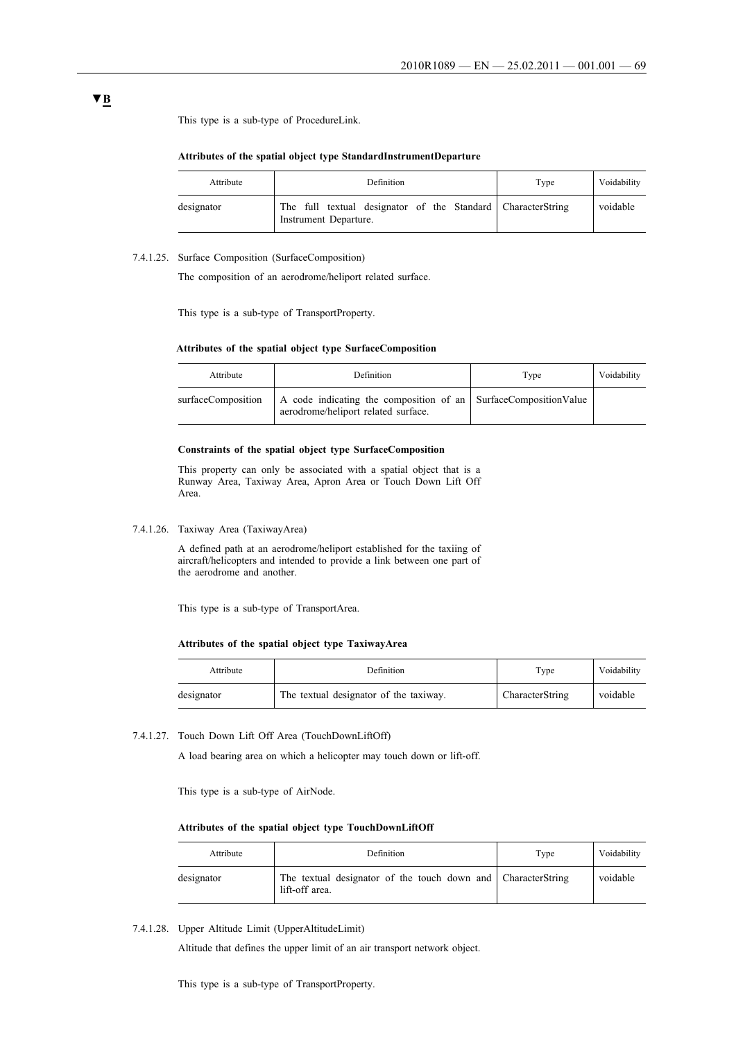This type is a sub-type of ProcedureLink.

#### **Attributes of the spatial object type StandardInstrumentDeparture**

| Attribute  | Definition                                                                           | Type | Voidability |
|------------|--------------------------------------------------------------------------------------|------|-------------|
| designator | The full textual designator of the Standard CharacterString<br>Instrument Departure. |      | voidable    |

#### 7.4.1.25. Surface Composition (SurfaceComposition)

The composition of an aerodrome/heliport related surface.

This type is a sub-type of TransportProperty.

#### **Attributes of the spatial object type SurfaceComposition**

| Attribute          | Definition                                                                                             | Type | Voidability |
|--------------------|--------------------------------------------------------------------------------------------------------|------|-------------|
| surfaceComposition | A code indicating the composition of an SurfaceCompositionValue<br>aerodrome/heliport related surface. |      |             |

#### **Constraints of the spatial object type SurfaceComposition**

This property can only be associated with a spatial object that is a Runway Area, Taxiway Area, Apron Area or Touch Down Lift Off Area.

7.4.1.26. Taxiway Area (TaxiwayArea)

A defined path at an aerodrome/heliport established for the taxiing of aircraft/helicopters and intended to provide a link between one part of the aerodrome and another.

This type is a sub-type of TransportArea.

#### **Attributes of the spatial object type TaxiwayArea**

| Attribute  | Definition                             | Type            | Voidability |
|------------|----------------------------------------|-----------------|-------------|
| designator | The textual designator of the taxiway. | CharacterString | voidable    |

7.4.1.27. Touch Down Lift Off Area (TouchDownLiftOff)

A load bearing area on which a helicopter may touch down or lift-off.

This type is a sub-type of AirNode.

#### **Attributes of the spatial object type TouchDownLiftOff**

| Attribute  | Definition                                                                     | Type | Voidability |
|------------|--------------------------------------------------------------------------------|------|-------------|
| designator | The textual designator of the touch down and CharacterString<br>lift-off area. |      | voidable    |

7.4.1.28. Upper Altitude Limit (UpperAltitudeLimit)

Altitude that defines the upper limit of an air transport network object.

This type is a sub-type of TransportProperty.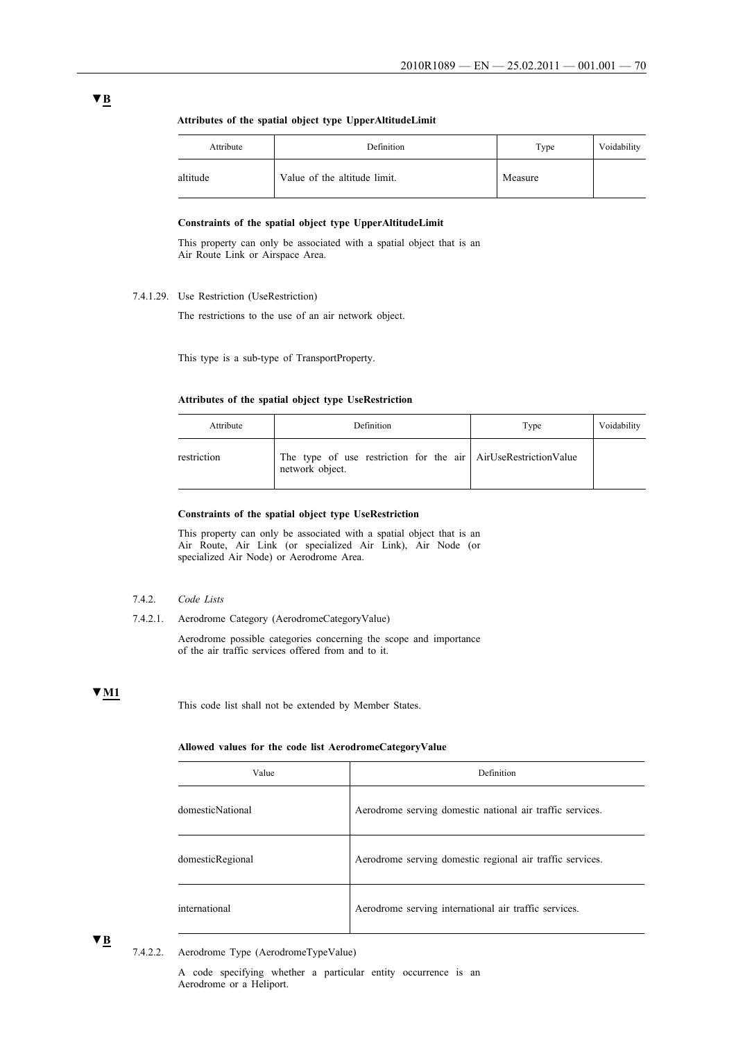| Attribute | Definition                   | Type    | Voidability |
|-----------|------------------------------|---------|-------------|
| altitude  | Value of the altitude limit. | Measure |             |

#### **Attributes of the spatial object type UpperAltitudeLimit**

### **Constraints of the spatial object type UpperAltitudeLimit**

This property can only be associated with a spatial object that is an Air Route Link or Airspace Area.

# 7.4.1.29. Use Restriction (UseRestriction)

The restrictions to the use of an air network object.

This type is a sub-type of TransportProperty.

#### **Attributes of the spatial object type UseRestriction**

| Attribute   | Definition                                                                        | Type | Voidability |
|-------------|-----------------------------------------------------------------------------------|------|-------------|
| restriction | The type of use restriction for the air AirUseRestrictionValue<br>network object. |      |             |

#### **Constraints of the spatial object type UseRestriction**

This property can only be associated with a spatial object that is an Air Route, Air Link (or specialized Air Link), Air Node (or specialized Air Node) or Aerodrome Area.

#### 7.4.2. *Code Lists*

7.4.2.1. Aerodrome Category (AerodromeCategoryValue)

Aerodrome possible categories concerning the scope and importance of the air traffic services offered from and to it.

#### **▼M1**

This code list shall not be extended by Member States.

#### **Allowed values for the code list AerodromeCategoryValue**

| Value            | Definition                                                |
|------------------|-----------------------------------------------------------|
| domesticNational | Aerodrome serving domestic national air traffic services. |
| domesticRegional | Aerodrome serving domestic regional air traffic services. |
| international    | Aerodrome serving international air traffic services.     |

**▼B**

7.4.2.2. Aerodrome Type (AerodromeTypeValue)

A code specifying whether a particular entity occurrence is an Aerodrome or a Heliport.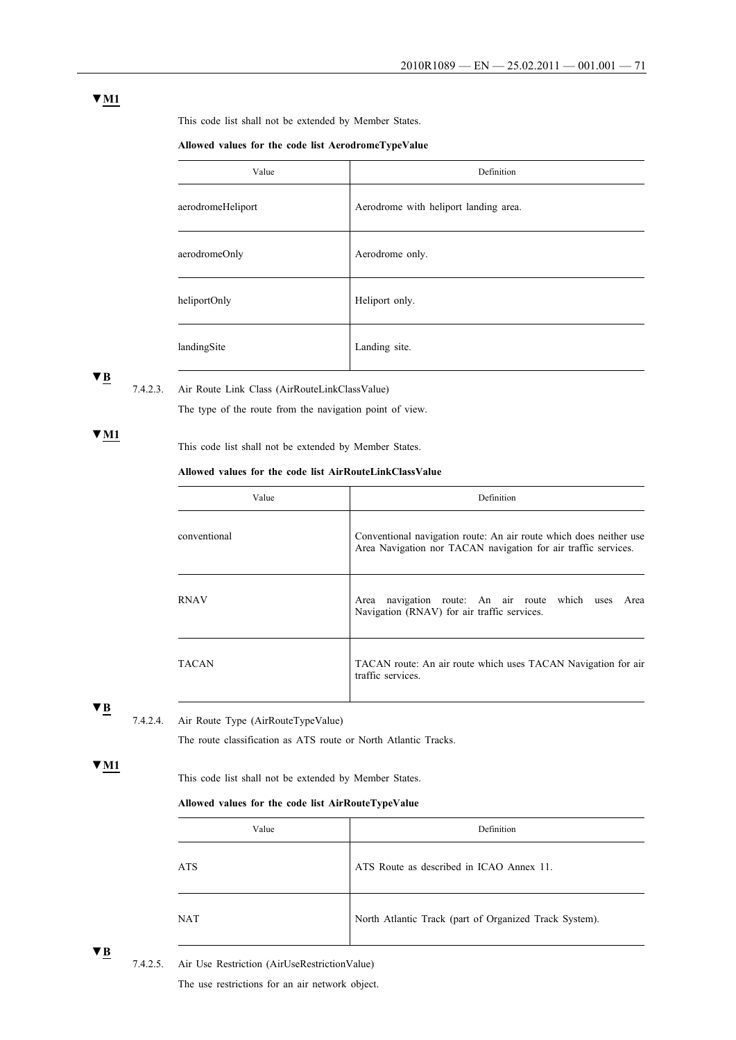### **▼M1**

This code list shall not be extended by Member States.

#### **Allowed values for the code list AerodromeTypeValue**

| Value             | Definition                            |
|-------------------|---------------------------------------|
| aerodromeHeliport | Aerodrome with heliport landing area. |
| aerodromeOnly     | Aerodrome only.                       |
| heliportOnly      | Heliport only.                        |
| landingSite       | Landing site.                         |

## **▼B**

7.4.2.3. Air Route Link Class (AirRouteLinkClassValue)

The type of the route from the navigation point of view.

### **▼M1**

This code list shall not be extended by Member States.

### **Allowed values for the code list AirRouteLinkClassValue**

| Value        | Definition                                                                                                                           |
|--------------|--------------------------------------------------------------------------------------------------------------------------------------|
| conventional | Conventional navigation route: An air route which does neither use<br>Area Navigation nor TACAN navigation for air traffic services. |
| RNAV         | navigation route: An air route which<br>Area<br>Area<br>uses<br>Navigation (RNAV) for air traffic services.                          |
| TACAN        | TACAN route: An air route which uses TACAN Navigation for air<br>traffic services.                                                   |

### **▼B**

7.4.2.4. Air Route Type (AirRouteTypeValue)

The route classification as ATS route or North Atlantic Tracks.

### **▼M1**

This code list shall not be extended by Member States.

#### **Allowed values for the code list AirRouteTypeValue**

| Value | Definition                                             |
|-------|--------------------------------------------------------|
| ATS   | ATS Route as described in ICAO Annex 11.               |
| NAT   | North Atlantic Track (part of Organized Track System). |

**▼B**

7.4.2.5. Air Use Restriction (AirUseRestrictionValue)

The use restrictions for an air network object.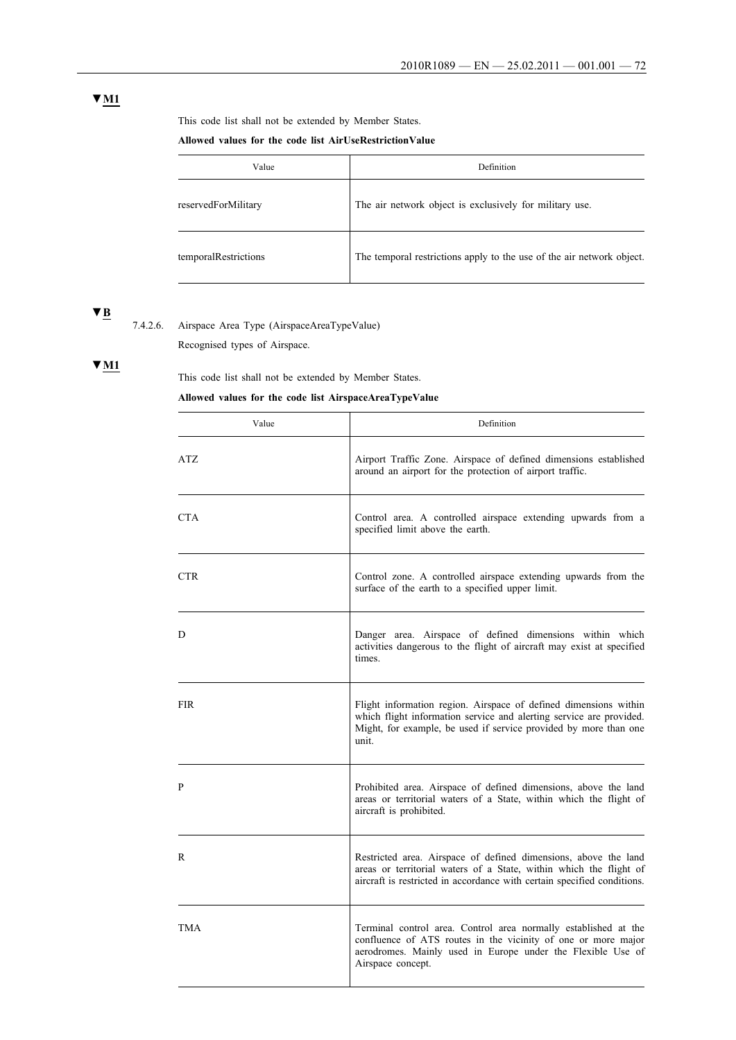# **▼M1**

This code list shall not be extended by Member States.

### **Allowed values for the code list AirUseRestrictionValue**

| Value                | Definition                                                            |
|----------------------|-----------------------------------------------------------------------|
| reservedForMilitary  | The air network object is exclusively for military use.               |
| temporalRestrictions | The temporal restrictions apply to the use of the air network object. |

# **▼B**

7.4.2.6. Airspace Area Type (AirspaceAreaTypeValue)

Recognised types of Airspace.

# **▼M1**

This code list shall not be extended by Member States.

### **Allowed values for the code list AirspaceAreaTypeValue**

| Value      | Definition                                                                                                                                                                                                           |
|------------|----------------------------------------------------------------------------------------------------------------------------------------------------------------------------------------------------------------------|
| ATZ.       | Airport Traffic Zone. Airspace of defined dimensions established<br>around an airport for the protection of airport traffic.                                                                                         |
| CTA.       | Control area. A controlled airspace extending upwards from a<br>specified limit above the earth.                                                                                                                     |
| <b>CTR</b> | Control zone. A controlled airspace extending upwards from the<br>surface of the earth to a specified upper limit.                                                                                                   |
| D          | Danger area. Airspace of defined dimensions within which<br>activities dangerous to the flight of aircraft may exist at specified<br>times.                                                                          |
| <b>FIR</b> | Flight information region. Airspace of defined dimensions within<br>which flight information service and alerting service are provided.<br>Might, for example, be used if service provided by more than one<br>unit. |
| P          | Prohibited area. Airspace of defined dimensions, above the land<br>areas or territorial waters of a State, within which the flight of<br>aircraft is prohibited.                                                     |
| R          | Restricted area. Airspace of defined dimensions, above the land<br>areas or territorial waters of a State, within which the flight of<br>aircraft is restricted in accordance with certain specified conditions.     |
| <b>TMA</b> | Terminal control area. Control area normally established at the<br>confluence of ATS routes in the vicinity of one or more major<br>aerodromes. Mainly used in Europe under the Flexible Use of<br>Airspace concept. |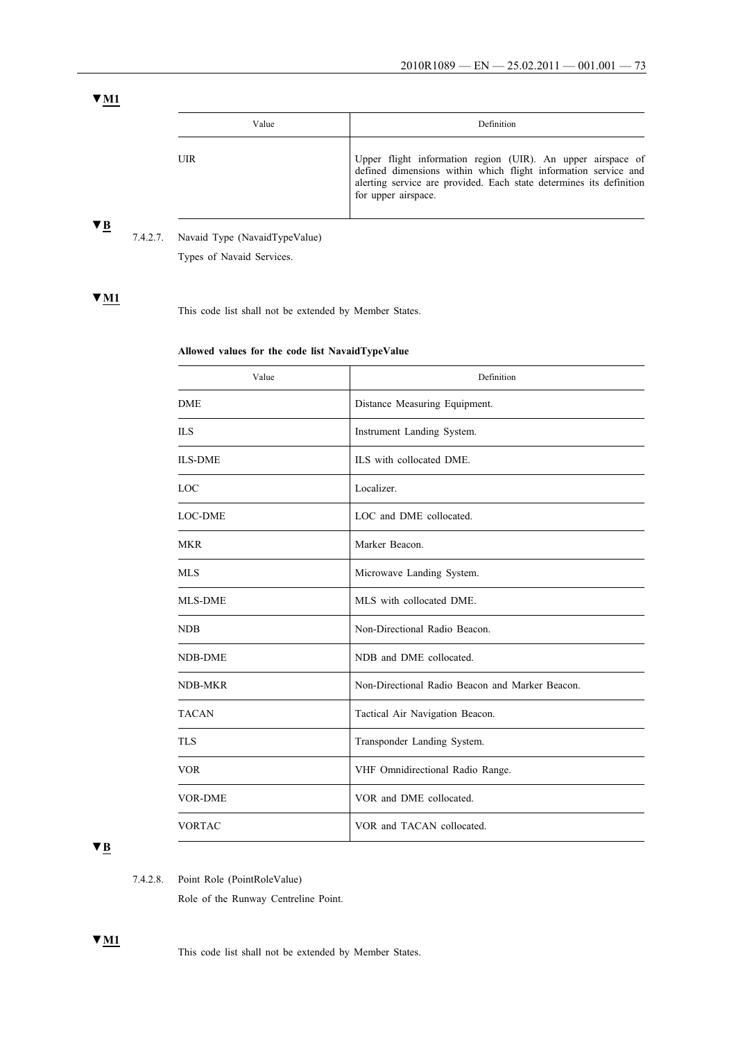# **▼M1**

| Value | Definition                                                                                                                                                                                                                  |
|-------|-----------------------------------------------------------------------------------------------------------------------------------------------------------------------------------------------------------------------------|
| UIR   | Upper flight information region (UIR). An upper airspace of<br>defined dimensions within which flight information service and<br>alerting service are provided. Each state determines its definition<br>for upper airspace. |

# **▼B**

7.4.2.7. Navaid Type (NavaidTypeValue)

Types of Navaid Services.

# **▼M1**

This code list shall not be extended by Member States.

# **Allowed values for the code list NavaidTypeValue**

| Value          | Definition                                      |
|----------------|-------------------------------------------------|
| <b>DME</b>     | Distance Measuring Equipment.                   |
| <b>ILS</b>     | Instrument Landing System.                      |
| <b>ILS-DME</b> | ILS with collocated DME.                        |
| LOC            | Localizer.                                      |
| <b>LOC-DME</b> | LOC and DME collocated.                         |
| <b>MKR</b>     | Marker Beacon.                                  |
| <b>MLS</b>     | Microwave Landing System.                       |
| <b>MLS-DME</b> | MLS with collocated DME.                        |
| <b>NDB</b>     | Non-Directional Radio Beacon.                   |
| <b>NDB-DME</b> | NDB and DME collocated.                         |
| NDB-MKR        | Non-Directional Radio Beacon and Marker Beacon. |
| <b>TACAN</b>   | Tactical Air Navigation Beacon.                 |
| <b>TLS</b>     | Transponder Landing System.                     |
| <b>VOR</b>     | VHF Omnidirectional Radio Range.                |
| <b>VOR-DME</b> | VOR and DME collocated.                         |
| <b>VORTAC</b>  | VOR and TACAN collocated.                       |

# **▼B**

**▼M1**

7.4.2.8. Point Role (PointRoleValue)

Role of the Runway Centreline Point.

This code list shall not be extended by Member States.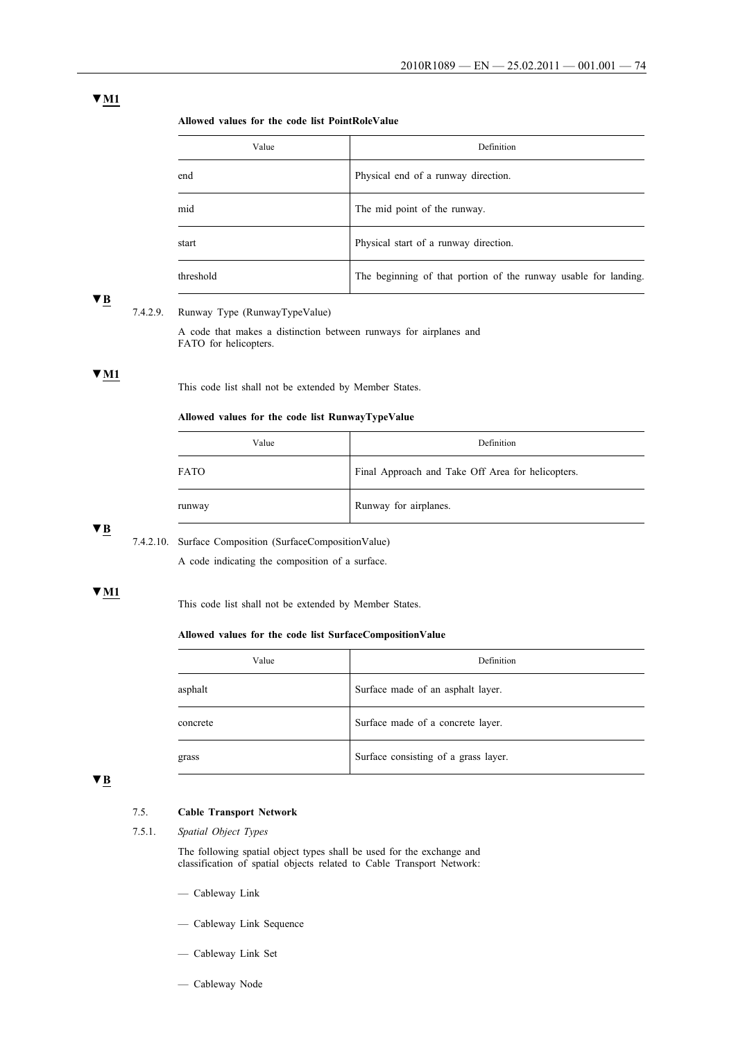| Value     | Definition                                                      |
|-----------|-----------------------------------------------------------------|
| end       | Physical end of a runway direction.                             |
| mid       | The mid point of the runway.                                    |
| start     | Physical start of a runway direction.                           |
| threshold | The beginning of that portion of the runway usable for landing. |

# **▼B**

# 7.4.2.9. Runway Type (RunwayTypeValue)

A code that makes a distinction between runways for airplanes and FATO for helicopters.

# **▼M1**

This code list shall not be extended by Member States.

### **Allowed values for the code list RunwayTypeValue**

| Value       | Definition                                        |
|-------------|---------------------------------------------------|
| <b>FATO</b> | Final Approach and Take Off Area for helicopters. |
| runway      | Runway for airplanes.                             |

### **▼B**

7.4.2.10. Surface Composition (SurfaceCompositionValue)

A code indicating the composition of a surface.

# **▼M1**

This code list shall not be extended by Member States.

### **Allowed values for the code list SurfaceCompositionValue**

| Value    | Definition                           |
|----------|--------------------------------------|
| asphalt  | Surface made of an asphalt layer.    |
| concrete | Surface made of a concrete layer.    |
| grass    | Surface consisting of a grass layer. |

# **▼B**

# 7.5. **Cable Transport Network**

# 7.5.1. *Spatial Object Types*

The following spatial object types shall be used for the exchange and classification of spatial objects related to Cable Transport Network:

- Cableway Link
- Cableway Link Sequence
- Cableway Link Set
- Cableway Node

# **▼M1**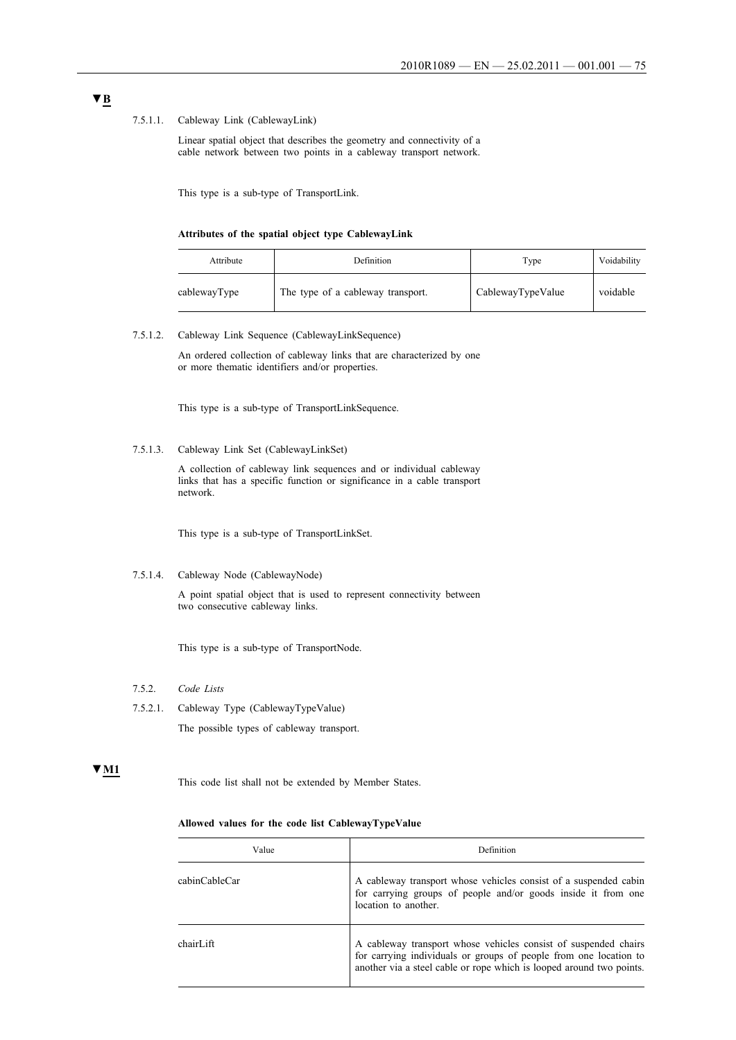### 7.5.1.1. Cableway Link (CablewayLink)

Linear spatial object that describes the geometry and connectivity of a cable network between two points in a cableway transport network.

This type is a sub-type of TransportLink.

### **Attributes of the spatial object type CablewayLink**

| Attribute    | Definition                        | Type              | Voidability |
|--------------|-----------------------------------|-------------------|-------------|
| cablewayType | The type of a cableway transport. | CablewayTypeValue | voidable    |

#### 7.5.1.2. Cableway Link Sequence (CablewayLinkSequence)

An ordered collection of cableway links that are characterized by one or more thematic identifiers and/or properties.

This type is a sub-type of TransportLinkSequence.

#### 7.5.1.3. Cableway Link Set (CablewayLinkSet)

A collection of cableway link sequences and or individual cableway links that has a specific function or significance in a cable transport network.

This type is a sub-type of TransportLinkSet.

### 7.5.1.4. Cableway Node (CablewayNode)

A point spatial object that is used to represent connectivity between two consecutive cableway links.

This type is a sub-type of TransportNode.

- 7.5.2. *Code Lists*
- 7.5.2.1. Cableway Type (CablewayTypeValue) The possible types of cableway transport.

### **▼M1**

This code list shall not be extended by Member States.

#### **Allowed values for the code list CablewayTypeValue**

| Value         | Definition                                                                                                                                                                                                   |  |
|---------------|--------------------------------------------------------------------------------------------------------------------------------------------------------------------------------------------------------------|--|
| cabinCableCar | A cableway transport whose vehicles consist of a suspended cabin<br>for carrying groups of people and/or goods inside it from one<br>location to another.                                                    |  |
| chairLift     | A cableway transport whose vehicles consist of suspended chairs<br>for carrying individuals or groups of people from one location to<br>another via a steel cable or rope which is looped around two points. |  |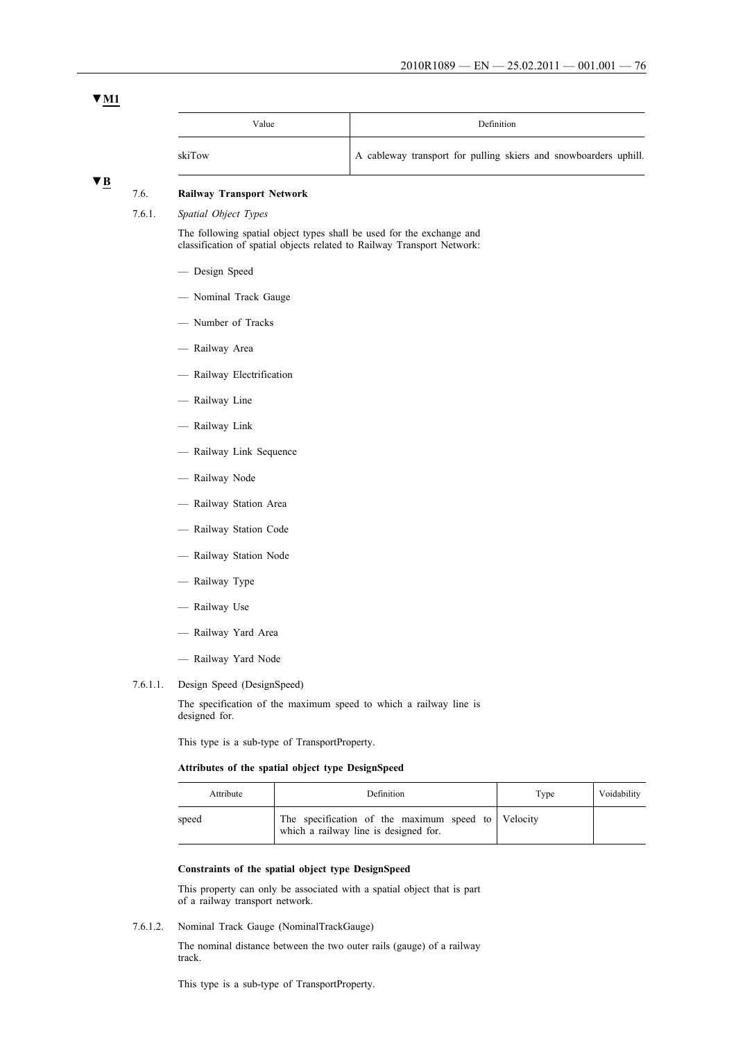# **▼M1**

| Value  | Definition                                                       |
|--------|------------------------------------------------------------------|
| skiTow | A cableway transport for pulling skiers and snowboarders uphill. |

# **▼B**

# 7.6. **Railway Transport Network**

7.6.1. *Spatial Object Types*

The following spatial object types shall be used for the exchange and classification of spatial objects related to Railway Transport Network:

- Design Speed
- Nominal Track Gauge
- Number of Tracks
- Railway Area
- Railway Electrification
- Railway Line
- Railway Link
- Railway Link Sequence
- Railway Node
- Railway Station Area
- Railway Station Code
- Railway Station Node
- Railway Type
- Railway Use
- Railway Yard Area
- Railway Yard Node
- 7.6.1.1. Design Speed (DesignSpeed)

The specification of the maximum speed to which a railway line is designed for.

This type is a sub-type of TransportProperty.

### **Attributes of the spatial object type DesignSpeed**

| Attribute | Definition                                                                                  | Type | Voidability |
|-----------|---------------------------------------------------------------------------------------------|------|-------------|
| speed     | The specification of the maximum speed to Velocity<br>which a railway line is designed for. |      |             |

#### **Constraints of the spatial object type DesignSpeed**

This property can only be associated with a spatial object that is part of a railway transport network.

7.6.1.2. Nominal Track Gauge (NominalTrackGauge)

The nominal distance between the two outer rails (gauge) of a railway track.

This type is a sub-type of TransportProperty.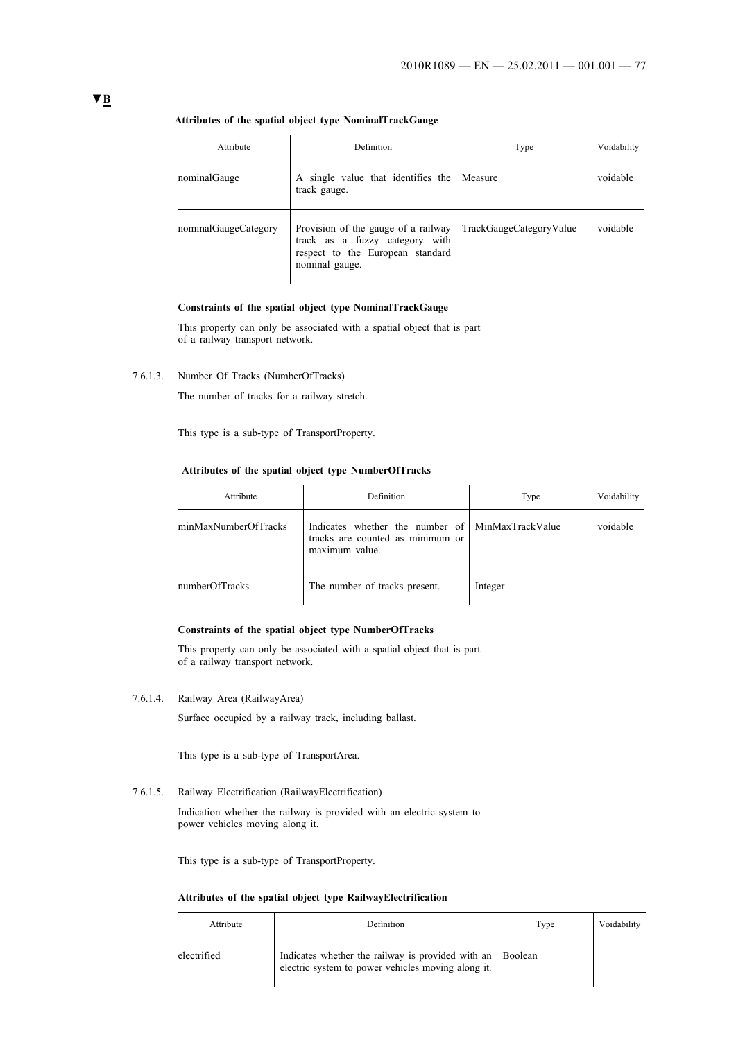| Attribute            | Definition                                                                                                                  | Type                    | Voidability |
|----------------------|-----------------------------------------------------------------------------------------------------------------------------|-------------------------|-------------|
| nominalGauge         | A single value that identifies the<br>track gauge.                                                                          | Measure                 | voidable    |
| nominalGaugeCategory | Provision of the gauge of a railway<br>track as a fuzzy category with<br>respect to the European standard<br>nominal gauge. | TrackGaugeCategoryValue | voidable    |

### **Attributes of the spatial object type NominalTrackGauge**

### **Constraints of the spatial object type NominalTrackGauge**

This property can only be associated with a spatial object that is part of a railway transport network.

7.6.1.3. Number Of Tracks (NumberOfTracks)

The number of tracks for a railway stretch.

This type is a sub-type of TransportProperty.

### **Attributes of the spatial object type NumberOfTracks**

| Attribute            | Definition                                                                                             | Type    | Voidability |
|----------------------|--------------------------------------------------------------------------------------------------------|---------|-------------|
| minMaxNumberOfTracks | Indicates whether the number of MinMaxTrackValue<br>tracks are counted as minimum or<br>maximum value. |         | voidable    |
| numberOfTracks       | The number of tracks present.                                                                          | Integer |             |

### **Constraints of the spatial object type NumberOfTracks**

This property can only be associated with a spatial object that is part of a railway transport network.

7.6.1.4. Railway Area (RailwayArea)

Surface occupied by a railway track, including ballast.

This type is a sub-type of TransportArea.

7.6.1.5. Railway Electrification (RailwayElectrification)

Indication whether the railway is provided with an electric system to power vehicles moving along it.

This type is a sub-type of TransportProperty.

### **Attributes of the spatial object type RailwayElectrification**

| Attribute   | Definition                                                                                                      | Type | Voidability |
|-------------|-----------------------------------------------------------------------------------------------------------------|------|-------------|
| electrified | Indicates whether the railway is provided with an Boolean<br>electric system to power vehicles moving along it. |      |             |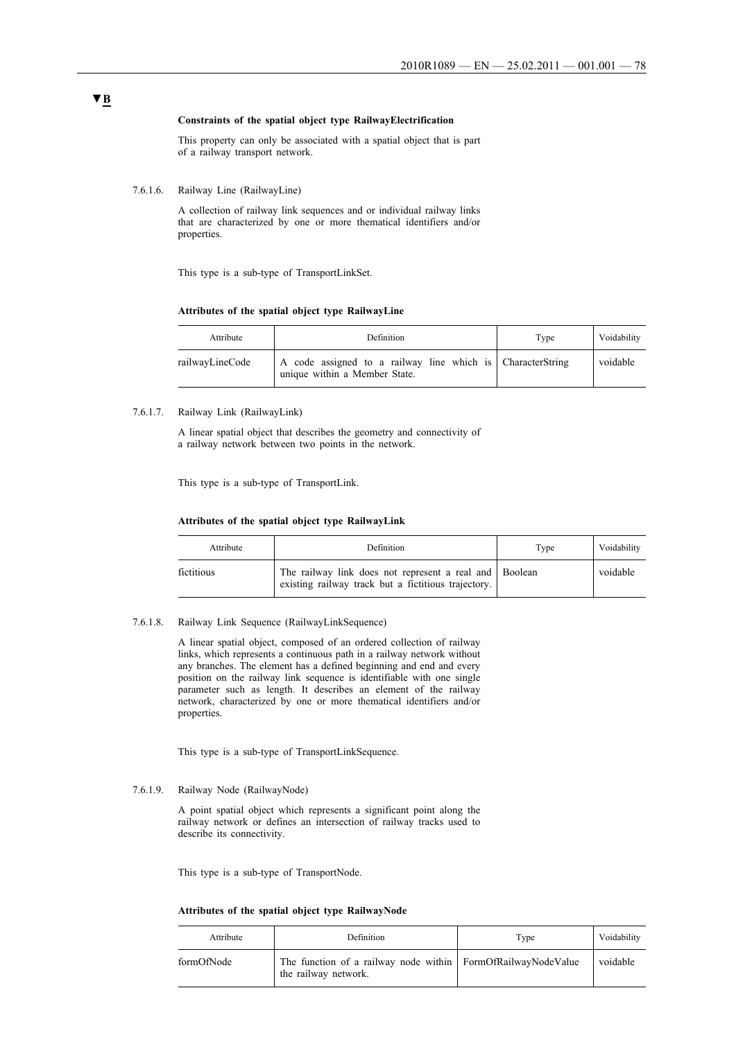### **Constraints of the spatial object type RailwayElectrification**

This property can only be associated with a spatial object that is part of a railway transport network.

7.6.1.6. Railway Line (RailwayLine)

A collection of railway link sequences and or individual railway links that are characterized by one or more thematical identifiers and/or properties.

This type is a sub-type of TransportLinkSet.

#### **Attributes of the spatial object type RailwayLine**

| Attribute       | Definition                                                                                  | Type | Voidability |
|-----------------|---------------------------------------------------------------------------------------------|------|-------------|
| railwayLineCode | A code assigned to a railway line which is CharacterString<br>unique within a Member State. |      | voidable    |

#### 7.6.1.7. Railway Link (RailwayLink)

A linear spatial object that describes the geometry and connectivity of a railway network between two points in the network.

This type is a sub-type of TransportLink.

### **Attributes of the spatial object type RailwayLink**

| Attribute  | Definition                                                                                                    | Type | Voidability |
|------------|---------------------------------------------------------------------------------------------------------------|------|-------------|
| fictitious | The railway link does not represent a real and Boolean<br>existing railway track but a fictitious trajectory. |      | voidable    |

#### 7.6.1.8. Railway Link Sequence (RailwayLinkSequence)

A linear spatial object, composed of an ordered collection of railway links, which represents a continuous path in a railway network without any branches. The element has a defined beginning and end and every position on the railway link sequence is identifiable with one single parameter such as length. It describes an element of the railway network, characterized by one or more thematical identifiers and/or properties.

This type is a sub-type of TransportLinkSequence.

### 7.6.1.9. Railway Node (RailwayNode)

A point spatial object which represents a significant point along the railway network or defines an intersection of railway tracks used to describe its connectivity.

This type is a sub-type of TransportNode.

### **Attributes of the spatial object type RailwayNode**

| Attribute  | Definition                                                                           | Type | Voidability |
|------------|--------------------------------------------------------------------------------------|------|-------------|
| formOfNode | The function of a railway node within FormOfRailwayNodeValue<br>the railway network. |      | voidable    |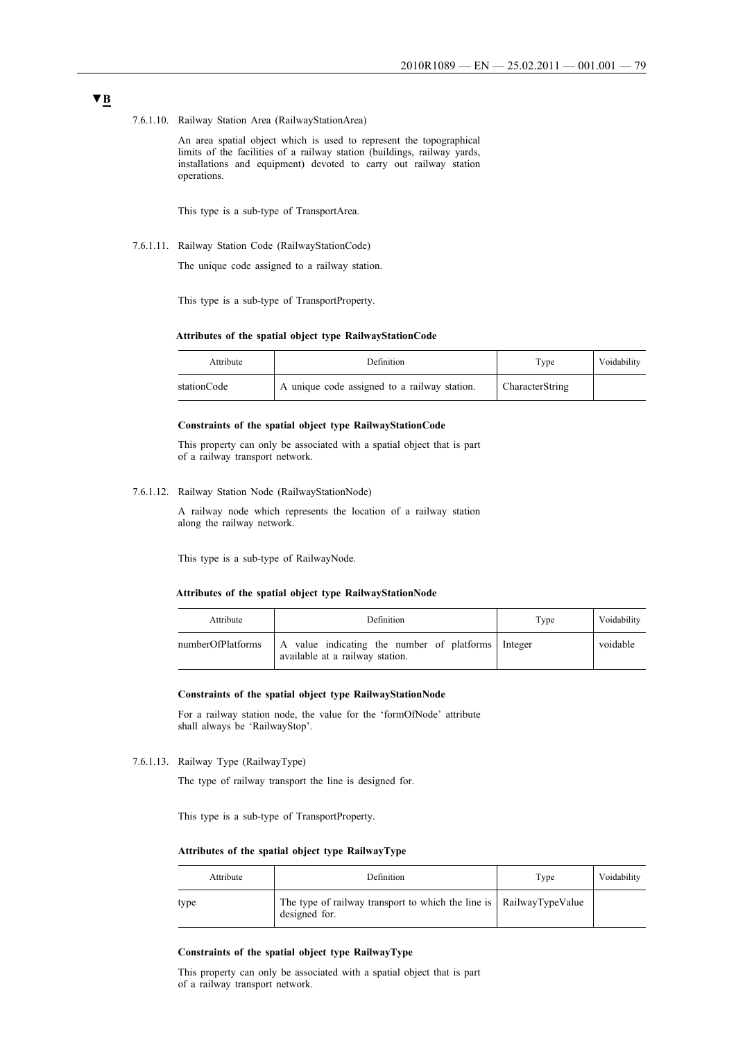7.6.1.10. Railway Station Area (RailwayStationArea)

An area spatial object which is used to represent the topographical limits of the facilities of a railway station (buildings, railway yards, installations and equipment) devoted to carry out railway station operations.

This type is a sub-type of TransportArea.

7.6.1.11. Railway Station Code (RailwayStationCode)

The unique code assigned to a railway station.

This type is a sub-type of TransportProperty.

#### **Attributes of the spatial object type RailwayStationCode**

| Attribute   | Definition                                   | Type            | Voidability |
|-------------|----------------------------------------------|-----------------|-------------|
| stationCode | A unique code assigned to a railway station. | CharacterString |             |

### **Constraints of the spatial object type RailwayStationCode**

This property can only be associated with a spatial object that is part of a railway transport network.

7.6.1.12. Railway Station Node (RailwayStationNode)

A railway node which represents the location of a railway station along the railway network.

This type is a sub-type of RailwayNode.

#### **Attributes of the spatial object type RailwayStationNode**

| Attribute         | Definition                                                                            | Type | Voidability |
|-------------------|---------------------------------------------------------------------------------------|------|-------------|
| numberOfPlatforms | A value indicating the number of platforms Integer<br>available at a railway station. |      | voidable    |

# **Constraints of the spatial object type RailwayStationNode**

For a railway station node, the value for the 'formOfNode' attribute shall always be 'RailwayStop'.

7.6.1.13. Railway Type (RailwayType)

The type of railway transport the line is designed for.

This type is a sub-type of TransportProperty.

#### **Attributes of the spatial object type RailwayType**

| Attribute | Definition                                                                           | Type | Voidability |
|-----------|--------------------------------------------------------------------------------------|------|-------------|
| type      | The type of railway transport to which the line is RailwayTypeValue<br>designed for. |      |             |

### **Constraints of the spatial object type RailwayType**

This property can only be associated with a spatial object that is part of a railway transport network.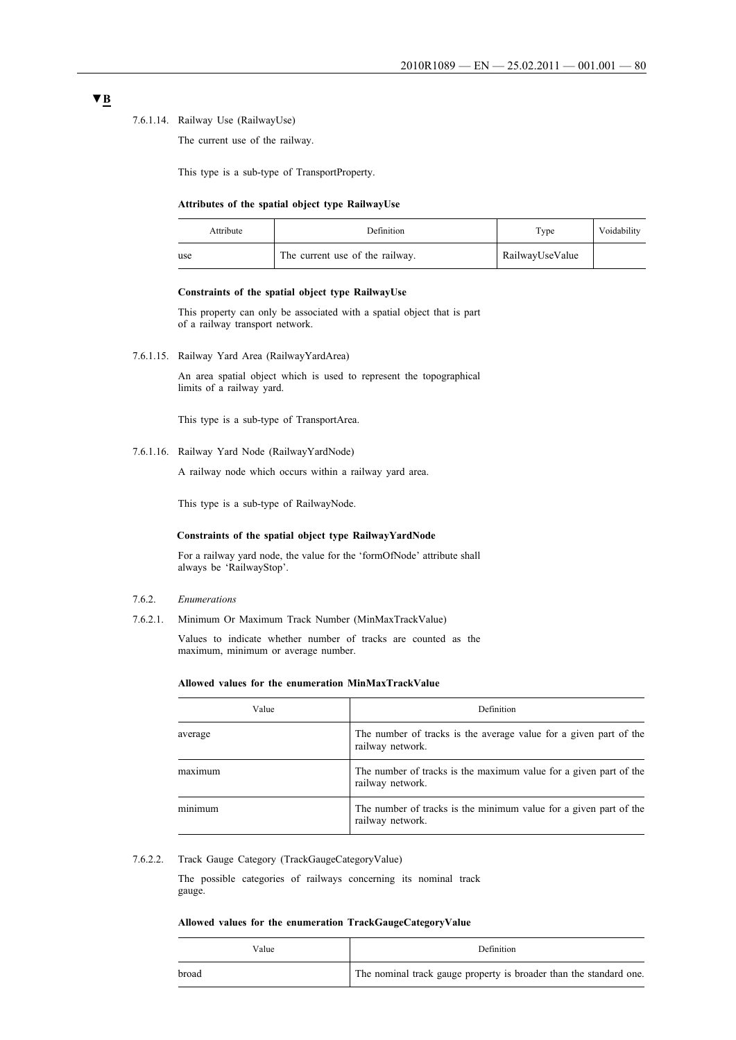### 7.6.1.14. Railway Use (RailwayUse)

The current use of the railway.

This type is a sub-type of TransportProperty.

#### **Attributes of the spatial object type RailwayUse**

| Attribute | Definition                      | Type            | Voidability |
|-----------|---------------------------------|-----------------|-------------|
| use       | The current use of the railway. | RailwayUseValue |             |

### **Constraints of the spatial object type RailwayUse**

This property can only be associated with a spatial object that is part of a railway transport network.

7.6.1.15. Railway Yard Area (RailwayYardArea)

An area spatial object which is used to represent the topographical limits of a railway yard.

This type is a sub-type of TransportArea.

7.6.1.16. Railway Yard Node (RailwayYardNode)

A railway node which occurs within a railway yard area.

This type is a sub-type of RailwayNode.

### **Constraints of the spatial object type RailwayYardNode**

For a railway yard node, the value for the 'formOfNode' attribute shall always be 'RailwayStop'.

### 7.6.2. *Enumerations*

7.6.2.1. Minimum Or Maximum Track Number (MinMaxTrackValue)

Values to indicate whether number of tracks are counted as the maximum, minimum or average number.

### **Allowed values for the enumeration MinMaxTrackValue**

| Value   | Definition                                                                            |
|---------|---------------------------------------------------------------------------------------|
| average | The number of tracks is the average value for a given part of the<br>railway network. |
| maximum | The number of tracks is the maximum value for a given part of the<br>railway network. |
| minimum | The number of tracks is the minimum value for a given part of the<br>railway network. |

### 7.6.2.2. Track Gauge Category (TrackGaugeCategoryValue)

The possible categories of railways concerning its nominal track gauge.

### **Allowed values for the enumeration TrackGaugeCategoryValue**

| Value | <b>Definition</b>                                                  |
|-------|--------------------------------------------------------------------|
| broad | The nominal track gauge property is broader than the standard one. |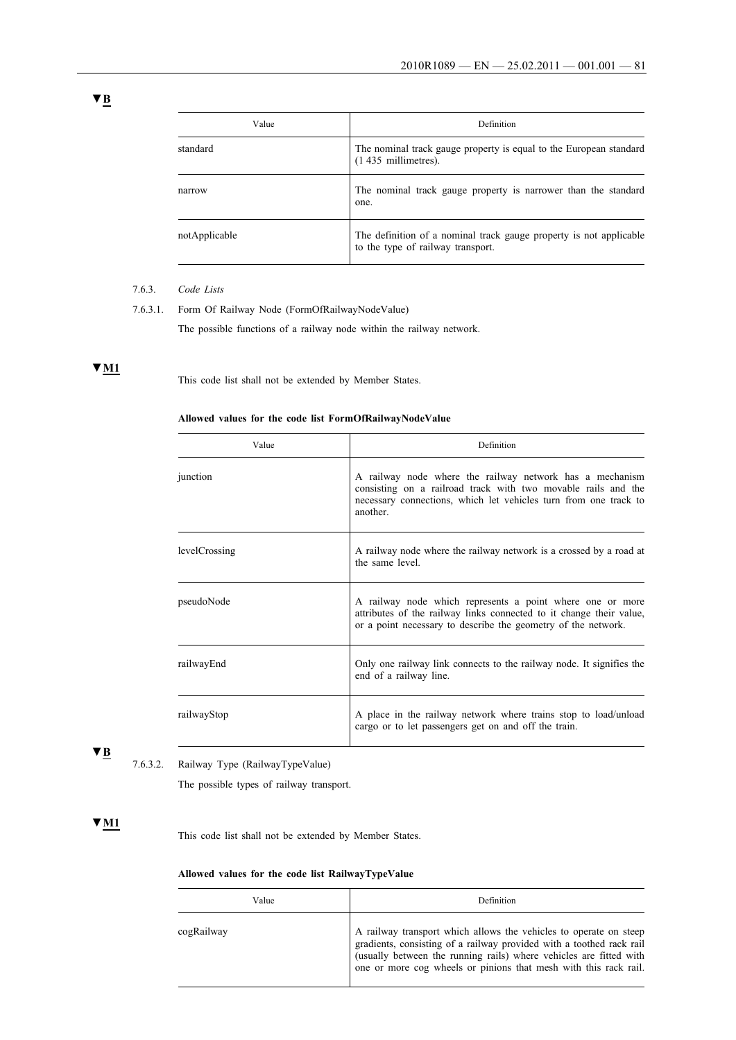| Value         | Definition                                                                                              |
|---------------|---------------------------------------------------------------------------------------------------------|
| standard      | The nominal track gauge property is equal to the European standard<br>$(1435$ millimetres).             |
| narrow        | The nominal track gauge property is narrower than the standard<br>one.                                  |
| notApplicable | The definition of a nominal track gauge property is not applicable<br>to the type of railway transport. |

# 7.6.3. *Code Lists*

7.6.3.1. Form Of Railway Node (FormOfRailwayNodeValue)

The possible functions of a railway node within the railway network.

# **▼M1**

This code list shall not be extended by Member States.

# **Allowed values for the code list FormOfRailwayNodeValue**

| Value         | Definition                                                                                                                                                                                                |
|---------------|-----------------------------------------------------------------------------------------------------------------------------------------------------------------------------------------------------------|
| junction      | A railway node where the railway network has a mechanism<br>consisting on a railroad track with two movable rails and the<br>necessary connections, which let vehicles turn from one track to<br>another. |
| levelCrossing | A railway node where the railway network is a crossed by a road at<br>the same level.                                                                                                                     |
| pseudoNode    | A railway node which represents a point where one or more<br>attributes of the railway links connected to it change their value,<br>or a point necessary to describe the geometry of the network.         |
| railwayEnd    | Only one railway link connects to the railway node. It signifies the<br>end of a railway line.                                                                                                            |
| railwayStop   | A place in the railway network where trains stop to load/unload<br>cargo or to let passengers get on and off the train.                                                                                   |

# **▼B**

7.6.3.2. Railway Type (RailwayTypeValue)

The possible types of railway transport.

# **▼M1**

This code list shall not be extended by Member States.

# **Allowed values for the code list RailwayTypeValue**

| Value      | Definition                                                                                                                                                                                                                                                                          |
|------------|-------------------------------------------------------------------------------------------------------------------------------------------------------------------------------------------------------------------------------------------------------------------------------------|
| cogRailway | A railway transport which allows the vehicles to operate on steep<br>gradients, consisting of a railway provided with a toothed rack rail<br>(usually between the running rails) where vehicles are fitted with<br>one or more cog wheels or pinions that mesh with this rack rail. |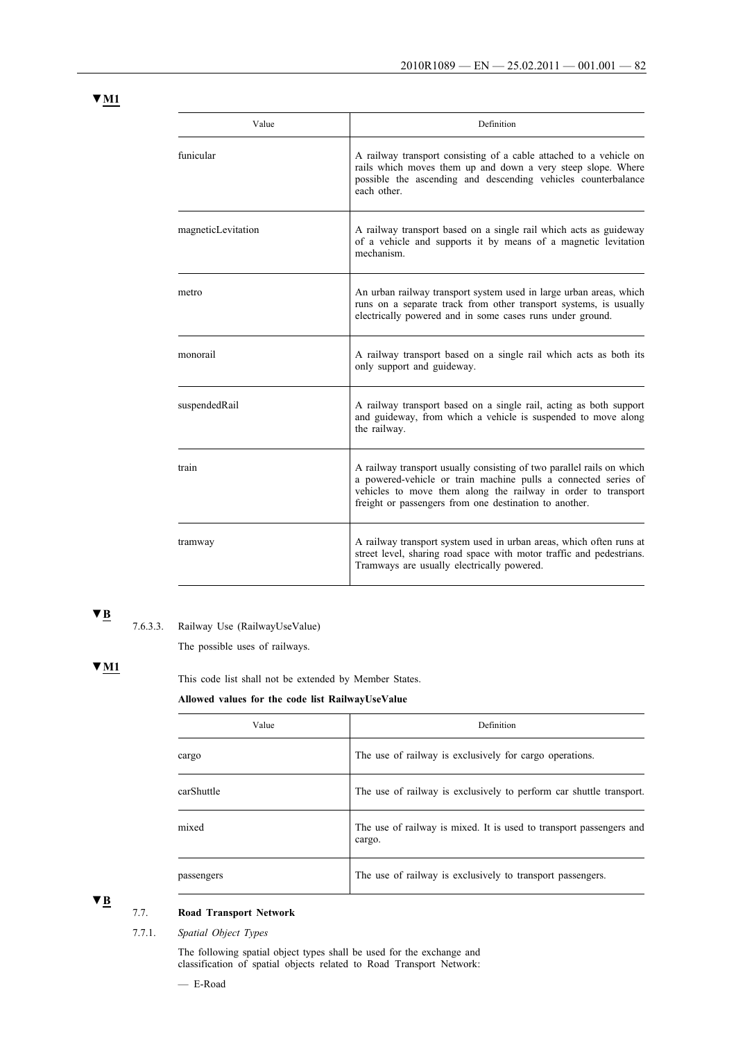# **▼M1**

| Value              | Definition                                                                                                                                                                                                                                                         |
|--------------------|--------------------------------------------------------------------------------------------------------------------------------------------------------------------------------------------------------------------------------------------------------------------|
| funicular          | A railway transport consisting of a cable attached to a vehicle on<br>rails which moves them up and down a very steep slope. Where<br>possible the ascending and descending vehicles counterbalance<br>each other.                                                 |
| magneticLevitation | A railway transport based on a single rail which acts as guideway<br>of a vehicle and supports it by means of a magnetic levitation<br>mechanism                                                                                                                   |
| metro              | An urban railway transport system used in large urban areas, which<br>runs on a separate track from other transport systems, is usually<br>electrically powered and in some cases runs under ground.                                                               |
| monorail           | A railway transport based on a single rail which acts as both its<br>only support and guideway.                                                                                                                                                                    |
| suspendedRail      | A railway transport based on a single rail, acting as both support<br>and guideway, from which a vehicle is suspended to move along<br>the railway.                                                                                                                |
| train              | A railway transport usually consisting of two parallel rails on which<br>a powered-vehicle or train machine pulls a connected series of<br>vehicles to move them along the railway in order to transport<br>freight or passengers from one destination to another. |
| tramway            | A railway transport system used in urban areas, which often runs at<br>street level, sharing road space with motor traffic and pedestrians.<br>Tramways are usually electrically powered.                                                                          |

# **▼B**

7.6.3.3. Railway Use (RailwayUseValue)

The possible uses of railways.

# **▼M1**

This code list shall not be extended by Member States.

# **Allowed values for the code list RailwayUseValue**

| Value      | Definition                                                                    |
|------------|-------------------------------------------------------------------------------|
| cargo      | The use of railway is exclusively for cargo operations.                       |
| carShuttle | The use of railway is exclusively to perform car shuttle transport.           |
| mixed      | The use of railway is mixed. It is used to transport passengers and<br>cargo. |
| passengers | The use of railway is exclusively to transport passengers.                    |

**▼B**

# 7.7. **Road Transport Network**

7.7.1. *Spatial Object Types*

The following spatial object types shall be used for the exchange and classification of spatial objects related to Road Transport Network:

— E-Road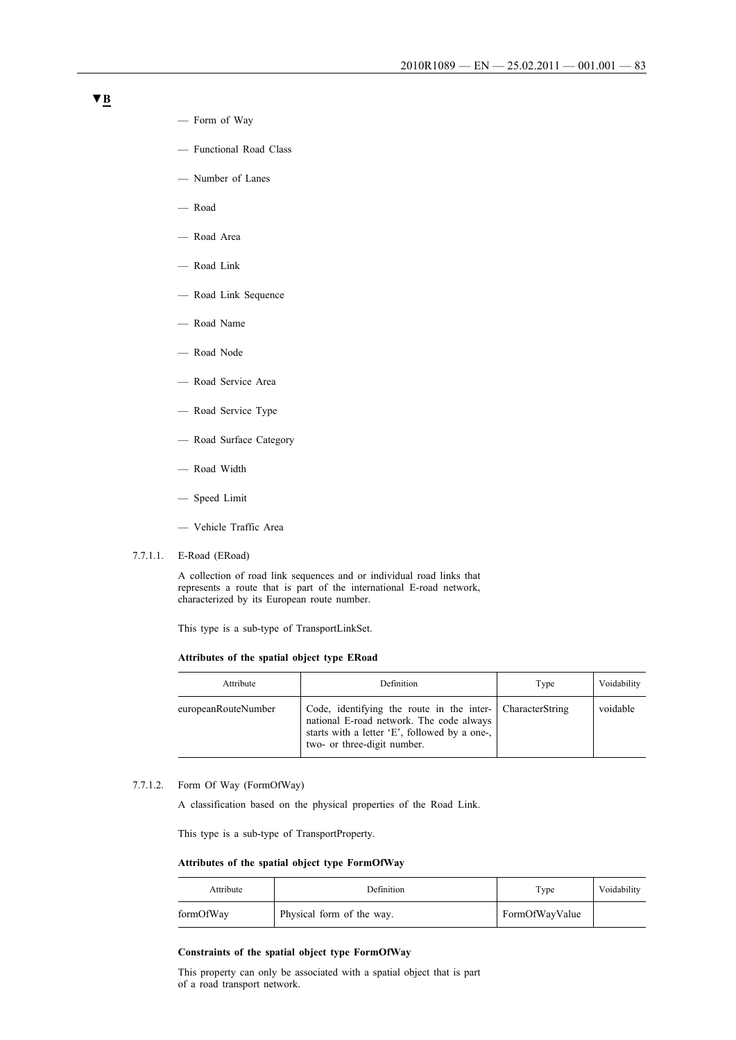- Form of Way
- Functional Road Class
- Number of Lanes
- Road
- Road Area
- Road Link
- Road Link Sequence
- Road Name
- Road Node
- Road Service Area
- Road Service Type
- Road Surface Category
- Road Width
- Speed Limit
- Vehicle Traffic Area
- 7.7.1.1. E-Road (ERoad)

A collection of road link sequences and or individual road links that represents a route that is part of the international E-road network, characterized by its European route number.

This type is a sub-type of TransportLinkSet.

### **Attributes of the spatial object type ERoad**

| Attribute           | Definition                                                                                                                                                                           | Type | Voidability |
|---------------------|--------------------------------------------------------------------------------------------------------------------------------------------------------------------------------------|------|-------------|
| europeanRouteNumber | Code, identifying the route in the inter- CharacterString<br>national E-road network. The code always<br>starts with a letter 'E', followed by a one-<br>two- or three-digit number. |      | voidable    |

### 7.7.1.2. Form Of Way (FormOfWay)

A classification based on the physical properties of the Road Link.

This type is a sub-type of TransportProperty.

### **Attributes of the spatial object type FormOfWay**

| Attribute | Definition                | Type           | Voidability |
|-----------|---------------------------|----------------|-------------|
| formOfWay | Physical form of the way. | FormOfWayValue |             |

### **Constraints of the spatial object type FormOfWay**

This property can only be associated with a spatial object that is part of a road transport network.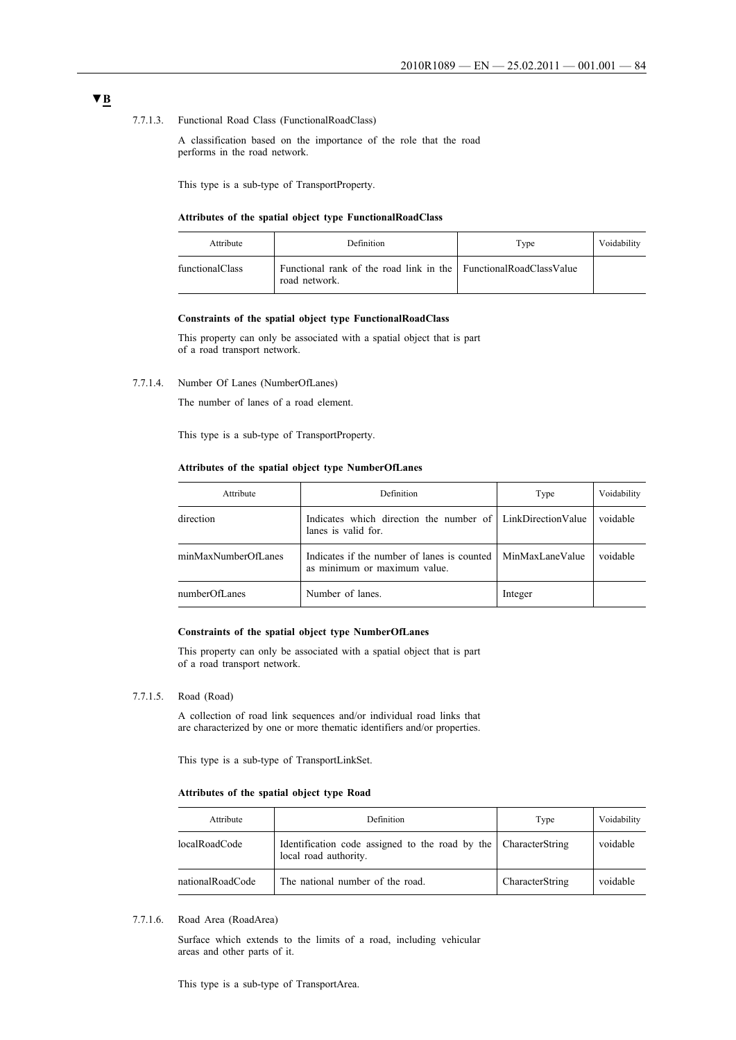### 7.7.1.3. Functional Road Class (FunctionalRoadClass)

A classification based on the importance of the role that the road performs in the road network.

This type is a sub-type of TransportProperty.

#### **Attributes of the spatial object type FunctionalRoadClass**

| Attribute       | Definition                                                                        | Type | Voidability |
|-----------------|-----------------------------------------------------------------------------------|------|-------------|
| functionalClass | Functional rank of the road link in the FunctionalRoadClassValue<br>road network. |      |             |

### **Constraints of the spatial object type FunctionalRoadClass**

This property can only be associated with a spatial object that is part of a road transport network.

7.7.1.4. Number Of Lanes (NumberOfLanes)

The number of lanes of a road element.

This type is a sub-type of TransportProperty.

### **Attributes of the spatial object type NumberOfLanes**

| Attribute           | <b>Definition</b>                                                                 | Type            | Voidability |
|---------------------|-----------------------------------------------------------------------------------|-----------------|-------------|
| direction           | Indicates which direction the number of LinkDirectionValue<br>lanes is valid for. |                 | voidable    |
| minMaxNumberOfLanes | Indicates if the number of lanes is counted<br>as minimum or maximum value.       | MinMaxLaneValue | voidable    |
| numberOfLanes       | Number of lanes.                                                                  | Integer         |             |

### **Constraints of the spatial object type NumberOfLanes**

This property can only be associated with a spatial object that is part of a road transport network.

### 7.7.1.5. Road (Road)

A collection of road link sequences and/or individual road links that are characterized by one or more thematic identifiers and/or properties.

This type is a sub-type of TransportLinkSet.

### **Attributes of the spatial object type Road**

| Attribute        | Definition                                                                               | Type            | Voidability |
|------------------|------------------------------------------------------------------------------------------|-----------------|-------------|
| localRoadCode    | Identification code assigned to the road by the CharacterString<br>local road authority. |                 | voidable    |
| nationalRoadCode | The national number of the road.                                                         | CharacterString | voidable    |

7.7.1.6. Road Area (RoadArea)

Surface which extends to the limits of a road, including vehicular areas and other parts of it.

This type is a sub-type of TransportArea.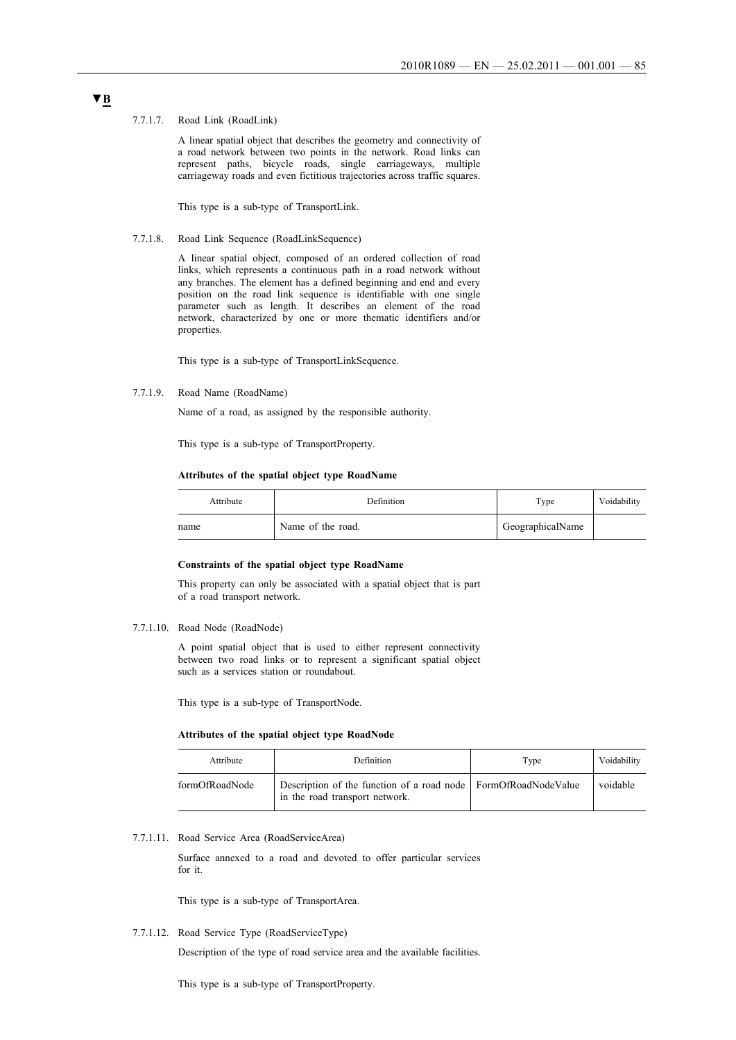#### 7.7.1.7. Road Link (RoadLink)

A linear spatial object that describes the geometry and connectivity of a road network between two points in the network. Road links can represent paths, bicycle roads, single carriageways, multiple carriageway roads and even fictitious trajectories across traffic squares.

This type is a sub-type of TransportLink.

7.7.1.8. Road Link Sequence (RoadLinkSequence)

A linear spatial object, composed of an ordered collection of road links, which represents a continuous path in a road network without any branches. The element has a defined beginning and end and every position on the road link sequence is identifiable with one single parameter such as length. It describes an element of the road network, characterized by one or more thematic identifiers and/or properties.

This type is a sub-type of TransportLinkSequence.

7.7.1.9. Road Name (RoadName)

Name of a road, as assigned by the responsible authority.

This type is a sub-type of TransportProperty.

### **Attributes of the spatial object type RoadName**

| Attribute | Definition        | Type             | Voidability |
|-----------|-------------------|------------------|-------------|
| name      | Name of the road. | GeographicalName |             |

### **Constraints of the spatial object type RoadName**

This property can only be associated with a spatial object that is part of a road transport network.

7.7.1.10. Road Node (RoadNode)

A point spatial object that is used to either represent connectivity between two road links or to represent a significant spatial object such as a services station or roundabout.

This type is a sub-type of TransportNode.

### **Attributes of the spatial object type RoadNode**

| Attribute      | Definition                                                                                         | Type | Voidability |
|----------------|----------------------------------------------------------------------------------------------------|------|-------------|
| formOfRoadNode | Description of the function of a road node   FormOfRoadNodeValue<br>in the road transport network. |      | voidable    |

### 7.7.1.11. Road Service Area (RoadServiceArea)

Surface annexed to a road and devoted to offer particular services for it.

This type is a sub-type of TransportArea.

7.7.1.12. Road Service Type (RoadServiceType)

Description of the type of road service area and the available facilities.

This type is a sub-type of TransportProperty.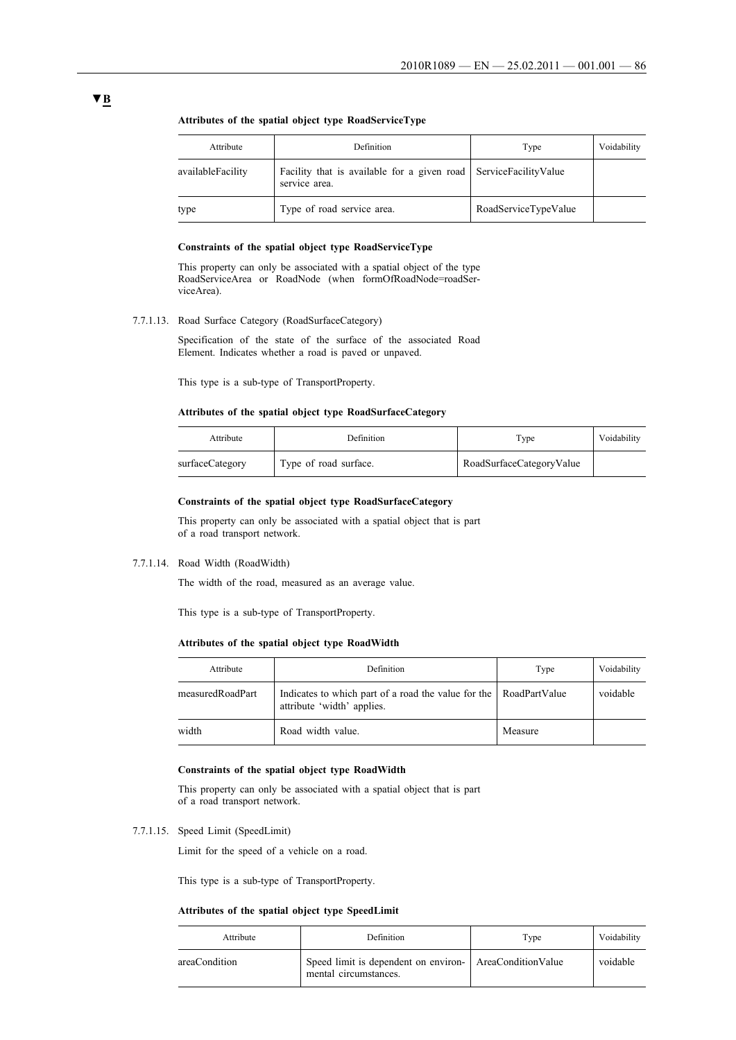| Attribute         | <b>Definition</b>                                                                 | Type                 | Voidability |
|-------------------|-----------------------------------------------------------------------------------|----------------------|-------------|
| availableFacility | Facility that is available for a given road ServiceFacilityValue<br>service area. |                      |             |
| type              | Type of road service area.                                                        | RoadServiceTypeValue |             |

### **Attributes of the spatial object type RoadServiceType**

### **Constraints of the spatial object type RoadServiceType**

This property can only be associated with a spatial object of the type RoadServiceArea or RoadNode (when formOfRoadNode=roadServiceArea).

7.7.1.13. Road Surface Category (RoadSurfaceCategory)

Specification of the state of the surface of the associated Road Element. Indicates whether a road is paved or unpaved.

This type is a sub-type of TransportProperty.

### **Attributes of the spatial object type RoadSurfaceCategory**

| Attribute       | Definition            | Type                     | Voidability |
|-----------------|-----------------------|--------------------------|-------------|
| surfaceCategory | Type of road surface. | RoadSurfaceCategoryValue |             |

# **Constraints of the spatial object type RoadSurfaceCategory**

This property can only be associated with a spatial object that is part of a road transport network.

7.7.1.14. Road Width (RoadWidth)

The width of the road, measured as an average value.

This type is a sub-type of TransportProperty.

### **Attributes of the spatial object type RoadWidth**

| Attribute        | Definition                                                                                      | Type    | Voidability |
|------------------|-------------------------------------------------------------------------------------------------|---------|-------------|
| measuredRoadPart | Indicates to which part of a road the value for the RoadPartValue<br>attribute 'width' applies. |         | voidable    |
| width            | Road width value.                                                                               | Measure |             |

### **Constraints of the spatial object type RoadWidth**

This property can only be associated with a spatial object that is part of a road transport network.

7.7.1.15. Speed Limit (SpeedLimit)

Limit for the speed of a vehicle on a road.

This type is a sub-type of TransportProperty.

### **Attributes of the spatial object type SpeedLimit**

| Attribute     | <b>Definition</b>                                                                | Tvpe | Voidability |
|---------------|----------------------------------------------------------------------------------|------|-------------|
| areaCondition | Speed limit is dependent on environ- AreaConditionValue<br>mental circumstances. |      | voidable    |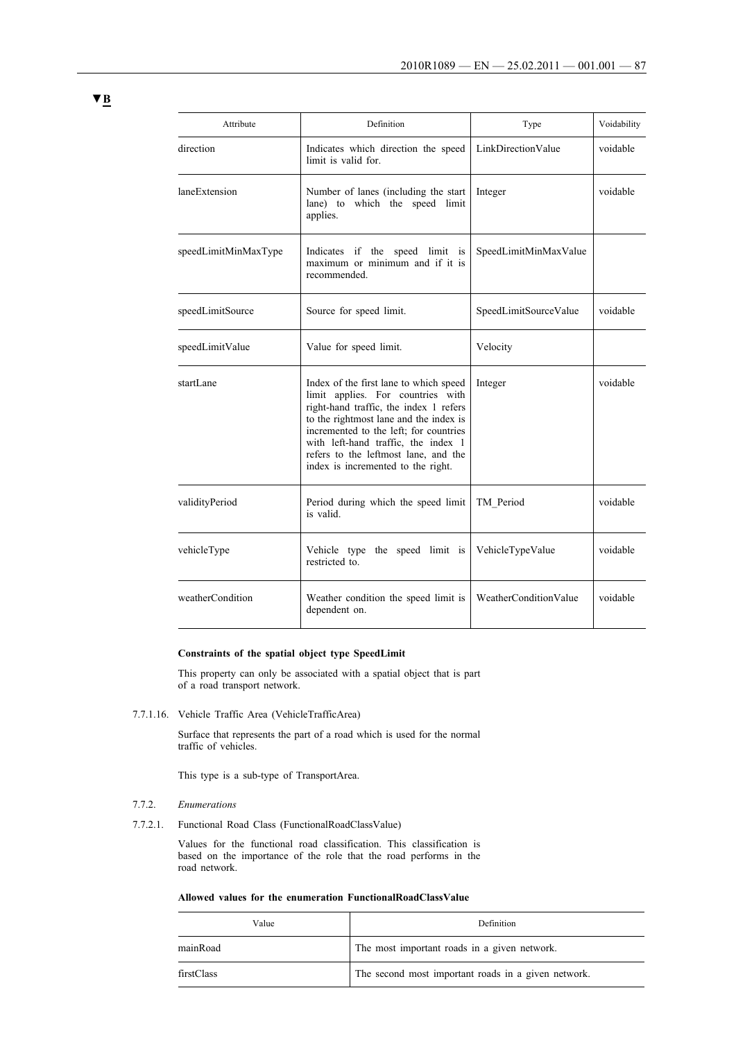| Attribute            | Definition                                                                                                                                                                                                                                                                                                                     | Type                  | Voidability |
|----------------------|--------------------------------------------------------------------------------------------------------------------------------------------------------------------------------------------------------------------------------------------------------------------------------------------------------------------------------|-----------------------|-------------|
| direction            | Indicates which direction the speed<br>limit is valid for.                                                                                                                                                                                                                                                                     | LinkDirectionValue    | voidable    |
| laneExtension        | Number of lanes (including the start<br>lane) to which the speed limit<br>applies.                                                                                                                                                                                                                                             | Integer               | voidable    |
| speedLimitMinMaxType | Indicates if the speed limit is<br>maximum or minimum and if it is<br>recommended.                                                                                                                                                                                                                                             | SpeedLimitMinMaxValue |             |
| speedLimitSource     | Source for speed limit.                                                                                                                                                                                                                                                                                                        | SpeedLimitSourceValue | voidable    |
| speedLimitValue      | Value for speed limit.                                                                                                                                                                                                                                                                                                         | Velocity              |             |
| startLane            | Index of the first lane to which speed<br>limit applies. For countries with<br>right-hand traffic, the index 1 refers<br>to the rightmost lane and the index is<br>incremented to the left; for countries<br>with left-hand traffic, the index 1<br>refers to the leftmost lane, and the<br>index is incremented to the right. | Integer               | voidable    |
| validityPeriod       | Period during which the speed limit<br>is valid.                                                                                                                                                                                                                                                                               | TM Period             | voidable    |
| vehicleType          | Vehicle type the speed limit is<br>restricted to.                                                                                                                                                                                                                                                                              | VehicleTypeValue      | voidable    |
| weatherCondition     | Weather condition the speed limit is<br>dependent on.                                                                                                                                                                                                                                                                          | WeatherConditionValue | voidable    |

# **Constraints of the spatial object type SpeedLimit**

This property can only be associated with a spatial object that is part of a road transport network.

7.7.1.16. Vehicle Traffic Area (VehicleTrafficArea)

Surface that represents the part of a road which is used for the normal traffic of vehicles.

This type is a sub-type of TransportArea.

- 7.7.2. *Enumerations*
- 7.7.2.1. Functional Road Class (FunctionalRoadClassValue)

Values for the functional road classification. This classification is based on the importance of the role that the road performs in the road network.

| Allowed values for the enumeration FunctionalRoadClassValue |
|-------------------------------------------------------------|
|-------------------------------------------------------------|

| Value      | Definition                                          |
|------------|-----------------------------------------------------|
| mainRoad   | The most important roads in a given network.        |
| firstClass | The second most important roads in a given network. |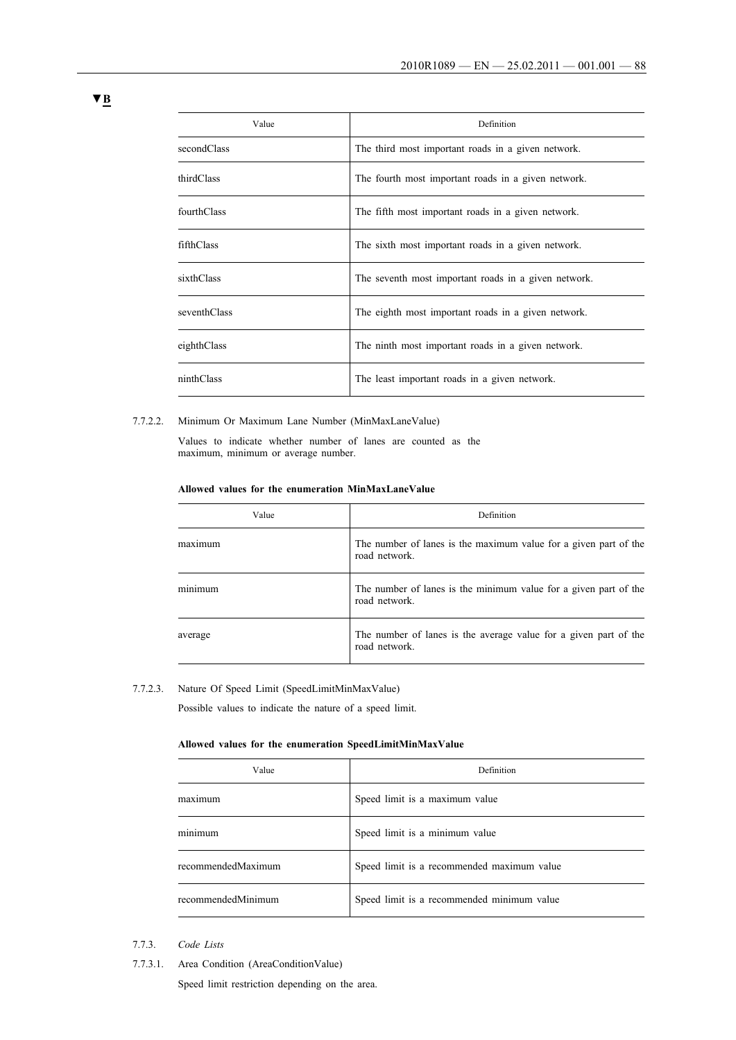| Value        | Definition                                           |
|--------------|------------------------------------------------------|
| secondClass  | The third most important roads in a given network.   |
| thirdClass   | The fourth most important roads in a given network.  |
| fourthClass  | The fifth most important roads in a given network.   |
| fifthClass   | The sixth most important roads in a given network.   |
| sixthClass   | The seventh most important roads in a given network. |
| seventhClass | The eighth most important roads in a given network.  |
| eighthClass  | The ninth most important roads in a given network.   |
| ninthClass   | The least important roads in a given network.        |

### 7.7.2.2. Minimum Or Maximum Lane Number (MinMaxLaneValue)

Values to indicate whether number of lanes are counted as the maximum, minimum or average number.

### **Allowed values for the enumeration MinMaxLaneValue**

| Value   | Definition                                                                        |
|---------|-----------------------------------------------------------------------------------|
| maximum | The number of lanes is the maximum value for a given part of the<br>road network. |
| minimum | The number of lanes is the minimum value for a given part of the<br>road network. |
| average | The number of lanes is the average value for a given part of the<br>road network. |

# 7.7.2.3. Nature Of Speed Limit (SpeedLimitMinMaxValue)

Possible values to indicate the nature of a speed limit.

# **Allowed values for the enumeration SpeedLimitMinMaxValue**

| Value              | Definition                                 |
|--------------------|--------------------------------------------|
| maximum            | Speed limit is a maximum value             |
| . .<br>minimum     | Speed limit is a minimum value             |
| recommendedMaximum | Speed limit is a recommended maximum value |
| recommendedMinimum | Speed limit is a recommended minimum value |

# 7.7.3. *Code Lists*

7.7.3.1. Area Condition (AreaConditionValue)

Speed limit restriction depending on the area.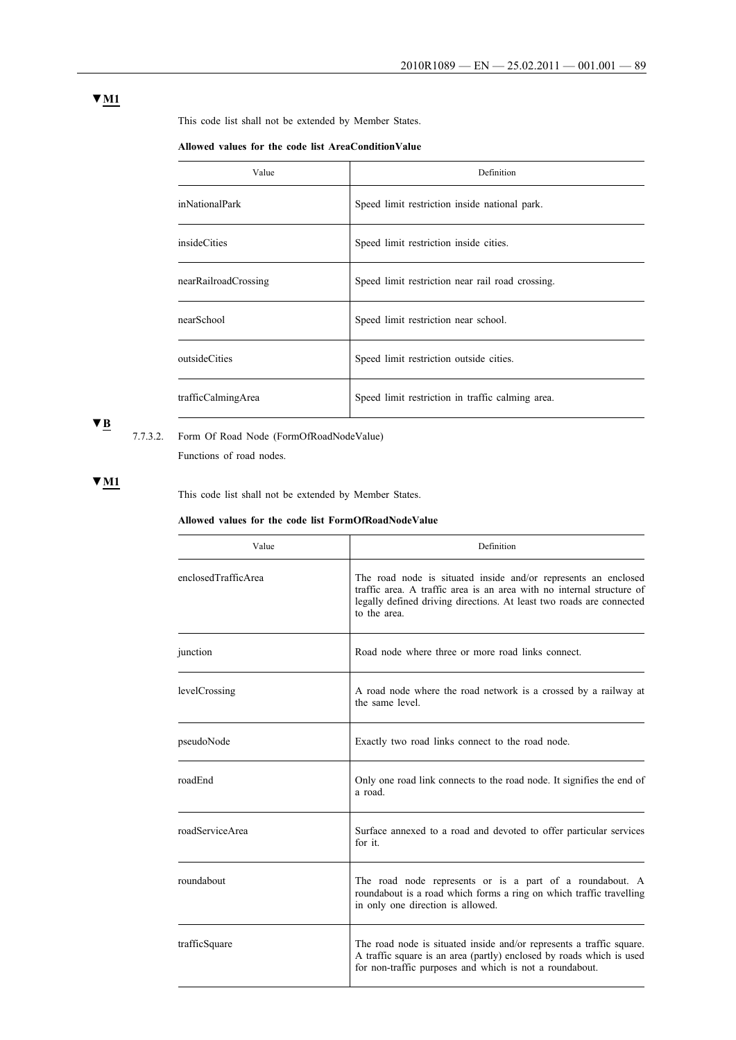This code list shall not be extended by Member States.

### **Allowed values for the code list AreaConditionValue**

| Value                | Definition                                       |
|----------------------|--------------------------------------------------|
| inNationalPark       | Speed limit restriction inside national park.    |
| insideCities         | Speed limit restriction inside cities.           |
| nearRailroadCrossing | Speed limit restriction near rail road crossing. |
| nearSchool           | Speed limit restriction near school.             |
| outsideCities        | Speed limit restriction outside cities.          |
| trafficCalmingArea   | Speed limit restriction in traffic calming area. |

# **▼B**

7.7.3.2. Form Of Road Node (FormOfRoadNodeValue)

Functions of road nodes.

# **▼M1**

This code list shall not be extended by Member States.

### **Allowed values for the code list FormOfRoadNodeValue**

| Value               | Definition                                                                                                                                                                                                                      |
|---------------------|---------------------------------------------------------------------------------------------------------------------------------------------------------------------------------------------------------------------------------|
| enclosedTrafficArea | The road node is situated inside and/or represents an enclosed<br>traffic area. A traffic area is an area with no internal structure of<br>legally defined driving directions. At least two roads are connected<br>to the area. |
| junction            | Road node where three or more road links connect.                                                                                                                                                                               |
| levelCrossing       | A road node where the road network is a crossed by a railway at<br>the same level.                                                                                                                                              |
| pseudoNode          | Exactly two road links connect to the road node.                                                                                                                                                                                |
| roadEnd             | Only one road link connects to the road node. It signifies the end of<br>a road.                                                                                                                                                |
| roadServiceArea     | Surface annexed to a road and devoted to offer particular services<br>for it.                                                                                                                                                   |
| roundabout          | The road node represents or is a part of a roundabout. A<br>roundabout is a road which forms a ring on which traffic travelling<br>in only one direction is allowed.                                                            |
| trafficSquare       | The road node is situated inside and/or represents a traffic square.<br>A traffic square is an area (partly) enclosed by roads which is used<br>for non-traffic purposes and which is not a roundabout.                         |

# **▼M1**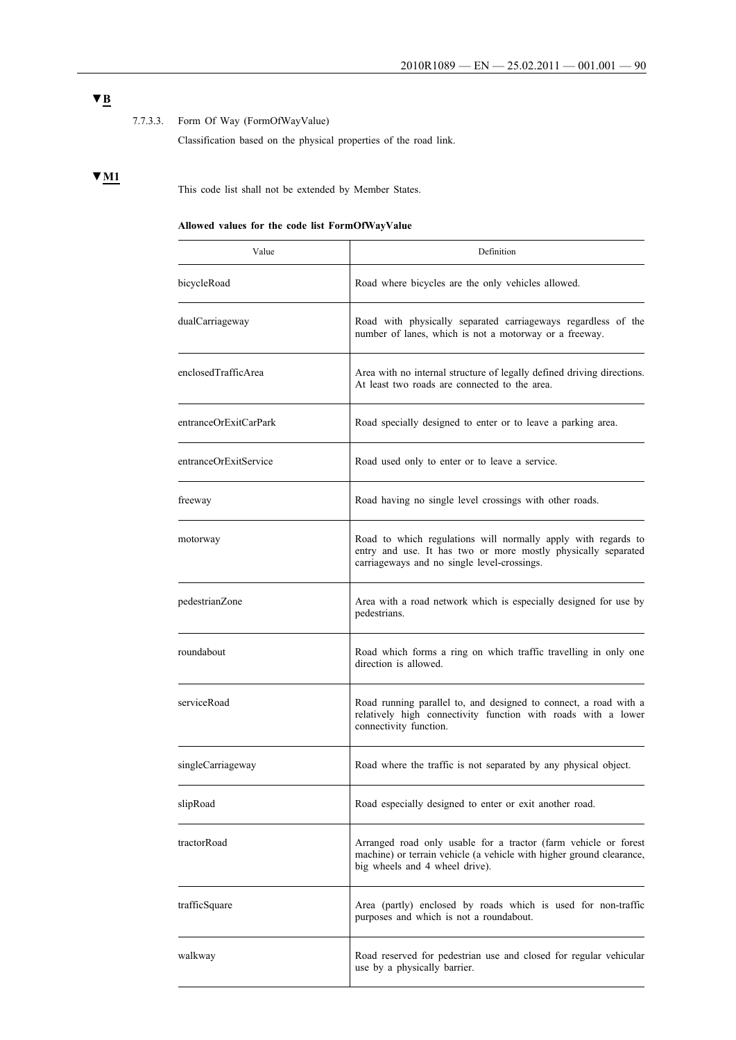# **▼B**

# 7.7.3.3. Form Of Way (FormOfWayValue)

Classification based on the physical properties of the road link.

# **▼M1**

This code list shall not be extended by Member States.

# **Allowed values for the code list FormOfWayValue**

| Value                 | Definition                                                                                                                                                                    |
|-----------------------|-------------------------------------------------------------------------------------------------------------------------------------------------------------------------------|
| bicycleRoad           | Road where bicycles are the only vehicles allowed.                                                                                                                            |
| dualCarriageway       | Road with physically separated carriageways regardless of the<br>number of lanes, which is not a motorway or a freeway.                                                       |
| enclosedTrafficArea   | Area with no internal structure of legally defined driving directions.<br>At least two roads are connected to the area.                                                       |
| entranceOrExitCarPark | Road specially designed to enter or to leave a parking area.                                                                                                                  |
| entranceOrExitService | Road used only to enter or to leave a service.                                                                                                                                |
| freeway               | Road having no single level crossings with other roads.                                                                                                                       |
| motorway              | Road to which regulations will normally apply with regards to<br>entry and use. It has two or more mostly physically separated<br>carriageways and no single level-crossings. |
| pedestrianZone        | Area with a road network which is especially designed for use by<br>pedestrians.                                                                                              |
| roundabout            | Road which forms a ring on which traffic travelling in only one<br>direction is allowed.                                                                                      |
| serviceRoad           | Road running parallel to, and designed to connect, a road with a<br>relatively high connectivity function with roads with a lower<br>connectivity function.                   |
| singleCarriageway     | Road where the traffic is not separated by any physical object.                                                                                                               |
| slipRoad              | Road especially designed to enter or exit another road.                                                                                                                       |
| tractorRoad           | Arranged road only usable for a tractor (farm vehicle or forest<br>machine) or terrain vehicle (a vehicle with higher ground clearance,<br>big wheels and 4 wheel drive).     |
| trafficSquare         | Area (partly) enclosed by roads which is used for non-traffic<br>purposes and which is not a roundabout.                                                                      |
| walkway               | Road reserved for pedestrian use and closed for regular vehicular<br>use by a physically barrier.                                                                             |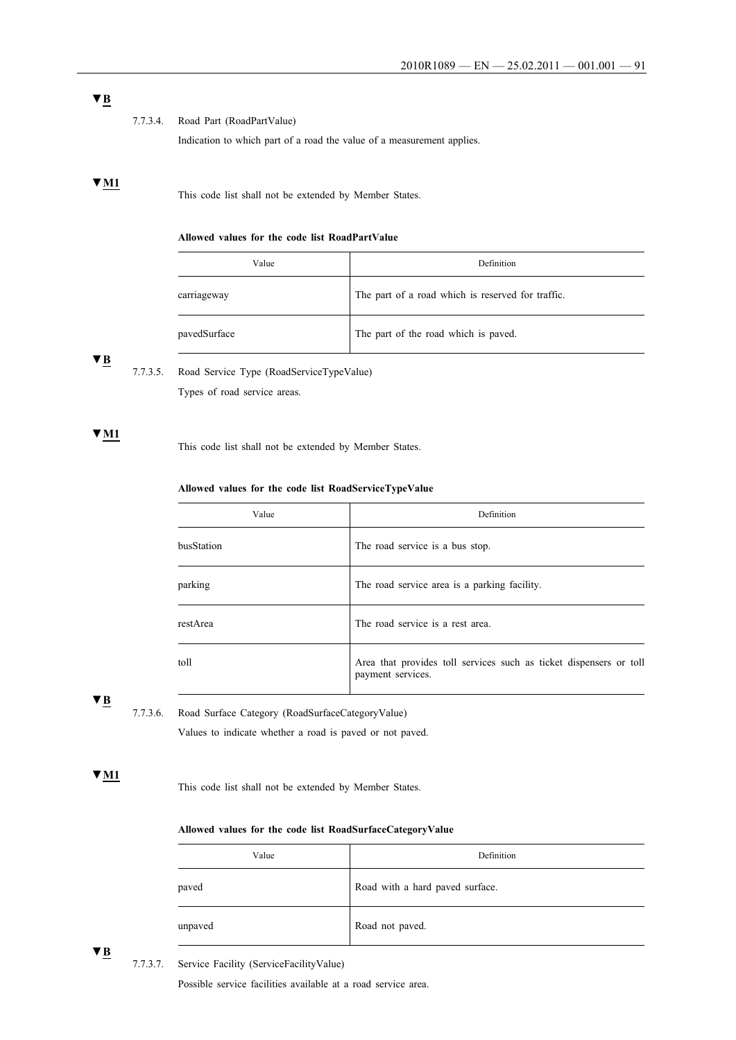# **▼B**

### 7.7.3.4. Road Part (RoadPartValue)

Indication to which part of a road the value of a measurement applies.

# **▼M1**

This code list shall not be extended by Member States.

# **Allowed values for the code list RoadPartValue**

| Value        | Definition                                        |
|--------------|---------------------------------------------------|
| carriageway  | The part of a road which is reserved for traffic. |
| pavedSurface | The part of the road which is paved.              |

# **▼B**

7.7.3.5. Road Service Type (RoadServiceTypeValue) Types of road service areas.

# **▼M1**

This code list shall not be extended by Member States.

### **Allowed values for the code list RoadServiceTypeValue**

| Value      | Definition                                                                              |
|------------|-----------------------------------------------------------------------------------------|
| busStation | The road service is a bus stop.                                                         |
| parking    | The road service area is a parking facility.                                            |
| restArea   | The road service is a rest area.                                                        |
| toll       | Area that provides toll services such as ticket dispensers or toll<br>payment services. |

# **▼B**

7.7.3.6. Road Surface Category (RoadSurfaceCategoryValue)

Values to indicate whether a road is paved or not paved.

### **▼M1**

This code list shall not be extended by Member States.

### **Allowed values for the code list RoadSurfaceCategoryValue**

| Value   | Definition                      |
|---------|---------------------------------|
| paved   | Road with a hard paved surface. |
| unpaved | Road not paved.                 |

**▼B**

7.7.3.7. Service Facility (ServiceFacilityValue)

Possible service facilities available at a road service area.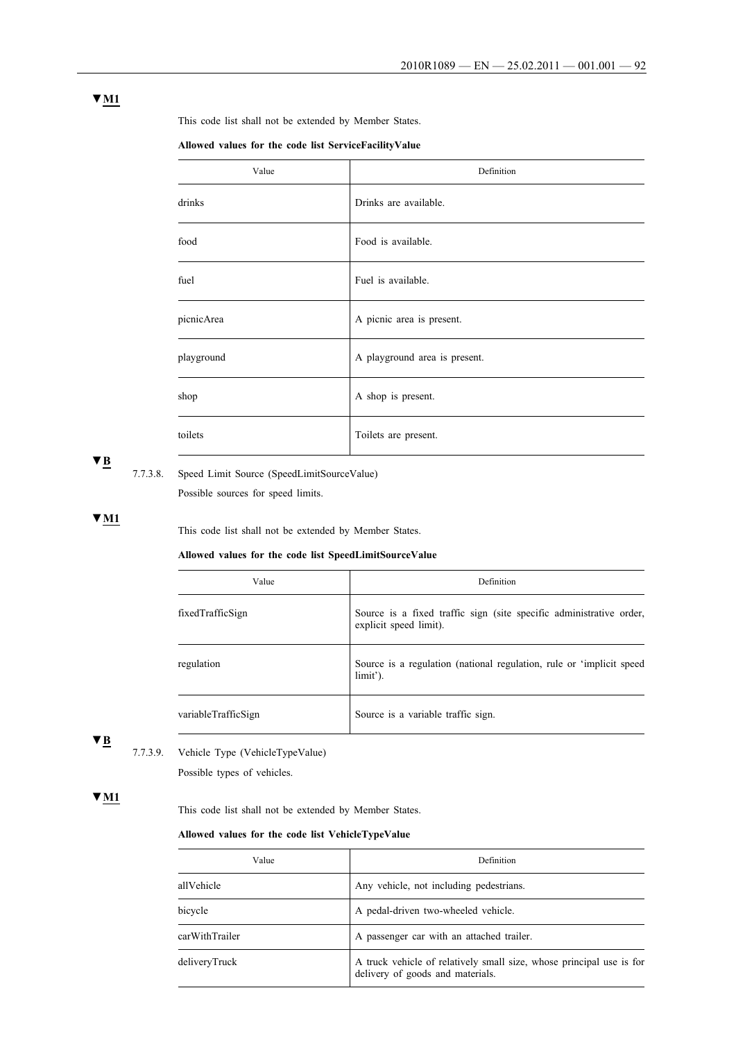This code list shall not be extended by Member States.

**Allowed values for the code list ServiceFacilityValue**

| Value      | Definition                    |
|------------|-------------------------------|
| drinks     | Drinks are available.         |
| food       | Food is available.            |
| fuel       | Fuel is available.            |
| picnicArea | A picnic area is present.     |
| playground | A playground area is present. |
| shop       | A shop is present.            |
| toilets    | Toilets are present.          |

# **▼B**

# 7.7.3.8. Speed Limit Source (SpeedLimitSourceValue)

Possible sources for speed limits.

**▼M1**

This code list shall not be extended by Member States.

### **Allowed values for the code list SpeedLimitSourceValue**

| Value               | Definition                                                                                    |  |
|---------------------|-----------------------------------------------------------------------------------------------|--|
| fixedTrafficSign    | Source is a fixed traffic sign (site specific administrative order,<br>explicit speed limit). |  |
| regulation          | Source is a regulation (national regulation, rule or 'implicit speed<br>limit').              |  |
| variableTrafficSign | Source is a variable traffic sign.                                                            |  |

**▼B**

# 7.7.3.9. Vehicle Type (VehicleTypeValue)

Possible types of vehicles.

# **▼M1**

This code list shall not be extended by Member States.

# **Allowed values for the code list VehicleTypeValue**

| Value          | Definition                                                                                               |  |
|----------------|----------------------------------------------------------------------------------------------------------|--|
| allVehicle     | Any vehicle, not including pedestrians.                                                                  |  |
| bicycle        | A pedal-driven two-wheeled vehicle.                                                                      |  |
| carWithTrailer | A passenger car with an attached trailer.                                                                |  |
| deliveryTruck  | A truck vehicle of relatively small size, whose principal use is for<br>delivery of goods and materials. |  |

# **▼M1**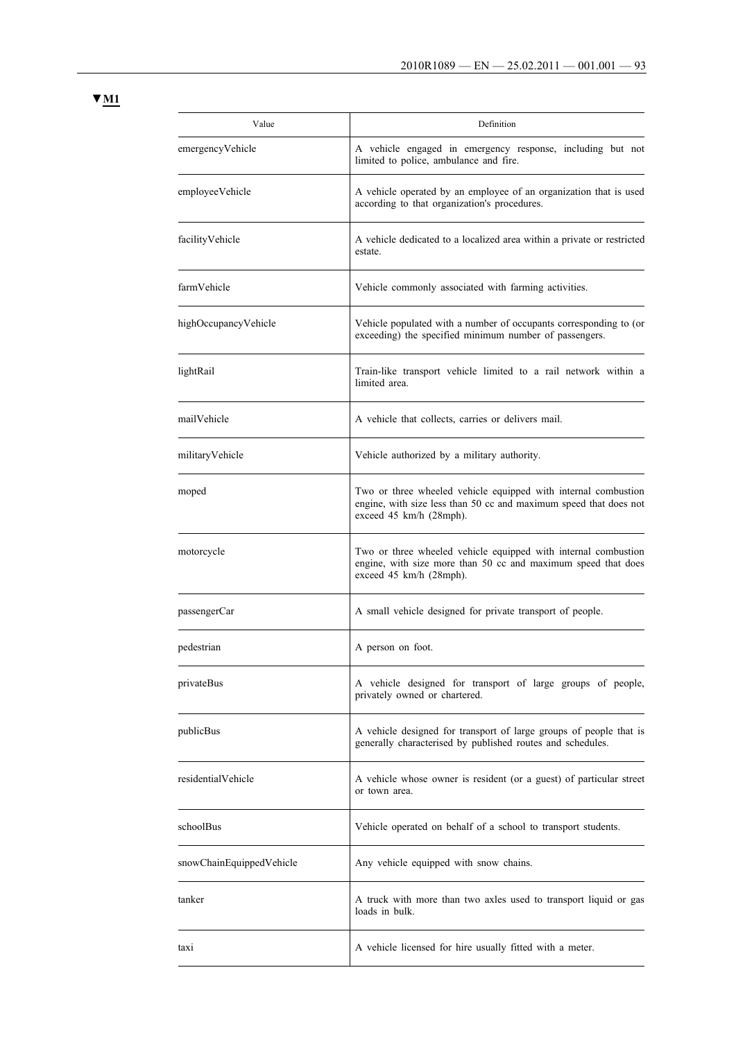**▼M1**

| Value                    | Definition                                                                                                                                                     |
|--------------------------|----------------------------------------------------------------------------------------------------------------------------------------------------------------|
| emergencyVehicle         | A vehicle engaged in emergency response, including but not<br>limited to police, ambulance and fire.                                                           |
| employeeVehicle          | A vehicle operated by an employee of an organization that is used<br>according to that organization's procedures.                                              |
| facilityVehicle          | A vehicle dedicated to a localized area within a private or restricted<br>estate.                                                                              |
| farmVehicle              | Vehicle commonly associated with farming activities.                                                                                                           |
| highOccupancyVehicle     | Vehicle populated with a number of occupants corresponding to (or<br>exceeding) the specified minimum number of passengers.                                    |
| lightRail                | Train-like transport vehicle limited to a rail network within a<br>limited area.                                                                               |
| mailVehicle              | A vehicle that collects, carries or delivers mail.                                                                                                             |
| militaryVehicle          | Vehicle authorized by a military authority.                                                                                                                    |
| moped                    | Two or three wheeled vehicle equipped with internal combustion<br>engine, with size less than 50 cc and maximum speed that does not<br>exceed 45 km/h (28mph). |
| motorcycle               | Two or three wheeled vehicle equipped with internal combustion<br>engine, with size more than 50 cc and maximum speed that does<br>exceed 45 km/h (28mph).     |
| passengerCar             | A small vehicle designed for private transport of people.                                                                                                      |
| pedestrian               | A person on foot.                                                                                                                                              |
| privateBus               | A vehicle designed for transport of large groups of people,<br>privately owned or chartered.                                                                   |
| publicBus                | A vehicle designed for transport of large groups of people that is<br>generally characterised by published routes and schedules.                               |
| residentialVehicle       | A vehicle whose owner is resident (or a guest) of particular street<br>or town area.                                                                           |
| schoolBus                | Vehicle operated on behalf of a school to transport students.                                                                                                  |
| snowChainEquippedVehicle | Any vehicle equipped with snow chains.                                                                                                                         |
| tanker                   | A truck with more than two axles used to transport liquid or gas<br>loads in bulk.                                                                             |
| taxi                     | A vehicle licensed for hire usually fitted with a meter.                                                                                                       |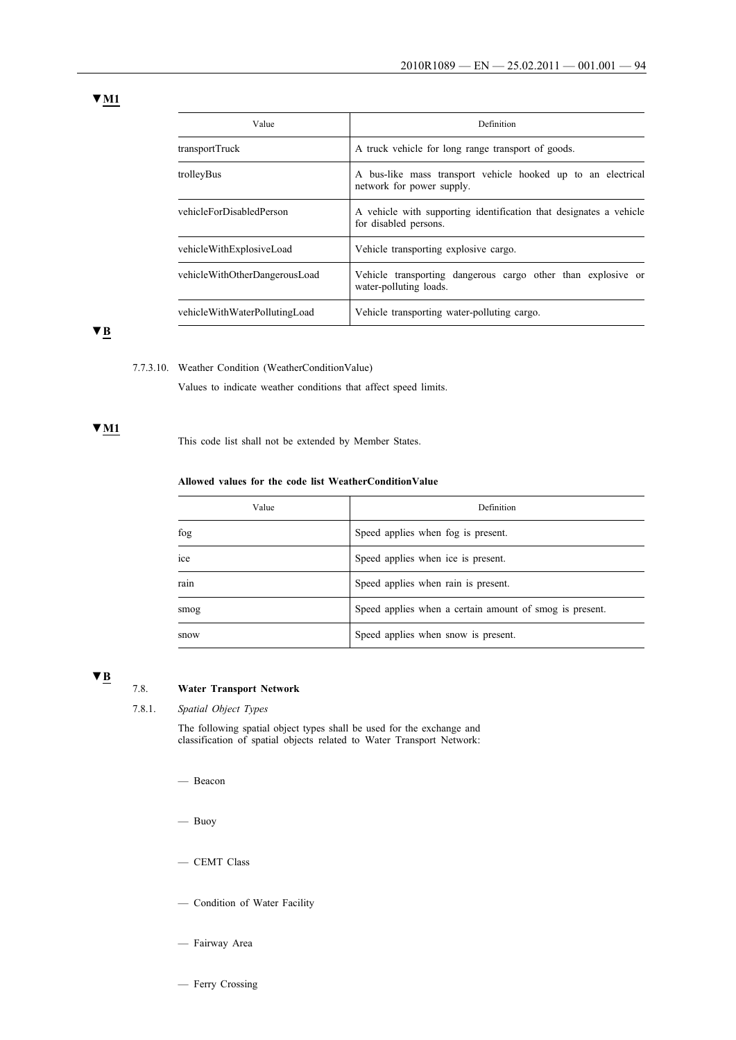**▼M1**

| Value                         | Definition                                                                                  |  |
|-------------------------------|---------------------------------------------------------------------------------------------|--|
| transportTruck                | A truck vehicle for long range transport of goods.                                          |  |
| trolleyBus                    | A bus-like mass transport vehicle hooked up to an electrical<br>network for power supply.   |  |
| vehicleForDisabledPerson      | A vehicle with supporting identification that designates a vehicle<br>for disabled persons. |  |
| vehicleWithExplosiveLoad      | Vehicle transporting explosive cargo.                                                       |  |
| vehicleWithOtherDangerousLoad | Vehicle transporting dangerous cargo other than explosive or<br>water-polluting loads.      |  |
| vehicleWithWaterPollutingLoad | Vehicle transporting water-polluting cargo.                                                 |  |

**▼B**

### 7.7.3.10. Weather Condition (WeatherConditionValue)

Values to indicate weather conditions that affect speed limits.

# **▼M1**

This code list shall not be extended by Member States.

### **Allowed values for the code list WeatherConditionValue**

| Value | Definition                                              |
|-------|---------------------------------------------------------|
| fog   | Speed applies when fog is present.                      |
| ice   | Speed applies when ice is present.                      |
| rain  | Speed applies when rain is present.                     |
| smog  | Speed applies when a certain amount of smog is present. |
| snow  | Speed applies when snow is present.                     |

# **▼B**

# 7.8. **Water Transport Network**

7.8.1. *Spatial Object Types*

The following spatial object types shall be used for the exchange and classification of spatial objects related to Water Transport Network:

- Beacon
- Buoy
- CEMT Class
- Condition of Water Facility
- Fairway Area
- Ferry Crossing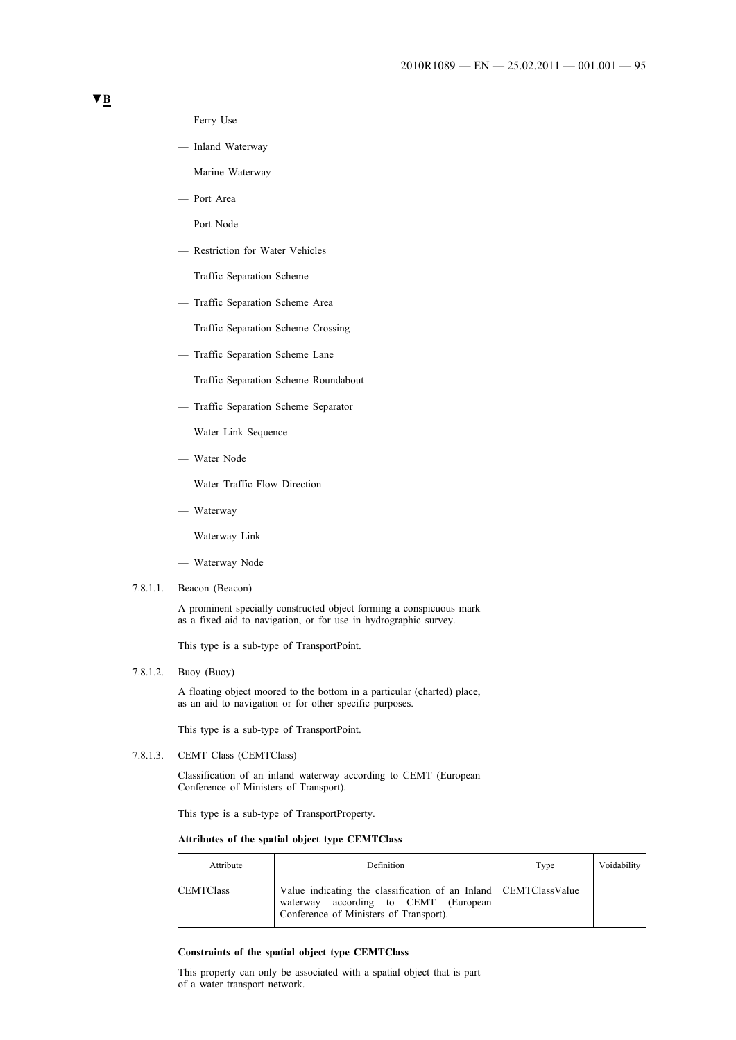- Ferry Use
- Inland Waterway
- Marine Waterway
- Port Area
- Port Node
- Restriction for Water Vehicles
- Traffic Separation Scheme
- Traffic Separation Scheme Area
- Traffic Separation Scheme Crossing
- Traffic Separation Scheme Lane
- Traffic Separation Scheme Roundabout
- Traffic Separation Scheme Separator
- Water Link Sequence
- Water Node
- Water Traffic Flow Direction
- Waterway
- Waterway Link
- Waterway Node
- 7.8.1.1. Beacon (Beacon)

A prominent specially constructed object forming a conspicuous mark as a fixed aid to navigation, or for use in hydrographic survey.

This type is a sub-type of TransportPoint.

7.8.1.2. Buoy (Buoy)

A floating object moored to the bottom in a particular (charted) place, as an aid to navigation or for other specific purposes.

This type is a sub-type of TransportPoint.

7.8.1.3. CEMT Class (CEMTClass)

Classification of an inland waterway according to CEMT (European Conference of Ministers of Transport).

This type is a sub-type of TransportProperty.

### **Attributes of the spatial object type CEMTClass**

| Attribute        | <b>Definition</b>                                                                                                                                      | Type | Voidability |
|------------------|--------------------------------------------------------------------------------------------------------------------------------------------------------|------|-------------|
| <b>CEMTClass</b> | Value indicating the classification of an Inland   CEMTClassValue<br>according to CEMT (European<br>waterway<br>Conference of Ministers of Transport). |      |             |

### **Constraints of the spatial object type CEMTClass**

This property can only be associated with a spatial object that is part of a water transport network.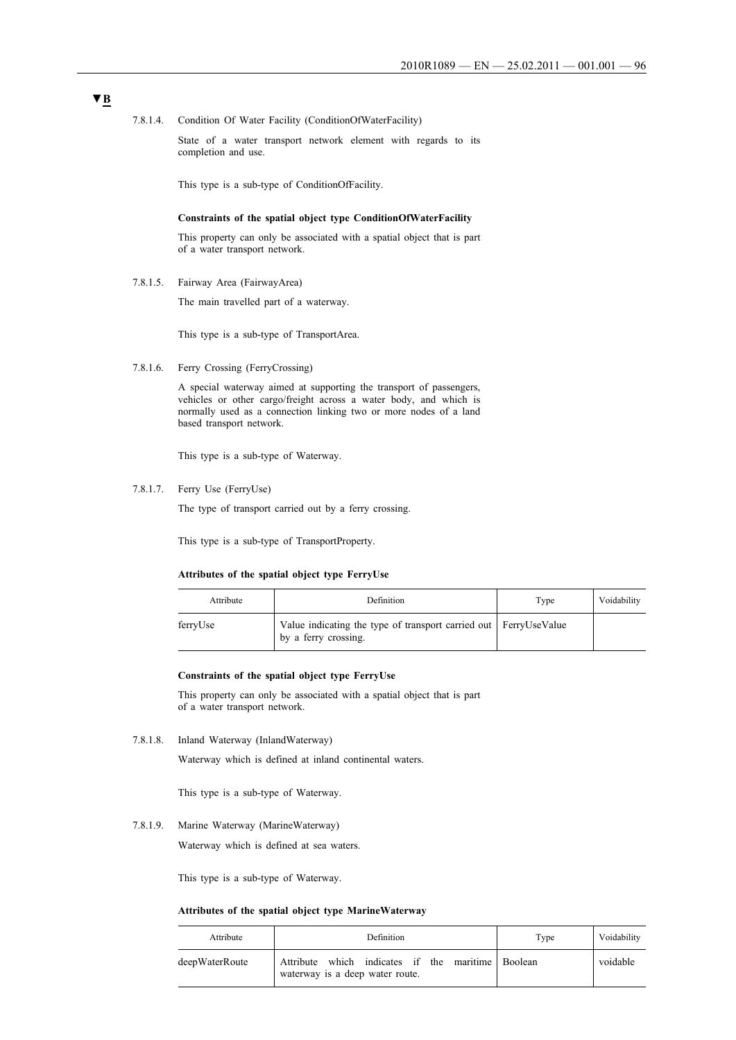7.8.1.4. Condition Of Water Facility (ConditionOfWaterFacility)

State of a water transport network element with regards to its completion and use.

This type is a sub-type of ConditionOfFacility.

#### **Constraints of the spatial object type ConditionOfWaterFacility**

This property can only be associated with a spatial object that is part of a water transport network.

7.8.1.5. Fairway Area (FairwayArea)

The main travelled part of a waterway.

This type is a sub-type of TransportArea.

7.8.1.6. Ferry Crossing (FerryCrossing)

A special waterway aimed at supporting the transport of passengers, vehicles or other cargo/freight across a water body, and which is normally used as a connection linking two or more nodes of a land based transport network.

This type is a sub-type of Waterway.

7.8.1.7. Ferry Use (FerryUse)

The type of transport carried out by a ferry crossing.

This type is a sub-type of TransportProperty.

### **Attributes of the spatial object type FerryUse**

| Attribute | Definition                                                                                 | Type | Voidability |
|-----------|--------------------------------------------------------------------------------------------|------|-------------|
| ferryUse  | Value indicating the type of transport carried out   FerryUseValue<br>by a ferry crossing. |      |             |

### **Constraints of the spatial object type FerryUse**

This property can only be associated with a spatial object that is part of a water transport network.

7.8.1.8. Inland Waterway (InlandWaterway)

Waterway which is defined at inland continental waters.

This type is a sub-type of Waterway.

7.8.1.9. Marine Waterway (MarineWaterway)

Waterway which is defined at sea waters.

This type is a sub-type of Waterway.

### **Attributes of the spatial object type MarineWaterway**

| Attribute      | Definition                                                                           | Type | Voidability |
|----------------|--------------------------------------------------------------------------------------|------|-------------|
| deepWaterRoute | Attribute which indicates if the maritime Boolean<br>waterway is a deep water route. |      | voidable    |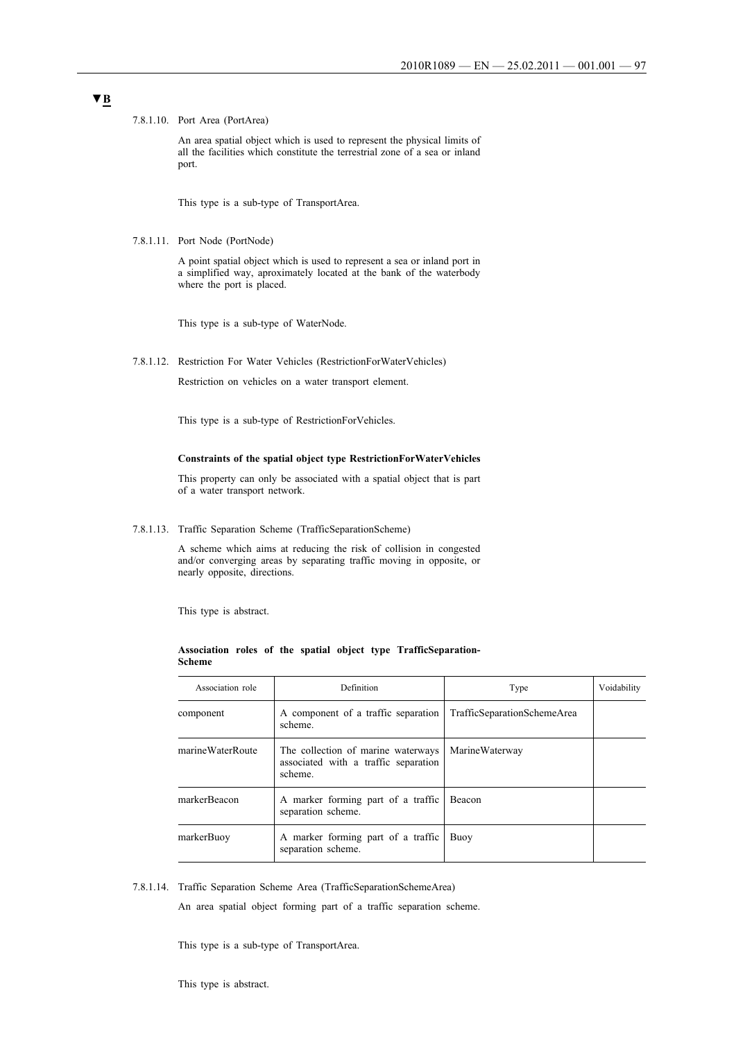7.8.1.10. Port Area (PortArea)

An area spatial object which is used to represent the physical limits of all the facilities which constitute the terrestrial zone of a sea or inland port.

This type is a sub-type of TransportArea.

7.8.1.11. Port Node (PortNode)

A point spatial object which is used to represent a sea or inland port in a simplified way, aproximately located at the bank of the waterbody where the port is placed.

This type is a sub-type of WaterNode.

7.8.1.12. Restriction For Water Vehicles (RestrictionForWaterVehicles)

Restriction on vehicles on a water transport element.

This type is a sub-type of RestrictionForVehicles.

### **Constraints of the spatial object type RestrictionForWaterVehicles**

This property can only be associated with a spatial object that is part of a water transport network.

7.8.1.13. Traffic Separation Scheme (TrafficSeparationScheme)

A scheme which aims at reducing the risk of collision in congested and/or converging areas by separating traffic moving in opposite, or nearly opposite, directions.

This type is abstract.

### **Association roles of the spatial object type TrafficSeparation-Scheme**

| Association role | Definition                                                                            | Type                        | Voidability |
|------------------|---------------------------------------------------------------------------------------|-----------------------------|-------------|
| component        | A component of a traffic separation<br>scheme.                                        | TrafficSeparationSchemeArea |             |
| marineWaterRoute | The collection of marine waterways<br>associated with a traffic separation<br>scheme. | <b>MarineWaterway</b>       |             |
| markerBeacon     | A marker forming part of a traffic<br>separation scheme.                              | <b>Beacon</b>               |             |
| markerBuoy       | A marker forming part of a traffic<br>separation scheme.                              | Buoy                        |             |

7.8.1.14. Traffic Separation Scheme Area (TrafficSeparationSchemeArea)

An area spatial object forming part of a traffic separation scheme.

This type is a sub-type of TransportArea.

This type is abstract.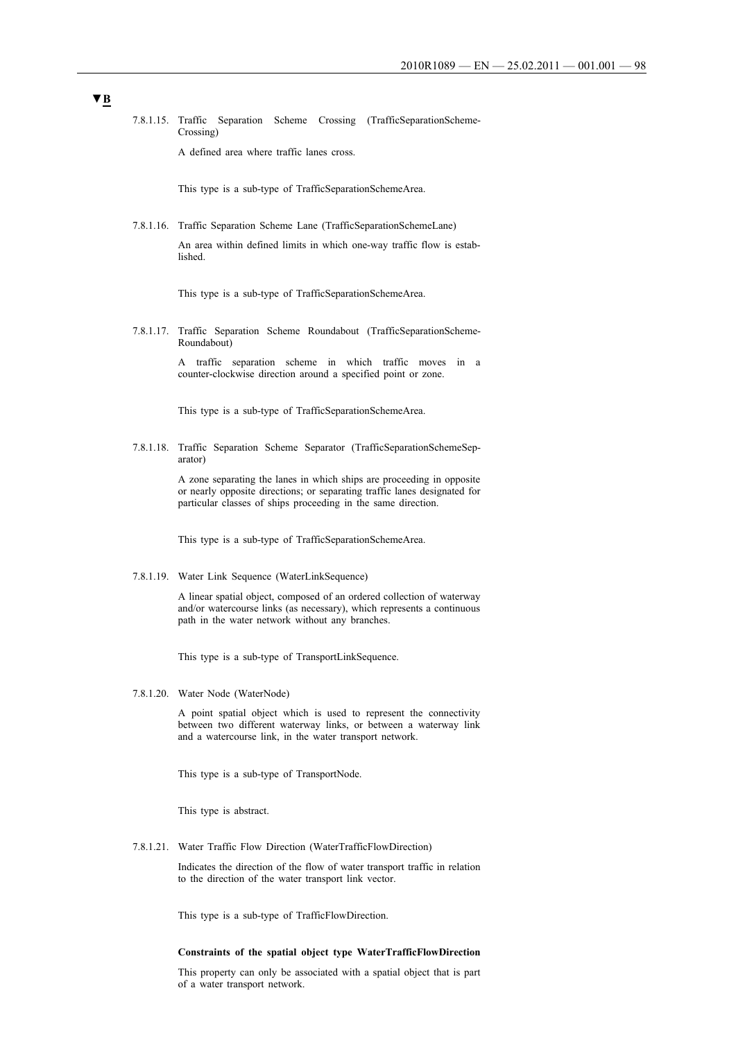7.8.1.15. Traffic Separation Scheme Crossing (TrafficSeparationScheme-Crossing)

A defined area where traffic lanes cross.

This type is a sub-type of TrafficSeparationSchemeArea.

7.8.1.16. Traffic Separation Scheme Lane (TrafficSeparationSchemeLane)

An area within defined limits in which one-way traffic flow is established.

This type is a sub-type of TrafficSeparationSchemeArea.

7.8.1.17. Traffic Separation Scheme Roundabout (TrafficSeparationScheme-Roundabout)

> A traffic separation scheme in which traffic moves in a counter-clockwise direction around a specified point or zone.

This type is a sub-type of TrafficSeparationSchemeArea.

7.8.1.18. Traffic Separation Scheme Separator (TrafficSeparationSchemeSeparator)

> A zone separating the lanes in which ships are proceeding in opposite or nearly opposite directions; or separating traffic lanes designated for particular classes of ships proceeding in the same direction.

This type is a sub-type of TrafficSeparationSchemeArea.

7.8.1.19. Water Link Sequence (WaterLinkSequence)

A linear spatial object, composed of an ordered collection of waterway and/or watercourse links (as necessary), which represents a continuous path in the water network without any branches.

This type is a sub-type of TransportLinkSequence.

7.8.1.20. Water Node (WaterNode)

A point spatial object which is used to represent the connectivity between two different waterway links, or between a waterway link and a watercourse link, in the water transport network.

This type is a sub-type of TransportNode.

This type is abstract.

7.8.1.21. Water Traffic Flow Direction (WaterTrafficFlowDirection)

Indicates the direction of the flow of water transport traffic in relation to the direction of the water transport link vector.

This type is a sub-type of TrafficFlowDirection.

### **Constraints of the spatial object type WaterTrafficFlowDirection**

This property can only be associated with a spatial object that is part of a water transport network.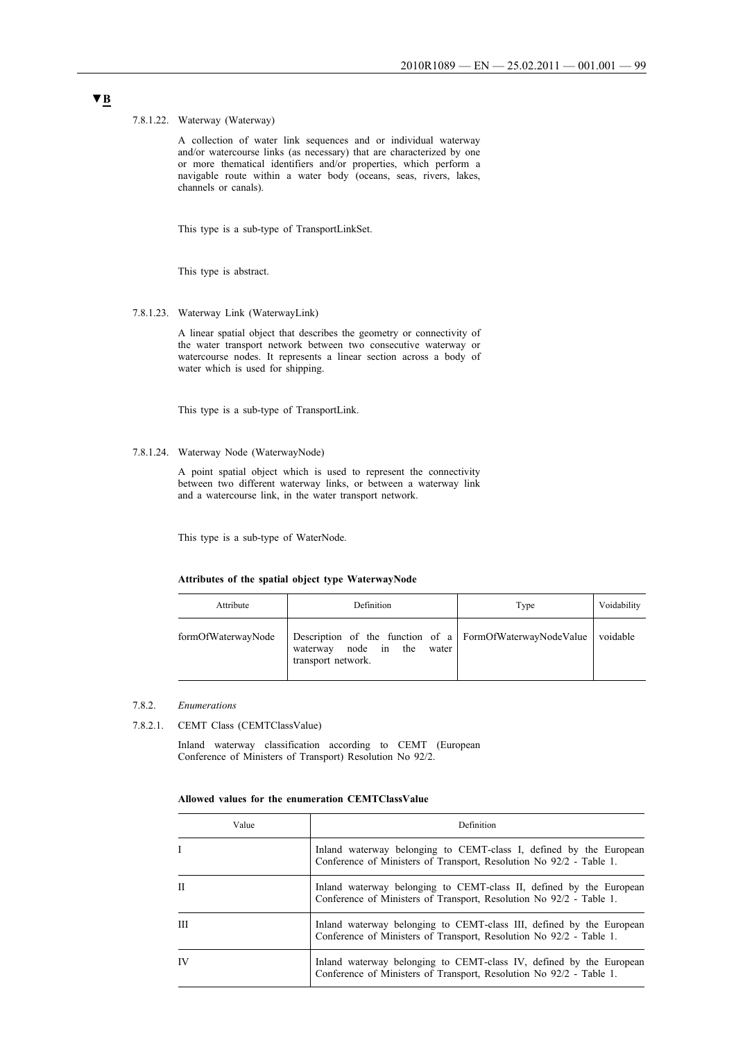### 7.8.1.22. Waterway (Waterway)

A collection of water link sequences and or individual waterway and/or watercourse links (as necessary) that are characterized by one or more thematical identifiers and/or properties, which perform a navigable route within a water body (oceans, seas, rivers, lakes, channels or canals).

This type is a sub-type of TransportLinkSet.

This type is abstract.

7.8.1.23. Waterway Link (WaterwayLink)

A linear spatial object that describes the geometry or connectivity of the water transport network between two consecutive waterway or watercourse nodes. It represents a linear section across a body of water which is used for shipping.

This type is a sub-type of TransportLink.

# 7.8.1.24. Waterway Node (WaterwayNode)

A point spatial object which is used to represent the connectivity between two different waterway links, or between a waterway link and a watercourse link, in the water transport network.

This type is a sub-type of WaterNode.

#### **Attributes of the spatial object type WaterwayNode**

| Attribute          | Definition                                                                                                               | Type | Voidability |
|--------------------|--------------------------------------------------------------------------------------------------------------------------|------|-------------|
| formOfWaterwayNode | Description of the function of a FormOfWaterwayNodeValue voidable<br>waterway node in the<br>water<br>transport network. |      |             |

- 7.8.2. *Enumerations*
- 7.8.2.1. CEMT Class (CEMTClassValue)

Inland waterway classification according to CEMT (European Conference of Ministers of Transport) Resolution No 92/2.

### **Allowed values for the enumeration CEMTClassValue**

| Value        | Definition                                                                                                                                  |  |
|--------------|---------------------------------------------------------------------------------------------------------------------------------------------|--|
|              | Inland waterway belonging to CEMT-class I, defined by the European<br>Conference of Ministers of Transport, Resolution No 92/2 - Table 1.   |  |
| $\mathbf{H}$ | Inland waterway belonging to CEMT-class II, defined by the European<br>Conference of Ministers of Transport, Resolution No 92/2 - Table 1.  |  |
| Ш            | Inland waterway belonging to CEMT-class III, defined by the European<br>Conference of Ministers of Transport, Resolution No 92/2 - Table 1. |  |
| IV           | Inland waterway belonging to CEMT-class IV, defined by the European<br>Conference of Ministers of Transport, Resolution No 92/2 - Table 1.  |  |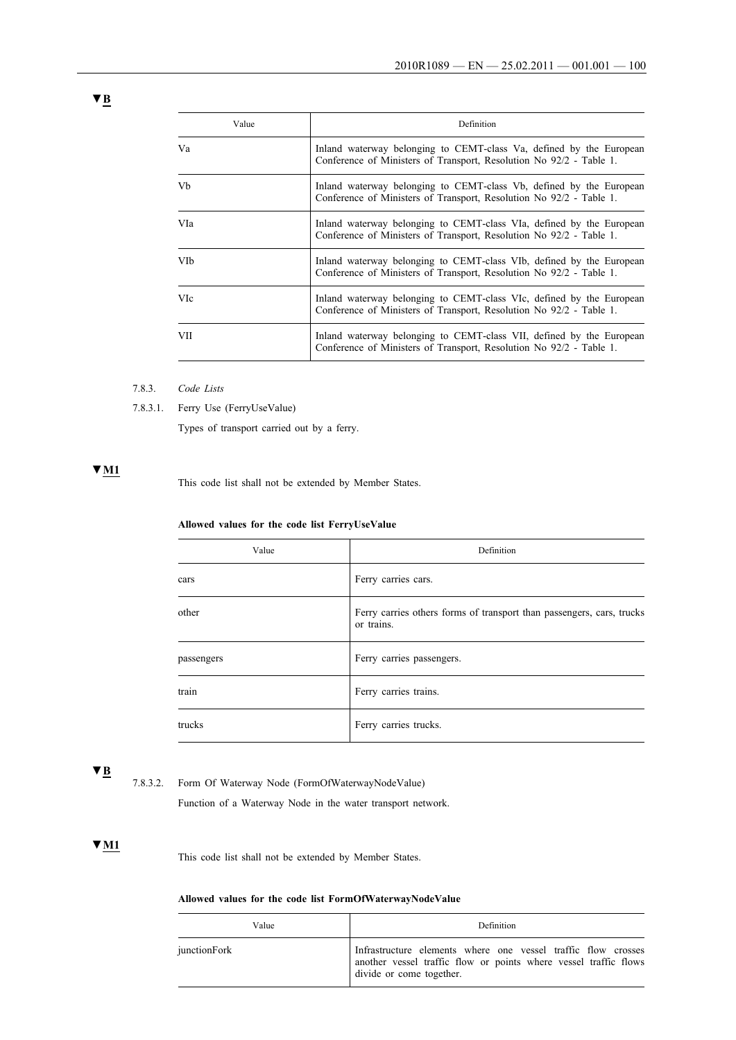| Value      | Definition                                                                                                                                  |
|------------|---------------------------------------------------------------------------------------------------------------------------------------------|
| Va         | Inland waterway belonging to CEMT-class Va, defined by the European<br>Conference of Ministers of Transport, Resolution No 92/2 - Table 1.  |
| Vb         | Inland waterway belonging to CEMT-class Vb, defined by the European<br>Conference of Ministers of Transport, Resolution No 92/2 - Table 1.  |
| VIa        | Inland waterway belonging to CEMT-class VIa, defined by the European<br>Conference of Ministers of Transport, Resolution No 92/2 - Table 1. |
| VIb        | Inland waterway belonging to CEMT-class VIb, defined by the European<br>Conference of Ministers of Transport, Resolution No 92/2 - Table 1. |
| <b>VIc</b> | Inland waterway belonging to CEMT-class VIc, defined by the European<br>Conference of Ministers of Transport, Resolution No 92/2 - Table 1. |
| <b>VII</b> | Inland waterway belonging to CEMT-class VII, defined by the European<br>Conference of Ministers of Transport, Resolution No 92/2 - Table 1. |

- 7.8.3. *Code Lists*
- 7.8.3.1. Ferry Use (FerryUseValue)

Types of transport carried out by a ferry.

# **▼M1**

This code list shall not be extended by Member States.

# **Allowed values for the code list FerryUseValue**

| Value      | Definition                                                                          |
|------------|-------------------------------------------------------------------------------------|
| cars       | Ferry carries cars.                                                                 |
| other      | Ferry carries others forms of transport than passengers, cars, trucks<br>or trains. |
| passengers | Ferry carries passengers.                                                           |
| train      | Ferry carries trains.                                                               |
| trucks     | Ferry carries trucks.                                                               |

# **▼B**

7.8.3.2. Form Of Waterway Node (FormOfWaterwayNodeValue)

Function of a Waterway Node in the water transport network.

# **▼M1**

This code list shall not be extended by Member States.

# **Allowed values for the code list FormOfWaterwayNodeValue**

| Value        | Definition                                                                                                                                                    |  |
|--------------|---------------------------------------------------------------------------------------------------------------------------------------------------------------|--|
| junctionFork | Infrastructure elements where one vessel traffic flow crosses<br>another vessel traffic flow or points where vessel traffic flows<br>divide or come together. |  |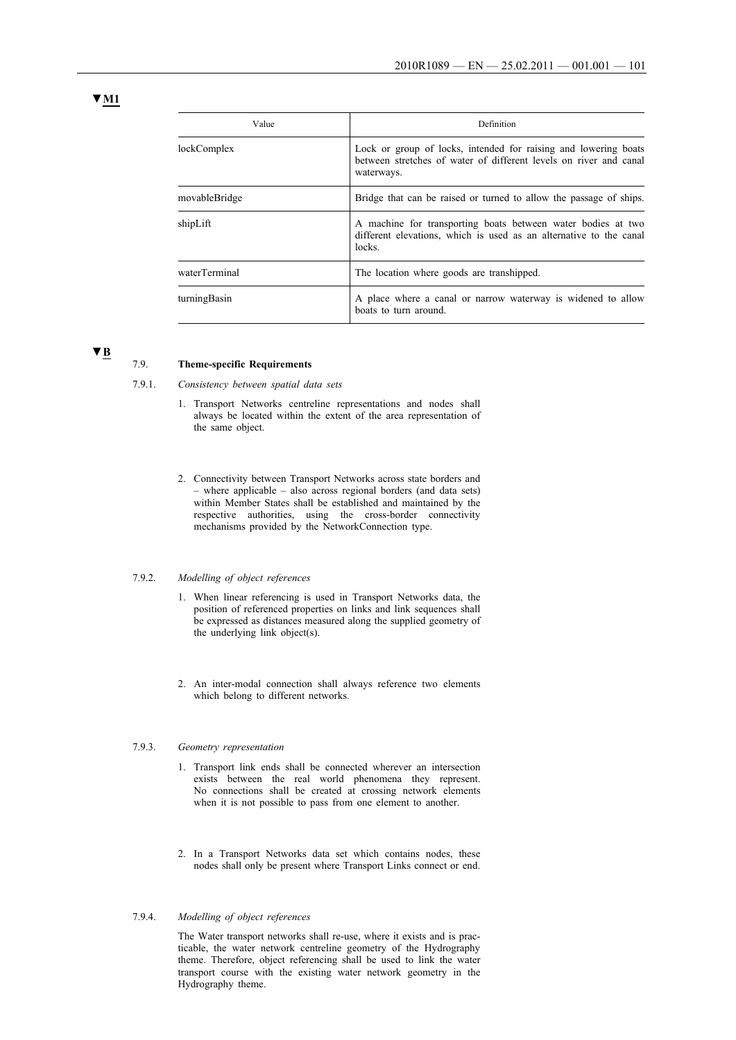| Value         | Definition                                                                                                                                         |  |
|---------------|----------------------------------------------------------------------------------------------------------------------------------------------------|--|
| lockComplex   | Lock or group of locks, intended for raising and lowering boats<br>between stretches of water of different levels on river and canal<br>waterways. |  |
| movableBridge | Bridge that can be raised or turned to allow the passage of ships.                                                                                 |  |
| shipLift      | A machine for transporting boats between water bodies at two<br>different elevations, which is used as an alternative to the canal<br>locks.       |  |
| waterTerminal | The location where goods are transhipped.                                                                                                          |  |
| turningBasin  | A place where a canal or narrow waterway is widened to allow<br>boats to turn around.                                                              |  |

**▼B**

#### 7.9. **Theme-specific Requirements**

- 7.9.1. *Consistency between spatial data sets*
	- 1. Transport Networks centreline representations and nodes shall always be located within the extent of the area representation of the same object.
	- 2. Connectivity between Transport Networks across state borders and – where applicable – also across regional borders (and data sets) within Member States shall be established and maintained by the respective authorities, using the cross-border connectivity mechanisms provided by the NetworkConnection type.

### 7.9.2. *Modelling of object references*

- 1. When linear referencing is used in Transport Networks data, the position of referenced properties on links and link sequences shall be expressed as distances measured along the supplied geometry of the underlying link object(s).
- 2. An inter-modal connection shall always reference two elements which belong to different networks.

### 7.9.3. *Geometry representation*

- 1. Transport link ends shall be connected wherever an intersection exists between the real world phenomena they represent. No connections shall be created at crossing network elements when it is not possible to pass from one element to another.
- 2. In a Transport Networks data set which contains nodes, these nodes shall only be present where Transport Links connect or end.

### 7.9.4. *Modelling of object references*

The Water transport networks shall re-use, where it exists and is practicable, the water network centreline geometry of the Hydrography theme. Therefore, object referencing shall be used to link the water transport course with the existing water network geometry in the Hydrography theme.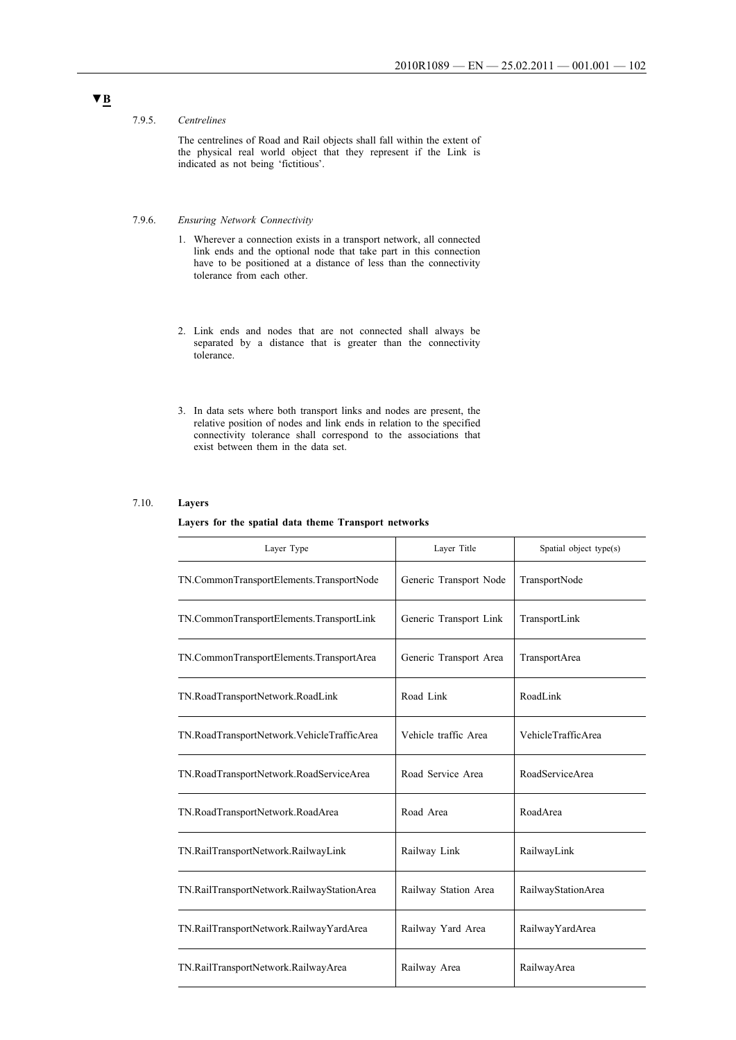### 7.9.5. *Centrelines*

The centrelines of Road and Rail objects shall fall within the extent of the physical real world object that they represent if the Link is indicated as not being 'fictitious'.

# 7.9.6. *Ensuring Network Connectivity*

- 1. Wherever a connection exists in a transport network, all connected link ends and the optional node that take part in this connection have to be positioned at a distance of less than the connectivity tolerance from each other.
- 2. Link ends and nodes that are not connected shall always be separated by a distance that is greater than the connectivity tolerance.
- 3. In data sets where both transport links and nodes are present, the relative position of nodes and link ends in relation to the specified connectivity tolerance shall correspond to the associations that exist between them in the data set.

### 7.10. **Layers**

#### **Layers for the spatial data theme Transport networks**

| Layer Type                                 | Layer Title            | Spatial object type(s) |
|--------------------------------------------|------------------------|------------------------|
| TN.CommonTransportElements.TransportNode   | Generic Transport Node | TransportNode          |
| TN.CommonTransportElements.TransportLink   | Generic Transport Link | TransportLink          |
| TN.CommonTransportElements.TransportArea   | Generic Transport Area | TransportArea          |
| TN.RoadTransportNetwork.RoadLink           | Road Link              | RoadLink               |
| TN.RoadTransportNetwork.VehicleTrafficArea | Vehicle traffic Area   | VehicleTrafficArea     |
| TN.RoadTransportNetwork.RoadServiceArea    | Road Service Area      | RoadServiceArea        |
| TN.RoadTransportNetwork.RoadArea           | Road Area              | RoadArea               |
| TN.RailTransportNetwork.RailwayLink        | Railway Link           | RailwayLink            |
| TN.RailTransportNetwork.RailwayStationArea | Railway Station Area   | RailwayStationArea     |
| TN.RailTransportNetwork.RailwayYardArea    | Railway Yard Area      | RailwayYardArea        |
| TN.RailTransportNetwork.RailwayArea        | Railway Area           | RailwayArea            |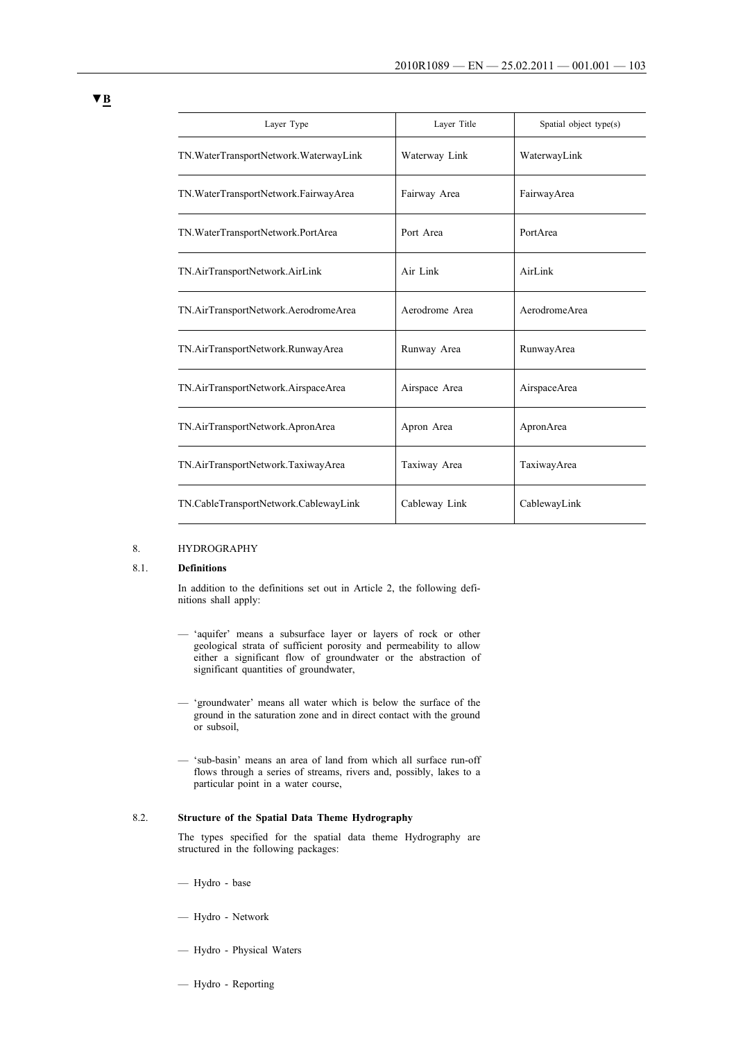| Layer Type                              | Layer Title    | Spatial object type(s) |
|-----------------------------------------|----------------|------------------------|
| TN. WaterTransportNetwork. WaterwayLink | Waterway Link  | WaterwayLink           |
| TN. WaterTransportNetwork. FairwayArea  | Fairway Area   | FairwayArea            |
| TN. WaterTransportNetwork. PortArea     | Port Area      | PortArea               |
| TN.AirTransportNetwork.AirLink          | Air Link       | AirLink                |
| TN.AirTransportNetwork.AerodromeArea    | Aerodrome Area | AerodromeArea          |
| TN.AirTransportNetwork.RunwayArea       | Runway Area    | RunwayArea             |
| TN.AirTransportNetwork.AirspaceArea     | Airspace Area  | AirspaceArea           |
| TN.AirTransportNetwork.ApronArea        | Apron Area     | ApronArea              |
| TN.AirTransportNetwork.TaxiwayArea      | Taxiway Area   | TaxiwayArea            |
| TN.CableTransportNetwork.CablewayLink   | Cableway Link  | CablewayLink           |

### 8. HYDROGRAPHY

### 8.1. **Definitions**

In addition to the definitions set out in Article 2, the following definitions shall apply:

- 'aquifer' means a subsurface layer or layers of rock or other geological strata of sufficient porosity and permeability to allow either a significant flow of groundwater or the abstraction of significant quantities of groundwater,
- 'groundwater' means all water which is below the surface of the ground in the saturation zone and in direct contact with the ground or subsoil,
- 'sub-basin' means an area of land from which all surface run-off flows through a series of streams, rivers and, possibly, lakes to a particular point in a water course,

# 8.2. **Structure of the Spatial Data Theme Hydrography**

The types specified for the spatial data theme Hydrography are structured in the following packages:

- Hydro base
- Hydro Network
- Hydro Physical Waters
- Hydro Reporting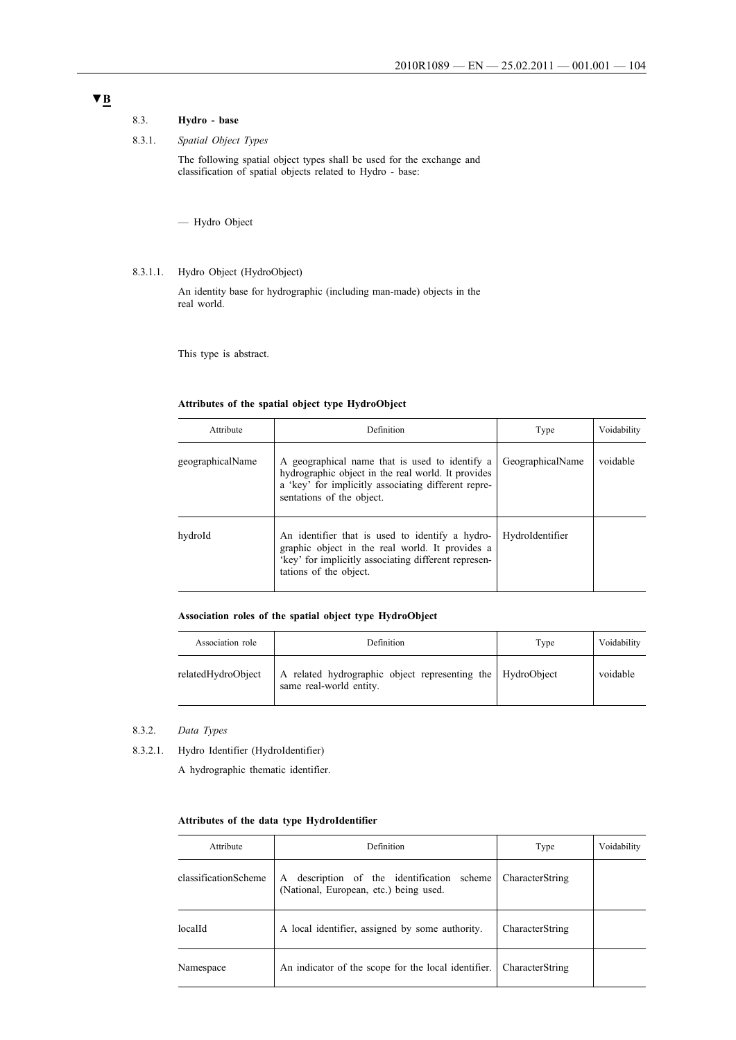# 8.3. **Hydro - base**

# 8.3.1. *Spatial Object Types*

The following spatial object types shall be used for the exchange and classification of spatial objects related to Hydro - base:

— Hydro Object

# 8.3.1.1. Hydro Object (HydroObject)

An identity base for hydrographic (including man-made) objects in the real world.

This type is abstract.

# **Attributes of the spatial object type HydroObject**

| Attribute        | Definition                                                                                                                                                                               | Type             | Voidability |
|------------------|------------------------------------------------------------------------------------------------------------------------------------------------------------------------------------------|------------------|-------------|
| geographicalName | A geographical name that is used to identify a<br>hydrographic object in the real world. It provides<br>a 'key' for implicitly associating different repre-<br>sentations of the object. | GeographicalName | voidable    |
| hydroId          | An identifier that is used to identify a hydro-<br>graphic object in the real world. It provides a<br>'key' for implicitly associating different represen-<br>tations of the object.     | HydroIdentifier  |             |

### **Association roles of the spatial object type HydroObject**

| Association role   | Definition                                                                            | Type | Voidability |
|--------------------|---------------------------------------------------------------------------------------|------|-------------|
| relatedHydroObject | A related hydrographic object representing the HydroObject<br>same real-world entity. |      | voidable    |

- 8.3.2. *Data Types*
- 8.3.2.1. Hydro Identifier (HydroIdentifier)

A hydrographic thematic identifier.

### **Attributes of the data type HydroIdentifier**

| Attribute            | Definition                                                                                 | Type            | Voidability |
|----------------------|--------------------------------------------------------------------------------------------|-----------------|-------------|
| classificationScheme | description of the identification<br>scheme<br>A<br>(National, European, etc.) being used. | CharacterString |             |
| localId              | A local identifier, assigned by some authority.                                            | CharacterString |             |
| Namespace            | An indicator of the scope for the local identifier.                                        | CharacterString |             |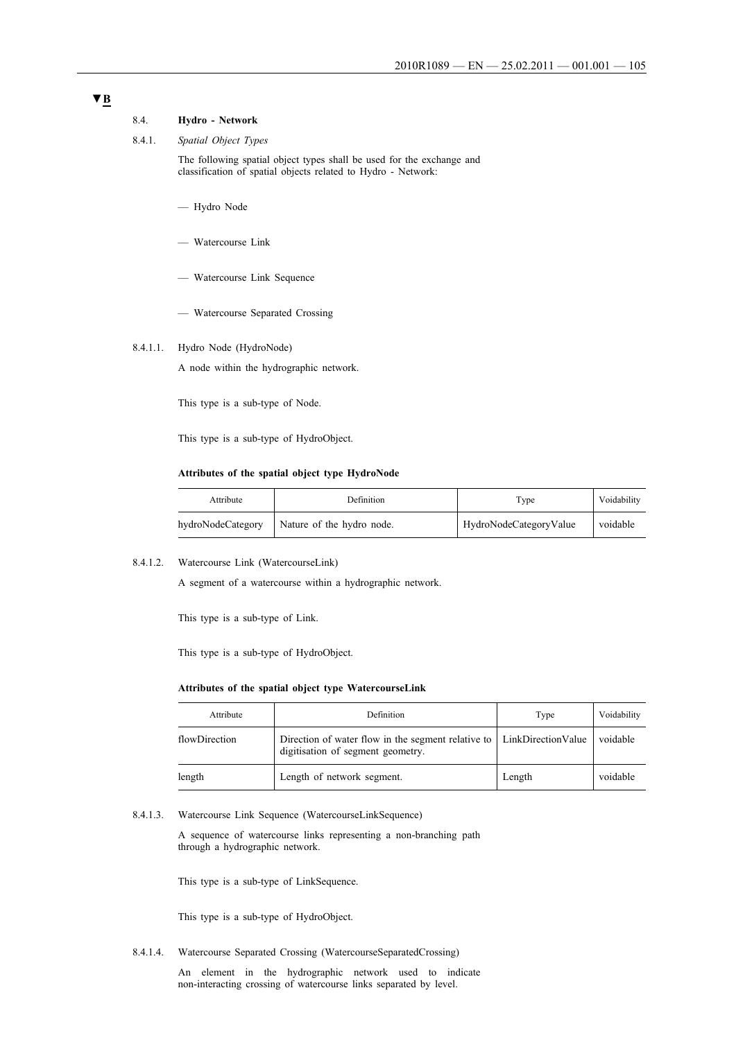# **▼B**

# 8.4. **Hydro - Network**

# 8.4.1. *Spatial Object Types*

The following spatial object types shall be used for the exchange and classification of spatial objects related to Hydro - Network:

- Hydro Node
- Watercourse Link
- Watercourse Link Sequence
- Watercourse Separated Crossing

# 8.4.1.1. Hydro Node (HydroNode)

A node within the hydrographic network.

This type is a sub-type of Node.

This type is a sub-type of HydroObject.

### **Attributes of the spatial object type HydroNode**

| Attribute         | Definition                | Type                   | Voidability |
|-------------------|---------------------------|------------------------|-------------|
| hydroNodeCategory | Nature of the hydro node. | HydroNodeCategoryValue | voidable    |

8.4.1.2. Watercourse Link (WatercourseLink)

A segment of a watercourse within a hydrographic network.

This type is a sub-type of Link.

This type is a sub-type of HydroObject.

### **Attributes of the spatial object type WatercourseLink**

| Attribute     | Definition                                                                              | Type               | Voidability |
|---------------|-----------------------------------------------------------------------------------------|--------------------|-------------|
| flowDirection | Direction of water flow in the segment relative to<br>digitisation of segment geometry. | LinkDirectionValue | voidable    |
| length        | Length of network segment.                                                              | Length             | voidable    |

### 8.4.1.3. Watercourse Link Sequence (WatercourseLinkSequence)

A sequence of watercourse links representing a non-branching path through a hydrographic network.

This type is a sub-type of LinkSequence.

This type is a sub-type of HydroObject.

8.4.1.4. Watercourse Separated Crossing (WatercourseSeparatedCrossing)

An element in the hydrographic network used to indicate non-interacting crossing of watercourse links separated by level.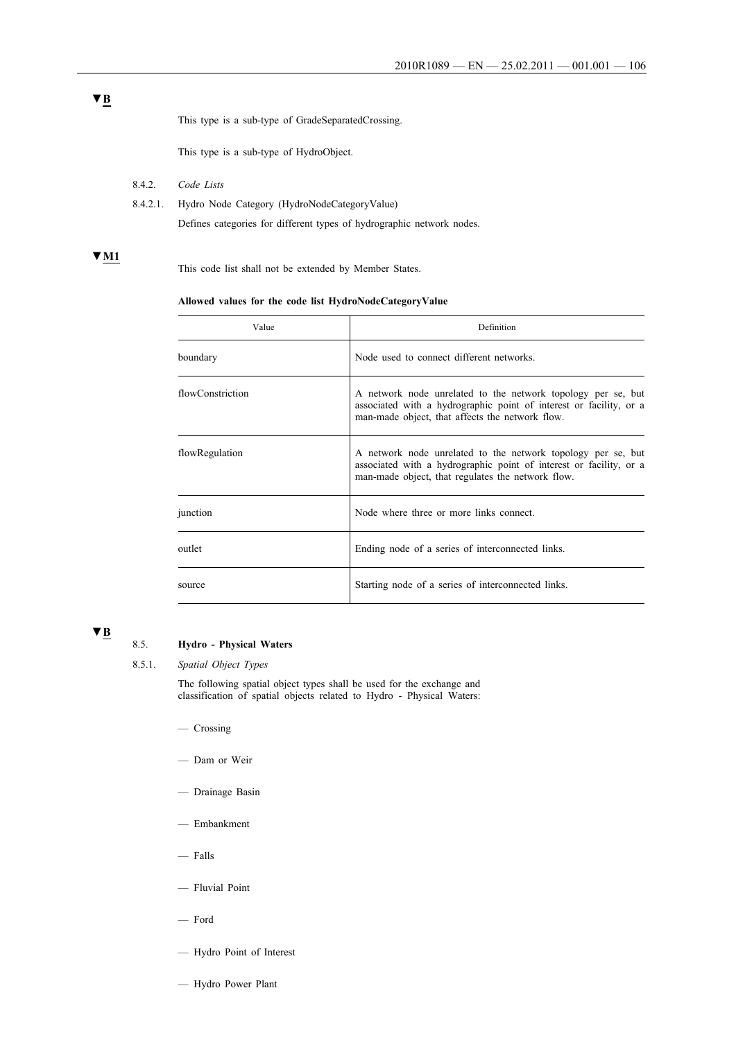This type is a sub-type of GradeSeparatedCrossing.

This type is a sub-type of HydroObject.

- 8.4.2. *Code Lists*
- 8.4.2.1. Hydro Node Category (HydroNodeCategoryValue)

Defines categories for different types of hydrographic network nodes.

# **▼M1**

This code list shall not be extended by Member States.

### **Allowed values for the code list HydroNodeCategoryValue**

| Value            | Definition                                                                                                                                                                              |  |
|------------------|-----------------------------------------------------------------------------------------------------------------------------------------------------------------------------------------|--|
| boundary         | Node used to connect different networks.                                                                                                                                                |  |
| flowConstriction | A network node unrelated to the network topology per se, but<br>associated with a hydrographic point of interest or facility, or a<br>man-made object, that affects the network flow.   |  |
| flowRegulation   | A network node unrelated to the network topology per se, but<br>associated with a hydrographic point of interest or facility, or a<br>man-made object, that regulates the network flow. |  |
| junction         | Node where three or more links connect.                                                                                                                                                 |  |
| outlet           | Ending node of a series of interconnected links.                                                                                                                                        |  |
| source           | Starting node of a series of interconnected links.                                                                                                                                      |  |

# **▼B**

# 8.5. **Hydro - Physical Waters**

8.5.1. *Spatial Object Types*

The following spatial object types shall be used for the exchange and classification of spatial objects related to Hydro - Physical Waters:

- Crossing
- Dam or Weir
- Drainage Basin
- Embankment
- $-$  Falls
- Fluvial Point
- Ford
- Hydro Point of Interest
- Hydro Power Plant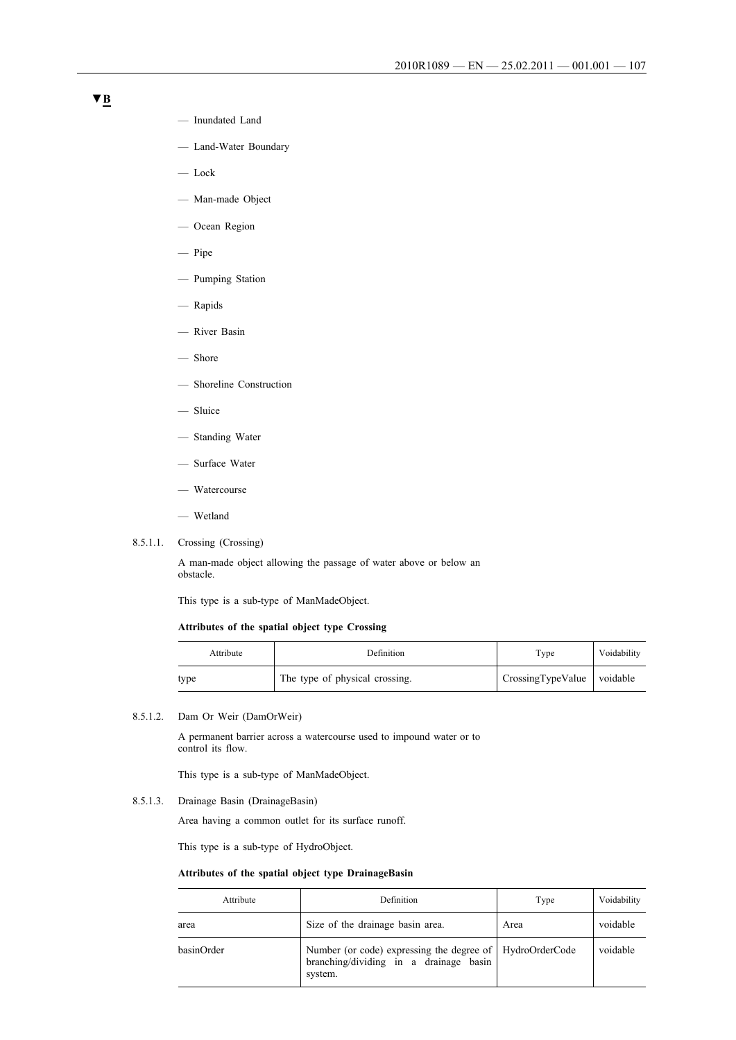- Inundated Land
- Land-Water Boundary
- Lock
- Man-made Object
- Ocean Region
- Pipe
- Pumping Station
- Rapids
- River Basin
- Shore
- Shoreline Construction
- Sluice
- Standing Water
- Surface Water
- Watercourse
- Wetland
- 8.5.1.1. Crossing (Crossing)

A man-made object allowing the passage of water above or below an obstacle.

This type is a sub-type of ManMadeObject.

### **Attributes of the spatial object type Crossing**

| Attribute | Definition                     | Type                       | Voidability |
|-----------|--------------------------------|----------------------------|-------------|
| type      | The type of physical crossing. | CrossingTypeValue voidable |             |

8.5.1.2. Dam Or Weir (DamOrWeir)

A permanent barrier across a watercourse used to impound water or to control its flow.

This type is a sub-type of ManMadeObject.

### 8.5.1.3. Drainage Basin (DrainageBasin)

Area having a common outlet for its surface runoff.

This type is a sub-type of HydroObject.

# **Attributes of the spatial object type DrainageBasin**

| Attribute  | Definition                                                                                                      | Type | Voidability |
|------------|-----------------------------------------------------------------------------------------------------------------|------|-------------|
| area       | Size of the drainage basin area.                                                                                | Area | voidable    |
| basinOrder | Number (or code) expressing the degree of   HydroOrderCode<br>branching/dividing in a drainage basin<br>system. |      | voidable    |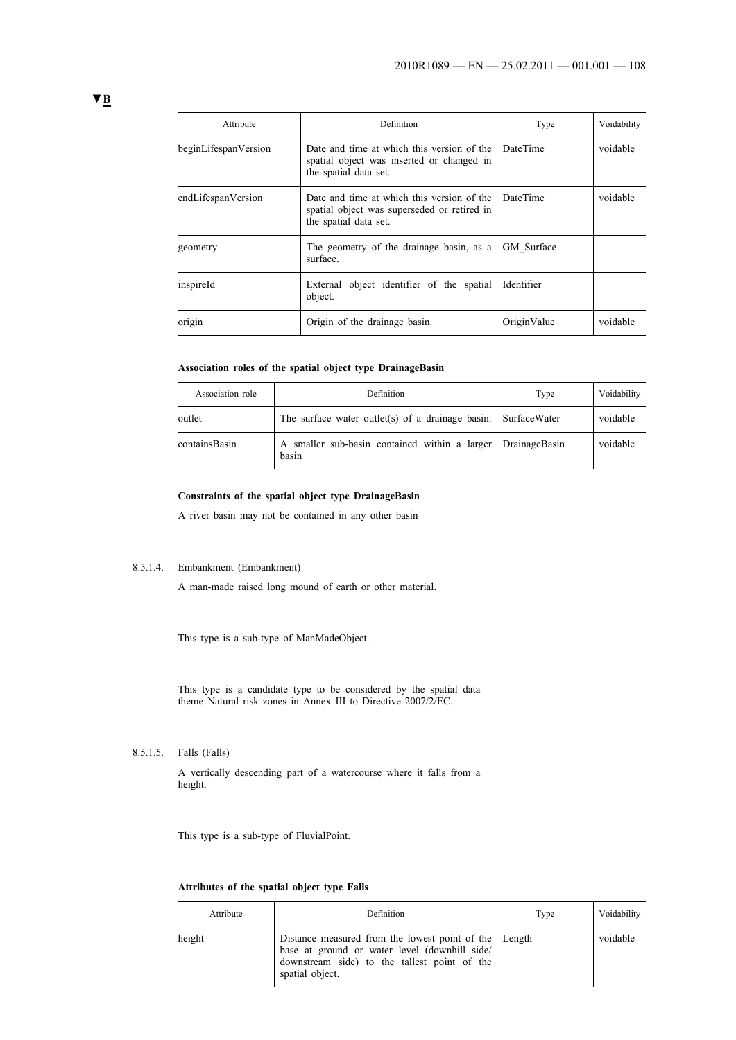| Attribute            | Definition                                                                                                         | Type            | Voidability |
|----------------------|--------------------------------------------------------------------------------------------------------------------|-----------------|-------------|
| beginLifespanVersion | Date and time at which this version of the<br>spatial object was inserted or changed in<br>the spatial data set.   | DateTime        | voidable    |
| endLifespanVersion   | Date and time at which this version of the<br>spatial object was superseded or retired in<br>the spatial data set. | <b>DateTime</b> | voidable    |
| geometry             | The geometry of the drainage basin, as a<br>surface.                                                               | GM Surface      |             |
| inspireId            | External object identifier of the spatial<br>object.                                                               | Identifier      |             |
| origin               | Origin of the drainage basin.                                                                                      | OriginValue     | voidable    |

### **Association roles of the spatial object type DrainageBasin**

| Association role | Definition                                                           | Type | Voidability |
|------------------|----------------------------------------------------------------------|------|-------------|
| outlet           | The surface water outlet(s) of a drainage basin. SurfaceWater        |      | voidable    |
| containsBasin    | A smaller sub-basin contained within a larger DrainageBasin<br>basin |      | voidable    |

### **Constraints of the spatial object type DrainageBasin**

A river basin may not be contained in any other basin

### 8.5.1.4. Embankment (Embankment)

A man-made raised long mound of earth or other material.

This type is a sub-type of ManMadeObject.

This type is a candidate type to be considered by the spatial data theme Natural risk zones in Annex III to Directive 2007/2/EC.

# 8.5.1.5. Falls (Falls)

A vertically descending part of a watercourse where it falls from a height.

This type is a sub-type of FluvialPoint.

### **Attributes of the spatial object type Falls**

| Attribute | Definition                                                                                                                                                                  | Type | Voidability |
|-----------|-----------------------------------------------------------------------------------------------------------------------------------------------------------------------------|------|-------------|
| height    | Distance measured from the lowest point of the   Length<br>base at ground or water level (downhill side/<br>downstream side) to the tallest point of the<br>spatial object. |      | voidable    |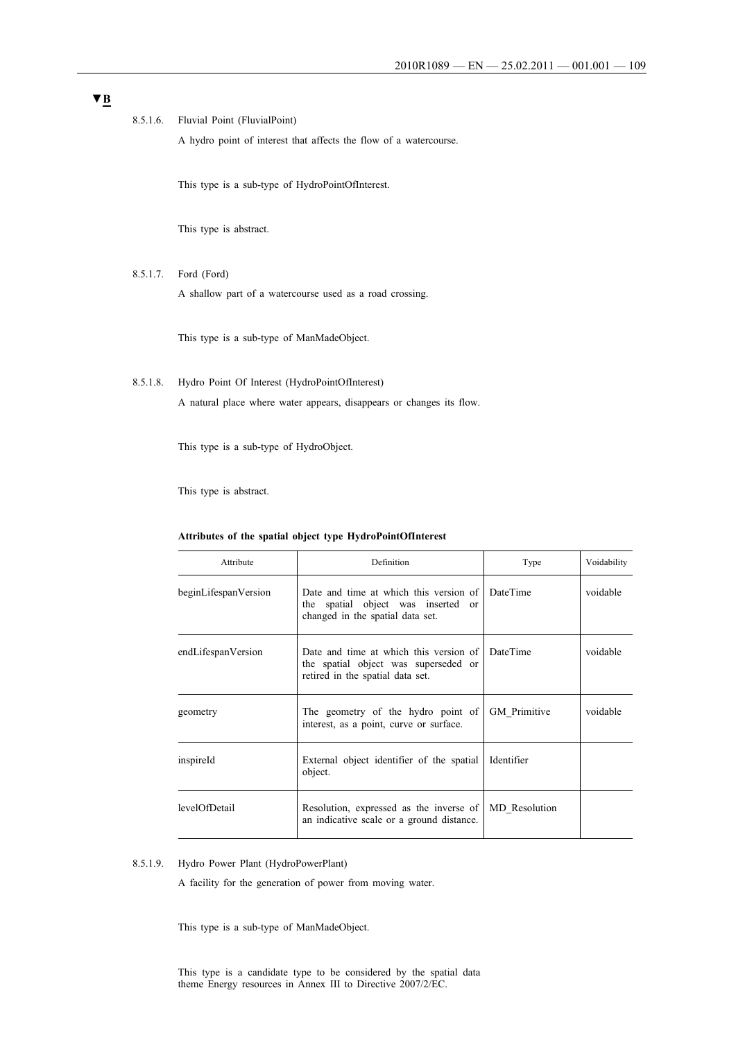8.5.1.6. Fluvial Point (FluvialPoint)

A hydro point of interest that affects the flow of a watercourse.

This type is a sub-type of HydroPointOfInterest.

This type is abstract.

8.5.1.7. Ford (Ford)

A shallow part of a watercourse used as a road crossing.

This type is a sub-type of ManMadeObject.

8.5.1.8. Hydro Point Of Interest (HydroPointOfInterest) A natural place where water appears, disappears or changes its flow.

This type is a sub-type of HydroObject.

This type is abstract.

| Attribute            | Definition                                                                                                                  | Type                | Voidability |
|----------------------|-----------------------------------------------------------------------------------------------------------------------------|---------------------|-------------|
| beginLifespanVersion | Date and time at which this version of<br>the spatial object was inserted or<br>changed in the spatial data set.            | <b>DateTime</b>     | voidable    |
| endLifespanVersion   | Date and time at which this version of DateTime<br>the spatial object was superseded or<br>retired in the spatial data set. |                     | voidable    |
| geometry             | The geometry of the hydro point of<br>interest, as a point, curve or surface.                                               | <b>GM</b> Primitive | voidable    |
| inspireId            | External object identifier of the spatial<br>object.                                                                        | Identifier          |             |
| levelOfDetail        | Resolution, expressed as the inverse of<br>an indicative scale or a ground distance.                                        | MD Resolution       |             |

#### **Attributes of the spatial object type HydroPointOfInterest**

#### 8.5.1.9. Hydro Power Plant (HydroPowerPlant)

A facility for the generation of power from moving water.

This type is a sub-type of ManMadeObject.

This type is a candidate type to be considered by the spatial data theme Energy resources in Annex III to Directive 2007/2/EC.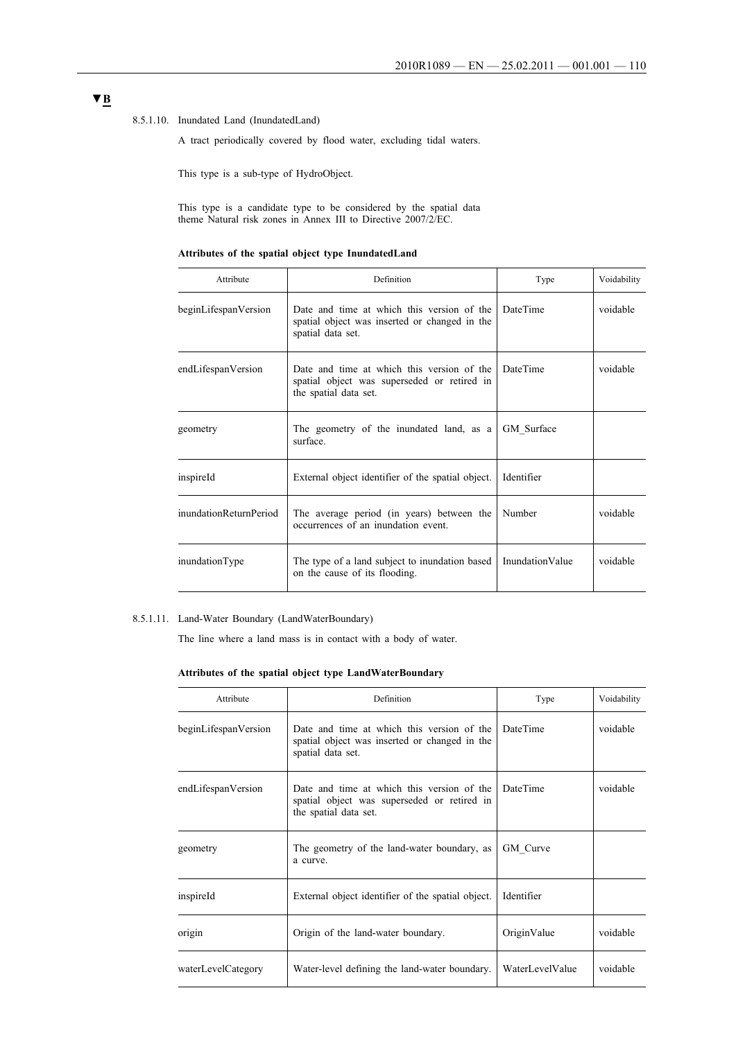#### 8.5.1.10. Inundated Land (InundatedLand)

A tract periodically covered by flood water, excluding tidal waters.

This type is a sub-type of HydroObject.

This type is a candidate type to be considered by the spatial data theme Natural risk zones in Annex III to Directive 2007/2/EC.

|  |  |  | Attributes of the spatial object type InundatedLand |
|--|--|--|-----------------------------------------------------|
|  |  |  |                                                     |

| Attribute              | Definition                                                                                                         | Type                   | Voidability |
|------------------------|--------------------------------------------------------------------------------------------------------------------|------------------------|-------------|
| beginLifespanVersion   | Date and time at which this version of the<br>spatial object was inserted or changed in the<br>spatial data set.   | <b>DateTime</b>        | voidable    |
| endLifespanVersion     | Date and time at which this version of the<br>spatial object was superseded or retired in<br>the spatial data set. | <b>DateTime</b>        | voidable    |
| geometry               | The geometry of the inundated land, as a<br>surface                                                                | GM Surface             |             |
| inspireId              | External object identifier of the spatial object.                                                                  | Identifier             |             |
| inundationReturnPeriod | The average period (in years) between the<br>occurrences of an inundation event.                                   | Number                 | voidable    |
| inundationType         | The type of a land subject to inundation based<br>on the cause of its flooding.                                    | <b>InundationValue</b> | voidable    |

## 8.5.1.11. Land-Water Boundary (LandWaterBoundary)

The line where a land mass is in contact with a body of water.

## **Attributes of the spatial object type LandWaterBoundary**

| Attribute            | Definition                                                                                                         | Type            | Voidability |
|----------------------|--------------------------------------------------------------------------------------------------------------------|-----------------|-------------|
| beginLifespanVersion | Date and time at which this version of the<br>spatial object was inserted or changed in the<br>spatial data set.   | DateTime        | voidable    |
| endLifespanVersion   | Date and time at which this version of the<br>spatial object was superseded or retired in<br>the spatial data set. | DateTime        | voidable    |
| geometry             | The geometry of the land-water boundary, as<br>a curve.                                                            | GM Curve        |             |
| inspireId            | External object identifier of the spatial object.                                                                  | Identifier      |             |
| origin               | Origin of the land-water boundary.                                                                                 | OriginValue     | voidable    |
| waterLevelCategory   | Water-level defining the land-water boundary.                                                                      | WaterLevelValue | voidable    |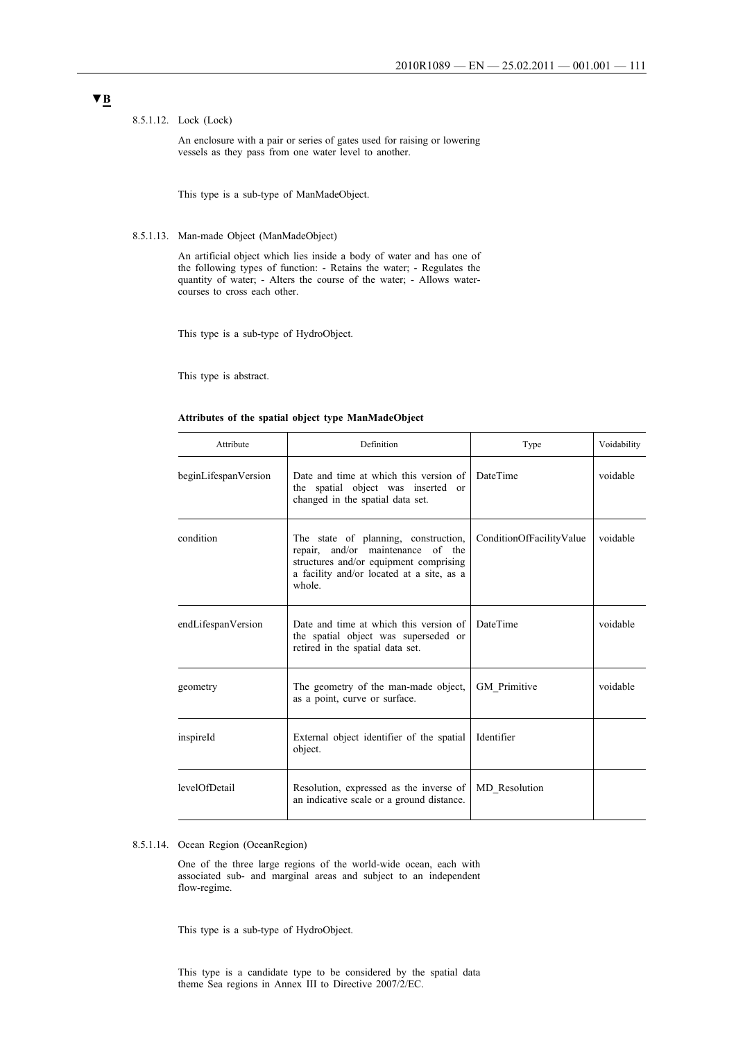#### 8.5.1.12. Lock (Lock)

An enclosure with a pair or series of gates used for raising or lowering vessels as they pass from one water level to another.

This type is a sub-type of ManMadeObject.

## 8.5.1.13. Man-made Object (ManMadeObject)

An artificial object which lies inside a body of water and has one of the following types of function: - Retains the water; - Regulates the quantity of water; - Alters the course of the water; - Allows watercourses to cross each other.

This type is a sub-type of HydroObject.

This type is abstract.

#### **Attributes of the spatial object type ManMadeObject**

| Attribute            | Definition                                                                                                                                                                    | Type                     | Voidability |
|----------------------|-------------------------------------------------------------------------------------------------------------------------------------------------------------------------------|--------------------------|-------------|
| beginLifespanVersion | Date and time at which this version of<br>the spatial object was inserted or<br>changed in the spatial data set.                                                              | <b>DateTime</b>          | voidable    |
| condition            | The state of planning, construction,<br>repair, and/or maintenance<br>of the<br>structures and/or equipment comprising<br>a facility and/or located at a site, as a<br>whole. | ConditionOfFacilityValue | voidable    |
| endLifespanVersion   | Date and time at which this version of<br>the spatial object was superseded or<br>retired in the spatial data set.                                                            | <b>DateTime</b>          | voidable    |
| geometry             | The geometry of the man-made object,<br>as a point, curve or surface.                                                                                                         | <b>GM</b> Primitive      | voidable    |
| inspireId            | External object identifier of the spatial<br>object.                                                                                                                          | Identifier               |             |
| levelOfDetail        | Resolution, expressed as the inverse of<br>an indicative scale or a ground distance.                                                                                          | MD Resolution            |             |

### 8.5.1.14. Ocean Region (OceanRegion)

One of the three large regions of the world-wide ocean, each with associated sub- and marginal areas and subject to an independent flow-regime.

This type is a sub-type of HydroObject.

This type is a candidate type to be considered by the spatial data theme Sea regions in Annex III to Directive 2007/2/EC.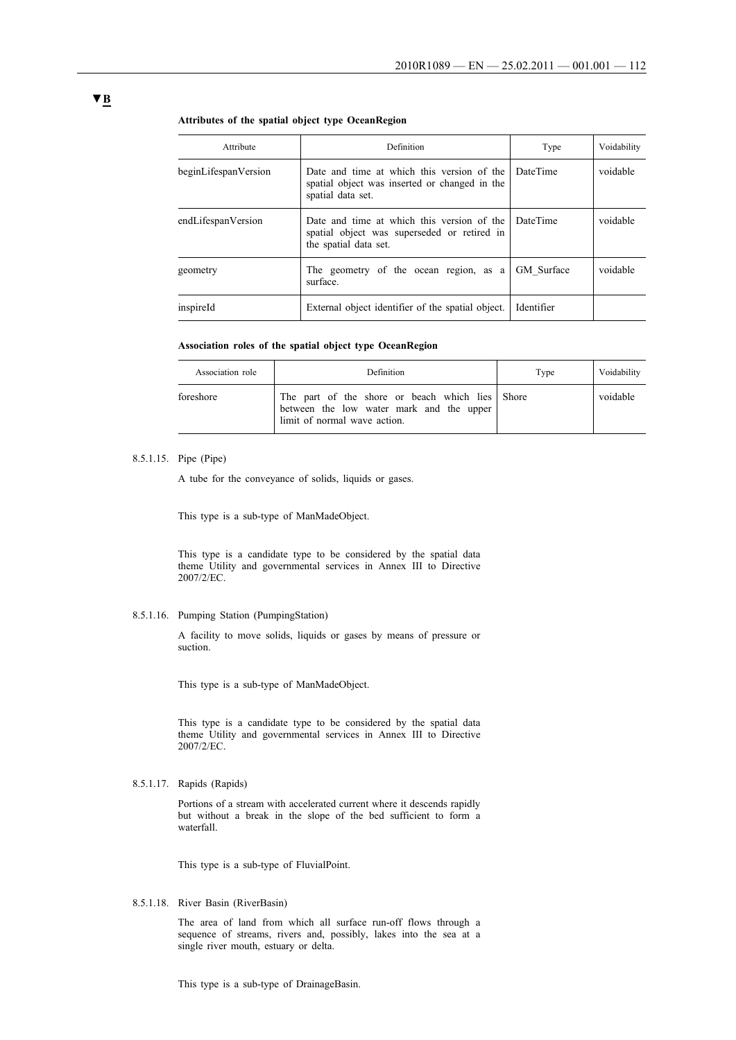#### **Attributes of the spatial object type OceanRegion**

| Attribute            | Definition                                                                                                         | Type            | Voidability |
|----------------------|--------------------------------------------------------------------------------------------------------------------|-----------------|-------------|
| beginLifespanVersion | Date and time at which this version of the<br>spatial object was inserted or changed in the<br>spatial data set.   | DateTime        | voidable    |
| endLifespanVersion   | Date and time at which this version of the<br>spatial object was superseded or retired in<br>the spatial data set. | <b>DateTime</b> | voidable    |
| geometry             | The geometry of the ocean region, as a<br>surface.                                                                 | GM Surface      | voidable    |
| inspireId            | External object identifier of the spatial object.                                                                  | Identifier      |             |

#### **Association roles of the spatial object type OceanRegion**

| Association role | Definition                                                                                                                  | Type | Voidability |
|------------------|-----------------------------------------------------------------------------------------------------------------------------|------|-------------|
| foreshore        | The part of the shore or beach which lies Shore<br>between the low water mark and the upper<br>limit of normal wave action. |      | voidable    |

### 8.5.1.15. Pipe (Pipe)

A tube for the conveyance of solids, liquids or gases.

This type is a sub-type of ManMadeObject.

This type is a candidate type to be considered by the spatial data theme Utility and governmental services in Annex III to Directive 2007/2/EC.

## 8.5.1.16. Pumping Station (PumpingStation)

A facility to move solids, liquids or gases by means of pressure or suction.

This type is a sub-type of ManMadeObject.

This type is a candidate type to be considered by the spatial data theme Utility and governmental services in Annex III to Directive 2007/2/EC.

8.5.1.17. Rapids (Rapids)

Portions of a stream with accelerated current where it descends rapidly but without a break in the slope of the bed sufficient to form a waterfall.

This type is a sub-type of FluvialPoint.

8.5.1.18. River Basin (RiverBasin)

The area of land from which all surface run-off flows through a sequence of streams, rivers and, possibly, lakes into the sea at a single river mouth, estuary or delta.

This type is a sub-type of DrainageBasin.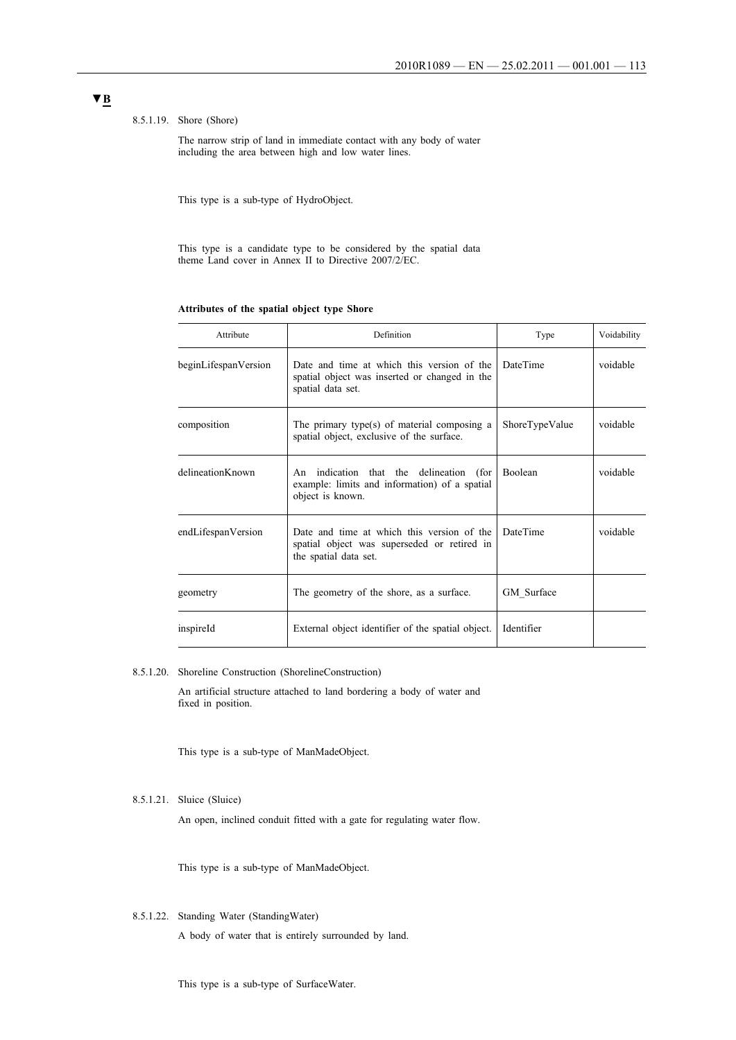#### 8.5.1.19. Shore (Shore)

The narrow strip of land in immediate contact with any body of water including the area between high and low water lines.

This type is a sub-type of HydroObject.

This type is a candidate type to be considered by the spatial data theme Land cover in Annex II to Directive 2007/2/EC.

#### **Attributes of the spatial object type Shore**

| Attribute            | Definition                                                                                                         | Type            | Voidability |
|----------------------|--------------------------------------------------------------------------------------------------------------------|-----------------|-------------|
| beginLifespanVersion | Date and time at which this version of the<br>spatial object was inserted or changed in the<br>spatial data set.   | <b>DateTime</b> | voidable    |
| composition          | The primary type(s) of material composing a<br>spatial object, exclusive of the surface.                           | ShoreTypeValue  | voidable    |
| delineationKnown     | An indication that the delineation (for<br>example: limits and information) of a spatial<br>object is known.       | <b>Boolean</b>  | voidable    |
| endLifespanVersion   | Date and time at which this version of the<br>spatial object was superseded or retired in<br>the spatial data set. | DateTime        | voidable    |
| geometry             | The geometry of the shore, as a surface.                                                                           | GM Surface      |             |
| inspireId            | External object identifier of the spatial object.                                                                  | Identifier      |             |

8.5.1.20. Shoreline Construction (ShorelineConstruction)

An artificial structure attached to land bordering a body of water and fixed in position.

This type is a sub-type of ManMadeObject.

#### 8.5.1.21. Sluice (Sluice)

An open, inclined conduit fitted with a gate for regulating water flow.

This type is a sub-type of ManMadeObject.

8.5.1.22. Standing Water (StandingWater)

A body of water that is entirely surrounded by land.

#### This type is a sub-type of SurfaceWater.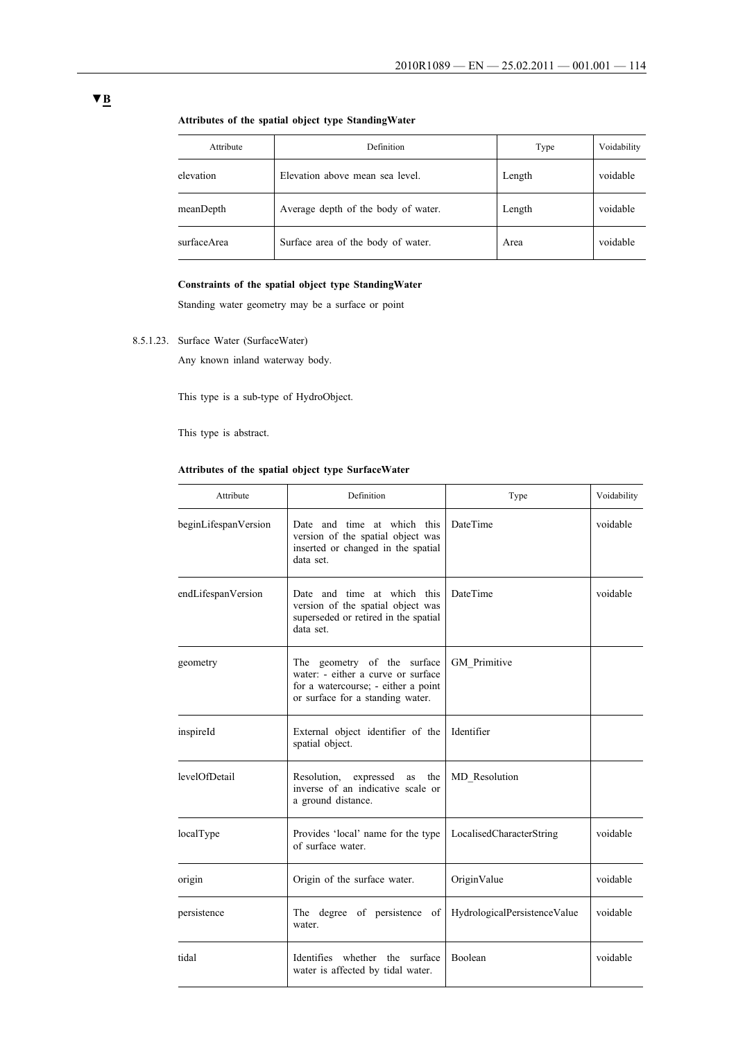| Attribute   | Definition                          | Type   | Voidability |
|-------------|-------------------------------------|--------|-------------|
| elevation   | Elevation above mean sea level.     | Length | voidable    |
| meanDepth   | Average depth of the body of water. | Length | voidable    |
| surfaceArea | Surface area of the body of water.  | Area   | voidable    |

## **Attributes of the spatial object type StandingWater**

## **Constraints of the spatial object type StandingWater**

Standing water geometry may be a surface or point

8.5.1.23. Surface Water (SurfaceWater)

Any known inland waterway body.

This type is a sub-type of HydroObject.

This type is abstract.

## **Attributes of the spatial object type SurfaceWater**

| Attribute            | Definition                                                                                                                                   | Type                         | Voidability |
|----------------------|----------------------------------------------------------------------------------------------------------------------------------------------|------------------------------|-------------|
| beginLifespanVersion | Date and time at which this<br>version of the spatial object was<br>inserted or changed in the spatial<br>data set.                          | DateTime                     | voidable    |
| endLifespanVersion   | Date and time at which this<br>version of the spatial object was<br>superseded or retired in the spatial<br>data set.                        | DateTime                     | voidable    |
| geometry             | The geometry of the surface<br>water: - either a curve or surface<br>for a watercourse; - either a point<br>or surface for a standing water. | GM Primitive                 |             |
| inspireId            | External object identifier of the<br>spatial object.                                                                                         | Identifier                   |             |
| levelOfDetail        | Resolution, expressed as<br>the<br>inverse of an indicative scale or<br>a ground distance.                                                   | MD Resolution                |             |
| localType            | Provides 'local' name for the type<br>of surface water.                                                                                      | LocalisedCharacterString     | voidable    |
| origin               | Origin of the surface water.                                                                                                                 | OriginValue                  | voidable    |
| persistence          | The degree of persistence<br>of<br>water.                                                                                                    | HydrologicalPersistenceValue | voidable    |
| tidal                | Identifies whether the surface<br>water is affected by tidal water.                                                                          | Boolean                      | voidable    |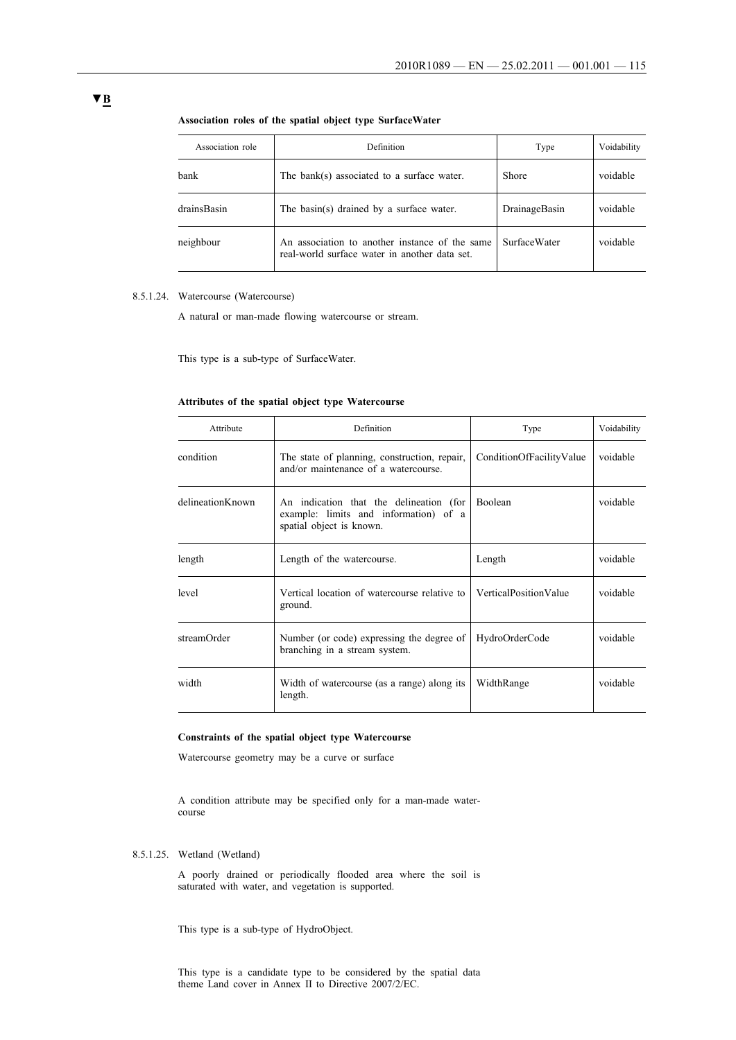| Association role | Definition                                                                                      | Type                | Voidability |
|------------------|-------------------------------------------------------------------------------------------------|---------------------|-------------|
| bank             | The bank(s) associated to a surface water.                                                      | <b>Shore</b>        | voidable    |
| drainsBasin      | The basin(s) drained by a surface water.                                                        | DrainageBasin       | voidable    |
| neighbour        | An association to another instance of the same<br>real-world surface water in another data set. | <b>SurfaceWater</b> | voidable    |

#### **Association roles of the spatial object type SurfaceWater**

## 8.5.1.24. Watercourse (Watercourse)

A natural or man-made flowing watercourse or stream.

This type is a sub-type of SurfaceWater.

#### **Attributes of the spatial object type Watercourse**

| Attribute        | Definition                                                                                                   | Type                     | Voidability |
|------------------|--------------------------------------------------------------------------------------------------------------|--------------------------|-------------|
| condition        | The state of planning, construction, repair,<br>and/or maintenance of a watercourse.                         | ConditionOfFacilityValue | voidable    |
| delineationKnown | An indication that the delineation (for<br>example: limits and information) of a<br>spatial object is known. | Boolean                  | voidable    |
| length           | Length of the watercourse.                                                                                   | Length                   | voidable    |
| level            | Vertical location of watercourse relative to<br>ground.                                                      | VerticalPositionValue    | voidable    |
| streamOrder      | Number (or code) expressing the degree of<br>branching in a stream system.                                   | HydroOrderCode           | voidable    |
| width            | Width of watercourse (as a range) along its<br>length.                                                       | WidthRange               | voidable    |

#### **Constraints of the spatial object type Watercourse**

Watercourse geometry may be a curve or surface

A condition attribute may be specified only for a man-made watercourse

## 8.5.1.25. Wetland (Wetland)

A poorly drained or periodically flooded area where the soil is saturated with water, and vegetation is supported.

This type is a sub-type of HydroObject.

This type is a candidate type to be considered by the spatial data theme Land cover in Annex II to Directive 2007/2/EC.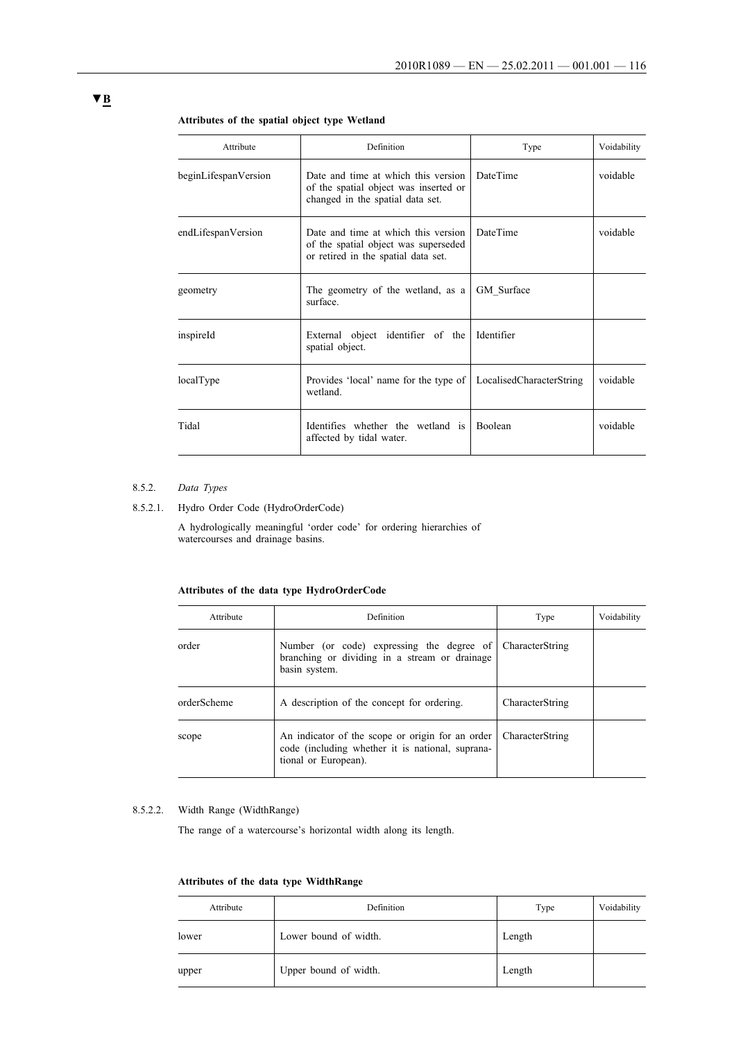| Attribute            | Definition                                                                                                         | Type                     | Voidability |
|----------------------|--------------------------------------------------------------------------------------------------------------------|--------------------------|-------------|
| beginLifespanVersion | Date and time at which this version<br>of the spatial object was inserted or<br>changed in the spatial data set.   | <b>DateTime</b>          | voidable    |
| endLifespanVersion   | Date and time at which this version<br>of the spatial object was superseded<br>or retired in the spatial data set. | DateTime                 | voidable    |
| geometry             | The geometry of the wetland, as a<br>surface                                                                       | GM Surface               |             |
| inspireId            | External object identifier of the<br>spatial object.                                                               | Identifier               |             |
| localType            | Provides 'local' name for the type of<br>wetland.                                                                  | LocalisedCharacterString | voidable    |
| Tidal                | Identifies whether the wetland is<br>affected by tidal water.                                                      | Boolean                  | voidable    |
|                      |                                                                                                                    |                          |             |

#### **Attributes of the spatial object type Wetland**

#### 8.5.2. *Data Types*

## 8.5.2.1. Hydro Order Code (HydroOrderCode)

A hydrologically meaningful 'order code' for ordering hierarchies of watercourses and drainage basins.

## **Attributes of the data type HydroOrderCode**

| Attribute   | Definition                                                                                                                   | Type            | Voidability |
|-------------|------------------------------------------------------------------------------------------------------------------------------|-----------------|-------------|
| order       | Number (or code) expressing the degree of<br>branching or dividing in a stream or drainage<br>basin system.                  | CharacterString |             |
| orderScheme | A description of the concept for ordering.                                                                                   | CharacterString |             |
| scope       | An indicator of the scope or origin for an order<br>code (including whether it is national, suprana-<br>tional or European). | CharacterString |             |

### 8.5.2.2. Width Range (WidthRange)

The range of a watercourse's horizontal width along its length.

## **Attributes of the data type WidthRange**

| Attribute | Definition            | Type   | Voidability |
|-----------|-----------------------|--------|-------------|
| lower     | Lower bound of width. | Length |             |
| upper     | Upper bound of width. | Length |             |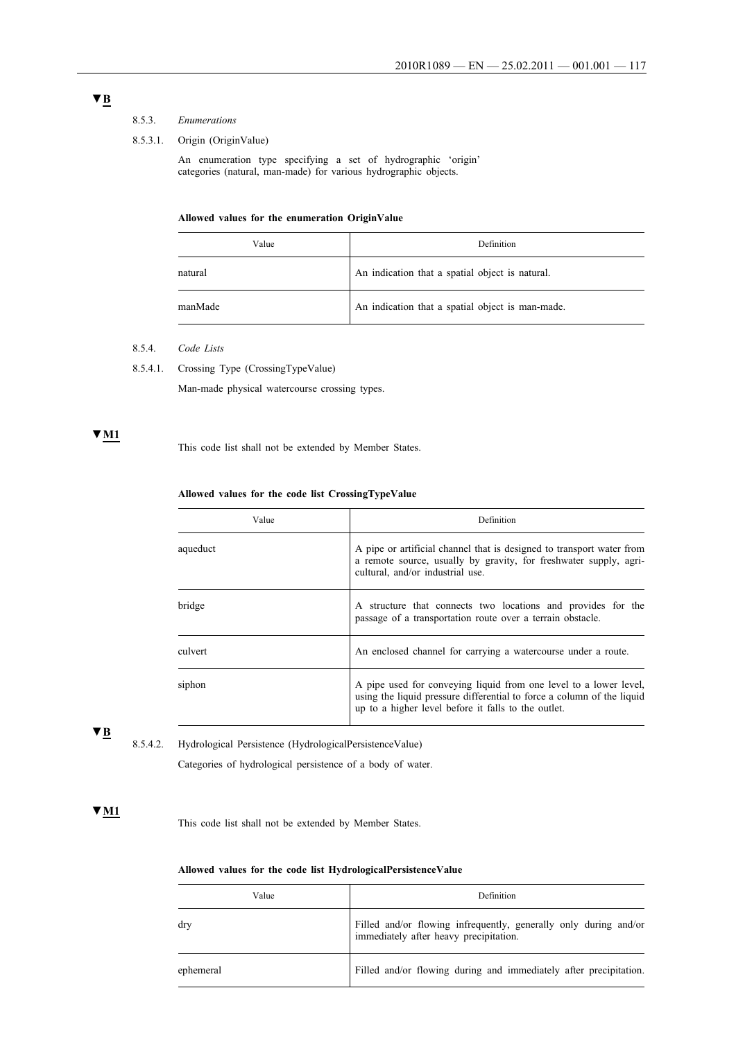## 8.5.3. *Enumerations*

#### 8.5.3.1. Origin (OriginValue)

An enumeration type specifying a set of hydrographic 'origin' categories (natural, man-made) for various hydrographic objects.

#### **Allowed values for the enumeration OriginValue**

| Value   | Definition                                       |
|---------|--------------------------------------------------|
| natural | An indication that a spatial object is natural.  |
| manMade | An indication that a spatial object is man-made. |

- 8.5.4. *Code Lists*
- 8.5.4.1. Crossing Type (CrossingTypeValue)

Man-made physical watercourse crossing types.

## **▼M1**

This code list shall not be extended by Member States.

### **Allowed values for the code list CrossingTypeValue**

| Value    | Definition                                                                                                                                                                                         |
|----------|----------------------------------------------------------------------------------------------------------------------------------------------------------------------------------------------------|
| aqueduct | A pipe or artificial channel that is designed to transport water from<br>a remote source, usually by gravity, for freshwater supply, agri-<br>cultural, and/or industrial use.                     |
| bridge   | A structure that connects two locations and provides for the<br>passage of a transportation route over a terrain obstacle.                                                                         |
| culvert  | An enclosed channel for carrying a watercourse under a route.                                                                                                                                      |
| siphon   | A pipe used for conveying liquid from one level to a lower level,<br>using the liquid pressure differential to force a column of the liquid<br>up to a higher level before it falls to the outlet. |

## **▼B**

8.5.4.2. Hydrological Persistence (HydrologicalPersistenceValue)

Categories of hydrological persistence of a body of water.

## **▼M1**

This code list shall not be extended by Member States.

### **Allowed values for the code list HydrologicalPersistenceValue**

| Value     | Definition                                                                                              |
|-----------|---------------------------------------------------------------------------------------------------------|
| drv       | Filled and/or flowing infrequently, generally only during and/or immediately after heavy precipitation. |
| ephemeral | Filled and/or flowing during and immediately after precipitation.                                       |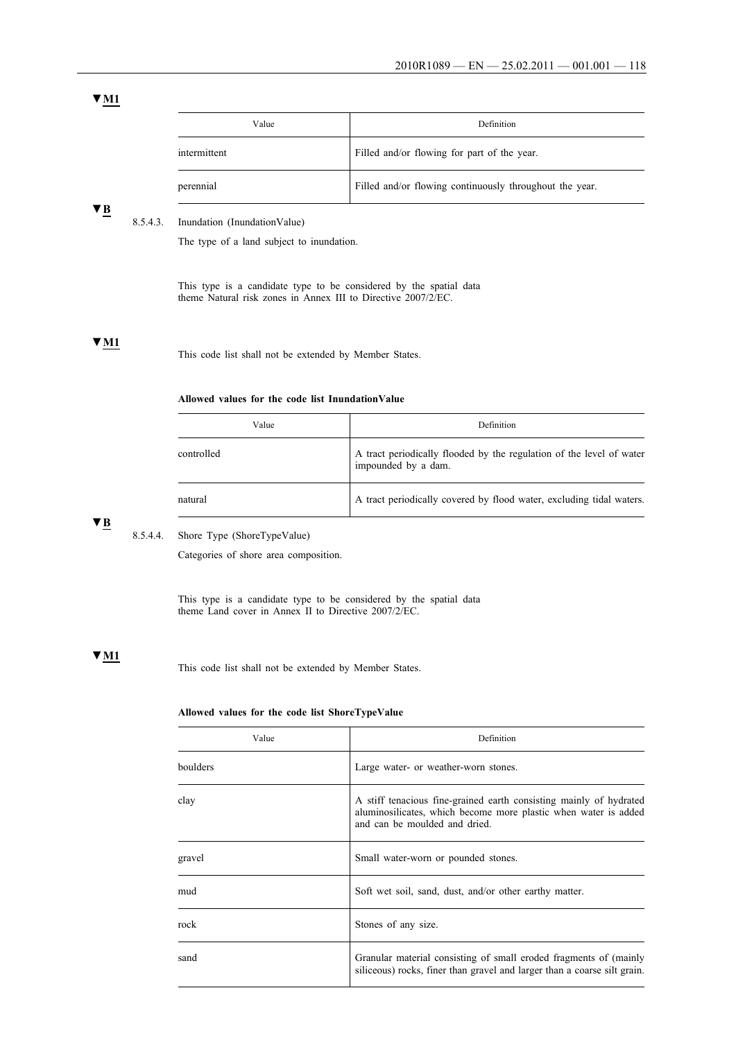| Value        | Definition                                              |
|--------------|---------------------------------------------------------|
| intermittent | Filled and/or flowing for part of the year.             |
| perennial    | Filled and/or flowing continuously throughout the year. |

## **▼B**

#### 8.5.4.3. Inundation (InundationValue)

The type of a land subject to inundation.

This type is a candidate type to be considered by the spatial data theme Natural risk zones in Annex III to Directive 2007/2/EC.

## **▼M1**

This code list shall not be extended by Member States.

### **Allowed values for the code list InundationValue**

| Value      | Definition                                                                                  |
|------------|---------------------------------------------------------------------------------------------|
| controlled | A tract periodically flooded by the regulation of the level of water<br>impounded by a dam. |
| natural    | A tract periodically covered by flood water, excluding tidal waters.                        |

## **▼B**

8.5.4.4. Shore Type (ShoreTypeValue)

Categories of shore area composition.

This type is a candidate type to be considered by the spatial data theme Land cover in Annex II to Directive 2007/2/EC.

## **▼M1**

This code list shall not be extended by Member States.

## **Allowed values for the code list ShoreTypeValue**

| Value    | Definition                                                                                                                                                             |
|----------|------------------------------------------------------------------------------------------------------------------------------------------------------------------------|
| boulders | Large water- or weather-worn stones.                                                                                                                                   |
| clay     | A stiff tenacious fine-grained earth consisting mainly of hydrated<br>aluminosilicates, which become more plastic when water is added<br>and can be moulded and dried. |
| gravel   | Small water-worn or pounded stones.                                                                                                                                    |
| mud      | Soft wet soil, sand, dust, and/or other earthy matter.                                                                                                                 |
| rock     | Stones of any size.                                                                                                                                                    |
| sand     | Granular material consisting of small eroded fragments of (mainly<br>siliceous) rocks, finer than gravel and larger than a coarse silt grain.                          |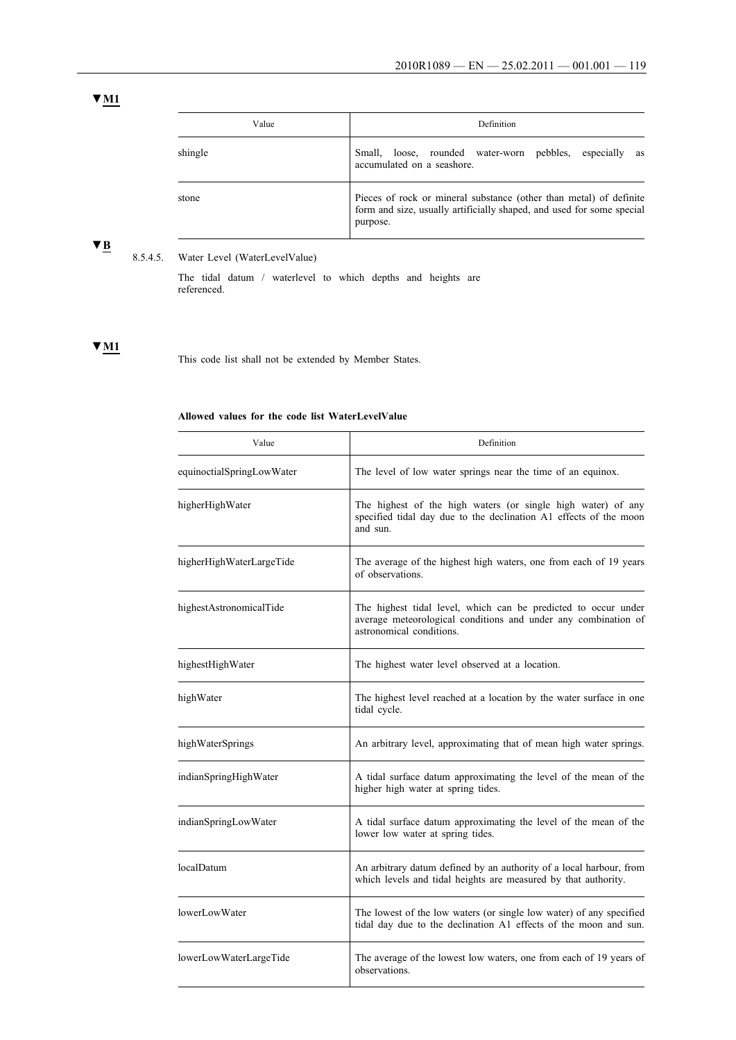| Value   | Definition                                                                                                                                              |
|---------|---------------------------------------------------------------------------------------------------------------------------------------------------------|
| shingle | Small.<br>rounded water-worn pebbles,<br>loose,<br>especially<br>as<br>accumulated on a seashore.                                                       |
| stone   | Pieces of rock or mineral substance (other than metal) of definite<br>form and size, usually artificially shaped, and used for some special<br>purpose. |

# **▼B**

## 8.5.4.5. Water Level (WaterLevelValue)

The tidal datum / waterlevel to which depths and heights are referenced.

## **▼M1**

This code list shall not be extended by Member States.

## **Allowed values for the code list WaterLevelValue**

| Value                     | Definition                                                                                                                                                   |
|---------------------------|--------------------------------------------------------------------------------------------------------------------------------------------------------------|
| equinoctialSpringLowWater | The level of low water springs near the time of an equinox.                                                                                                  |
| higherHighWater           | The highest of the high waters (or single high water) of any<br>specified tidal day due to the declination A1 effects of the moon<br>and sun.                |
| higherHighWaterLargeTide  | The average of the highest high waters, one from each of 19 years<br>of observations.                                                                        |
| highestAstronomicalTide   | The highest tidal level, which can be predicted to occur under<br>average meteorological conditions and under any combination of<br>astronomical conditions. |
| highestHighWater          | The highest water level observed at a location.                                                                                                              |
| highWater                 | The highest level reached at a location by the water surface in one<br>tidal cycle.                                                                          |
| highWaterSprings          | An arbitrary level, approximating that of mean high water springs.                                                                                           |
| indianSpringHighWater     | A tidal surface datum approximating the level of the mean of the<br>higher high water at spring tides.                                                       |
| indianSpringLowWater      | A tidal surface datum approximating the level of the mean of the<br>lower low water at spring tides.                                                         |
| localDatum                | An arbitrary datum defined by an authority of a local harbour, from<br>which levels and tidal heights are measured by that authority.                        |
| lowerLowWater             | The lowest of the low waters (or single low water) of any specified<br>tidal day due to the declination A1 effects of the moon and sun.                      |
| lowerLowWaterLargeTide    | The average of the lowest low waters, one from each of 19 years of<br>observations.                                                                          |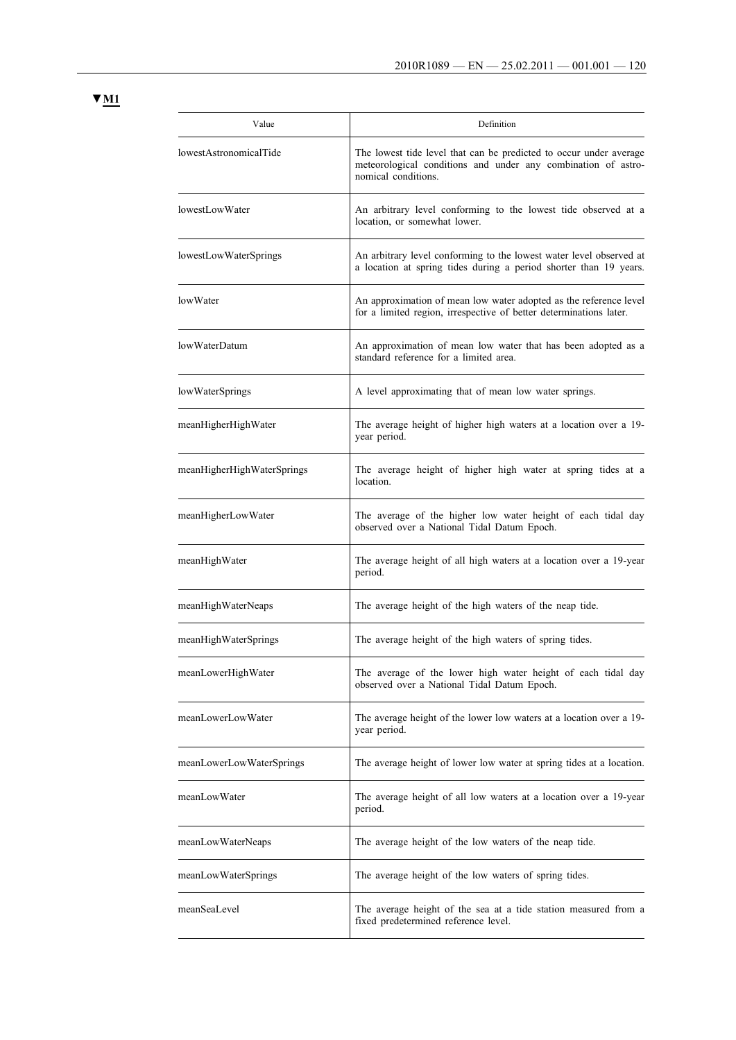| Value                      | Definition                                                                                                                                                 |
|----------------------------|------------------------------------------------------------------------------------------------------------------------------------------------------------|
| lowestAstronomicalTide     | The lowest tide level that can be predicted to occur under average<br>meteorological conditions and under any combination of astro-<br>nomical conditions. |
| lowestLowWater             | An arbitrary level conforming to the lowest tide observed at a<br>location, or somewhat lower.                                                             |
| lowestLowWaterSprings      | An arbitrary level conforming to the lowest water level observed at<br>a location at spring tides during a period shorter than 19 years.                   |
| lowWater                   | An approximation of mean low water adopted as the reference level<br>for a limited region, irrespective of better determinations later.                    |
| lowWaterDatum              | An approximation of mean low water that has been adopted as a<br>standard reference for a limited area.                                                    |
| lowWaterSprings            | A level approximating that of mean low water springs.                                                                                                      |
| meanHigherHighWater        | The average height of higher high waters at a location over a 19-<br>year period.                                                                          |
| meanHigherHighWaterSprings | The average height of higher high water at spring tides at a<br>location.                                                                                  |
| meanHigherLowWater         | The average of the higher low water height of each tidal day<br>observed over a National Tidal Datum Epoch.                                                |
| meanHighWater              | The average height of all high waters at a location over a 19-year<br>period.                                                                              |
| meanHighWaterNeaps         | The average height of the high waters of the neap tide.                                                                                                    |
| meanHighWaterSprings       | The average height of the high waters of spring tides.                                                                                                     |
| meanLowerHighWater         | The average of the lower high water height of each tidal day<br>observed over a National Tidal Datum Epoch.                                                |
| meanLowerLowWater          | The average height of the lower low waters at a location over a 19-<br>year period.                                                                        |
| meanLowerLowWaterSprings   | The average height of lower low water at spring tides at a location.                                                                                       |
| meanLowWater               | The average height of all low waters at a location over a 19-year<br>period.                                                                               |
| meanLowWaterNeaps          | The average height of the low waters of the neap tide.                                                                                                     |
| meanLowWaterSprings        | The average height of the low waters of spring tides.                                                                                                      |
| meanSeaLevel               | The average height of the sea at a tide station measured from a<br>fixed predetermined reference level.                                                    |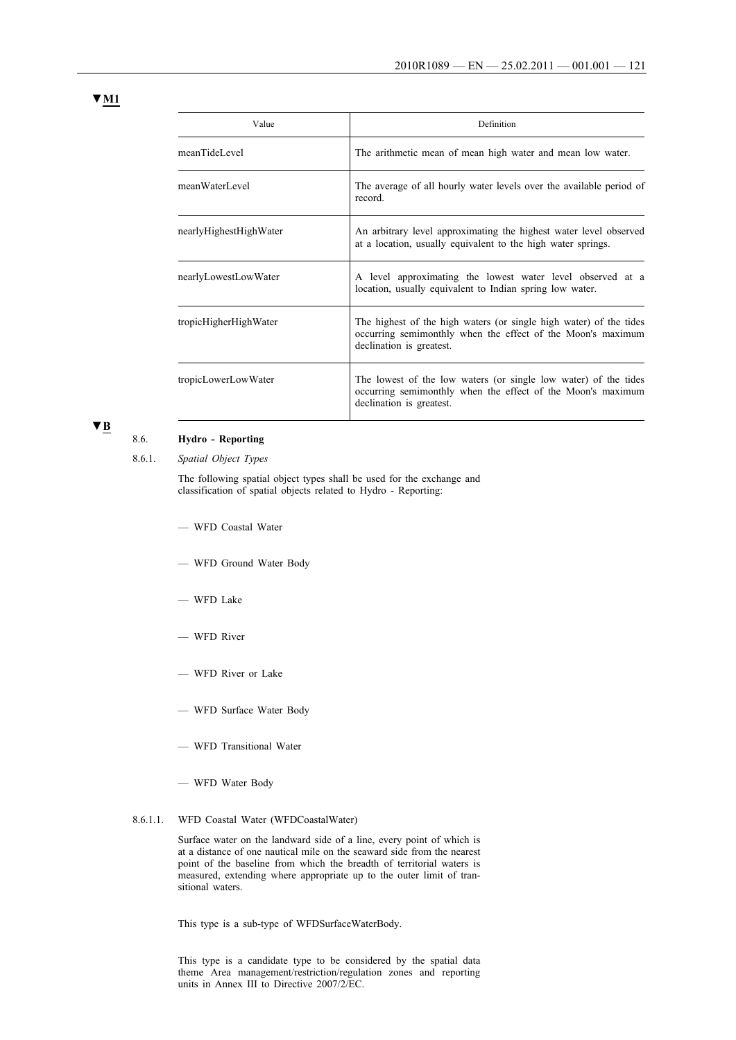| Value                  | Definition                                                                                                                                                    |
|------------------------|---------------------------------------------------------------------------------------------------------------------------------------------------------------|
| meanTideLevel          | The arithmetic mean of mean high water and mean low water.                                                                                                    |
| meanWaterLevel         | The average of all hourly water levels over the available period of<br>record.                                                                                |
| nearlyHighestHighWater | An arbitrary level approximating the highest water level observed<br>at a location, usually equivalent to the high water springs.                             |
| nearlyLowestLowWater   | A level approximating the lowest water level observed at a<br>location, usually equivalent to Indian spring low water.                                        |
| tropicHigherHighWater  | The highest of the high waters (or single high water) of the tides<br>occurring semimonthly when the effect of the Moon's maximum<br>declination is greatest. |
| tropicLowerLowWater    | The lowest of the low waters (or single low water) of the tides<br>occurring semimonthly when the effect of the Moon's maximum<br>declination is greatest.    |

## **▼B**

## 8.6. **Hydro - Reporting**

8.6.1. *Spatial Object Types*

The following spatial object types shall be used for the exchange and classification of spatial objects related to Hydro - Reporting:

- WFD Coastal Water
- WFD Ground Water Body
- WFD Lake
- WFD River
- WFD River or Lake
- WFD Surface Water Body
- WFD Transitional Water
- WFD Water Body
- 8.6.1.1. WFD Coastal Water (WFDCoastalWater)

Surface water on the landward side of a line, every point of which is at a distance of one nautical mile on the seaward side from the nearest point of the baseline from which the breadth of territorial waters is measured, extending where appropriate up to the outer limit of transitional waters.

This type is a sub-type of WFDSurfaceWaterBody.

This type is a candidate type to be considered by the spatial data theme Area management/restriction/regulation zones and reporting units in Annex III to Directive 2007/2/EC.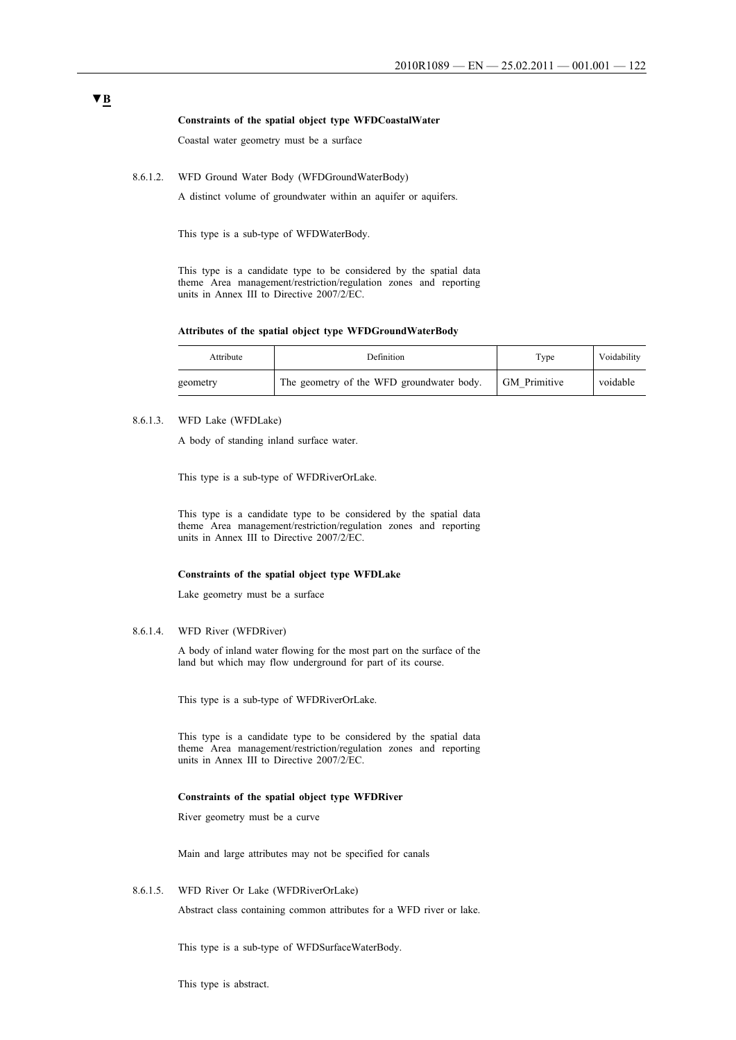#### **Constraints of the spatial object type WFDCoastalWater**

Coastal water geometry must be a surface

8.6.1.2. WFD Ground Water Body (WFDGroundWaterBody)

A distinct volume of groundwater within an aquifer or aquifers.

This type is a sub-type of WFDWaterBody.

This type is a candidate type to be considered by the spatial data theme Area management/restriction/regulation zones and reporting units in Annex III to Directive 2007/2/EC.

#### **Attributes of the spatial object type WFDGroundWaterBody**

| Attribute | Definition                                | Type                | Voidability |
|-----------|-------------------------------------------|---------------------|-------------|
| geometry  | The geometry of the WFD groundwater body. | <b>GM</b> Primitive | voidable    |

8.6.1.3. WFD Lake (WFDLake)

A body of standing inland surface water.

This type is a sub-type of WFDRiverOrLake.

This type is a candidate type to be considered by the spatial data theme Area management/restriction/regulation zones and reporting units in Annex III to Directive 2007/2/EC.

#### **Constraints of the spatial object type WFDLake**

Lake geometry must be a surface

#### 8.6.1.4. WFD River (WFDRiver)

A body of inland water flowing for the most part on the surface of the land but which may flow underground for part of its course.

This type is a sub-type of WFDRiverOrLake.

This type is a candidate type to be considered by the spatial data theme Area management/restriction/regulation zones and reporting units in Annex III to Directive 2007/2/EC.

#### **Constraints of the spatial object type WFDRiver**

River geometry must be a curve

Main and large attributes may not be specified for canals

8.6.1.5. WFD River Or Lake (WFDRiverOrLake)

Abstract class containing common attributes for a WFD river or lake.

This type is a sub-type of WFDSurfaceWaterBody.

This type is abstract.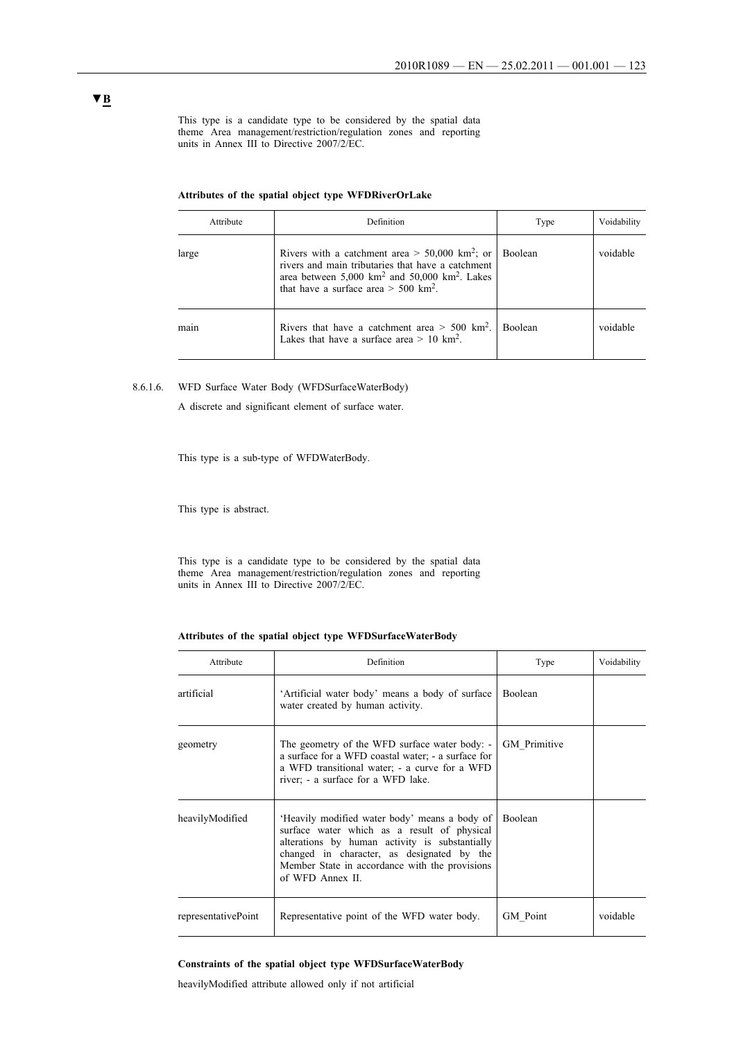This type is a candidate type to be considered by the spatial data theme Area management/restriction/regulation zones and reporting units in Annex III to Directive 2007/2/EC.

|  |  |  |  |  |  | Attributes of the spatial object type WFDRiverOrLake |
|--|--|--|--|--|--|------------------------------------------------------|
|--|--|--|--|--|--|------------------------------------------------------|

| Attribute | Definition                                                                                                                                                                                                                                     | Type           | Voidability |
|-----------|------------------------------------------------------------------------------------------------------------------------------------------------------------------------------------------------------------------------------------------------|----------------|-------------|
| large     | Rivers with a catchment area $> 50,000$ km <sup>2</sup> ; or<br>rivers and main tributaries that have a catchment<br>area between $5,000 \text{ km}^2$ and $50,000 \text{ km}^2$ . Lakes<br>that have a surface area $> 500$ km <sup>2</sup> . | <b>Boolean</b> | voidable    |
| main      | Rivers that have a catchment area $> 500$ km <sup>2</sup> .<br>Lakes that have a surface area $> 10$ km <sup>2</sup> .                                                                                                                         | <b>Boolean</b> | voidable    |

8.6.1.6. WFD Surface Water Body (WFDSurfaceWaterBody)

A discrete and significant element of surface water.

This type is a sub-type of WFDWaterBody.

This type is abstract.

This type is a candidate type to be considered by the spatial data theme Area management/restriction/regulation zones and reporting units in Annex III to Directive 2007/2/EC.

#### **Attributes of the spatial object type WFDSurfaceWaterBody**

| Attribute           | Definition                                                                                                                                                                                                                                                         | Type                | Voidability |
|---------------------|--------------------------------------------------------------------------------------------------------------------------------------------------------------------------------------------------------------------------------------------------------------------|---------------------|-------------|
| artificial          | 'Artificial water body' means a body of surface<br>water created by human activity.                                                                                                                                                                                | Boolean             |             |
| geometry            | The geometry of the WFD surface water body: -<br>a surface for a WFD coastal water; - a surface for<br>a WFD transitional water; - a curve for a WFD<br>river; - a surface for a WFD lake.                                                                         | <b>GM</b> Primitive |             |
| heavilyModified     | 'Heavily modified water body' means a body of<br>surface water which as a result of physical<br>alterations by human activity is substantially<br>changed in character, as designated by the<br>Member State in accordance with the provisions<br>of WFD Annex II. | Boolean             |             |
| representativePoint | Representative point of the WFD water body.                                                                                                                                                                                                                        | GM Point            | voidable    |

#### **Constraints of the spatial object type WFDSurfaceWaterBody**

heavilyModified attribute allowed only if not artificial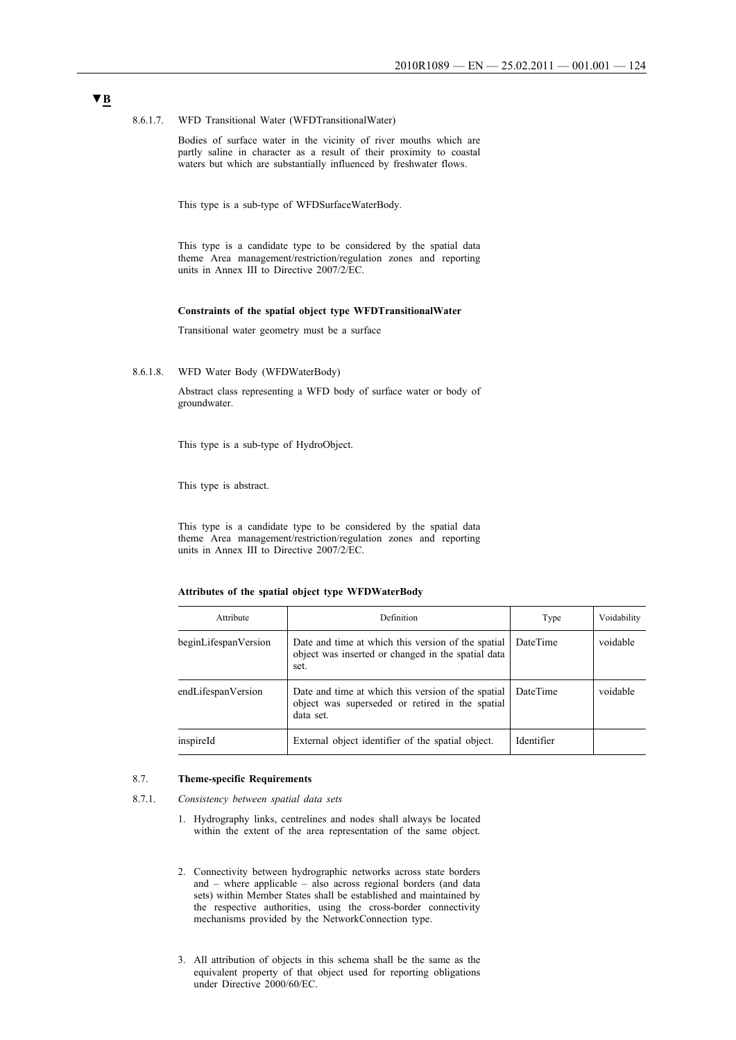8.6.1.7. WFD Transitional Water (WFDTransitionalWater)

Bodies of surface water in the vicinity of river mouths which are partly saline in character as a result of their proximity to coastal waters but which are substantially influenced by freshwater flows.

This type is a sub-type of WFDSurfaceWaterBody.

This type is a candidate type to be considered by the spatial data theme Area management/restriction/regulation zones and reporting units in Annex III to Directive 2007/2/EC.

#### **Constraints of the spatial object type WFDTransitionalWater**

Transitional water geometry must be a surface

8.6.1.8. WFD Water Body (WFDWaterBody)

Abstract class representing a WFD body of surface water or body of groundwater.

This type is a sub-type of HydroObject.

This type is abstract.

This type is a candidate type to be considered by the spatial data theme Area management/restriction/regulation zones and reporting units in Annex III to Directive 2007/2/EC.

#### **Attributes of the spatial object type WFDWaterBody**

| Attribute            | Definition                                                                                                         | Type       | Voidability |
|----------------------|--------------------------------------------------------------------------------------------------------------------|------------|-------------|
| beginLifespanVersion | Date and time at which this version of the spatial<br>object was inserted or changed in the spatial data<br>set.   | DateTime   | voidable    |
| endLifespanVersion   | Date and time at which this version of the spatial<br>object was superseded or retired in the spatial<br>data set. | DateTime   | voidable    |
| inspireId            | External object identifier of the spatial object.                                                                  | Identifier |             |

#### 8.7. **Theme-specific Requirements**

- 8.7.1. *Consistency between spatial data sets*
	- 1. Hydrography links, centrelines and nodes shall always be located within the extent of the area representation of the same object.
	- 2. Connectivity between hydrographic networks across state borders and – where applicable – also across regional borders (and data sets) within Member States shall be established and maintained by the respective authorities, using the cross-border connectivity mechanisms provided by the NetworkConnection type.
	- 3. All attribution of objects in this schema shall be the same as the equivalent property of that object used for reporting obligations under Directive 2000/60/EC.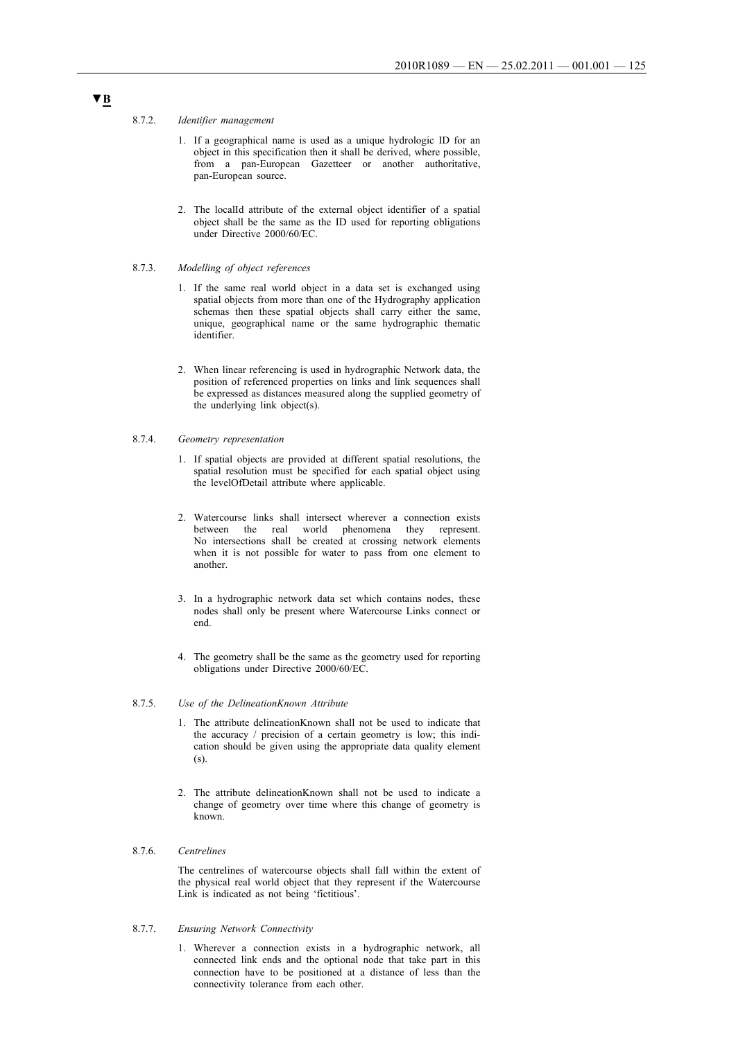#### 8.7.2. *Identifier management*

- 1. If a geographical name is used as a unique hydrologic ID for an object in this specification then it shall be derived, where possible, from a pan-European Gazetteer or another authoritative, pan-European source.
- 2. The localId attribute of the external object identifier of a spatial object shall be the same as the ID used for reporting obligations under Directive 2000/60/EC.

#### 8.7.3. *Modelling of object references*

- 1. If the same real world object in a data set is exchanged using spatial objects from more than one of the Hydrography application schemas then these spatial objects shall carry either the same, unique, geographical name or the same hydrographic thematic identifier.
- 2. When linear referencing is used in hydrographic Network data, the position of referenced properties on links and link sequences shall be expressed as distances measured along the supplied geometry of the underlying link object(s).

#### 8.7.4. *Geometry representation*

- 1. If spatial objects are provided at different spatial resolutions, the spatial resolution must be specified for each spatial object using the levelOfDetail attribute where applicable.
- 2. Watercourse links shall intersect wherever a connection exists between the real world phenomena they represent. No intersections shall be created at crossing network elements when it is not possible for water to pass from one element to another.
- 3. In a hydrographic network data set which contains nodes, these nodes shall only be present where Watercourse Links connect or end.
- 4. The geometry shall be the same as the geometry used for reporting obligations under Directive 2000/60/EC.

#### 8.7.5. *Use of the DelineationKnown Attribute*

- 1. The attribute delineationKnown shall not be used to indicate that the accuracy / precision of a certain geometry is low; this indication should be given using the appropriate data quality element (s).
- 2. The attribute delineationKnown shall not be used to indicate a change of geometry over time where this change of geometry is known.

#### 8.7.6. *Centrelines*

The centrelines of watercourse objects shall fall within the extent of the physical real world object that they represent if the Watercourse Link is indicated as not being 'fictitious'.

#### 8.7.7. *Ensuring Network Connectivity*

1. Wherever a connection exists in a hydrographic network, all connected link ends and the optional node that take part in this connection have to be positioned at a distance of less than the connectivity tolerance from each other.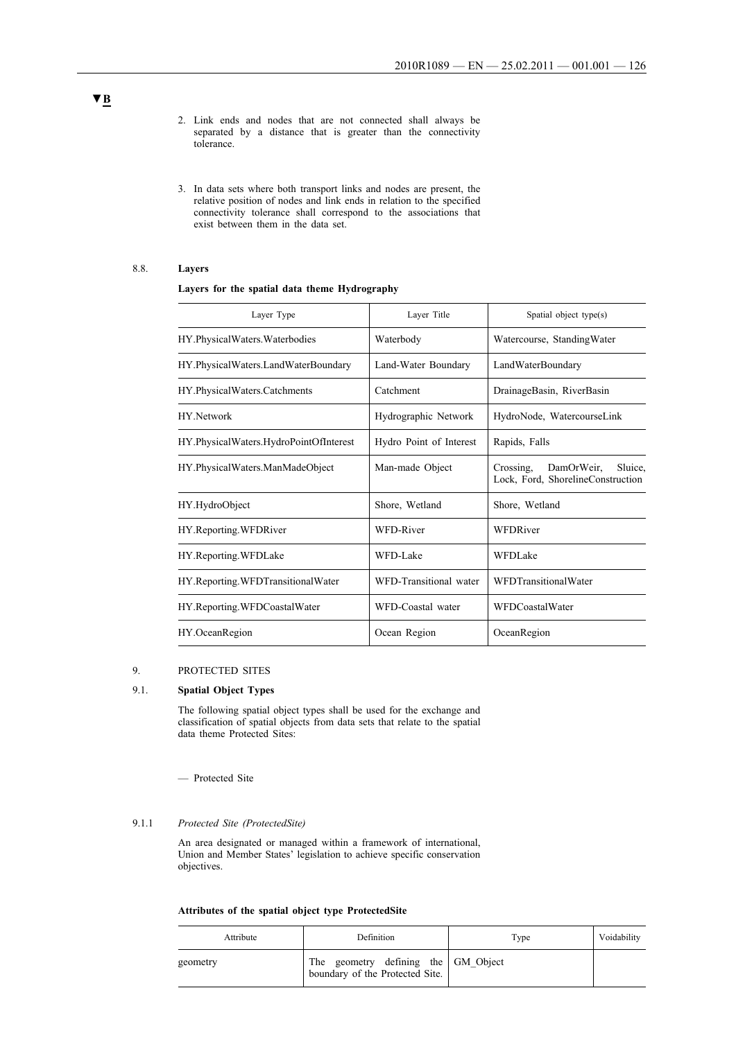- 2. Link ends and nodes that are not connected shall always be separated by a distance that is greater than the connectivity tolerance.
- 3. In data sets where both transport links and nodes are present, the relative position of nodes and link ends in relation to the specified connectivity tolerance shall correspond to the associations that exist between them in the data set.

### 8.8. **Layers**

#### **Layers for the spatial data theme Hydrography**

| Layer Type                             | Laver Title             | Spatial object type(s)                                                  |
|----------------------------------------|-------------------------|-------------------------------------------------------------------------|
| HY.PhysicalWaters.Waterbodies          | Waterbody               | Watercourse, StandingWater                                              |
| HY.PhysicalWaters.LandWaterBoundary    | Land-Water Boundary     | LandWaterBoundary                                                       |
| HY.PhysicalWaters.Catchments           | Catchment               | DrainageBasin, RiverBasin                                               |
| HY Network                             | Hydrographic Network    | HydroNode, WatercourseLink                                              |
| HY.PhysicalWaters.HydroPointOfInterest | Hydro Point of Interest | Rapids, Falls                                                           |
| HY.PhysicalWaters.ManMadeObject        | Man-made Object         | Crossing,<br>DamOrWeir.<br>Sluice,<br>Lock, Ford, ShorelineConstruction |
| HY.HydroObject                         | Shore, Wetland          | Shore, Wetland                                                          |
| HY.Reporting.WFDRiver                  | WFD-River               | WFDRiver                                                                |
| HY.Reporting.WFDLake                   | WFD-Lake                | <b>WFDLake</b>                                                          |
| HY.Reporting.WFDTransitionalWater      | WFD-Transitional water  | WFDTransitionalWater                                                    |
| HY.Reporting.WFDCoastalWater           | WFD-Coastal water       | <b>WFDCoastalWater</b>                                                  |
| HY.OceanRegion                         | Ocean Region            | OceanRegion                                                             |

## 9. PROTECTED SITES

#### 9.1. **Spatial Object Types**

The following spatial object types shall be used for the exchange and classification of spatial objects from data sets that relate to the spatial data theme Protected Sites:

— Protected Site

#### 9.1.1 *Protected Site (ProtectedSite)*

An area designated or managed within a framework of international, Union and Member States' legislation to achieve specific conservation objectives.

| Attributes of the spatial object type ProtectedSite |  |  |  |  |  |  |
|-----------------------------------------------------|--|--|--|--|--|--|
|-----------------------------------------------------|--|--|--|--|--|--|

| Attribute | Definition                                                                | Type | Voidability |
|-----------|---------------------------------------------------------------------------|------|-------------|
| geometry  | geometry defining the GM_Object<br>The<br>boundary of the Protected Site. |      |             |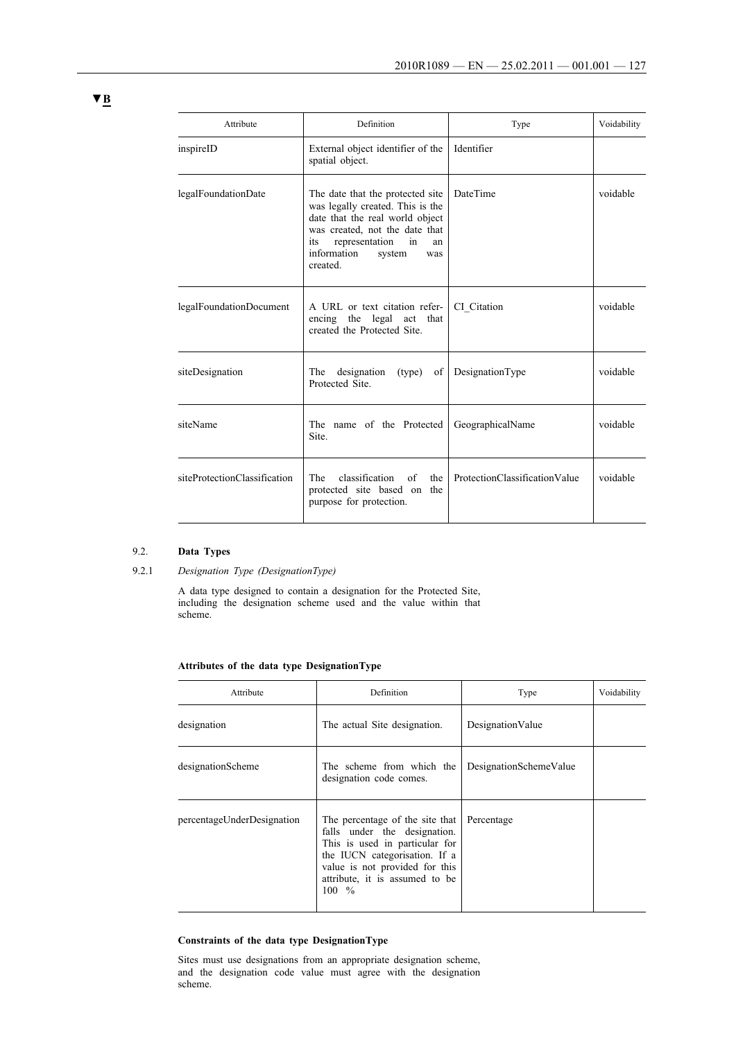| Attribute                    | Definition                                                                                                                                                                                                                 | Type                          | Voidability |
|------------------------------|----------------------------------------------------------------------------------------------------------------------------------------------------------------------------------------------------------------------------|-------------------------------|-------------|
| inspireID                    | External object identifier of the<br>spatial object.                                                                                                                                                                       | Identifier                    |             |
| legalFoundationDate          | The date that the protected site<br>was legally created. This is the<br>date that the real world object<br>was created, not the date that<br>representation<br>in<br>its<br>an<br>information<br>system<br>was<br>created. | <b>DateTime</b>               | voidable    |
| legalFoundationDocument      | A URL or text citation refer-<br>encing the legal act that<br>created the Protected Site.                                                                                                                                  | CI Citation                   | voidable    |
| siteDesignation              | designation<br>The<br>(type)<br>of<br>Protected Site.                                                                                                                                                                      | DesignationType               | voidable    |
| siteName                     | The name of the Protected<br>Site.                                                                                                                                                                                         | GeographicalName              | voidable    |
| siteProtectionClassification | classification<br>The<br>of<br>the<br>protected site based on the<br>purpose for protection.                                                                                                                               | ProtectionClassificationValue | voidable    |

## 9.2. **Data Types**

#### 9.2.1 *Designation Type (DesignationType)*

A data type designed to contain a designation for the Protected Site, including the designation scheme used and the value within that scheme.

## **Attributes of the data type DesignationType**

| Attribute                  | Definition                                                                                                                                                                                                                  | Type                   | Voidability |
|----------------------------|-----------------------------------------------------------------------------------------------------------------------------------------------------------------------------------------------------------------------------|------------------------|-------------|
| designation                | The actual Site designation.                                                                                                                                                                                                | DesignationValue       |             |
| designationScheme          | The scheme from which the<br>designation code comes.                                                                                                                                                                        | DesignationSchemeValue |             |
| percentageUnderDesignation | The percentage of the site that<br>falls under the designation.<br>This is used in particular for<br>the IUCN categorisation. If a<br>value is not provided for this<br>attribute, it is assumed to be<br>$100 \frac{9}{6}$ | Percentage             |             |

## **Constraints of the data type DesignationType**

Sites must use designations from an appropriate designation scheme, and the designation code value must agree with the designation scheme.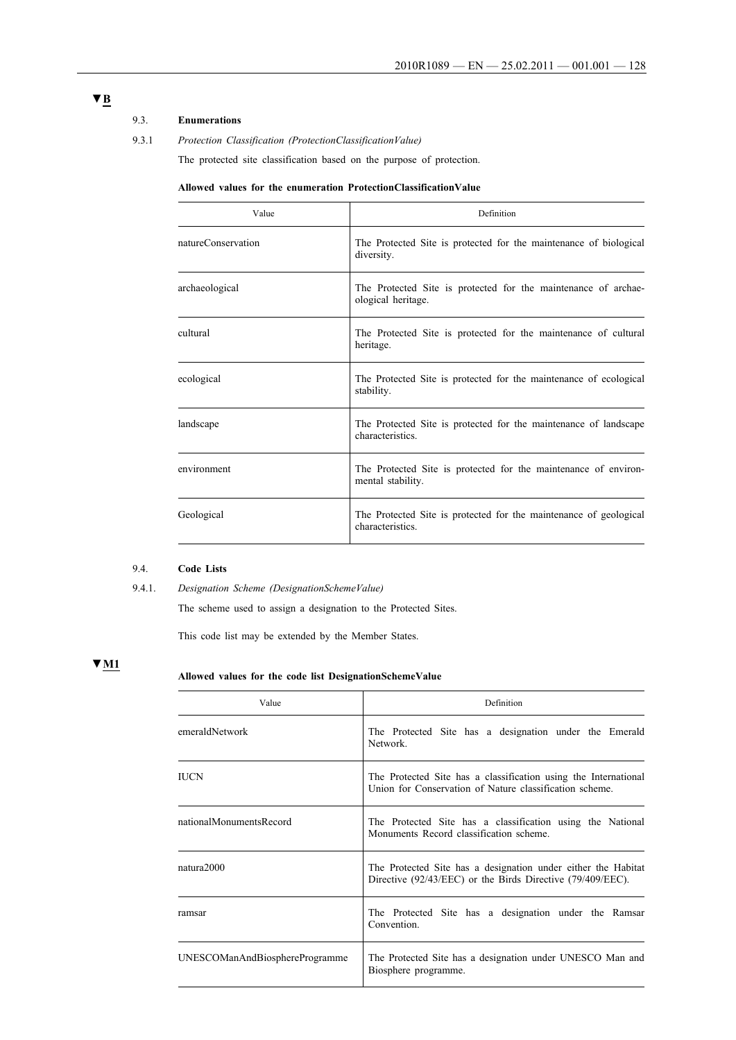## 9.3. **Enumerations**

9.3.1 *Protection Classification (ProtectionClassificationValue)*

The protected site classification based on the purpose of protection.

#### **Allowed values for the enumeration ProtectionClassificationValue**

| Value              | Definition                                                                            |
|--------------------|---------------------------------------------------------------------------------------|
| natureConservation | The Protected Site is protected for the maintenance of biological<br>diversity.       |
| archaeological     | The Protected Site is protected for the maintenance of archae-<br>ological heritage.  |
| cultural           | The Protected Site is protected for the maintenance of cultural<br>heritage.          |
| ecological         | The Protected Site is protected for the maintenance of ecological<br>stability.       |
| landscape          | The Protected Site is protected for the maintenance of landscape<br>characteristics.  |
| environment        | The Protected Site is protected for the maintenance of environ-<br>mental stability.  |
| Geological         | The Protected Site is protected for the maintenance of geological<br>characteristics. |

#### 9.4. **Code Lists**

The scheme used to assign a designation to the Protected Sites.

This code list may be extended by the Member States.

## **▼M1**

## **Allowed values for the code list DesignationSchemeValue**

| Value                          | Definition                                                                                                                  |  |  |
|--------------------------------|-----------------------------------------------------------------------------------------------------------------------------|--|--|
| emeraldNetwork                 | The Protected Site has a designation under the Emerald<br>Network                                                           |  |  |
| IUCN                           | The Protected Site has a classification using the International<br>Union for Conservation of Nature classification scheme.  |  |  |
| nationalMonumentsRecord        | The Protected Site has a classification using the National<br>Monuments Record classification scheme.                       |  |  |
| natura2000                     | The Protected Site has a designation under either the Habitat<br>Directive (92/43/EEC) or the Birds Directive (79/409/EEC). |  |  |
| ramsar                         | The Protected Site has a designation under the Ramsar<br>Convention.                                                        |  |  |
| UNESCOManAndBiosphereProgramme | The Protected Site has a designation under UNESCO Man and<br>Biosphere programme.                                           |  |  |

<sup>9.4.1.</sup> *Designation Scheme (DesignationSchemeValue)*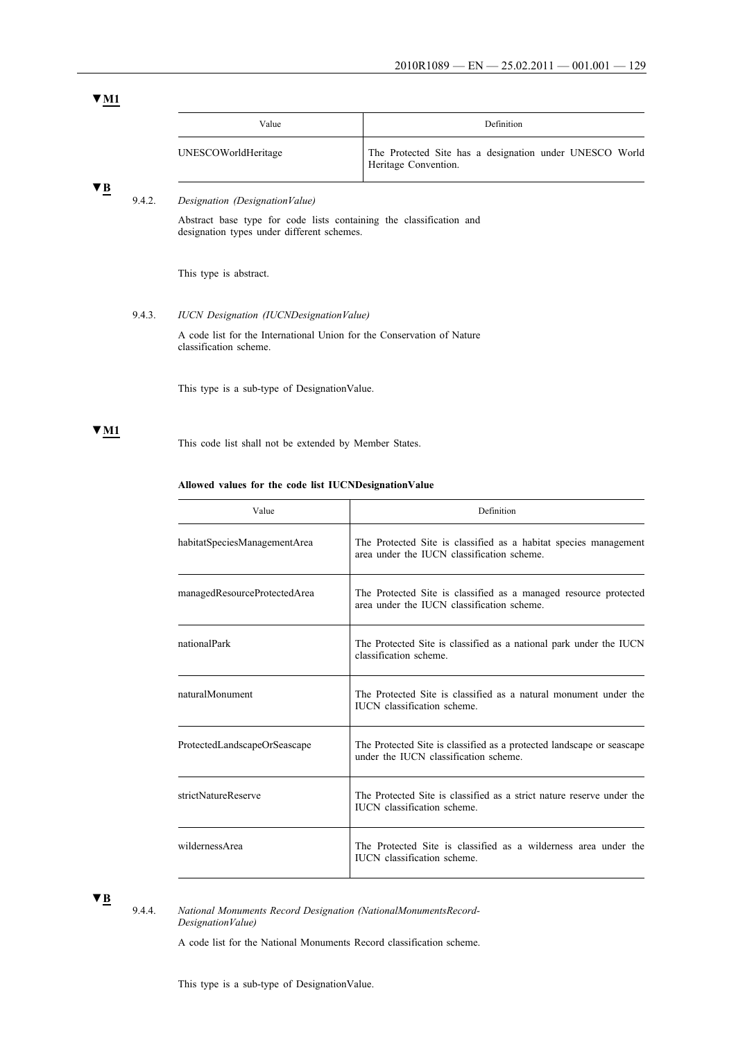| Value               | <b>Definition</b>                                                               |
|---------------------|---------------------------------------------------------------------------------|
| UNESCOWorldHeritage | The Protected Site has a designation under UNESCO World<br>Heritage Convention. |

## **▼B**

## 9.4.2. *Designation (DesignationValue)*

Abstract base type for code lists containing the classification and designation types under different schemes.

This type is abstract.

#### 9.4.3. *IUCN Designation (IUCNDesignationValue)*

A code list for the International Union for the Conservation of Nature classification scheme.

This type is a sub-type of DesignationValue.

## **▼M1**

This code list shall not be extended by Member States.

#### **Allowed values for the code list IUCNDesignationValue**

| Value                        | Definition                                                                                                     |  |
|------------------------------|----------------------------------------------------------------------------------------------------------------|--|
| habitatSpeciesManagementArea | The Protected Site is classified as a habitat species management<br>area under the IUCN classification scheme. |  |
| managedResourceProtectedArea | The Protected Site is classified as a managed resource protected<br>area under the IUCN classification scheme. |  |
| nationalPark                 | The Protected Site is classified as a national park under the IUCN<br>classification scheme.                   |  |
| naturalMonument              | The Protected Site is classified as a natural monument under the<br><b>IUCN</b> classification scheme.         |  |
| ProtectedLandscapeOrSeascape | The Protected Site is classified as a protected landscape or seascape<br>under the IUCN classification scheme. |  |
| strictNatureReserve          | The Protected Site is classified as a strict nature reserve under the<br><b>IUCN</b> classification scheme.    |  |
| wildernessArea               | The Protected Site is classified as a wilderness area under the<br><b>IUCN</b> classification scheme.          |  |

## **▼B**

9.4.4. *National Monuments Record Designation (NationalMonumentsRecord-DesignationValue)*

A code list for the National Monuments Record classification scheme.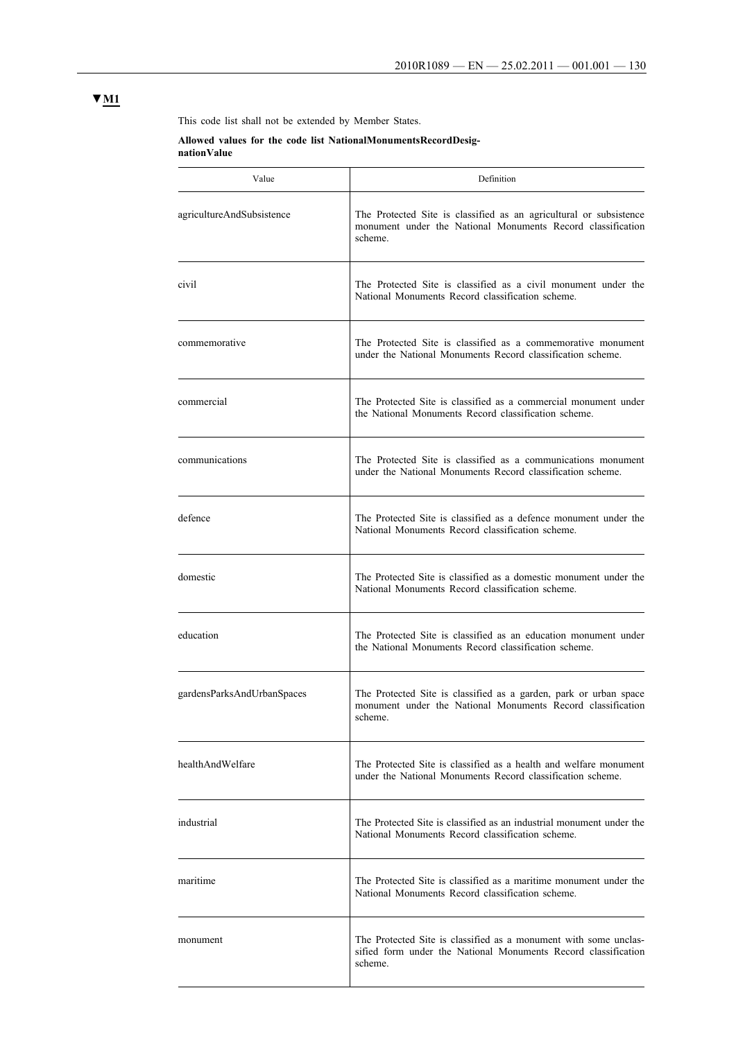This code list shall not be extended by Member States.

## **Allowed values for the code list NationalMonumentsRecordDesignationValue**

| Value                      | Definition                                                                                                                                    |  |
|----------------------------|-----------------------------------------------------------------------------------------------------------------------------------------------|--|
| agricultureAndSubsistence  | The Protected Site is classified as an agricultural or subsistence<br>monument under the National Monuments Record classification<br>scheme.  |  |
| civil                      | The Protected Site is classified as a civil monument under the<br>National Monuments Record classification scheme.                            |  |
| commemorative              | The Protected Site is classified as a commemorative monument<br>under the National Monuments Record classification scheme.                    |  |
| commercial                 | The Protected Site is classified as a commercial monument under<br>the National Monuments Record classification scheme.                       |  |
| communications             | The Protected Site is classified as a communications monument<br>under the National Monuments Record classification scheme.                   |  |
| defence                    | The Protected Site is classified as a defence monument under the<br>National Monuments Record classification scheme.                          |  |
| domestic                   | The Protected Site is classified as a domestic monument under the<br>National Monuments Record classification scheme.                         |  |
| education                  | The Protected Site is classified as an education monument under<br>the National Monuments Record classification scheme.                       |  |
| gardensParksAndUrbanSpaces | The Protected Site is classified as a garden, park or urban space<br>monument under the National Monuments Record classification<br>scheme.   |  |
| healthAndWelfare           | The Protected Site is classified as a health and welfare monument<br>under the National Monuments Record classification scheme.               |  |
| industrial                 | The Protected Site is classified as an industrial monument under the<br>National Monuments Record classification scheme.                      |  |
| maritime                   | The Protected Site is classified as a maritime monument under the<br>National Monuments Record classification scheme.                         |  |
| monument                   | The Protected Site is classified as a monument with some unclas-<br>sified form under the National Monuments Record classification<br>scheme. |  |

## **▼M1**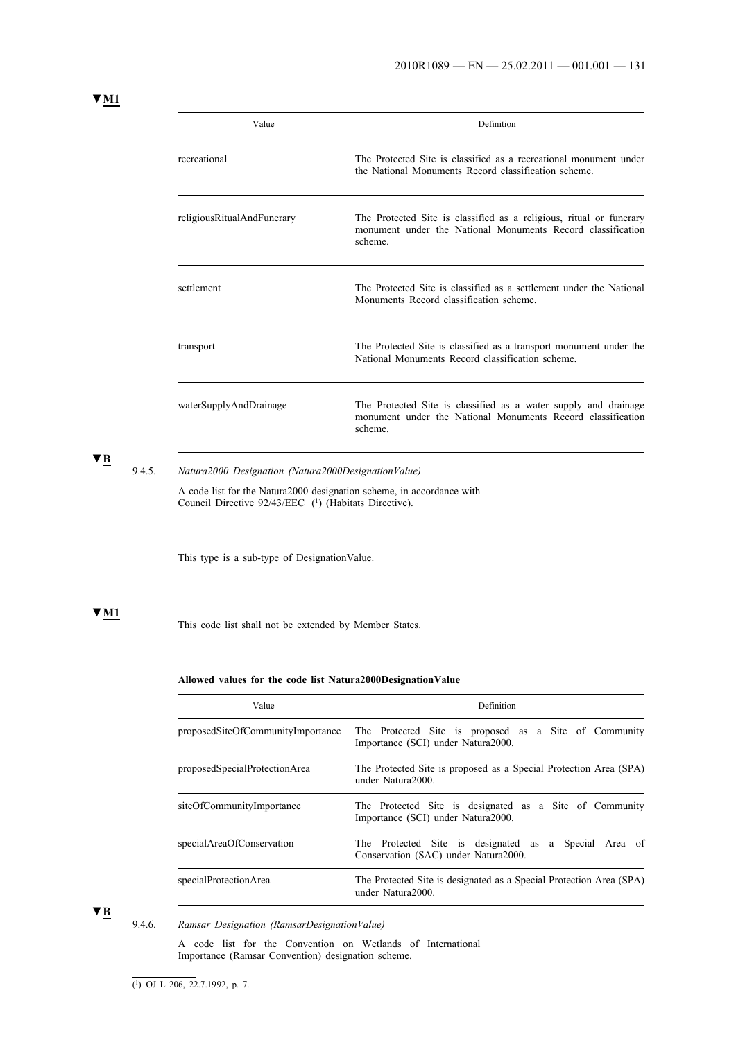| Value                      | Definition                                                                                                                                    |  |
|----------------------------|-----------------------------------------------------------------------------------------------------------------------------------------------|--|
| recreational               | The Protected Site is classified as a recreational monument under<br>the National Monuments Record classification scheme.                     |  |
| religiousRitualAndFunerary | The Protected Site is classified as a religious, ritual or funerary<br>monument under the National Monuments Record classification<br>scheme. |  |
| settlement                 | The Protected Site is classified as a settlement under the National<br>Monuments Record classification scheme.                                |  |
| transport                  | The Protected Site is classified as a transport monument under the<br>National Monuments Record classification scheme                         |  |
| waterSupplyAndDrainage     | The Protected Site is classified as a water supply and drainage<br>monument under the National Monuments Record classification<br>scheme.     |  |

**▼B**

## 9.4.5. *Natura2000 Designation (Natura2000DesignationValue)*

A code list for the Natura2000 designation scheme, in accordance with Council Directive 92/43/EEC (1) (Habitats Directive).

This type is a sub-type of DesignationValue.

## **▼M1**

This code list shall not be extended by Member States.

#### **Allowed values for the code list Natura2000DesignationValue**

| Value                             | Definition                                                                                    |  |  |
|-----------------------------------|-----------------------------------------------------------------------------------------------|--|--|
| proposedSiteOfCommunityImportance | The Protected Site is proposed as a Site of Community<br>Importance (SCI) under Natura2000.   |  |  |
| proposedSpecialProtectionArea     | The Protected Site is proposed as a Special Protection Area (SPA)<br>under Natura2000         |  |  |
| siteOfCommunityImportance         | The Protected Site is designated as a Site of Community<br>Importance (SCI) under Natura2000. |  |  |
| specialAreaOfConservation         | The Protected Site is designated as a Special Area of<br>Conservation (SAC) under Natura2000. |  |  |
| specialProtectionArea             | The Protected Site is designated as a Special Protection Area (SPA)<br>under Natura2000.      |  |  |

**▼B**

## 9.4.6. *Ramsar Designation (RamsarDesignationValue)*

A code list for the Convention on Wetlands of International Importance (Ramsar Convention) designation scheme.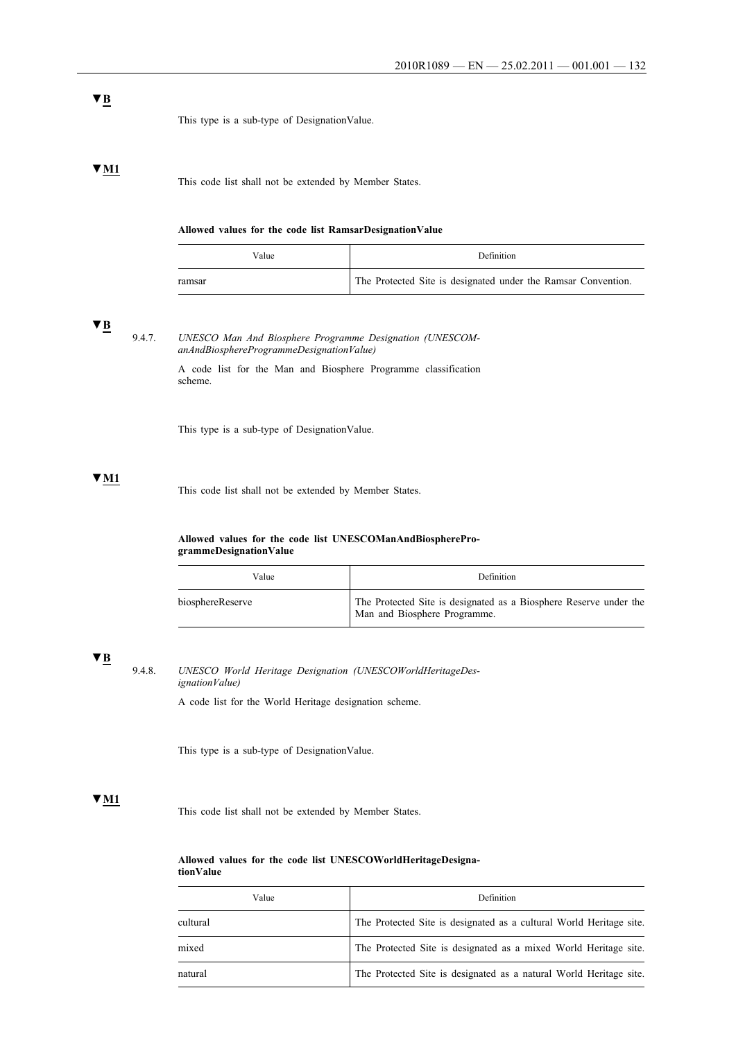This type is a sub-type of DesignationValue.

## **▼M1**

This code list shall not be extended by Member States.

#### **Allowed values for the code list RamsarDesignationValue**

| Value  | <b>Definition</b>                                             |
|--------|---------------------------------------------------------------|
| ramsar | The Protected Site is designated under the Ramsar Convention. |

## **▼B**

9.4.7. *UNESCO Man And Biosphere Programme Designation (UNESCOManAndBiosphereProgrammeDesignationValue)*

> A code list for the Man and Biosphere Programme classification scheme.

This type is a sub-type of DesignationValue.

## **▼M1**

This code list shall not be extended by Member States.

#### **Allowed values for the code list UNESCOManAndBiosphereProgrammeDesignationValue**

| Value            | <b>Definition</b>                                                                                 |
|------------------|---------------------------------------------------------------------------------------------------|
| biosphereReserve | The Protected Site is designated as a Biosphere Reserve under the<br>Man and Biosphere Programme. |

## **▼B**

9.4.8. *UNESCO World Heritage Designation (UNESCOWorldHeritageDesignationValue)*

A code list for the World Heritage designation scheme.

This type is a sub-type of DesignationValue.

### **▼M1**

This code list shall not be extended by Member States.

#### **Allowed values for the code list UNESCOWorldHeritageDesignationValue**

| uon value |  |  |
|-----------|--|--|
|           |  |  |

| Value    | Definition                                                          |
|----------|---------------------------------------------------------------------|
| cultural | The Protected Site is designated as a cultural World Heritage site. |
| mixed    | The Protected Site is designated as a mixed World Heritage site.    |
| natural  | The Protected Site is designated as a natural World Heritage site.  |